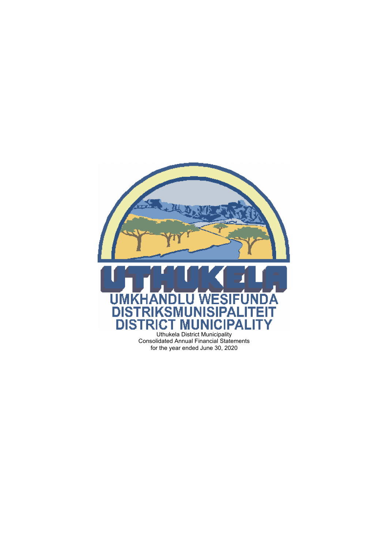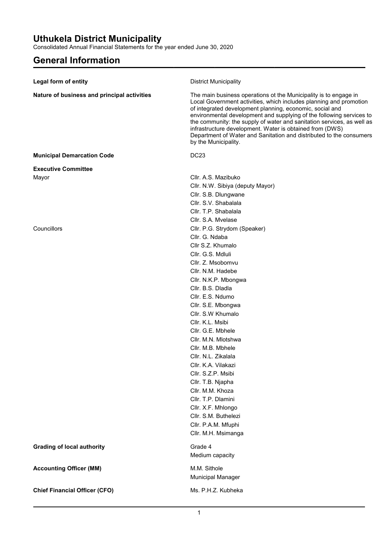Consolidated Annual Financial Statements for the year ended June 30, 2020

### **General Information**

| Legal form of entity                        | <b>District Municipality</b>                                                                                                                                                                                                                                                                                                                                                                                                                                                                                    |
|---------------------------------------------|-----------------------------------------------------------------------------------------------------------------------------------------------------------------------------------------------------------------------------------------------------------------------------------------------------------------------------------------------------------------------------------------------------------------------------------------------------------------------------------------------------------------|
| Nature of business and principal activities | The main business operations ot the Municipality is to engage in<br>Local Government activities, which includes planning and promotion<br>of integrated development planning, economic, social and<br>environmental development and supplying of the following services to<br>the community: the supply of water and sanitation services, as well as<br>infrastructure development. Water is obtained from (DWS)<br>Department of Water and Sanitation and distributed to the consumers<br>by the Municipality. |
| <b>Municipal Demarcation Code</b>           | <b>DC23</b>                                                                                                                                                                                                                                                                                                                                                                                                                                                                                                     |
| <b>Executive Committee</b>                  |                                                                                                                                                                                                                                                                                                                                                                                                                                                                                                                 |
| Mayor                                       | Cllr. A.S. Mazibuko<br>Cllr. N.W. Sibiya (deputy Mayor)<br>Cllr. S.B. Dlungwane<br>Cllr. S.V. Shabalala<br>Cllr. T.P. Shabalala                                                                                                                                                                                                                                                                                                                                                                                 |
| Councillors                                 | Cllr. S.A. Myelase<br>Cllr. P.G. Strydom (Speaker)<br>Cllr. G. Ndaba                                                                                                                                                                                                                                                                                                                                                                                                                                            |
|                                             | Cllr S.Z. Khumalo<br>Cllr. G.S. Mdluli<br>Cllr. Z. Msobomvu<br>Cllr. N.M. Hadebe                                                                                                                                                                                                                                                                                                                                                                                                                                |
|                                             | Cllr. N.K.P. Mbongwa<br>Cllr. B.S. Dladla<br>Cllr. E.S. Ndumo                                                                                                                                                                                                                                                                                                                                                                                                                                                   |
|                                             | Cllr. S.E. Mbongwa<br>Cllr. S.W Khumalo<br>Cllr. K.L. Msibi                                                                                                                                                                                                                                                                                                                                                                                                                                                     |
|                                             | Cllr. G.E. Mbhele<br>Cllr. M.N. Mlotshwa<br>Cllr. M.B. Mbhele                                                                                                                                                                                                                                                                                                                                                                                                                                                   |
|                                             | Cllr. N.L. Zikalala<br>Cllr. K.A. Vilakazi<br>Cllr. S.Z.P. Msibi                                                                                                                                                                                                                                                                                                                                                                                                                                                |
|                                             | Cllr. T.B. Njapha<br>Cllr. M.M. Khoza<br>Cllr. T.P. Dlamini                                                                                                                                                                                                                                                                                                                                                                                                                                                     |
|                                             | Cllr. X.F. Mhlongo<br>Cllr. S.M. Buthelezi<br>Cllr. P.A.M. Mfuphi                                                                                                                                                                                                                                                                                                                                                                                                                                               |
|                                             | Cllr. M.H. Msimanga                                                                                                                                                                                                                                                                                                                                                                                                                                                                                             |
| <b>Grading of local authority</b>           | Grade 4<br>Medium capacity                                                                                                                                                                                                                                                                                                                                                                                                                                                                                      |
| <b>Accounting Officer (MM)</b>              | M.M. Sithole<br>Municipal Manager                                                                                                                                                                                                                                                                                                                                                                                                                                                                               |
| <b>Chief Financial Officer (CFO)</b>        | Ms. P.H.Z. Kubheka                                                                                                                                                                                                                                                                                                                                                                                                                                                                                              |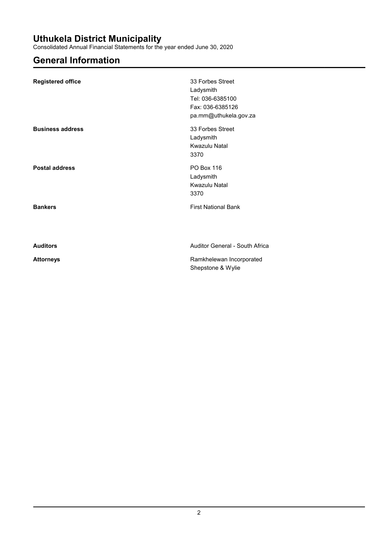Consolidated Annual Financial Statements for the year ended June 30, 2020

### **General Information**

| <b>Registered office</b> | 33 Forbes Street<br>Ladysmith<br>Tel: 036-6385100<br>Fax: 036-6385126<br>pa.mm@uthukela.gov.za |
|--------------------------|------------------------------------------------------------------------------------------------|
| <b>Business address</b>  | 33 Forbes Street<br>Ladysmith<br>Kwazulu Natal<br>3370                                         |
| <b>Postal address</b>    | PO Box 116<br>Ladysmith<br>Kwazulu Natal<br>3370                                               |
| <b>Bankers</b>           | <b>First National Bank</b>                                                                     |
| <b>Auditors</b>          | <b>Auditor General - South Africa</b>                                                          |
| <b>Attorneys</b>         | Ramkhelewan Incorporated<br>Shepstone & Wylie                                                  |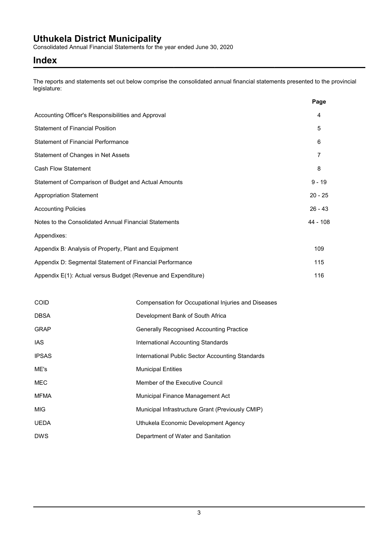Consolidated Annual Financial Statements for the year ended June 30, 2020

### **Index**

The reports and statements set out below comprise the consolidated annual financial statements presented to the provincial legislature:

|                                                               | Page      |
|---------------------------------------------------------------|-----------|
| Accounting Officer's Responsibilities and Approval            | 4         |
| <b>Statement of Financial Position</b>                        | 5         |
| <b>Statement of Financial Performance</b>                     | 6         |
| Statement of Changes in Net Assets                            | 7         |
| <b>Cash Flow Statement</b>                                    | 8         |
| Statement of Comparison of Budget and Actual Amounts          | $9 - 19$  |
| <b>Appropriation Statement</b>                                | $20 - 25$ |
| <b>Accounting Policies</b>                                    | $26 - 43$ |
| Notes to the Consolidated Annual Financial Statements         | 44 - 108  |
| Appendixes:                                                   |           |
| Appendix B: Analysis of Property, Plant and Equipment         | 109       |
| Appendix D: Segmental Statement of Financial Performance      | 115       |
| Appendix E(1): Actual versus Budget (Revenue and Expenditure) | 116       |

| COID         | Compensation for Occupational Injuries and Diseases |
|--------------|-----------------------------------------------------|
| <b>DBSA</b>  | Development Bank of South Africa                    |
| <b>GRAP</b>  | <b>Generally Recognised Accounting Practice</b>     |
| IAS          | International Accounting Standards                  |
| <b>IPSAS</b> | International Public Sector Accounting Standards    |
| ME's         | <b>Municipal Entities</b>                           |
| <b>MEC</b>   | Member of the Executive Council                     |
| <b>MFMA</b>  | Municipal Finance Management Act                    |
| <b>MIG</b>   | Municipal Infrastructure Grant (Previously CMIP)    |
| <b>UEDA</b>  | Uthukela Economic Development Agency                |
| <b>DWS</b>   | Department of Water and Sanitation                  |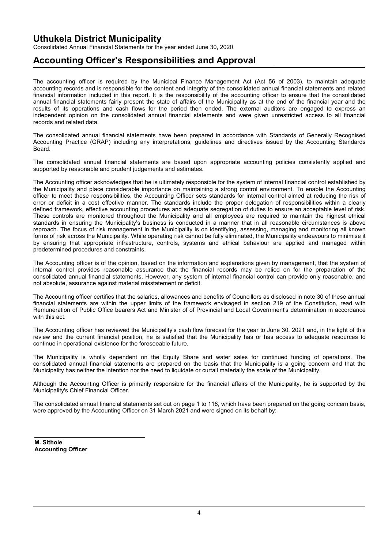Consolidated Annual Financial Statements for the year ended June 30, 2020

### **Accounting Officer's Responsibilities and Approval**

The accounting officer is required by the Municipal Finance Management Act (Act 56 of 2003), to maintain adequate accounting records and is responsible for the content and integrity of the consolidated annual financial statements and related financial information included in this report. It is the responsibility of the accounting officer to ensure that the consolidated annual financial statements fairly present the state of affairs of the Municipality as at the end of the financial year and the results of its operations and cash flows for the period then ended. The external auditors are engaged to express an independent opinion on the consolidated annual financial statements and were given unrestricted access to all financial records and related data.

The consolidated annual financial statements have been prepared in accordance with Standards of Generally Recognised Accounting Practice (GRAP) including any interpretations, guidelines and directives issued by the Accounting Standards Board.

The consolidated annual financial statements are based upon appropriate accounting policies consistently applied and supported by reasonable and prudent judgements and estimates.

The Accounting officer acknowledges that he is ultimately responsible for the system of internal financial control established by the Municipality and place considerable importance on maintaining a strong control environment. To enable the Accounting officer to meet these responsibilities, the Accounting Officer sets standards for internal control aimed at reducing the risk of error or deficit in a cost effective manner. The standards include the proper delegation of responsibilities within a clearly defined framework, effective accounting procedures and adequate segregation of duties to ensure an acceptable level of risk. These controls are monitored throughout the Municipality and all employees are required to maintain the highest ethical standards in ensuring the Municipality's business is conducted in a manner that in all reasonable circumstances is above reproach. The focus of risk management in the Municipality is on identifying, assessing, managing and monitoring all known forms of risk across the Municipality. While operating risk cannot be fully eliminated, the Municipality endeavours to minimise it by ensuring that appropriate infrastructure, controls, systems and ethical behaviour are applied and managed within predetermined procedures and constraints.

The Accounting officer is of the opinion, based on the information and explanations given by management, that the system of internal control provides reasonable assurance that the financial records may be relied on for the preparation of the consolidated annual financial statements. However, any system of internal financial control can provide only reasonable, and not absolute, assurance against material misstatement or deficit.

The Accounting officer certifies that the salaries, allowances and benefits of Councillors as disclosed in note 30 of these annual financial statements are within the upper limits of the framework envisaged in section 219 of the Constitution, read with Remuneration of Public Office bearers Act and Minister of of Provincial and Local Government's determination in accordance with this act.

The Accounting officer has reviewed the Municipality's cash flow forecast for the year to June 30, 2021 and, in the light of this review and the current financial position, he is satisfied that the Municipality has or has access to adequate resources to continue in operational existence for the foreseeable future.

The Municipality is wholly dependent on the Equity Share and water sales for continued funding of operations. The consolidated annual financial statements are prepared on the basis that the Municipality is a going concern and that the Municipality has neither the intention nor the need to liquidate or curtail materially the scale of the Municipality.

Although the Accounting Officer is primarily responsible for the financial affairs of the Municipality, he is supported by the Municipality's Chief Financial Officer.

The consolidated annual financial statements set out on page 1 to 116, which have been prepared on the going concern basis, were approved by the Accounting Officer on 31 March 2021 and were signed on its behalf by:

**M. Sithole Accounting Officer**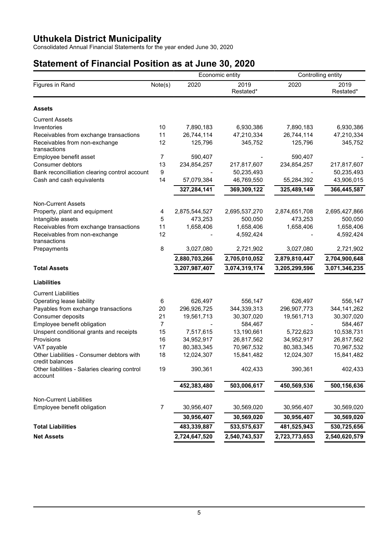Consolidated Annual Financial Statements for the year ended June 30, 2020

# **Statement of Financial Position as at June 30, 2020**

|                                                              |                |               | Economic entity   | Controlling entity |                   |  |
|--------------------------------------------------------------|----------------|---------------|-------------------|--------------------|-------------------|--|
| Figures in Rand                                              | Note(s)        | 2020          | 2019<br>Restated* | 2020               | 2019<br>Restated* |  |
| <b>Assets</b>                                                |                |               |                   |                    |                   |  |
| <b>Current Assets</b>                                        |                |               |                   |                    |                   |  |
| Inventories                                                  | 10             | 7,890,183     | 6,930,386         | 7,890,183          | 6,930,386         |  |
| Receivables from exchange transactions                       | 11             | 26,744,114    | 47,210,334        | 26,744,114         | 47,210,334        |  |
| Receivables from non-exchange<br>transactions                | 12             | 125,796       | 345,752           | 125,796            | 345,752           |  |
| Employee benefit asset                                       | 7              | 590,407       |                   | 590,407            |                   |  |
| Consumer debtors                                             | 13             | 234,854,257   | 217,817,607       | 234,854,257        | 217,817,607       |  |
| Bank reconcilliation clearing control account                | 9              |               | 50,235,493        |                    | 50,235,493        |  |
| Cash and cash equivalents                                    | 14             | 57,079,384    | 46,769,550        | 55,284,392         | 43,906,015        |  |
|                                                              |                | 327,284,141   | 369,309,122       | 325,489,149        | 366,445,587       |  |
| <b>Non-Current Assets</b>                                    |                |               |                   |                    |                   |  |
| Property, plant and equipment                                | 4              | 2,875,544,527 | 2,695,537,270     | 2,874,651,708      | 2,695,427,866     |  |
| Intangible assets                                            | 5              | 473,253       | 500,050           | 473,253            | 500,050           |  |
| Receivables from exchange transactions                       | 11             | 1,658,406     | 1,658,406         | 1,658,406          | 1,658,406         |  |
| Receivables from non-exchange<br>transactions                | 12             |               | 4,592,424         |                    | 4,592,424         |  |
| Prepayments                                                  | 8              | 3,027,080     | 2,721,902         | 3,027,080          | 2,721,902         |  |
|                                                              |                | 2,880,703,266 | 2,705,010,052     | 2,879,810,447      | 2,704,900,648     |  |
| <b>Total Assets</b>                                          |                | 3,207,987,407 | 3,074,319,174     | 3,205,299,596      | 3,071,346,235     |  |
| <b>Liabilities</b>                                           |                |               |                   |                    |                   |  |
| <b>Current Liabilities</b>                                   |                |               |                   |                    |                   |  |
| Operating lease liability                                    | 6              | 626,497       | 556,147           | 626,497            | 556,147           |  |
| Payables from exchange transactions                          | 20             | 296,926,725   | 344,339,313       | 296,907,773        | 344, 141, 262     |  |
| Consumer deposits                                            | 21             | 19,561,713    | 30,307,020        | 19,561,713         | 30,307,020        |  |
| Employee benefit obligation                                  | $\overline{7}$ |               | 584,467           |                    | 584,467           |  |
| Unspent conditional grants and receipts                      | 15             | 7,517,615     | 13,190,661        | 5,722,623          | 10,538,731        |  |
| Provisions                                                   | 16             | 34,952,917    | 26,817,562        | 34,952,917         | 26,817,562        |  |
| VAT payable                                                  | 17             | 80,383,345    | 70,967,532        | 80,383,345         | 70,967,532        |  |
| Other Liabilities - Consumer debtors with<br>credit balances | 18             | 12,024,307    | 15,841,482        | 12,024,307         | 15,841,482        |  |
| Other liabilities - Salaries clearing control<br>account     | 19             | 390,361       | 402,433           | 390,361            | 402,433           |  |
|                                                              |                | 452,383,480   | 503,006,617       | 450,569,536        | 500,156,636       |  |
| <b>Non-Current Liabilities</b>                               |                |               |                   |                    |                   |  |
| Employee benefit obligation                                  | 7              | 30,956,407    | 30,569,020        | 30,956,407         | 30,569,020        |  |
|                                                              |                | 30,956,407    | 30,569,020        | 30,956,407         | 30,569,020        |  |
| <b>Total Liabilities</b>                                     |                | 483,339,887   | 533,575,637       | 481,525,943        | 530,725,656       |  |
| <b>Net Assets</b>                                            |                | 2,724,647,520 | 2,540,743,537     | 2,723,773,653      | 2,540,620,579     |  |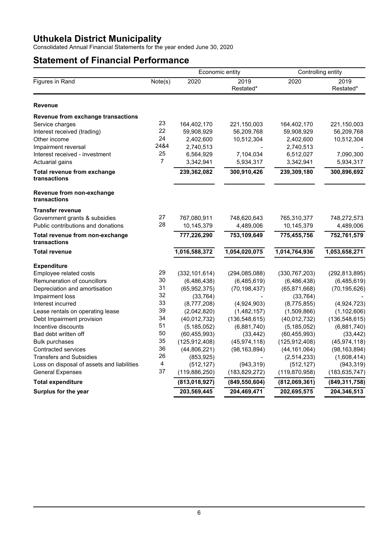Consolidated Annual Financial Statements for the year ended June 30, 2020

### **Statement of Financial Performance**

|                                                    |                |                 | Economic entity   | Controlling entity |                   |  |
|----------------------------------------------------|----------------|-----------------|-------------------|--------------------|-------------------|--|
| Figures in Rand                                    | Note(s)        | 2020            | 2019<br>Restated* | 2020               | 2019<br>Restated* |  |
| <b>Revenue</b>                                     |                |                 |                   |                    |                   |  |
| Revenue from exchange transactions                 |                |                 |                   |                    |                   |  |
| Service charges                                    | 23             | 164,402,170     | 221,150,003       | 164,402,170        | 221,150,003       |  |
| Interest received (trading)                        | 22             | 59,908,929      | 56,209,768        | 59,908,929         | 56,209,768        |  |
| Other income                                       | 24             | 2,402,600       | 10,512,304        | 2,402,600          | 10,512,304        |  |
| Impairment reversal                                | 24&4           | 2,740,513       |                   | 2,740,513          |                   |  |
| Interest received - investment                     | 25             | 6,564,929       | 7,104,034         | 6,512,027          | 7,090,300         |  |
| Actuarial gains                                    | $\overline{7}$ | 3,342,941       | 5,934,317         | 3,342,941          | 5,934,317         |  |
| <b>Total revenue from exchange</b><br>transactions |                | 239,362,082     | 300,910,426       | 239,309,180        | 300,896,692       |  |
| Revenue from non-exchange<br>transactions          |                |                 |                   |                    |                   |  |
| <b>Transfer revenue</b>                            |                |                 |                   |                    |                   |  |
| Government grants & subsidies                      | 27             | 767,080,911     | 748,620,643       | 765,310,377        | 748,272,573       |  |
| Public contributions and donations                 | 28             | 10,145,379      | 4,489,006         | 10,145,379         | 4,489,006         |  |
| Total revenue from non-exchange<br>transactions    |                | 777,226,290     | 753,109,649       | 775,455,756        | 752,761,579       |  |
| <b>Total revenue</b>                               |                | 1,016,588,372   | 1,054,020,075     | 1,014,764,936      | 1,053,658,271     |  |
| <b>Expenditure</b>                                 |                |                 |                   |                    |                   |  |
| Employee related costs                             | 29             | (332, 101, 614) | (294, 085, 088)   | (330, 767, 203)    | (292, 813, 895)   |  |
| Remuneration of councillors                        | 30             | (6,486,438)     | (6,485,619)       | (6, 486, 438)      | (6,485,619)       |  |
| Depreciation and amortisation                      | 31             | (65, 952, 375)  | (70, 198, 437)    | (65, 871, 668)     | (70, 195, 626)    |  |
| Impairment loss                                    | 32             | (33, 764)       |                   | (33, 764)          |                   |  |
| Interest incurred                                  | 33             | (8,777,208)     | (4,924,903)       | (8,775,855)        | (4,924,723)       |  |
| Lease rentals on operating lease                   | 39             | (2,042,820)     | (1,482,157)       | (1,509,866)        | (1, 102, 606)     |  |
| Debt Impairment provision                          | 34             | (40, 012, 732)  | (136, 548, 615)   | (40, 012, 732)     | (136, 548, 615)   |  |
| Incentive discounts                                | 51             | (5, 185, 052)   | (6,881,740)       | (5, 185, 052)      | (6,881,740)       |  |
| Bad debt written off                               | 50             | (60, 455, 993)  | (33, 442)         | (60, 455, 993)     | (33, 442)         |  |
| <b>Bulk purchases</b>                              | 35             | (125, 912, 408) | (45, 974, 118)    | (125, 912, 408)    | (45, 974, 118)    |  |
| <b>Contracted services</b>                         | 36             | (44,806,221)    | (98, 163, 894)    | (44, 161, 064)     | (98, 163, 894)    |  |
| <b>Transfers and Subsidies</b>                     | 26             | (853, 925)      |                   | (2,514,233)        | (1,608,414)       |  |
| Loss on disposal of assets and liabilities         | 4              | (512, 127)      | (943, 319)        | (512, 127)         | (943, 319)        |  |
| <b>General Expenses</b>                            | 37             | (119, 886, 250) | (183, 829, 272)   | (119, 870, 958)    | (183, 635, 747)   |  |
| <b>Total expenditure</b>                           |                | (813, 018, 927) | (849, 550, 604)   | (812,069,361)      | (849, 311, 758)   |  |
| Surplus for the year                               |                | 203,569,445     | 204,469,471       | 202,695,575        | 204,346,513       |  |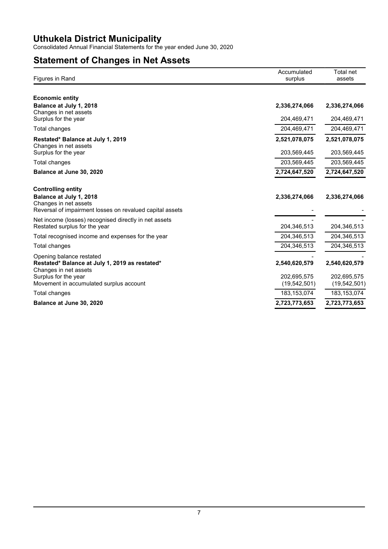Consolidated Annual Financial Statements for the year ended June 30, 2020

## **Statement of Changes in Net Assets**

| Figures in Rand | Accumulated<br>surplus | $\tau$ otal net<br>assets |
|-----------------|------------------------|---------------------------|
|                 |                        |                           |

| <b>Economic entity</b>                                                                                       |                               |                               |
|--------------------------------------------------------------------------------------------------------------|-------------------------------|-------------------------------|
| Balance at July 1, 2018<br>Changes in net assets                                                             | 2,336,274,066                 | 2,336,274,066                 |
| Surplus for the year                                                                                         | 204,469,471                   | 204,469,471                   |
| Total changes                                                                                                | 204,469,471                   | 204,469,471                   |
| Restated* Balance at July 1, 2019<br>Changes in net assets                                                   | 2,521,078,075                 | 2,521,078,075                 |
| Surplus for the year                                                                                         | 203,569,445                   | 203,569,445                   |
| Total changes                                                                                                | 203,569,445                   | 203,569,445                   |
| Balance at June 30, 2020                                                                                     | 2,724,647,520                 | 2,724,647,520                 |
| <b>Controlling entity</b>                                                                                    |                               |                               |
| Balance at July 1, 2018<br>Changes in net assets<br>Reversal of impairment losses on revalued capital assets | 2,336,274,066                 | 2,336,274,066                 |
| Net income (losses) recognised directly in net assets<br>Restated surplus for the year                       | 204,346,513                   | 204,346,513                   |
| Total recognised income and expenses for the year                                                            | 204,346,513                   | 204,346,513                   |
| Total changes                                                                                                | 204,346,513                   | 204,346,513                   |
| Opening balance restated<br>Restated* Balance at July 1, 2019 as restated*<br>Changes in net assets          | 2,540,620,579                 | 2,540,620,579                 |
| Surplus for the year<br>Movement in accumulated surplus account                                              | 202.695.575<br>(19, 542, 501) | 202,695,575<br>(19, 542, 501) |
| Total changes                                                                                                | 183, 153, 074                 | 183, 153, 074                 |
| Balance at June 30, 2020                                                                                     | 2,723,773,653                 | 2,723,773,653                 |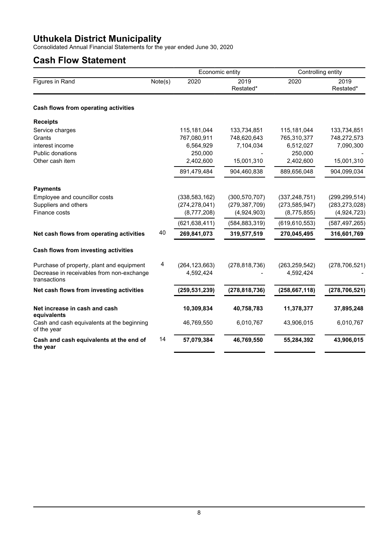Consolidated Annual Financial Statements for the year ended June 30, 2020

### **Cash Flow Statement**

|                                                           |         | Economic entity |                   | Controlling entity |                   |  |
|-----------------------------------------------------------|---------|-----------------|-------------------|--------------------|-------------------|--|
| Figures in Rand                                           | Note(s) | 2020            | 2019<br>Restated* | 2020               | 2019<br>Restated* |  |
| Cash flows from operating activities                      |         |                 |                   |                    |                   |  |
| <b>Receipts</b>                                           |         |                 |                   |                    |                   |  |
| Service charges                                           |         | 115,181,044     | 133,734,851       | 115,181,044        | 133,734,851       |  |
| Grants                                                    |         | 767,080,911     | 748,620,643       | 765,310,377        | 748,272,573       |  |
| interest income                                           |         | 6,564,929       | 7,104,034         | 6,512,027          | 7,090,300         |  |
| <b>Public donations</b>                                   |         | 250,000         |                   | 250,000            |                   |  |
| Other cash item                                           |         | 2,402,600       | 15,001,310        | 2,402,600          | 15,001,310        |  |
|                                                           |         | 891,479,484     | 904,460,838       | 889,656,048        | 904,099,034       |  |
| <b>Payments</b>                                           |         |                 |                   |                    |                   |  |
| Employee and councillor costs                             |         | (338, 583, 162) | (300, 570, 707)   | (337, 248, 751)    | (299, 299, 514)   |  |
| Suppliers and others                                      |         | (274, 278, 041) | (279, 387, 709)   | (273, 585, 947)    | (283, 273, 028)   |  |
| Finance costs                                             |         | (8,777,208)     | (4,924,903)       | (8,775,855)        | (4,924,723)       |  |
|                                                           |         | (621,638,411)   | (584, 883, 319)   | (619, 610, 553)    | (587,497,265)     |  |
| Net cash flows from operating activities                  | 40      | 269,841,073     | 319,577,519       | 270,045,495        | 316,601,769       |  |
| Cash flows from investing activities                      |         |                 |                   |                    |                   |  |
| Purchase of property, plant and equipment                 | 4       | (264, 123, 663) | (278, 818, 736)   | (263, 259, 542)    | (278, 706, 521)   |  |
| Decrease in receivables from non-exchange<br>transactions |         | 4,592,424       |                   | 4,592,424          |                   |  |
| Net cash flows from investing activities                  |         | (259, 531, 239) | (278, 818, 736)   | (258, 667, 118)    | (278, 706, 521)   |  |
| Net increase in cash and cash<br>equivalents              |         | 10,309,834      | 40,758,783        | 11,378,377         | 37,895,248        |  |
| Cash and cash equivalents at the beginning<br>of the year |         | 46,769,550      | 6,010,767         | 43,906,015         | 6,010,767         |  |
| Cash and cash equivalents at the end of<br>the year       | 14      | 57,079,384      | 46,769,550        | 55,284,392         | 43,906,015        |  |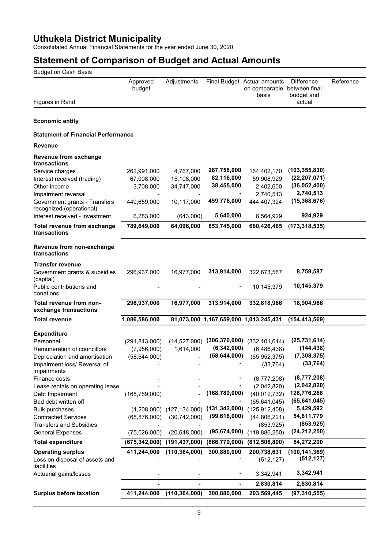Consolidated Annual Financial Statements for the year ended June 30, 2020

| <b>Budget on Cash Basis</b>                                               |                    |                 |                 |                                                       |                                                  |           |
|---------------------------------------------------------------------------|--------------------|-----------------|-----------------|-------------------------------------------------------|--------------------------------------------------|-----------|
|                                                                           | Approved<br>budget | Adjustments     |                 | Final Budget Actual amounts<br>on comparable<br>basis | <b>Difference</b><br>between final<br>budget and | Reference |
| Figures in Rand                                                           |                    |                 |                 |                                                       | actual                                           |           |
| <b>Economic entity</b>                                                    |                    |                 |                 |                                                       |                                                  |           |
| <b>Statement of Financial Performance</b>                                 |                    |                 |                 |                                                       |                                                  |           |
| <b>Revenue</b>                                                            |                    |                 |                 |                                                       |                                                  |           |
| Revenue from exchange<br>transactions                                     |                    |                 |                 |                                                       |                                                  |           |
| Service charges                                                           | 262,991,000        | 4,767,000       | 267,758,000     | 164,402,170                                           | (103, 355, 830)                                  |           |
| Interest received (trading)                                               | 67,008,000         | 15,108,000      | 82,116,000      | 59,908,929                                            | (22, 207, 071)                                   |           |
| Other income                                                              | 3,708,000          | 34,747,000      | 38,455,000      | 2,402,600                                             | (36,052,400)                                     |           |
| Impairment reversal                                                       |                    |                 | 459,776,000     | 2,740,513                                             | 2,740,513<br>(15, 368, 676)                      |           |
| Government grants - Transfers<br>recognized (operational)                 | 449,659,000        | 10,117,000      |                 | 444,407,324                                           |                                                  |           |
| Interest received - investment                                            | 6,283,000          | (643,000)       | 5,640,000       | 6,564,929                                             | 924,929                                          |           |
| Total revenue from exchange<br>transactions                               | 789,649,000        | 64,096,000      | 853,745,000     | 680,426,465                                           | (173, 318, 535)                                  |           |
| Revenue from non-exchange<br>transactions                                 |                    |                 |                 |                                                       |                                                  |           |
| <b>Transfer revenue</b>                                                   |                    |                 |                 |                                                       |                                                  |           |
| Government grants & subsidies<br>(capital)                                | 296,937,000        | 16,977,000      | 313,914,000     | 322,673,587                                           | 8,759,587                                        |           |
| Public contributions and<br>donations                                     |                    |                 |                 | 10,145,379                                            | 10,145,379                                       |           |
| Total revenue from non-<br>exchange transactions                          | 296,937,000        | 16,977,000      | 313,914,000     | 332,818,966                                           | 18,904,966                                       |           |
| <b>Total revenue</b>                                                      | 1,086,586,000      |                 |                 | 81,073,000 1,167,659,000 1,013,245,431                | (154, 413, 569)                                  |           |
| <b>Expenditure</b>                                                        |                    |                 |                 |                                                       |                                                  |           |
| Personnel                                                                 | (291, 843, 000)    | (14, 527, 000)  | (306, 370, 000) | (332, 101, 614)                                       | (25, 731, 614)                                   |           |
| Remuneration of councillors                                               | (7,956,000)        | 1,614,000       | (6, 342, 000)   | (6, 486, 438)                                         | (144, 438)                                       |           |
| Depreciation and amortisation                                             | (58, 644, 000)     |                 | (58, 644, 000)  | (65, 952, 375)                                        | (7, 308, 375)                                    |           |
| Impairment loss/ Reversal of<br>impairments                               |                    |                 |                 | (33, 764)                                             | (33, 764)                                        |           |
| Finance costs                                                             |                    |                 |                 | (8,777,208)                                           | (8,777,208)                                      |           |
| Lease rentals on operating lease                                          |                    |                 |                 | (2,042,820)                                           | (2,042,820)                                      |           |
| Debt Impairment                                                           | (168, 789, 000)    |                 | (168, 789, 000) | (40, 012, 732)                                        | 128,776,268                                      |           |
| Bad debt written off                                                      |                    |                 |                 | (65, 641, 045)                                        | (65, 641, 045)                                   |           |
| <b>Bulk purchases</b>                                                     | (4,208,000)        | (127, 134, 000) | (131, 342, 000) | (125, 912, 408)                                       | 5,429,592                                        |           |
| <b>Contracted Services</b>                                                | (68, 876, 000)     | (30, 742, 000)  | (99, 618, 000)  | (44,806,221)                                          | 54,811,779                                       |           |
| <b>Transfers and Subsidies</b>                                            |                    |                 |                 | (853, 925)                                            | (853, 925)                                       |           |
| <b>General Expenses</b>                                                   | (75,026,000)       | (20, 648, 000)  | (95, 674, 000)  | (119, 886, 250)                                       | (24, 212, 250)                                   |           |
| <b>Total expenditure</b>                                                  | (675,342,000)      | (191, 437, 000) | (866, 779, 000) | (812, 506, 800)                                       | 54,272,200                                       |           |
| <b>Operating surplus</b><br>Loss on disposal of assets and<br>liabilities | 411,244,000        | (110, 364, 000) | 300,880,000     | 200,738,631<br>(512, 127)                             | (100, 141, 369)<br>(512, 127)                    |           |
| Actuarial gains/losses                                                    |                    |                 |                 | 3,342,941                                             | 3,342,941                                        |           |
|                                                                           |                    |                 |                 | 2,830,814                                             | 2,830,814                                        |           |
| <b>Surplus before taxation</b>                                            | 411,244,000        | (110, 364, 000) | 300,880,000     | 203,569,445                                           | (97, 310, 555)                                   |           |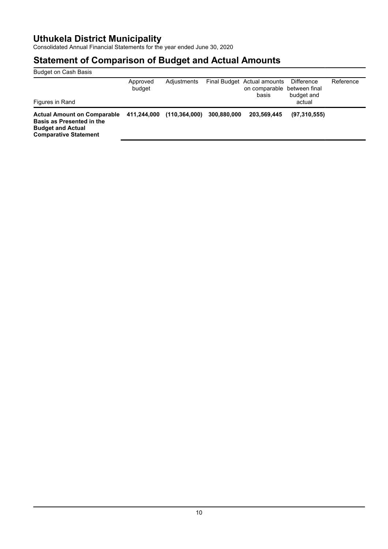Consolidated Annual Financial Statements for the year ended June 30, 2020

| <b>Budget on Cash Basis</b>                                                                                                 |                    |                 |             |                                                                     |                                           |           |
|-----------------------------------------------------------------------------------------------------------------------------|--------------------|-----------------|-------------|---------------------------------------------------------------------|-------------------------------------------|-----------|
| Figures in Rand                                                                                                             | Approved<br>budget | Adjustments     |             | Final Budget Actual amounts<br>on comparable between final<br>basis | <b>Difference</b><br>budget and<br>actual | Reference |
| <b>Actual Amount on Comparable</b><br>Basis as Presented in the<br><b>Budget and Actual</b><br><b>Comparative Statement</b> | 411.244.000        | (110, 364, 000) | 300,880,000 | 203.569.445                                                         | (97, 310, 555)                            |           |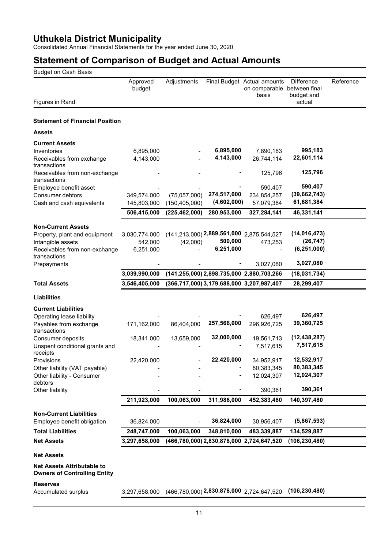Consolidated Annual Financial Statements for the year ended June 30, 2020

| <b>Budget on Cash Basis</b>                                              |                    |                 |                      |                                                                     |                                 |           |
|--------------------------------------------------------------------------|--------------------|-----------------|----------------------|---------------------------------------------------------------------|---------------------------------|-----------|
|                                                                          | Approved<br>budget | Adjustments     |                      | Final Budget Actual amounts<br>on comparable between final<br>basis | <b>Difference</b><br>budget and | Reference |
| Figures in Rand                                                          |                    |                 |                      |                                                                     | actual                          |           |
| <b>Statement of Financial Position</b>                                   |                    |                 |                      |                                                                     |                                 |           |
| Assets                                                                   |                    |                 |                      |                                                                     |                                 |           |
| <b>Current Assets</b>                                                    |                    |                 |                      |                                                                     |                                 |           |
| Inventories                                                              | 6,895,000          |                 | 6,895,000            | 7,890,183                                                           | 995,183                         |           |
| Receivables from exchange                                                | 4,143,000          |                 | 4,143,000            | 26,744,114                                                          | 22,601,114                      |           |
| transactions<br>Receivables from non-exchange<br>transactions            |                    |                 |                      | 125,796                                                             | 125,796                         |           |
| Employee benefit asset                                                   |                    |                 |                      | 590,407                                                             | 590,407                         |           |
| Consumer debtors                                                         | 349,574,000        | (75,057,000)    | 274,517,000          | 234,854,257                                                         | (39, 662, 743)                  |           |
| Cash and cash equivalents                                                | 145,803,000        | (150, 405, 000) | (4,602,000)          | 57,079,384                                                          | 61,681,384                      |           |
|                                                                          | 506,415,000        | (225, 462, 000) | 280,953,000          | 327,284,141                                                         | 46,331,141                      |           |
| <b>Non-Current Assets</b>                                                |                    |                 |                      |                                                                     |                                 |           |
| Property, plant and equipment                                            | 3,030,774,000      |                 |                      | (141,213,000) 2,889,561,000 2,875,544,527                           | (14, 016, 473)                  |           |
| Intangible assets                                                        | 542,000            | (42,000)        | 500,000<br>6,251,000 | 473,253                                                             | (26, 747)<br>(6, 251, 000)      |           |
| Receivables from non-exchange<br>transactions                            | 6,251,000          |                 |                      |                                                                     |                                 |           |
| Prepayments                                                              |                    |                 |                      | 3,027,080                                                           | 3,027,080                       |           |
|                                                                          | 3,039,990,000      |                 |                      | (141,255,000) 2,898,735,000 2,880,703,266                           | (18,031,734)                    |           |
| <b>Total Assets</b>                                                      | 3,546,405,000      |                 |                      | (366,717,000) 3,179,688,000 3,207,987,407                           | 28,299,407                      |           |
| <b>Liabilities</b>                                                       |                    |                 |                      |                                                                     |                                 |           |
| <b>Current Liabilities</b>                                               |                    |                 |                      |                                                                     |                                 |           |
| Operating lease liability                                                |                    |                 |                      | 626,497                                                             | 626,497                         |           |
| Payables from exchange<br>transactions                                   | 171,162,000        | 86,404,000      | 257,566,000          | 296,926,725                                                         | 39,360,725                      |           |
| Consumer deposits                                                        | 18,341,000         | 13,659,000      | 32,000,000           | 19,561,713                                                          | (12, 438, 287)                  |           |
| Unspent conditional grants and                                           |                    |                 |                      | 7,517,615                                                           | 7,517,615                       |           |
| receipts<br>Provisions                                                   | 22,420,000         |                 | 22,420,000           | 34,952,917                                                          | 12,532,917                      |           |
| Other liability (VAT payable)                                            |                    |                 |                      | 80,383,345                                                          | 80,383,345                      |           |
| Other liability - Consumer                                               |                    |                 |                      | 12,024,307                                                          | 12,024,307                      |           |
| debtors                                                                  |                    |                 |                      |                                                                     |                                 |           |
| Other liability                                                          |                    |                 |                      | 390,361                                                             | 390,361                         |           |
|                                                                          | 211,923,000        | 100,063,000     | 311,986,000          | 452,383,480                                                         | 140,397,480                     |           |
| <b>Non-Current Liabilities</b>                                           |                    |                 |                      |                                                                     |                                 |           |
| Employee benefit obligation                                              | 36,824,000         |                 | 36,824,000           | 30,956,407                                                          | (5,867,593)                     |           |
| <b>Total Liabilities</b>                                                 | 248,747,000        | 100,063,000     | 348,810,000          | 483,339,887                                                         | 134,529,887                     |           |
| <b>Net Assets</b>                                                        | 3,297,658,000      |                 |                      | (466,780,000) 2,830,878,000 2,724,647,520                           | (106, 230, 480)                 |           |
| <b>Net Assets</b>                                                        |                    |                 |                      |                                                                     |                                 |           |
| <b>Net Assets Attributable to</b><br><b>Owners of Controlling Entity</b> |                    |                 |                      |                                                                     |                                 |           |
| <b>Reserves</b><br>Accumulated surplus                                   | 3,297,658,000      |                 |                      | (466,780,000) 2,830,878,000 2,724,647,520 (106,230,480)             |                                 |           |
|                                                                          |                    |                 |                      |                                                                     |                                 |           |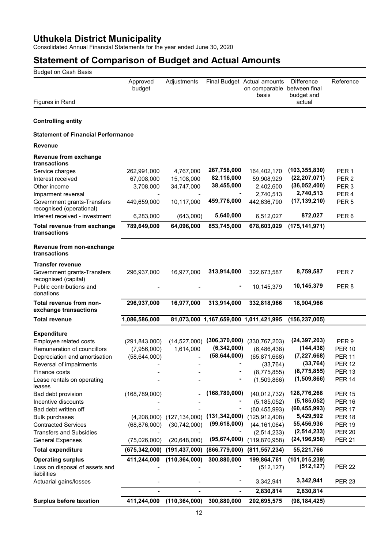Consolidated Annual Financial Statements for the year ended June 30, 2020

| <b>Budget on Cash Basis</b>                                                               |                    |                          |                          |                                                                     |                                 |                  |
|-------------------------------------------------------------------------------------------|--------------------|--------------------------|--------------------------|---------------------------------------------------------------------|---------------------------------|------------------|
|                                                                                           | Approved<br>budget | Adjustments              |                          | Final Budget Actual amounts<br>on comparable between final<br>basis | <b>Difference</b><br>budget and | Reference        |
| Figures in Rand                                                                           |                    |                          |                          |                                                                     | actual                          |                  |
| <b>Controlling entity</b>                                                                 |                    |                          |                          |                                                                     |                                 |                  |
| <b>Statement of Financial Performance</b>                                                 |                    |                          |                          |                                                                     |                                 |                  |
| <b>Revenue</b>                                                                            |                    |                          |                          |                                                                     |                                 |                  |
| Revenue from exchange<br>transactions                                                     |                    |                          |                          |                                                                     |                                 |                  |
| Service charges                                                                           | 262,991,000        | 4,767,000                | 267,758,000              | 164,402,170                                                         | (103, 355, 830)                 | PER <sub>1</sub> |
| Interest received                                                                         | 67,008,000         | 15,108,000               | 82,116,000               | 59,908,929                                                          | (22, 207, 071)                  | PER <sub>2</sub> |
| Other income                                                                              | 3,708,000          | 34,747,000               | 38,455,000               | 2,402,600                                                           | (36,052,400)                    | PER <sub>3</sub> |
| Imparment reversal                                                                        |                    | $\overline{\phantom{a}}$ |                          | 2,740,513                                                           | 2,740,513                       | PER <sub>4</sub> |
| Government grants-Transfers<br>recognised (operational)<br>Interest received - investment | 449,659,000        | 10,117,000               | 459,776,000<br>5,640,000 | 442,636,790                                                         | (17, 139, 210)<br>872,027       | PER <sub>5</sub> |
|                                                                                           | 6,283,000          | (643,000)                |                          | 6,512,027                                                           |                                 | PER <sub>6</sub> |
| Total revenue from exchange<br>transactions                                               | 789,649,000        | 64,096,000               | 853,745,000              | 678,603,029                                                         | (175, 141, 971)                 |                  |
| Revenue from non-exchange<br>transactions                                                 |                    |                          |                          |                                                                     |                                 |                  |
| <b>Transfer revenue</b>                                                                   |                    |                          |                          |                                                                     |                                 |                  |
| Government grants-Transfers                                                               | 296,937,000        | 16,977,000               | 313,914,000              | 322,673,587                                                         | 8,759,587                       | PER <sub>7</sub> |
| recognised (capital)<br>Public contributions and<br>donations                             |                    |                          | ٠                        | 10,145,379                                                          | 10,145,379                      | PER <sub>8</sub> |
| Total revenue from non-<br>exchange transactions                                          | 296,937,000        | 16,977,000               | 313,914,000              | 332,818,966                                                         | 18,904,966                      |                  |
| <b>Total revenue</b>                                                                      | 1,086,586,000      |                          |                          | 81,073,000 1,167,659,000 1,011,421,995                              | (156, 237, 005)                 |                  |
| <b>Expenditure</b>                                                                        |                    |                          |                          |                                                                     |                                 |                  |
| Employee related costs                                                                    | (291, 843, 000)    | (14, 527, 000)           | (306, 370, 000)          | (330, 767, 203)                                                     | (24, 397, 203)                  | PER <sub>9</sub> |
| Remuneration of councillors                                                               | (7,956,000)        | 1,614,000                | (6,342,000)              | (6, 486, 438)                                                       | (144, 438)                      | <b>PER 10</b>    |
| Depreciation and amortisation                                                             | (58, 644, 000)     |                          | (58, 644, 000)           | (65, 871, 668)                                                      | (7, 227, 668)                   | <b>PER 11</b>    |
| Reversal of impairments                                                                   |                    |                          |                          | (33, 764)                                                           | (33, 764)                       | <b>PER 12</b>    |
| Finance costs                                                                             |                    |                          |                          | (8,775,855)                                                         | (8,775,855)                     | <b>PER 13</b>    |
| Lease rentals on operating                                                                |                    |                          |                          | (1,509,866)                                                         | (1,509,866)                     | <b>PER 14</b>    |
| leases<br>Bad debt provision                                                              | (168, 789, 000)    |                          | (168, 789, 000)          | (40, 012, 732)                                                      | 128,776,268                     | <b>PER 15</b>    |
| Incentive discounts                                                                       |                    |                          |                          | (5, 185, 052)                                                       | (5, 185, 052)                   | <b>PER 16</b>    |
| Bad debt written off                                                                      |                    |                          |                          | (60, 455, 993)                                                      | (60, 455, 993)                  | <b>PER 17</b>    |
| <b>Bulk purchases</b>                                                                     | (4,208,000)        | (127, 134, 000)          | (131, 342, 000)          | (125, 912, 408)                                                     | 5,429,592                       | <b>PER 18</b>    |
| <b>Contracted Services</b>                                                                | (68, 876, 000)     | (30, 742, 000)           | (99, 618, 000)           | (44, 161, 064)                                                      | 55,456,936                      | <b>PER 19</b>    |
| <b>Transfers and Subsidies</b>                                                            |                    |                          |                          | (2,514,233)                                                         | (2, 514, 233)                   | <b>PER 20</b>    |
| <b>General Expenses</b>                                                                   | (75,026,000)       | (20, 648, 000)           | (95, 674, 000)           | (119, 870, 958)                                                     | (24, 196, 958)                  | <b>PER 21</b>    |
| <b>Total expenditure</b>                                                                  | (675,342,000)      | (191, 437, 000)          | (866, 779, 000)          | (811, 557, 234)                                                     | 55,221,766                      |                  |
| <b>Operating surplus</b>                                                                  | 411,244,000        | (110, 364, 000)          | 300,880,000              | 199,864,761                                                         | (101, 015, 239)                 |                  |
| Loss on disposal of assets and<br>liabilities                                             |                    |                          |                          | (512, 127)                                                          | (512, 127)                      | <b>PER 22</b>    |
| Actuarial gains/losses                                                                    |                    |                          |                          | 3,342,941                                                           | 3,342,941                       | <b>PER 23</b>    |
|                                                                                           |                    |                          |                          | 2,830,814                                                           | 2,830,814                       |                  |
| <b>Surplus before taxation</b>                                                            | 411,244,000        | (110, 364, 000)          | 300,880,000              | 202,695,575                                                         | (98, 184, 425)                  |                  |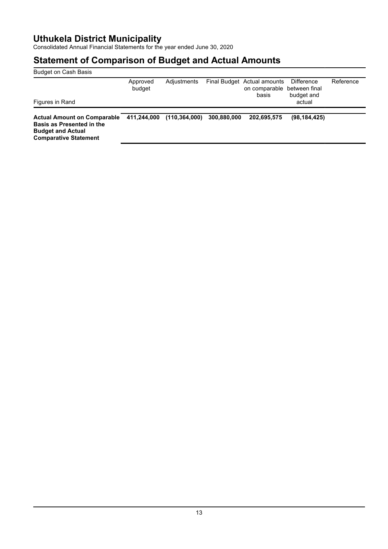Consolidated Annual Financial Statements for the year ended June 30, 2020

| Budget on Cash Basis                                                                                                               |                    |                 |             |                                                                     |                                           |           |  |  |  |  |
|------------------------------------------------------------------------------------------------------------------------------------|--------------------|-----------------|-------------|---------------------------------------------------------------------|-------------------------------------------|-----------|--|--|--|--|
| Figures in Rand                                                                                                                    | Approved<br>budget | Adjustments     |             | Final Budget Actual amounts<br>on comparable between final<br>basis | <b>Difference</b><br>budget and<br>actual | Reference |  |  |  |  |
| <b>Actual Amount on Comparable</b><br><b>Basis as Presented in the</b><br><b>Budget and Actual</b><br><b>Comparative Statement</b> | 411.244.000        | (110, 364, 000) | 300.880.000 | 202.695.575                                                         | (98.184.425)                              |           |  |  |  |  |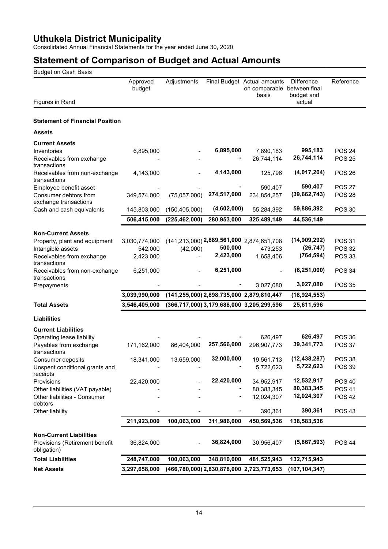Consolidated Annual Financial Statements for the year ended June 30, 2020

| <b>Budget on Cash Basis</b>                                |                    |                 |             |                                                                     |                                           |               |
|------------------------------------------------------------|--------------------|-----------------|-------------|---------------------------------------------------------------------|-------------------------------------------|---------------|
| Figures in Rand                                            | Approved<br>budget | Adjustments     |             | Final Budget Actual amounts<br>on comparable between final<br>basis | <b>Difference</b><br>budget and<br>actual | Reference     |
|                                                            |                    |                 |             |                                                                     |                                           |               |
| <b>Statement of Financial Position</b>                     |                    |                 |             |                                                                     |                                           |               |
| <b>Assets</b>                                              |                    |                 |             |                                                                     |                                           |               |
| <b>Current Assets</b>                                      |                    |                 |             |                                                                     |                                           |               |
| Inventories                                                | 6,895,000          |                 | 6,895,000   | 7,890,183                                                           | 995,183                                   | <b>POS 24</b> |
| Receivables from exchange<br>transactions                  |                    |                 |             | 26,744,114                                                          | 26,744,114                                | <b>POS 25</b> |
| Receivables from non-exchange<br>transactions              | 4,143,000          |                 | 4,143,000   | 125,796                                                             | (4,017,204)                               | <b>POS 26</b> |
| Employee benefit asset                                     |                    |                 |             | 590,407                                                             | 590,407                                   | <b>POS 27</b> |
| Consumer debtors from                                      | 349,574,000        | (75,057,000)    | 274,517,000 | 234,854,257                                                         | (39, 662, 743)                            | <b>POS 28</b> |
| exchange transactions<br>Cash and cash equivalents         | 145,803,000        | (150, 405, 000) | (4,602,000) | 55,284,392                                                          | 59,886,392                                | <b>POS 30</b> |
|                                                            | 506,415,000        | (225, 462, 000) | 280,953,000 | 325,489,149                                                         | 44,536,149                                |               |
|                                                            |                    |                 |             |                                                                     |                                           |               |
| <b>Non-Current Assets</b><br>Property, plant and equipment | 3,030,774,000      |                 |             | $(141, 213, 000)$ 2,889,561,000 2,874,651,708                       | (14,909,292)                              | <b>POS 31</b> |
| Intangible assets                                          | 542,000            | (42,000)        | 500,000     | 473,253                                                             | (26, 747)                                 | <b>POS 32</b> |
| Receivables from exchange<br>transactions                  | 2,423,000          |                 | 2,423,000   | 1,658,406                                                           | (764, 594)                                | <b>POS 33</b> |
| Receivables from non-exchange<br>transactions              | 6,251,000          |                 | 6,251,000   |                                                                     | (6, 251, 000)                             | <b>POS 34</b> |
| Prepayments                                                |                    |                 |             | 3,027,080                                                           | 3,027,080                                 | <b>POS 35</b> |
|                                                            | 3,039,990,000      |                 |             | (141,255,000) 2,898,735,000 2,879,810,447                           | (18, 924, 553)                            |               |
| <b>Total Assets</b>                                        | 3,546,405,000      |                 |             | (366,717,000) 3,179,688,000 3,205,299,596                           | 25,611,596                                |               |
| <b>Liabilities</b>                                         |                    |                 |             |                                                                     |                                           |               |
| <b>Current Liabilities</b>                                 |                    |                 |             |                                                                     |                                           |               |
| Operating lease liability                                  |                    |                 |             | 626,497                                                             | 626,497                                   | <b>POS 36</b> |
| Payables from exchange<br>transactions                     | 171,162,000        | 86,404,000      | 257,566,000 | 296,907,773                                                         | 39,341,773                                | <b>POS 37</b> |
| Consumer deposits                                          | 18,341,000         | 13,659,000      | 32,000,000  | 19,561,713                                                          | (12, 438, 287)                            | <b>POS 38</b> |
| Unspent conditional grants and<br>receipts                 |                    |                 |             | 5,722,623                                                           | 5,722,623                                 | <b>POS 39</b> |
| Provisions                                                 | 22,420,000         |                 | 22,420,000  | 34,952,917                                                          | 12,532,917                                | <b>POS 40</b> |
| Other liabilities (VAT payable)                            |                    |                 |             | 80,383,345                                                          | 80,383,345                                | <b>POS 41</b> |
| Other liabilities - Consumer<br>debtors                    |                    |                 |             | 12,024,307                                                          | 12,024,307                                | <b>POS 42</b> |
| Other liability                                            |                    |                 |             | 390,361                                                             | 390,361                                   | <b>POS 43</b> |
|                                                            | 211,923,000        | 100,063,000     | 311,986,000 | 450,569,536                                                         | 138,583,536                               |               |
| <b>Non-Current Liabilities</b>                             |                    |                 |             |                                                                     |                                           |               |
| Provisions (Retirement benefit<br>obligation)              | 36,824,000         |                 | 36,824,000  | 30,956,407                                                          | (5,867,593)                               | <b>POS 44</b> |
| <b>Total Liabilities</b>                                   | 248,747,000        | 100,063,000     | 348,810,000 | 481,525,943                                                         | 132,715,943                               |               |
| <b>Net Assets</b>                                          | 3,297,658,000      |                 |             | (466,780,000) 2,830,878,000 2,723,773,653                           | (107, 104, 347)                           |               |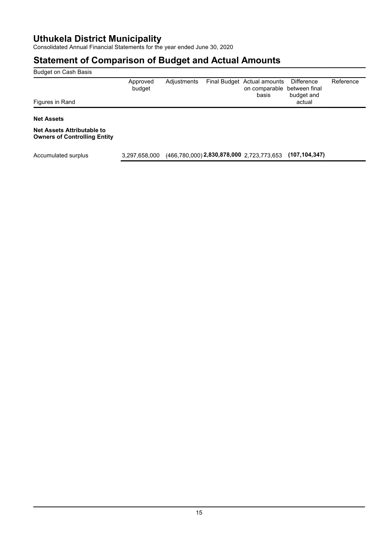Consolidated Annual Financial Statements for the year ended June 30, 2020

### **Statement of Comparison of Budget and Actual Amounts**

| <b>Budget on Cash Basis</b>                                              |                    |             |                                                                     |                                    |           |
|--------------------------------------------------------------------------|--------------------|-------------|---------------------------------------------------------------------|------------------------------------|-----------|
| Figures in Rand                                                          | Approved<br>budget | Adjustments | Final Budget Actual amounts<br>on comparable between final<br>basis | Difference<br>budget and<br>actual | Reference |
| <b>Net Assets</b>                                                        |                    |             |                                                                     |                                    |           |
| <b>Net Assets Attributable to</b><br><b>Owners of Controlling Entity</b> |                    |             |                                                                     |                                    |           |

Accumulated surplus 3,297,658,000 (466,780,000) **2,830,878,000** 2,723,773,653 **(107,104,347)**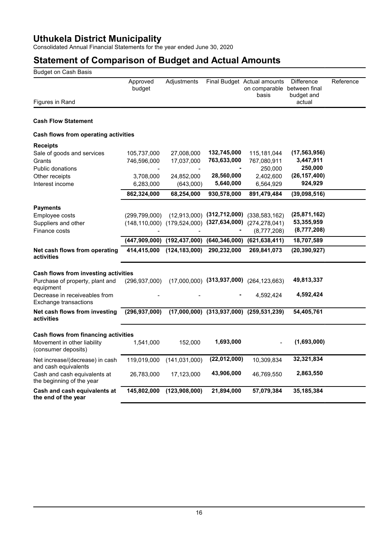Consolidated Annual Financial Statements for the year ended June 30, 2020

| <b>Budget on Cash Basis</b>                                                                |                    |                                                       |                                |                                                                     |                                 |           |
|--------------------------------------------------------------------------------------------|--------------------|-------------------------------------------------------|--------------------------------|---------------------------------------------------------------------|---------------------------------|-----------|
|                                                                                            | Approved<br>budget | Adjustments                                           |                                | Final Budget Actual amounts<br>on comparable between final<br>basis | <b>Difference</b><br>budget and | Reference |
| Figures in Rand                                                                            |                    |                                                       |                                |                                                                     | actual                          |           |
| <b>Cash Flow Statement</b>                                                                 |                    |                                                       |                                |                                                                     |                                 |           |
| Cash flows from operating activities                                                       |                    |                                                       |                                |                                                                     |                                 |           |
| <b>Receipts</b>                                                                            |                    |                                                       |                                |                                                                     |                                 |           |
| Sale of goods and services                                                                 | 105,737,000        | 27,008,000                                            | 132,745,000                    | 115,181,044                                                         | (17, 563, 956)                  |           |
| Grants                                                                                     | 746,596,000        | 17,037,000                                            | 763,633,000                    | 767,080,911                                                         | 3,447,911                       |           |
| <b>Public donations</b>                                                                    |                    | $\blacksquare$                                        |                                | 250,000                                                             | 250,000                         |           |
| Other receipts                                                                             | 3,708,000          | 24,852,000                                            | 28,560,000                     | 2,402,600                                                           | (26, 157, 400)                  |           |
| Interest income                                                                            | 6,283,000          | (643,000)                                             | 5,640,000                      | 6,564,929                                                           | 924,929                         |           |
|                                                                                            | 862,324,000        | 68,254,000                                            | 930,578,000                    | 891,479,484                                                         | (39,098,516)                    |           |
| <b>Payments</b>                                                                            |                    |                                                       |                                |                                                                     |                                 |           |
| Employee costs                                                                             | (299, 799, 000)    |                                                       | $(12,913,000)$ $(312,712,000)$ | (338, 583, 162)                                                     | (25, 871, 162)                  |           |
| Suppliers and other                                                                        |                    | $(148, 110, 000)$ $(179, 524, 000)$ $(327, 634, 000)$ |                                | (274, 278, 041)                                                     | 53,355,959                      |           |
| Finance costs                                                                              |                    |                                                       |                                | (8,777,208)                                                         | (8,777,208)                     |           |
|                                                                                            |                    |                                                       |                                | $(447,909,000)$ $(192,437,000)$ $(640,346,000)$ $(621,638,411)$     | 18,707,589                      |           |
| Net cash flows from operating<br>activities                                                | 414,415,000        | (124, 183, 000)                                       | 290,232,000                    | 269,841,073                                                         | (20, 390, 927)                  |           |
| Cash flows from investing activities                                                       |                    |                                                       |                                |                                                                     |                                 |           |
| Purchase of property, plant and<br>equipment                                               | (296, 937, 000)    |                                                       |                                | $(17,000,000)$ $(313,937,000)$ $(264,123,663)$                      | 49,813,337                      |           |
| Decrease in receiveables from<br>Exchange transactions                                     |                    |                                                       |                                | 4,592,424                                                           | 4,592,424                       |           |
| Net cash flows from investing<br>activities                                                | (296, 937, 000)    |                                                       |                                | $(17,000,000)$ $(313,937,000)$ $(259,531,239)$                      | 54,405,761                      |           |
|                                                                                            |                    |                                                       |                                |                                                                     |                                 |           |
| Cash flows from financing activities<br>Movement in other liability<br>(consumer deposits) | 1,541,000          | 152,000                                               | 1,693,000                      |                                                                     | (1,693,000)                     |           |
| Net increase/(decrease) in cash<br>and cash equivalents                                    | 119,019,000        | (141.031.000)                                         | (22,012,000)                   | 10,309,834                                                          | 32,321,834                      |           |
| Cash and cash equivalents at<br>the beginning of the year                                  | 26,783,000         | 17,123,000                                            | 43,906,000                     | 46,769,550                                                          | 2,863,550                       |           |
| Cash and cash equivalents at<br>the end of the year                                        | 145,802,000        | (123,908,000)                                         | 21,894,000                     | 57,079,384                                                          | 35,185,384                      |           |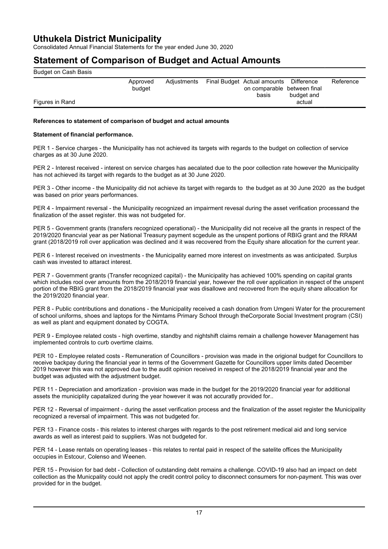Consolidated Annual Financial Statements for the year ended June 30, 2020

### **Statement of Comparison of Budget and Actual Amounts**

| Budget on Cash Basis |                    |             |                                                                                                              |  |
|----------------------|--------------------|-------------|--------------------------------------------------------------------------------------------------------------|--|
|                      | Approved<br>budget | Adjustments | Final Budget Actual amounts<br>Difference<br>Reference<br>on comparable between final<br>budget and<br>basis |  |
| Figures in Rand      |                    |             | actual                                                                                                       |  |
|                      |                    |             |                                                                                                              |  |

#### **References to statement of comparison of budget and actual amounts**

#### **Statement of financial performance.**

PER 1 - Service charges - the Municipality has not achieved its targets with regards to the budget on collection of service charges as at 30 June 2020.

PER 2 - Interest received - interest on service charges has aecalated due to the poor collection rate however the Municipality has not achieved its target with regards to the budget as at 30 June 2020.

PER 3 - Other income - the Municipality did not achieve its target with regards to the budget as at 30 June 2020 as the budget was based on prior years performances.

PER 4 - Impairment reversal - the Municipality recognized an impairment revesal during the asset verification processand the finalization of the asset register. this was not budgeted for.

PER 5 - Government grants (transfers recognized operational) - the Municipality did not receive all the grants in respect of the 2019/2020 financvial year as per National Treasury payment scgedule as the unspent portions of RBIG grant and the RRAM grant (2018/2019 roll over application was declined and it was recovered from the Equity share allocation for the current year.

PER 6 - Interest received on investments - the Municipality earned more interest on investments as was anticipated. Surplus cash was invested to attaract interest.

PER 7 - Government grants (Transfer recognized capital) - the Municipality has achieved 100% spending on capital grants which includes rool over amounts from the 2018/2019 financial year, however the roll over application in respect of the unspent portion of the RBIG grant from the 2018/2019 financial year was disallowe and recovered from the equity share allocation for the 2019/2020 financial year.

PER 8 - Public contributions and donations - the Municipality received a cash donation from Umgeni Water for the procurement of school uniforms, shoes and laptops for the Nimtams Primary School through theCorporate Social Investment program (CSI) as well as plant and equipment donated by COGTA.

PER 9 - Employee related costs - high overtime, standby and nightshift claims remain a challenge however Management has implemented controls to curb overtime claims.

PER 10 - Employee related costs - Remuneration of Councillors - provision was made in the origional budget for Councillors to receive backpay during the financial year in terms of the Government Gazette for Councillors upper limits dated December 2019 however this was not approved due to the audit opinion received in respect of the 2018/2019 financial year and the budget was adjusted with the adjustment budget.

PER 11 - Depreciation and amortization - provision was made in the budget for the 2019/2020 financial year for additional assets the municiplity capatalized during the year however it was not accuratly provided for..

PER 12 - Reversal of impairment - during the asset verification process and the finalization of the asset register the Municipality recognized a reversal of impairment. This was not budgeted for.

PER 13 - Finance costs - this relates to interest charges with regards to the post retirement medical aid and long service awards as well as interest paid to suppliers. Was not budgeted for.

PER 14 - Lease rentals on operating leases - this relates to rental paid in respect of the satelite offices the Municipality occupies in Estcour, Colenso and Weenen.

PER 15 - Provision for bad debt - Collection of outstanding debt remains a challenge. COVID-19 also had an impact on debt collection as the Municpality could not apply the credit control policy to disconnect consumers for non-payment. This was over provided for in the budget.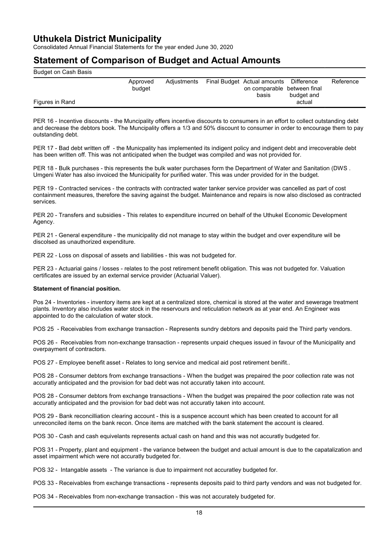Consolidated Annual Financial Statements for the year ended June 30, 2020

### **Statement of Comparison of Budget and Actual Amounts**

| Budget on Cash Basis |                    |             |                                                                     |                          |           |
|----------------------|--------------------|-------------|---------------------------------------------------------------------|--------------------------|-----------|
|                      | Approved<br>budget | Adjustments | Final Budget Actual amounts<br>on comparable between final<br>basis | Difference<br>budget and | Reference |
| Figures in Rand      |                    |             |                                                                     | actual                   |           |

PER 16 - Incentive discounts - the Muncipality offers incentive discounts to consumers in an effort to collect outstanding debt and decrease the debtors book. The Muncipality offers a 1/3 and 50% discount to consumer in order to encourage them to pay outstanding debt.

PER 17 - Bad debt written off - the Municpality has implemented its indigent policy and indigent debt and irrecoverable debt has been written off. This was not anticipated when the budget was compiled and was not provided for.

PER 18 - Bulk purchases - this represents the bulk water purchases form the Department of Water and Sanitation (DWS . Umgeni Water has also invoiced the Municipality for purified water. This was under provided for in the budget.

PER 19 - Contracted services - the contracts with contracted water tanker service provider was cancelled as part of cost containment measures, therefore the saving against the budget. Maintenance and repairs is now also disclosed as contracted services.

PER 20 - Transfers and subsidies - This relates to expenditure incurred on behalf of the Uthukel Economic Development Agency.

PER 21 - General expenditure - the municipality did not manage to stay within the budget and over expenditure will be discolsed as unauthorized expenditure.

PER 22 - Loss on disposal of assets and liabilities - this was not budgeted for.

PER 23 - Actuarial gains / losses - relates to the post retirement benefit obligation. This was not budgeted for. Valuation certificates are issued by an external service provider (Actuarial Valuer).

#### **Statement of financial position.**

Pos 24 - Inventories - inventory items are kept at a centralized store, chemical is stored at the water and sewerage treatment plants. Inventory also includes water stock in the reservours and reticulation network as at year end. An Engineer was appointed to do the calculation of water stock.

POS 25 - Receivables from exchange transaction - Represents sundry debtors and deposits paid the Third party vendors.

POS 26 - Receivables from non-exchange transaction - represents unpaid cheques issued in favour of the Municipality and overpayment of contractors.

POS 27 - Employee benefit asset - Relates to long service and medical aid post retirement benifit..

POS 28 - Consumer debtors from exchange transactions - When the budget was prepaired the poor collection rate was not accuratly anticipated and the provision for bad debt was not accuratly taken into account.

POS 28 - Consumer debtors from exchange transactions - When the budget was prepaired the poor collection rate was not accuratly anticipated and the provision for bad debt was not accuratly taken into account.

POS 29 - Bank reconcilliation clearing account - this is a suspence account which has been created to account for all unreconciled items on the bank recon. Once items are matched with the bank statement the account is cleared.

POS 30 - Cash and cash equivelants represents actual cash on hand and this was not accuratly budgeted for.

POS 31 - Property, plant and equipment - the variance between the budget and actual amount is due to the capatalization and asset impairment which were not accuratly budgeted for.

POS 32 - Intangable assets - The variance is due to impairment not accuratley budgeted for.

POS 33 - Receivables from exchange transactions - represents deposits paid to third party vendors and was not budgeted for.

POS 34 - Receivables from non-exchange transaction - this was not accurately budgeted for.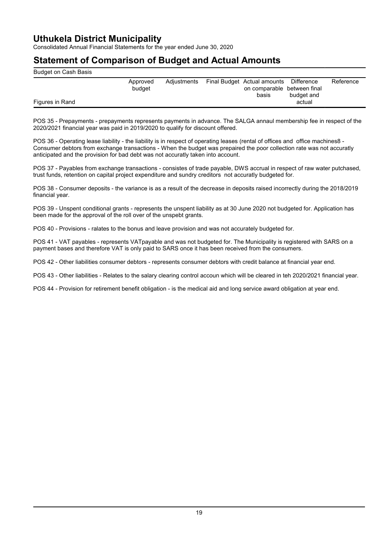Consolidated Annual Financial Statements for the year ended June 30, 2020

### **Statement of Comparison of Budget and Actual Amounts**

| Budget on Cash Basis |                    |             |                                                                     |                          |           |
|----------------------|--------------------|-------------|---------------------------------------------------------------------|--------------------------|-----------|
|                      | Approved<br>budget | Adjustments | Final Budget Actual amounts<br>on comparable between final<br>basis | Difference<br>budget and | Reference |
| Figures in Rand      |                    |             |                                                                     | actual                   |           |

POS 35 - Prepayments - prepayments represents payments in advance. The SALGA annaul membership fee in respect of the 2020/2021 financial year was paid in 2019/2020 to qualify for discount offered.

POS 36 - Operating lease liability - the liability is in respect of operating leases (rental of offices and office machines8 - Consumer debtors from exchange transactions - When the budget was prepaired the poor collection rate was not accuratly anticipated and the provision for bad debt was not accuratly taken into account.

POS 37 - Payables from exchange transactions - consistes of trade payable, DWS accrual in respect of raw water putchased, trust funds, retention on capital project expenditure and sundry creditors not accuratly budgeted for.

POS 38 - Consumer deposits - the variance is as a result of the decrease in deposits raised incorrectly during the 2018/2019 financial year.

POS 39 - Unspent conditional grants - represents the unspent liability as at 30 June 2020 not budgeted for. Application has been made for the approval of the roll over of the unspebt grants.

POS 40 - Provisions - ralates to the bonus and leave provision and was not accurately budgeted for.

POS 41 - VAT payables - represents VATpayable and was not budgeted for. The Municipality is registered with SARS on a payment bases and therefore VAT is only paid to SARS once it has been received from the consumers.

POS 42 - Other liabilities consumer debtors - represents consumer debtors with credit balance at financial year end.

POS 43 - Other liabilities - Relates to the salary clearing control accoun which will be cleared in teh 2020/2021 financial year.

POS 44 - Provision for retirement benefit obligation - is the medical aid and long service award obligation at year end.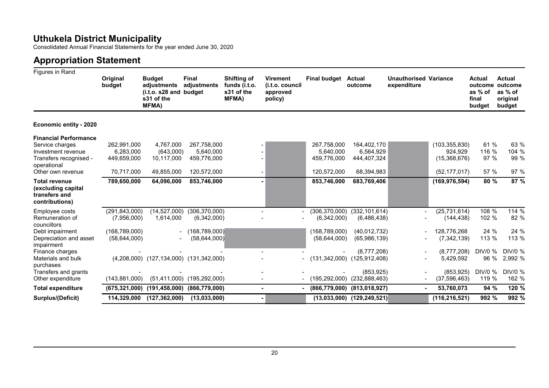Consolidated Annual Financial Statements for the year ended June 30, 2020

# **Appropriation Statement**

| Figures in Rand                                                                                                                     |                                                       |                                                                                      |                                                        |                                                                    |                                                           |                                                        |                                                       |                                             |                                                              |                                                        |                                                           |
|-------------------------------------------------------------------------------------------------------------------------------------|-------------------------------------------------------|--------------------------------------------------------------------------------------|--------------------------------------------------------|--------------------------------------------------------------------|-----------------------------------------------------------|--------------------------------------------------------|-------------------------------------------------------|---------------------------------------------|--------------------------------------------------------------|--------------------------------------------------------|-----------------------------------------------------------|
|                                                                                                                                     | Original<br>budget                                    | <b>Budget</b><br>adjustments<br>(i.t.o. s28 and budget<br>s31 of the<br><b>MFMA)</b> | <b>Final</b><br>adjustments                            | <b>Shifting of</b><br>funds (i.t.o.<br>s31 of the<br><b>MFMA</b> ) | <b>Virement</b><br>(i.t.o. council<br>approved<br>policy) | <b>Final budget</b>                                    | <b>Actual</b><br>outcome                              | <b>Unauthorised Variance</b><br>expenditure |                                                              | <b>Actual</b><br>outcome<br>as % of<br>final<br>budget | <b>Actual</b><br>outcome<br>as % of<br>original<br>budget |
| <b>Economic entity - 2020</b>                                                                                                       |                                                       |                                                                                      |                                                        |                                                                    |                                                           |                                                        |                                                       |                                             |                                                              |                                                        |                                                           |
| <b>Financial Performance</b><br>Service charges<br>Investment revenue<br>Transfers recognised -<br>operational<br>Other own revenue | 262,991,000<br>6,283,000<br>449,659,000<br>70,717,000 | 4,767,000<br>(643,000)<br>10,117,000<br>49,855,000                                   | 267,758,000<br>5,640,000<br>459,776,000<br>120,572,000 |                                                                    |                                                           | 267,758,000<br>5,640,000<br>459,776,000<br>120,572,000 | 164,402,170<br>6,564,929<br>444,407,324<br>68,394,983 |                                             | (103, 355, 830)<br>924,929<br>(15,368,676)<br>(52, 177, 017) | 61 %<br>116 %<br>97%<br>57 %                           | 63 %<br>104 %<br>99 %<br>97 %                             |
| <b>Total revenue</b><br>(excluding capital<br>transfers and<br>contributions)                                                       | 789,650,000                                           | 64,096,000                                                                           | 853,746,000                                            |                                                                    |                                                           | 853,746,000                                            | 683,769,406                                           |                                             | (169, 976, 594)                                              | 80 %                                                   | 87 %                                                      |
| Employee costs<br>Remuneration of<br>councillors                                                                                    | (291, 843, 000)<br>(7,956,000)<br>(168, 789, 000)     | (14, 527, 000)<br>1,614,000                                                          | (306, 370, 000)<br>(6,342,000)<br>(168, 789, 000)      |                                                                    |                                                           | (306, 370, 000)<br>(6,342,000)<br>(168, 789, 000)      | (332, 101, 614)<br>(6,486,438)<br>(40,012,732)        | $\overline{a}$                              | (25, 731, 614)<br>(144, 438)<br>128,776,268                  | 108 %<br>102 %<br>24 %                                 | 114 %<br>82 %<br>24 %                                     |
| Debt impairment<br>Depreciation and asset<br>impairment                                                                             | (58, 644, 000)                                        |                                                                                      | (58, 644, 000)                                         |                                                                    |                                                           | (58, 644, 000)                                         | (65,986,139)                                          | $\overline{\phantom{0}}$                    | (7, 342, 139)                                                | 113 %                                                  | 113 %                                                     |
| Finance charges<br>Materials and bulk<br>purchases                                                                                  |                                                       | (4,208,000) (127,134,000) (131,342,000)                                              |                                                        |                                                                    |                                                           |                                                        | (8,777,208)<br>$(131, 342, 000)$ $(125, 912, 408)$    | $\blacksquare$                              | (8,777,208)<br>5,429,592                                     | DIV/0 %<br>96 %                                        | DIV/0 %<br>2,992 %                                        |
| Transfers and grants<br>Other expenditure                                                                                           | (143, 881, 000)                                       |                                                                                      | $(51,411,000)$ $(195,292,000)$                         |                                                                    |                                                           | (195, 292, 000)                                        | (853, 925)<br>(232, 888, 463)                         |                                             | (853, 925)<br>(37, 596, 463)                                 | DIV/0 %<br>119 %                                       | DIV/0 %<br>162 %                                          |
| <b>Total expenditure</b>                                                                                                            | (675, 321, 000)                                       | (191, 458, 000)                                                                      | (866, 779, 000)                                        |                                                                    |                                                           | (866, 779, 000)                                        | (813,018,927)                                         |                                             | 53,760,073                                                   | 94 %                                                   | 120 %                                                     |
| <b>Surplus/(Deficit)</b>                                                                                                            | 114,329,000                                           | (127, 362, 000)                                                                      | (13,033,000)                                           |                                                                    |                                                           |                                                        | $(13,033,000)$ $(129,249,521)$                        |                                             | (116, 216, 521)                                              | 992 %                                                  | 992 %                                                     |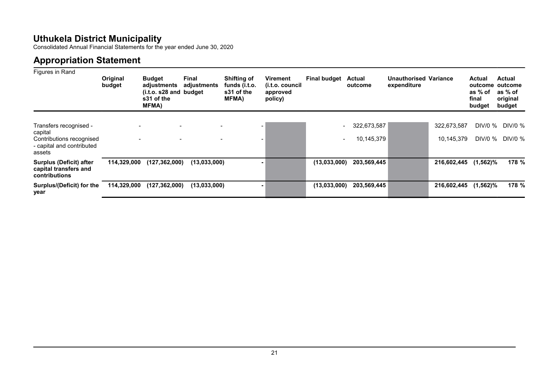Consolidated Annual Financial Statements for the year ended June 30, 2020

# **Appropriation Statement**

| Figures in Rand                                                                                      | Original<br>budget | <b>Budget</b><br>adjustments<br>(i.t.o. s28 and budget)<br>s31 of the<br><b>MFMA)</b> | Final<br>adjustments | <b>Shifting of</b><br>funds (i.t.o.<br>s31 of the<br><b>MFMA</b> ) | <b>Virement</b><br>(i.t.o. council<br>approved<br>policy) | <b>Final budget</b>                        | <b>Actual</b><br>outcome  | <b>Unauthorised Variance</b><br>expenditure |                           | Actual<br>outcome<br>as % of<br>final<br>budget | Actual<br>outcome<br>as % of<br>original<br>budget |
|------------------------------------------------------------------------------------------------------|--------------------|---------------------------------------------------------------------------------------|----------------------|--------------------------------------------------------------------|-----------------------------------------------------------|--------------------------------------------|---------------------------|---------------------------------------------|---------------------------|-------------------------------------------------|----------------------------------------------------|
| Transfers recognised -<br>capital<br>Contributions recognised<br>- capital and contributed<br>assets |                    |                                                                                       |                      |                                                                    |                                                           | $\overline{\phantom{0}}$<br>$\blacksquare$ | 322,673,587<br>10,145,379 |                                             | 322,673,587<br>10,145,379 | DIV/0 %<br>DIV/0 %                              | DIV/0 %<br>DIV/0 %                                 |
| <b>Surplus (Deficit) after</b><br>capital transfers and<br>contributions                             | 114,329,000        | (127, 362, 000)                                                                       | (13,033,000)         |                                                                    |                                                           | (13,033,000)                               | 203,569,445               |                                             | 216,602,445               | $(1,562)\%$                                     | 178 %                                              |
| Surplus/(Deficit) for the<br>year                                                                    | 114,329,000        | (127, 362, 000)                                                                       | (13,033,000)         |                                                                    |                                                           | (13,033,000)                               | 203,569,445               |                                             | 216,602,445               | $(1,562)\%$                                     | 178 %                                              |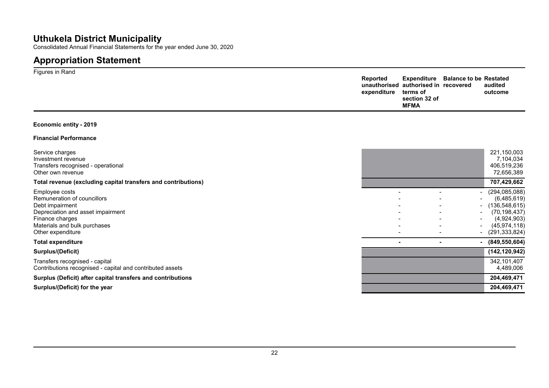Consolidated Annual Financial Statements for the year ended June 30, 2020

### **Appropriation Statement**

#### Figures in Rand **Reported unauthorised authorised in recovered expenditure Expenditure Balance to be Restated terms of section 32 of MFMA audited outcome**

### **Economic entity - 2019**

#### **Financial Performance**

| Service charges<br>Investment revenue<br>Transfers recognised - operational<br>Other own revenue                                                                              |  | 221,150,003<br>7,104,034<br>406,519,236<br>72,656,389                                                                       |
|-------------------------------------------------------------------------------------------------------------------------------------------------------------------------------|--|-----------------------------------------------------------------------------------------------------------------------------|
| Total revenue (excluding capital transfers and contributions)                                                                                                                 |  | 707,429,662                                                                                                                 |
| Employee costs<br>Remuneration of councillors<br>Debt impairment<br>Depreciation and asset impairment<br>Finance charges<br>Materials and bulk purchases<br>Other expenditure |  | (294, 085, 088)<br>(6,485,619)<br>$-$ (136,548,615)<br>(70, 198, 437)<br>(4,924,903)<br>(45, 974, 118)<br>$-$ (291,333,824) |
| <b>Total expenditure</b>                                                                                                                                                      |  | $-$ (849,550,604)                                                                                                           |
| Surplus/(Deficit)                                                                                                                                                             |  | (142, 120, 942)                                                                                                             |
| Transfers recognised - capital<br>Contributions recognised - capital and contributed assets                                                                                   |  | 342,101,407<br>4,489,006                                                                                                    |
| Surplus (Deficit) after capital transfers and contributions                                                                                                                   |  | 204,469,471                                                                                                                 |
| Surplus/(Deficit) for the year                                                                                                                                                |  | 204,469,471                                                                                                                 |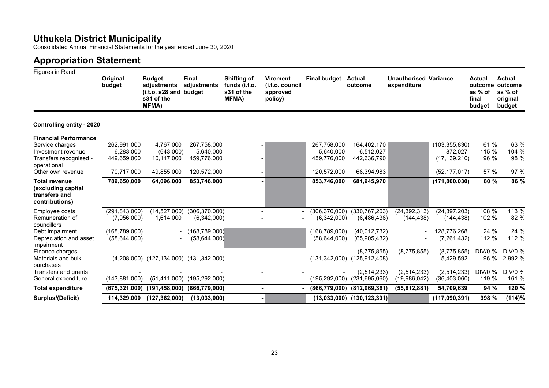Consolidated Annual Financial Statements for the year ended June 30, 2020

# **Appropriation Statement**

| Figures in Rand                                                                                                                     |                                                       |                                                                                      |                                                        |                                                                   |                                                           |                                                        |                                                       |                                             |                                                                |                                                        |                                                    |
|-------------------------------------------------------------------------------------------------------------------------------------|-------------------------------------------------------|--------------------------------------------------------------------------------------|--------------------------------------------------------|-------------------------------------------------------------------|-----------------------------------------------------------|--------------------------------------------------------|-------------------------------------------------------|---------------------------------------------|----------------------------------------------------------------|--------------------------------------------------------|----------------------------------------------------|
|                                                                                                                                     | Original<br>budget                                    | <b>Budget</b><br>adjustments<br>(i.t.o. s28 and budget<br>s31 of the<br><b>MFMA)</b> | <b>Final</b><br>adjustments                            | <b>Shifting of</b><br>funds (i.t.o.<br>s31 of the<br><b>MFMA)</b> | <b>Virement</b><br>(i.t.o. council<br>approved<br>policy) | <b>Final budget</b>                                    | <b>Actual</b><br>outcome                              | <b>Unauthorised Variance</b><br>expenditure |                                                                | <b>Actual</b><br>outcome<br>as % of<br>final<br>budget | Actual<br>outcome<br>as % of<br>original<br>budget |
| Controlling entity - 2020                                                                                                           |                                                       |                                                                                      |                                                        |                                                                   |                                                           |                                                        |                                                       |                                             |                                                                |                                                        |                                                    |
| <b>Financial Performance</b><br>Service charges<br>Investment revenue<br>Transfers recognised -<br>operational<br>Other own revenue | 262.991.000<br>6,283,000<br>449,659,000<br>70,717,000 | 4.767.000<br>(643,000)<br>10,117,000<br>49,855,000                                   | 267.758.000<br>5,640,000<br>459,776,000<br>120,572,000 |                                                                   |                                                           | 267.758.000<br>5,640,000<br>459,776,000<br>120,572,000 | 164,402,170<br>6,512,027<br>442,636,790<br>68,394,983 |                                             | (103, 355, 830)<br>872,027<br>(17, 139, 210)<br>(52, 177, 017) | 61 %<br>115 %<br>96 %<br>57 %                          | 63 %<br>104 %<br>98 %<br>97 %                      |
| <b>Total revenue</b><br>(excluding capital<br>transfers and<br>contributions)                                                       | 789,650,000                                           | 64,096,000                                                                           | 853,746,000                                            |                                                                   |                                                           | 853,746,000                                            | 681,945,970                                           |                                             | (171,800,030)                                                  | 80 %                                                   | 86 %                                               |
| Employee costs<br>Remuneration of<br>councillors                                                                                    | (291, 843, 000)<br>(7,956,000)                        | (14, 527, 000)<br>1,614,000                                                          | (306, 370, 000)<br>(6,342,000)                         |                                                                   |                                                           | (306, 370, 000)<br>(6,342,000)                         | (330, 767, 203)<br>(6,486,438)                        | (24, 392, 313)<br>(144, 438)                | (24, 397, 203)<br>(144, 438)                                   | 108 %<br>102 %                                         | 113 %<br>82 %                                      |
| Debt impairment<br>Depreciation and asset<br>impairment                                                                             | (168, 789, 000)<br>(58, 644, 000)                     |                                                                                      | (168, 789, 000)<br>(58, 644, 000)                      |                                                                   |                                                           | (168, 789, 000)<br>(58, 644, 000)                      | (40, 012, 732)<br>(65,905,432)                        |                                             | 128,776,268<br>(7, 261, 432)                                   | 24 %<br>112 %                                          | 24 %<br>112 %                                      |
| Finance charges<br>Materials and bulk<br>purchases                                                                                  |                                                       | (4,208,000) (127,134,000) (131,342,000)                                              |                                                        |                                                                   |                                                           | (131, 342, 000)                                        | (8,775,855)<br>(125, 912, 408)                        | (8,775,855)                                 | (8,775,855)<br>5,429,592                                       | DIV/0 %<br>96 %                                        | DIV/0 %<br>2,992 %                                 |
| Transfers and grants<br>General expenditure                                                                                         | (143, 881, 000)                                       |                                                                                      | $(51,411,000)$ $(195,292,000)$                         |                                                                   |                                                           |                                                        | (2,514,233)<br>$(195, 292, 000)$ $(231, 695, 060)$    | (2,514,233)<br>(19,986,042)                 | (2,514,233)<br>(36, 403, 060)                                  | DIV/0 %<br>119 %                                       | DIV/0 %<br>161 %                                   |
| <b>Total expenditure</b>                                                                                                            | (675, 321, 000)                                       | (191, 458, 000)                                                                      | (866, 779, 000)                                        |                                                                   |                                                           | (866, 779, 000)                                        | (812,069,361)                                         | (55, 812, 881)                              | 54,709,639                                                     | 94 %                                                   | 120 %                                              |
| Surplus/(Deficit)                                                                                                                   | 114,329,000                                           | (127, 362, 000)                                                                      | (13,033,000)                                           |                                                                   |                                                           |                                                        | $(13,033,000)$ $(130,123,391)$                        |                                             | (117,090,391)                                                  | 998 %                                                  | (114)%                                             |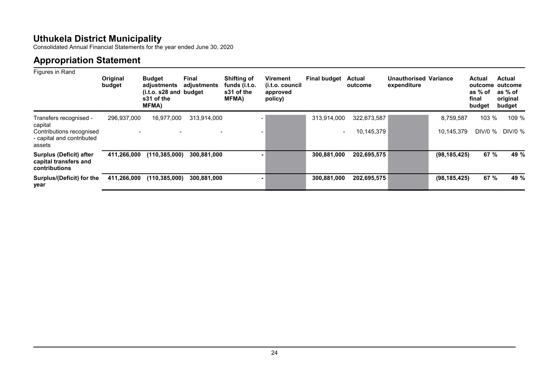Consolidated Annual Financial Statements for the year ended June 30, 2020

# **Appropriation Statement**

| Figures in Rand                                                                                      | Original<br>budget | <b>Budget</b><br>adjustments<br>(i.t. o. s28 and budget)<br>s31 of the<br><b>MFMA)</b> | <b>Final</b><br>adjustments | <b>Shifting of</b><br>funds (i.t.o.<br>s31 of the<br>MFMA) | <b>Virement</b><br>(i.t.o. council<br>approved<br>policy) | <b>Final budget</b>                     | Actual<br>outcome         | <b>Unauthorised Variance</b><br>expenditure |                         | <b>Actual</b><br>outcome<br>as % of<br>final<br>budget | <b>Actual</b><br>outcome<br>as % of<br>original<br>budget |
|------------------------------------------------------------------------------------------------------|--------------------|----------------------------------------------------------------------------------------|-----------------------------|------------------------------------------------------------|-----------------------------------------------------------|-----------------------------------------|---------------------------|---------------------------------------------|-------------------------|--------------------------------------------------------|-----------------------------------------------------------|
| Transfers recognised -<br>capital<br>Contributions recognised<br>- capital and contributed<br>assets | 296,937,000        | 16.977.000                                                                             | 313.914.000                 |                                                            |                                                           | 313,914,000<br>$\overline{\phantom{a}}$ | 322,673,587<br>10,145,379 |                                             | 8,759,587<br>10.145.379 | 103 %<br>DIV/0 %                                       | 109 %<br>DIV/0 %                                          |
| <b>Surplus (Deficit) after</b><br>capital transfers and<br>contributions                             | 411,266,000        | (110, 385, 000)                                                                        | 300,881,000                 |                                                            |                                                           | 300,881,000                             | 202,695,575               |                                             | (98, 185, 425)          | 67 %                                                   | 49 %                                                      |
| Surplus/(Deficit) for the<br>year                                                                    | 411,266,000        | (110, 385, 000)                                                                        | 300,881,000                 |                                                            |                                                           | 300,881,000                             | 202,695,575               |                                             | (98, 185, 425)          | 67 %                                                   | 49 %                                                      |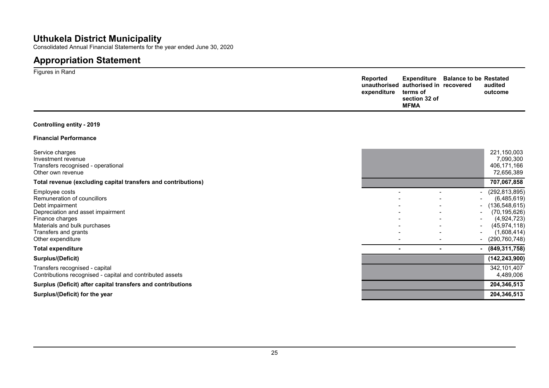Consolidated Annual Financial Statements for the year ended June 30, 2020

### **Appropriation Statement**

#### Figures in Rand **Reported unauthorised authorised in recovered expenditure Expenditure Balance to be Restated terms of section 32 of MFMA audited outcome**

### **Controlling entity - 2019**

#### **Financial Performance**

| Service charges<br>Investment revenue<br>Transfers recognised - operational<br>Other own revenue                                                                                                      |                          |  | 221,150,003<br>7,090,300<br>406,171,166<br>72,656,389                                                                                      |
|-------------------------------------------------------------------------------------------------------------------------------------------------------------------------------------------------------|--------------------------|--|--------------------------------------------------------------------------------------------------------------------------------------------|
| Total revenue (excluding capital transfers and contributions)                                                                                                                                         |                          |  | 707,067,858                                                                                                                                |
| Employee costs<br>Remuneration of councillors<br>Debt impairment<br>Depreciation and asset impairment<br>Finance charges<br>Materials and bulk purchases<br>Transfers and grants<br>Other expenditure | $\overline{\phantom{0}}$ |  | (292, 813, 895)<br>(6,485,619)<br>$-$ (136,548,615)<br>(70, 195, 626)<br>(4,924,723)<br>(45, 974, 118)<br>(1,608,414)<br>$-$ (290,760,748) |
| <b>Total expenditure</b>                                                                                                                                                                              |                          |  | $-$ (849,311,758)                                                                                                                          |
| Surplus/(Deficit)                                                                                                                                                                                     |                          |  | (142, 243, 900)                                                                                                                            |
| Transfers recognised - capital<br>Contributions recognised - capital and contributed assets                                                                                                           |                          |  | 342,101,407<br>4,489,006                                                                                                                   |
| Surplus (Deficit) after capital transfers and contributions                                                                                                                                           |                          |  | 204,346,513                                                                                                                                |
| Surplus/(Deficit) for the year                                                                                                                                                                        |                          |  | 204,346,513                                                                                                                                |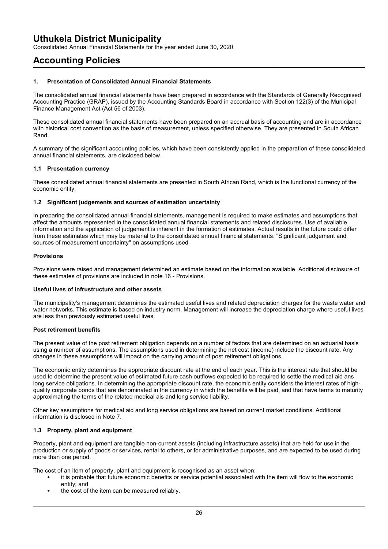Consolidated Annual Financial Statements for the year ended June 30, 2020

### **Accounting Policies**

#### **1. Presentation of Consolidated Annual Financial Statements**

The consolidated annual financial statements have been prepared in accordance with the Standards of Generally Recognised Accounting Practice (GRAP), issued by the Accounting Standards Board in accordance with Section 122(3) of the Municipal Finance Management Act (Act 56 of 2003).

These consolidated annual financial statements have been prepared on an accrual basis of accounting and are in accordance with historical cost convention as the basis of measurement, unless specified otherwise. They are presented in South African Rand.

A summary of the significant accounting policies, which have been consistently applied in the preparation of these consolidated annual financial statements, are disclosed below.

#### **1.1 Presentation currency**

These consolidated annual financial statements are presented in South African Rand, which is the functional currency of the economic entity.

#### **1.2 Significant judgements and sources of estimation uncertainty**

In preparing the consolidated annual financial statements, management is required to make estimates and assumptions that affect the amounts represented in the consolidated annual financial statements and related disclosures. Use of available information and the application of judgement is inherent in the formation of estimates. Actual results in the future could differ from these estimates which may be material to the consolidated annual financial statements. "Significant judgement and sources of measurement uncertainty" on assumptions used

#### **Provisions**

Provisions were raised and management determined an estimate based on the information available. Additional disclosure of these estimates of provisions are included in note 16 - Provisions.

#### **Useful lives of infrustructure and other assets**

The municipality's management determines the estimated useful lives and related depreciation charges for the waste water and water networks. This estimate is based on industry norm. Management will increase the depreciation charge where useful lives are less than previously estimated useful lives.

#### **Post retirement benefits**

The present value of the post retirement obligation depends on a number of factors that are determined on an actuarial basis using a number of assumptions. The assumptions used in determining the net cost (income) include the discount rate. Any changes in these assumptions will impact on the carrying amount of post retirement obligations.

The economic entity determines the appropriate discount rate at the end of each year. This is the interest rate that should be used to determine the present value of estimated future cash outflows expected to be required to settle the medical aid ans long service obligations. In determining the appropriate discount rate, the economic entity considers the interest rates of highquality corporate bonds that are denominated in the currency in which the benefits will be paid, and that have terms to maturity approximating the terms of the related medical ais and long service liability.

Other key assumptions for medical aid and long service obligations are based on current market conditions. Additional information is disclosed in Note 7.

#### **1.3 Property, plant and equipment**

Property, plant and equipment are tangible non-current assets (including infrastructure assets) that are held for use in the production or supply of goods or services, rental to others, or for administrative purposes, and are expected to be used during more than one period.

The cost of an item of property, plant and equipment is recognised as an asset when:

- it is probable that future economic benefits or service potential associated with the item will flow to the economic entity; and
- the cost of the item can be measured reliably.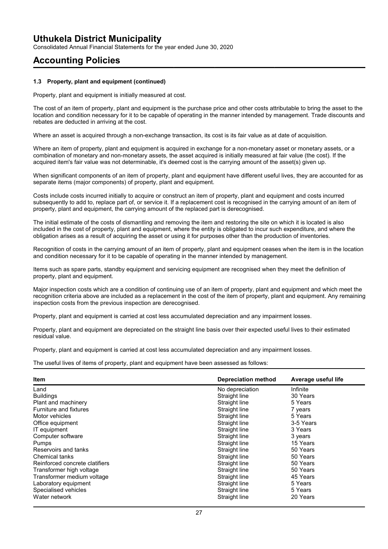Consolidated Annual Financial Statements for the year ended June 30, 2020

### **Accounting Policies**

#### **1.3 Property, plant and equipment (continued)**

Property, plant and equipment is initially measured at cost.

The cost of an item of property, plant and equipment is the purchase price and other costs attributable to bring the asset to the location and condition necessary for it to be capable of operating in the manner intended by management. Trade discounts and rebates are deducted in arriving at the cost.

Where an asset is acquired through a non-exchange transaction, its cost is its fair value as at date of acquisition.

Where an item of property, plant and equipment is acquired in exchange for a non-monetary asset or monetary assets, or a combination of monetary and non-monetary assets, the asset acquired is initially measured at fair value (the cost). If the acquired item's fair value was not determinable, it's deemed cost is the carrying amount of the asset(s) given up.

When significant components of an item of property, plant and equipment have different useful lives, they are accounted for as separate items (major components) of property, plant and equipment.

Costs include costs incurred initially to acquire or construct an item of property, plant and equipment and costs incurred subsequently to add to, replace part of, or service it. If a replacement cost is recognised in the carrying amount of an item of property, plant and equipment, the carrying amount of the replaced part is derecognised.

The initial estimate of the costs of dismantling and removing the item and restoring the site on which it is located is also included in the cost of property, plant and equipment, where the entity is obligated to incur such expenditure, and where the obligation arises as a result of acquiring the asset or using it for purposes other than the production of inventories.

Recognition of costs in the carrying amount of an item of property, plant and equipment ceases when the item is in the location and condition necessary for it to be capable of operating in the manner intended by management.

Items such as spare parts, standby equipment and servicing equipment are recognised when they meet the definition of property, plant and equipment.

Major inspection costs which are a condition of continuing use of an item of property, plant and equipment and which meet the recognition criteria above are included as a replacement in the cost of the item of property, plant and equipment. Any remaining inspection costs from the previous inspection are derecognised.

Property, plant and equipment is carried at cost less accumulated depreciation and any impairment losses.

Property, plant and equipment are depreciated on the straight line basis over their expected useful lives to their estimated residual value.

Property, plant and equipment is carried at cost less accumulated depreciation and any impairment losses.

The useful lives of items of property, plant and equipment have been assessed as follows:

| <b>Item</b>                    | <b>Depreciation method</b> | Average useful life |
|--------------------------------|----------------------------|---------------------|
| Land                           | No depreciation            | Infinite            |
| <b>Buildings</b>               | Straight line              | 30 Years            |
| Plant and machinery            | Straight line              | 5 Years             |
| <b>Furniture and fixtures</b>  | Straight line              | 7 years             |
| Motor vehicles                 | Straight line              | 5 Years             |
| Office equipment               | Straight line              | 3-5 Years           |
| IT equipment                   | Straight line              | 3 Years             |
| Computer software              | Straight line              | 3 years             |
| <b>Pumps</b>                   | Straight line              | 15 Years            |
| Reservoirs and tanks           | Straight line              | 50 Years            |
| Chemical tanks                 | Straight line              | 50 Years            |
| Reinforced concrete clatifiers | Straight line              | 50 Years            |
| Transformer high voltage       | Straight line              | 50 Years            |
| Transformer medium voltage     | Straight line              | 45 Years            |
| Laboratory equipment           | Straight line              | 5 Years             |
| Specialised vehicles           | Straight line              | 5 Years             |
| Water network                  | Straight line              | 20 Years            |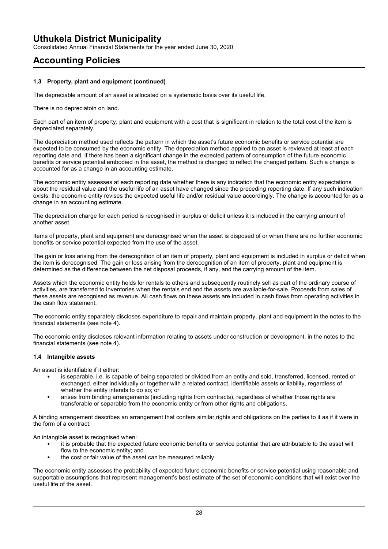Consolidated Annual Financial Statements for the year ended June 30, 2020

### **Accounting Policies**

#### **1.3 Property, plant and equipment (continued)**

The depreciable amount of an asset is allocated on a systematic basis over its useful life.

There is no depreciatoin on land.

Each part of an item of property, plant and equipment with a cost that is significant in relation to the total cost of the item is depreciated separately.

The depreciation method used reflects the pattern in which the asset's future economic benefits or service potential are expected to be consumed by the economic entity. The depreciation method applied to an asset is reviewed at least at each reporting date and, if there has been a significant change in the expected pattern of consumption of the future economic benefits or service potential embodied in the asset, the method is changed to reflect the changed pattern. Such a change is accounted for as a change in an accounting estimate.

The economic entity assesses at each reporting date whether there is any indication that the economic entity expectations about the residual value and the useful life of an asset have changed since the preceding reporting date. If any such indication exists, the economic entity revises the expected useful life and/or residual value accordingly. The change is accounted for as a change in an accounting estimate.

The depreciation charge for each period is recognised in surplus or deficit unless it is included in the carrying amount of another asset.

Items of property, plant and equipment are derecognised when the asset is disposed of or when there are no further economic benefits or service potential expected from the use of the asset.

The gain or loss arising from the derecognition of an item of property, plant and equipment is included in surplus or deficit when the item is derecognised. The gain or loss arising from the derecognition of an item of property, plant and equipment is determined as the difference between the net disposal proceeds, if any, and the carrying amount of the item.

Assets which the economic entity holds for rentals to others and subsequently routinely sell as part of the ordinary course of activities, are transferred to inventories when the rentals end and the assets are available-for-sale. Proceeds from sales of these assets are recognised as revenue. All cash flows on these assets are included in cash flows from operating activities in the cash flow statement.

The economic entity separately discloses expenditure to repair and maintain property, plant and equipment in the notes to the financial statements (see note 4).

The economic entity discloses relevant information relating to assets under construction or development, in the notes to the financial statements (see note 4).

#### **1.4 Intangible assets**

An asset is identifiable if it either:

- is separable, i.e. is capable of being separated or divided from an entity and sold, transferred, licensed, rented or exchanged, either individually or together with a related contract, identifiable assets or liability, regardless of whether the entity intends to do so; or
- arises from binding arrangements (including rights from contracts), regardless of whether those rights are transferable or separable from the economic entity or from other rights and obligations.

A binding arrangement describes an arrangement that confers similar rights and obligations on the parties to it as if it were in the form of a contract.

An intangible asset is recognised when:

- it is probable that the expected future economic benefits or service potential that are attributable to the asset will flow to the economic entity; and
- the cost or fair value of the asset can be measured reliably.

The economic entity assesses the probability of expected future economic benefits or service potential using reasonable and supportable assumptions that represent management's best estimate of the set of economic conditions that will exist over the useful life of the asset.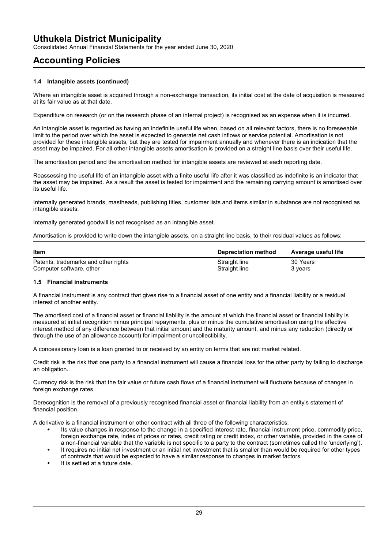Consolidated Annual Financial Statements for the year ended June 30, 2020

### **Accounting Policies**

#### **1.4 Intangible assets (continued)**

Where an intangible asset is acquired through a non-exchange transaction, its initial cost at the date of acquisition is measured at its fair value as at that date.

Expenditure on research (or on the research phase of an internal project) is recognised as an expense when it is incurred.

An intangible asset is regarded as having an indefinite useful life when, based on all relevant factors, there is no foreseeable limit to the period over which the asset is expected to generate net cash inflows or service potential. Amortisation is not provided for these intangible assets, but they are tested for impairment annually and whenever there is an indication that the asset may be impaired. For all other intangible assets amortisation is provided on a straight line basis over their useful life.

The amortisation period and the amortisation method for intangible assets are reviewed at each reporting date.

Reassessing the useful life of an intangible asset with a finite useful life after it was classified as indefinite is an indicator that the asset may be impaired. As a result the asset is tested for impairment and the remaining carrying amount is amortised over its useful life.

Internally generated brands, mastheads, publishing titles, customer lists and items similar in substance are not recognised as intangible assets.

Internally generated goodwill is not recognised as an intangible asset.

Amortisation is provided to write down the intangible assets, on a straight line basis, to their residual values as follows:

| <b>Item</b>                          | Depreciation method | Average useful life |
|--------------------------------------|---------------------|---------------------|
| Patents, trademarks and other rights | Straight line       | 30 Years            |
| Computer software, other             | Straight line       | 3 vears             |

#### **1.5 Financial instruments**

A financial instrument is any contract that gives rise to a financial asset of one entity and a financial liability or a residual interest of another entity.

The amortised cost of a financial asset or financial liability is the amount at which the financial asset or financial liability is measured at initial recognition minus principal repayments, plus or minus the cumulative amortisation using the effective interest method of any difference between that initial amount and the maturity amount, and minus any reduction (directly or through the use of an allowance account) for impairment or uncollectibility.

A concessionary loan is a loan granted to or received by an entity on terms that are not market related.

Credit risk is the risk that one party to a financial instrument will cause a financial loss for the other party by failing to discharge an obligation.

Currency risk is the risk that the fair value or future cash flows of a financial instrument will fluctuate because of changes in foreign exchange rates.

Derecognition is the removal of a previously recognised financial asset or financial liability from an entity's statement of financial position.

A derivative is a financial instrument or other contract with all three of the following characteristics:

- Its value changes in response to the change in a specified interest rate, financial instrument price, commodity price, foreign exchange rate, index of prices or rates, credit rating or credit index, or other variable, provided in the case of a non-financial variable that the variable is not specific to a party to the contract (sometimes called the 'underlying').
- It requires no initial net investment or an initial net investment that is smaller than would be required for other types of contracts that would be expected to have a similar response to changes in market factors.
- It is settled at a future date.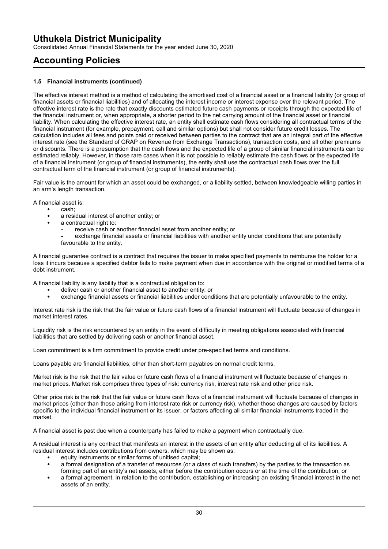Consolidated Annual Financial Statements for the year ended June 30, 2020

### **Accounting Policies**

### **1.5 Financial instruments (continued)**

The effective interest method is a method of calculating the amortised cost of a financial asset or a financial liability (or group of financial assets or financial liabilities) and of allocating the interest income or interest expense over the relevant period. The effective interest rate is the rate that exactly discounts estimated future cash payments or receipts through the expected life of the financial instrument or, when appropriate, a shorter period to the net carrying amount of the financial asset or financial liability. When calculating the effective interest rate, an entity shall estimate cash flows considering all contractual terms of the financial instrument (for example, prepayment, call and similar options) but shall not consider future credit losses. The calculation includes all fees and points paid or received between parties to the contract that are an integral part of the effective interest rate (see the Standard of GRAP on Revenue from Exchange Transactions), transaction costs, and all other premiums or discounts. There is a presumption that the cash flows and the expected life of a group of similar financial instruments can be estimated reliably. However, in those rare cases when it is not possible to reliably estimate the cash flows or the expected life of a financial instrument (or group of financial instruments), the entity shall use the contractual cash flows over the full contractual term of the financial instrument (or group of financial instruments).

Fair value is the amount for which an asset could be exchanged, or a liability settled, between knowledgeable willing parties in an arm's length transaction.

A financial asset is:

- cash;
- a residual interest of another entity; or
- a contractual right to:
	- **-** receive cash or another financial asset from another entity; or
	- **-** exchange financial assets or financial liabilities with another entity under conditions that are potentially favourable to the entity.

A financial guarantee contract is a contract that requires the issuer to make specified payments to reimburse the holder for a loss it incurs because a specified debtor fails to make payment when due in accordance with the original or modified terms of a debt instrument.

A financial liability is any liability that is a contractual obligation to:

- deliver cash or another financial asset to another entity; or
- exchange financial assets or financial liabilities under conditions that are potentially unfavourable to the entity.

Interest rate risk is the risk that the fair value or future cash flows of a financial instrument will fluctuate because of changes in market interest rates.

Liquidity risk is the risk encountered by an entity in the event of difficulty in meeting obligations associated with financial liabilities that are settled by delivering cash or another financial asset.

Loan commitment is a firm commitment to provide credit under pre-specified terms and conditions.

Loans payable are financial liabilities, other than short-term payables on normal credit terms.

Market risk is the risk that the fair value or future cash flows of a financial instrument will fluctuate because of changes in market prices. Market risk comprises three types of risk: currency risk, interest rate risk and other price risk.

Other price risk is the risk that the fair value or future cash flows of a financial instrument will fluctuate because of changes in market prices (other than those arising from interest rate risk or currency risk), whether those changes are caused by factors specific to the individual financial instrument or its issuer, or factors affecting all similar financial instruments traded in the market.

A financial asset is past due when a counterparty has failed to make a payment when contractually due.

A residual interest is any contract that manifests an interest in the assets of an entity after deducting all of its liabilities. A residual interest includes contributions from owners, which may be shown as:

- equity instruments or similar forms of unitised capital;
- a formal designation of a transfer of resources (or a class of such transfers) by the parties to the transaction as forming part of an entity's net assets, either before the contribution occurs or at the time of the contribution; or
- a formal agreement, in relation to the contribution, establishing or increasing an existing financial interest in the net assets of an entity.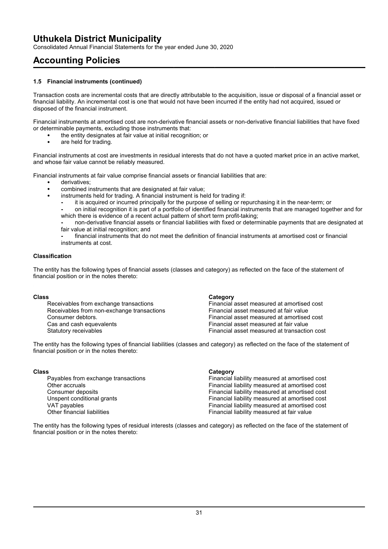Consolidated Annual Financial Statements for the year ended June 30, 2020

### **Accounting Policies**

#### **1.5 Financial instruments (continued)**

Transaction costs are incremental costs that are directly attributable to the acquisition, issue or disposal of a financial asset or financial liability. An incremental cost is one that would not have been incurred if the entity had not acquired, issued or disposed of the financial instrument.

Financial instruments at amortised cost are non-derivative financial assets or non-derivative financial liabilities that have fixed or determinable payments, excluding those instruments that:

- the entity designates at fair value at initial recognition; or
- are held for trading.

Financial instruments at cost are investments in residual interests that do not have a quoted market price in an active market, and whose fair value cannot be reliably measured.

Financial instruments at fair value comprise financial assets or financial liabilities that are:

- derivatives;
- combined instruments that are designated at fair value;
- instruments held for trading. A financial instrument is held for trading if:
	- **-** it is acquired or incurred principally for the purpose of selling or repurchasing it in the near-term; or
	- **-** on initial recognition it is part of a portfolio of identified financial instruments that are managed together and for which there is evidence of a recent actual pattern of short term profit-taking;
	- **-** non-derivative financial assets or financial liabilities with fixed or determinable payments that are designated at fair value at initial recognition; and
	- **-** financial instruments that do not meet the definition of financial instruments at amortised cost or financial instruments at cost.

#### **Classification**

The entity has the following types of financial assets (classes and category) as reflected on the face of the statement of financial position or in the notes thereto:

**Class Class**<br>**Receivables from exchange transactions Category Category** Receivables from non-exchange transactions<br>Consumer debtors Consumer debtors.<br>
Cas and cash equevalents<br>
Cas and cash equevalents<br>
Financial asset measured at fair value

Financial asset measured at amortised cost<br>Financial asset measured at fair value Financial asset measured at fair value Statutory receivables Financial asset measured at transaction cost

The entity has the following types of financial liabilities (classes and category) as reflected on the face of the statement of financial position or in the notes thereto:

#### **Class Category**

Payables from exchange transactions Financial liability measured at amortised cost<br>Other accruals Financial liability measured at amortised cost Other accruals **Other accruals**<br>Consumer deposits **Financial liability measured at amortised cost**<br>Financial liability measured at amortised cost Financial liability measured at amortised cost Unspent conditional grants Financial liability measured at amortised cost VAT payables **The Contract of the Contract of Contract** Financial liability measured at amortised cost<br>
Other financial liabilities **Financial liability measured at fair value** Financial liability measured at fair value

The entity has the following types of residual interests (classes and category) as reflected on the face of the statement of financial position or in the notes thereto: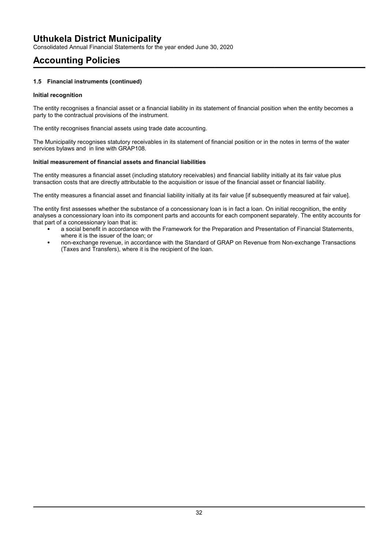Consolidated Annual Financial Statements for the year ended June 30, 2020

### **Accounting Policies**

#### **1.5 Financial instruments (continued)**

#### **Initial recognition**

The entity recognises a financial asset or a financial liability in its statement of financial position when the entity becomes a party to the contractual provisions of the instrument.

The entity recognises financial assets using trade date accounting.

The Municipality recognises statutory receivables in its statement of financial position or in the notes in terms of the water services bylaws and in line with GRAP108.

#### **Initial measurement of financial assets and financial liabilities**

The entity measures a financial asset (including statutory receivables) and financial liability initially at its fair value plus transaction costs that are directly attributable to the acquisition or issue of the financial asset or financial liability.

The entity measures a financial asset and financial liability initially at its fair value [if subsequently measured at fair value].

The entity first assesses whether the substance of a concessionary loan is in fact a loan. On initial recognition, the entity analyses a concessionary loan into its component parts and accounts for each component separately. The entity accounts for that part of a concessionary loan that is:

- a social benefit in accordance with the Framework for the Preparation and Presentation of Financial Statements, where it is the issuer of the loan; or
- non-exchange revenue, in accordance with the Standard of GRAP on Revenue from Non-exchange Transactions (Taxes and Transfers), where it is the recipient of the loan.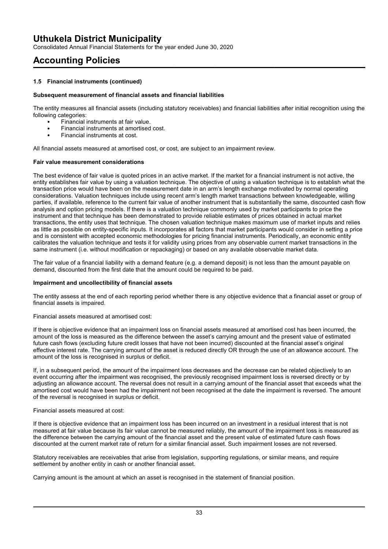Consolidated Annual Financial Statements for the year ended June 30, 2020

### **Accounting Policies**

#### **1.5 Financial instruments (continued)**

#### **Subsequent measurement of financial assets and financial liabilities**

The entity measures all financial assets (including statutory receivables) and financial liabilities after initial recognition using the following categories:

- Financial instruments at fair value.
- Financial instruments at amortised cost.
- Financial instruments at cost.

All financial assets measured at amortised cost, or cost, are subject to an impairment review.

#### **Fair value measurement considerations**

The best evidence of fair value is quoted prices in an active market. If the market for a financial instrument is not active, the entity establishes fair value by using a valuation technique. The objective of using a valuation technique is to establish what the transaction price would have been on the measurement date in an arm's length exchange motivated by normal operating considerations. Valuation techniques include using recent arm's length market transactions between knowledgeable, willing parties, if available, reference to the current fair value of another instrument that is substantially the same, discounted cash flow analysis and option pricing models. If there is a valuation technique commonly used by market participants to price the instrument and that technique has been demonstrated to provide reliable estimates of prices obtained in actual market transactions, the entity uses that technique. The chosen valuation technique makes maximum use of market inputs and relies as little as possible on entity-specific inputs. It incorporates all factors that market participants would consider in setting a price and is consistent with accepted economic methodologies for pricing financial instruments. Periodically, an economic entity calibrates the valuation technique and tests it for validity using prices from any observable current market transactions in the same instrument (i.e. without modification or repackaging) or based on any available observable market data.

The fair value of a financial liability with a demand feature (e.g. a demand deposit) is not less than the amount payable on demand, discounted from the first date that the amount could be required to be paid.

#### **Impairment and uncollectibility of financial assets**

The entity assess at the end of each reporting period whether there is any objective evidence that a financial asset or group of financial assets is impaired.

Financial assets measured at amortised cost:

If there is objective evidence that an impairment loss on financial assets measured at amortised cost has been incurred, the amount of the loss is measured as the difference between the asset's carrying amount and the present value of estimated future cash flows (excluding future credit losses that have not been incurred) discounted at the financial asset's original effective interest rate. The carrying amount of the asset is reduced directly OR through the use of an allowance account. The amount of the loss is recognised in surplus or deficit.

If, in a subsequent period, the amount of the impairment loss decreases and the decrease can be related objectively to an event occurring after the impairment was recognised, the previously recognised impairment loss is reversed directly or by adjusting an allowance account. The reversal does not result in a carrying amount of the financial asset that exceeds what the amortised cost would have been had the impairment not been recognised at the date the impairment is reversed. The amount of the reversal is recognised in surplus or deficit.

#### Financial assets measured at cost:

If there is objective evidence that an impairment loss has been incurred on an investment in a residual interest that is not measured at fair value because its fair value cannot be measured reliably, the amount of the impairment loss is measured as the difference between the carrying amount of the financial asset and the present value of estimated future cash flows discounted at the current market rate of return for a similar financial asset. Such impairment losses are not reversed.

Statutory receivables are receivables that arise from legislation, supporting regulations, or similar means, and require settlement by another entity in cash or another financial asset.

Carrying amount is the amount at which an asset is recognised in the statement of financial position.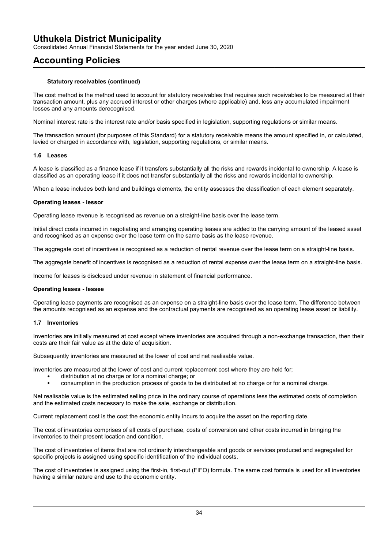Consolidated Annual Financial Statements for the year ended June 30, 2020

### **Accounting Policies**

#### **Statutory receivables (continued)**

The cost method is the method used to account for statutory receivables that requires such receivables to be measured at their transaction amount, plus any accrued interest or other charges (where applicable) and, less any accumulated impairment losses and any amounts derecognised.

Nominal interest rate is the interest rate and/or basis specified in legislation, supporting regulations or similar means.

The transaction amount (for purposes of this Standard) for a statutory receivable means the amount specified in, or calculated, levied or charged in accordance with, legislation, supporting regulations, or similar means.

#### **1.6 Leases**

A lease is classified as a finance lease if it transfers substantially all the risks and rewards incidental to ownership. A lease is classified as an operating lease if it does not transfer substantially all the risks and rewards incidental to ownership.

When a lease includes both land and buildings elements, the entity assesses the classification of each element separately.

#### **Operating leases - lessor**

Operating lease revenue is recognised as revenue on a straight-line basis over the lease term.

Initial direct costs incurred in negotiating and arranging operating leases are added to the carrying amount of the leased asset and recognised as an expense over the lease term on the same basis as the lease revenue.

The aggregate cost of incentives is recognised as a reduction of rental revenue over the lease term on a straight-line basis.

The aggregate benefit of incentives is recognised as a reduction of rental expense over the lease term on a straight-line basis.

Income for leases is disclosed under revenue in statement of financial performance.

#### **Operating leases - lessee**

Operating lease payments are recognised as an expense on a straight-line basis over the lease term. The difference between the amounts recognised as an expense and the contractual payments are recognised as an operating lease asset or liability.

#### **1.7 Inventories**

Inventories are initially measured at cost except where inventories are acquired through a non-exchange transaction, then their costs are their fair value as at the date of acquisition.

Subsequently inventories are measured at the lower of cost and net realisable value.

Inventories are measured at the lower of cost and current replacement cost where they are held for;

- distribution at no charge or for a nominal charge; or
- consumption in the production process of goods to be distributed at no charge or for a nominal charge.

Net realisable value is the estimated selling price in the ordinary course of operations less the estimated costs of completion and the estimated costs necessary to make the sale, exchange or distribution.

Current replacement cost is the cost the economic entity incurs to acquire the asset on the reporting date.

The cost of inventories comprises of all costs of purchase, costs of conversion and other costs incurred in bringing the inventories to their present location and condition.

The cost of inventories of items that are not ordinarily interchangeable and goods or services produced and segregated for specific projects is assigned using specific identification of the individual costs.

The cost of inventories is assigned using the first-in, first-out (FIFO) formula. The same cost formula is used for all inventories having a similar nature and use to the economic entity.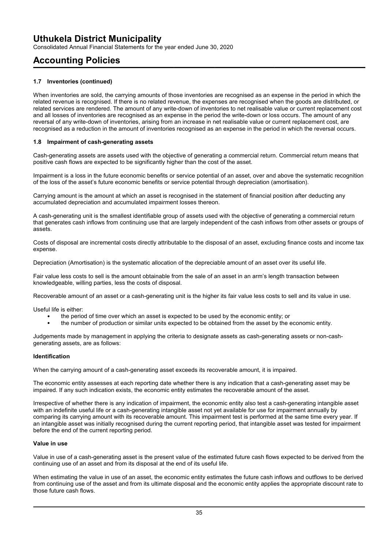Consolidated Annual Financial Statements for the year ended June 30, 2020

### **Accounting Policies**

#### **1.7 Inventories (continued)**

When inventories are sold, the carrying amounts of those inventories are recognised as an expense in the period in which the related revenue is recognised. If there is no related revenue, the expenses are recognised when the goods are distributed, or related services are rendered. The amount of any write-down of inventories to net realisable value or current replacement cost and all losses of inventories are recognised as an expense in the period the write-down or loss occurs. The amount of any reversal of any write-down of inventories, arising from an increase in net realisable value or current replacement cost, are recognised as a reduction in the amount of inventories recognised as an expense in the period in which the reversal occurs.

#### **1.8 Impairment of cash-generating assets**

Cash-generating assets are assets used with the objective of generating a commercial return. Commercial return means that positive cash flows are expected to be significantly higher than the cost of the asset.

Impairment is a loss in the future economic benefits or service potential of an asset, over and above the systematic recognition of the loss of the asset's future economic benefits or service potential through depreciation (amortisation).

Carrying amount is the amount at which an asset is recognised in the statement of financial position after deducting any accumulated depreciation and accumulated impairment losses thereon.

A cash-generating unit is the smallest identifiable group of assets used with the objective of generating a commercial return that generates cash inflows from continuing use that are largely independent of the cash inflows from other assets or groups of assets.

Costs of disposal are incremental costs directly attributable to the disposal of an asset, excluding finance costs and income tax expense.

Depreciation (Amortisation) is the systematic allocation of the depreciable amount of an asset over its useful life.

Fair value less costs to sell is the amount obtainable from the sale of an asset in an arm's length transaction between knowledgeable, willing parties, less the costs of disposal.

Recoverable amount of an asset or a cash-generating unit is the higher its fair value less costs to sell and its value in use.

Useful life is either:

- the period of time over which an asset is expected to be used by the economic entity; or
- the number of production or similar units expected to be obtained from the asset by the economic entity.

Judgements made by management in applying the criteria to designate assets as cash-generating assets or non-cashgenerating assets, are as follows:

#### **Identification**

When the carrying amount of a cash-generating asset exceeds its recoverable amount, it is impaired.

The economic entity assesses at each reporting date whether there is any indication that a cash-generating asset may be impaired. If any such indication exists, the economic entity estimates the recoverable amount of the asset.

Irrespective of whether there is any indication of impairment, the economic entity also test a cash-generating intangible asset with an indefinite useful life or a cash-generating intangible asset not yet available for use for impairment annually by comparing its carrying amount with its recoverable amount. This impairment test is performed at the same time every year. If an intangible asset was initially recognised during the current reporting period, that intangible asset was tested for impairment before the end of the current reporting period.

#### **Value in use**

Value in use of a cash-generating asset is the present value of the estimated future cash flows expected to be derived from the continuing use of an asset and from its disposal at the end of its useful life.

When estimating the value in use of an asset, the economic entity estimates the future cash inflows and outflows to be derived from continuing use of the asset and from its ultimate disposal and the economic entity applies the appropriate discount rate to those future cash flows.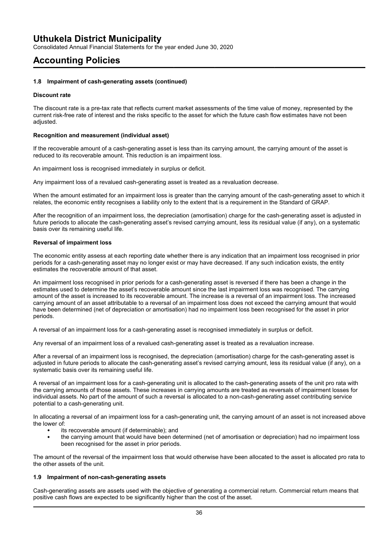Consolidated Annual Financial Statements for the year ended June 30, 2020

## **Accounting Policies**

#### **1.8 Impairment of cash-generating assets (continued)**

#### **Discount rate**

The discount rate is a pre-tax rate that reflects current market assessments of the time value of money, represented by the current risk-free rate of interest and the risks specific to the asset for which the future cash flow estimates have not been adjusted.

#### **Recognition and measurement (individual asset)**

If the recoverable amount of a cash-generating asset is less than its carrying amount, the carrying amount of the asset is reduced to its recoverable amount. This reduction is an impairment loss.

An impairment loss is recognised immediately in surplus or deficit.

Any impairment loss of a revalued cash-generating asset is treated as a revaluation decrease.

When the amount estimated for an impairment loss is greater than the carrying amount of the cash-generating asset to which it relates, the economic entity recognises a liability only to the extent that is a requirement in the Standard of GRAP.

After the recognition of an impairment loss, the depreciation (amortisation) charge for the cash-generating asset is adjusted in future periods to allocate the cash-generating asset's revised carrying amount, less its residual value (if any), on a systematic basis over its remaining useful life.

#### **Reversal of impairment loss**

The economic entity assess at each reporting date whether there is any indication that an impairment loss recognised in prior periods for a cash-generating asset may no longer exist or may have decreased. If any such indication exists, the entity estimates the recoverable amount of that asset.

An impairment loss recognised in prior periods for a cash-generating asset is reversed if there has been a change in the estimates used to determine the asset's recoverable amount since the last impairment loss was recognised. The carrying amount of the asset is increased to its recoverable amount. The increase is a reversal of an impairment loss. The increased carrying amount of an asset attributable to a reversal of an impairment loss does not exceed the carrying amount that would have been determined (net of depreciation or amortisation) had no impairment loss been recognised for the asset in prior periods.

A reversal of an impairment loss for a cash-generating asset is recognised immediately in surplus or deficit.

Any reversal of an impairment loss of a revalued cash-generating asset is treated as a revaluation increase.

After a reversal of an impairment loss is recognised, the depreciation (amortisation) charge for the cash-generating asset is adjusted in future periods to allocate the cash-generating asset's revised carrying amount, less its residual value (if any), on a systematic basis over its remaining useful life.

A reversal of an impairment loss for a cash-generating unit is allocated to the cash-generating assets of the unit pro rata with the carrying amounts of those assets. These increases in carrying amounts are treated as reversals of impairment losses for individual assets. No part of the amount of such a reversal is allocated to a non-cash-generating asset contributing service potential to a cash-generating unit.

In allocating a reversal of an impairment loss for a cash-generating unit, the carrying amount of an asset is not increased above the lower of:

- its recoverable amount (if determinable); and
- the carrying amount that would have been determined (net of amortisation or depreciation) had no impairment loss been recognised for the asset in prior periods.

The amount of the reversal of the impairment loss that would otherwise have been allocated to the asset is allocated pro rata to the other assets of the unit.

#### **1.9 Impairment of non-cash-generating assets**

Cash-generating assets are assets used with the objective of generating a commercial return. Commercial return means that positive cash flows are expected to be significantly higher than the cost of the asset.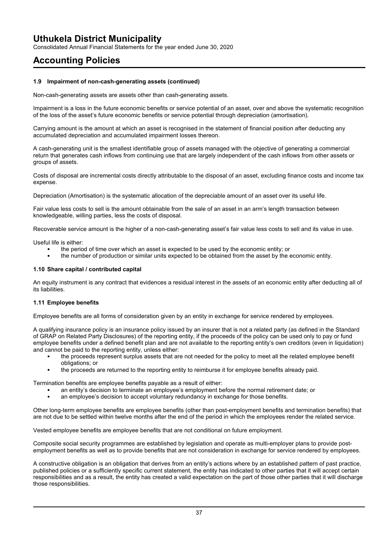Consolidated Annual Financial Statements for the year ended June 30, 2020

# **Accounting Policies**

#### **1.9 Impairment of non-cash-generating assets (continued)**

Non-cash-generating assets are assets other than cash-generating assets.

Impairment is a loss in the future economic benefits or service potential of an asset, over and above the systematic recognition of the loss of the asset's future economic benefits or service potential through depreciation (amortisation).

Carrying amount is the amount at which an asset is recognised in the statement of financial position after deducting any accumulated depreciation and accumulated impairment losses thereon.

A cash-generating unit is the smallest identifiable group of assets managed with the objective of generating a commercial return that generates cash inflows from continuing use that are largely independent of the cash inflows from other assets or groups of assets.

Costs of disposal are incremental costs directly attributable to the disposal of an asset, excluding finance costs and income tax expense.

Depreciation (Amortisation) is the systematic allocation of the depreciable amount of an asset over its useful life.

Fair value less costs to sell is the amount obtainable from the sale of an asset in an arm's length transaction between knowledgeable, willing parties, less the costs of disposal.

Recoverable service amount is the higher of a non-cash-generating asset's fair value less costs to sell and its value in use.

Useful life is either:

- the period of time over which an asset is expected to be used by the economic entity; or
- the number of production or similar units expected to be obtained from the asset by the economic entity.

#### **1.10 Share capital / contributed capital**

An equity instrument is any contract that evidences a residual interest in the assets of an economic entity after deducting all of its liabilities.

#### **1.11 Employee benefits**

Employee benefits are all forms of consideration given by an entity in exchange for service rendered by employees.

A qualifying insurance policy is an insurance policy issued by an insurer that is not a related party (as defined in the Standard of GRAP on Related Party Disclosures) of the reporting entity, if the proceeds of the policy can be used only to pay or fund employee benefits under a defined benefit plan and are not available to the reporting entity's own creditors (even in liquidation) and cannot be paid to the reporting entity, unless either:

- the proceeds represent surplus assets that are not needed for the policy to meet all the related employee benefit obligations; or
- the proceeds are returned to the reporting entity to reimburse it for employee benefits already paid.

Termination benefits are employee benefits payable as a result of either:

- an entity's decision to terminate an employee's employment before the normal retirement date; or
- an employee's decision to accept voluntary redundancy in exchange for those benefits.

Other long-term employee benefits are employee benefits (other than post-employment benefits and termination benefits) that are not due to be settled within twelve months after the end of the period in which the employees render the related service.

Vested employee benefits are employee benefits that are not conditional on future employment.

Composite social security programmes are established by legislation and operate as multi-employer plans to provide postemployment benefits as well as to provide benefits that are not consideration in exchange for service rendered by employees.

A constructive obligation is an obligation that derives from an entity's actions where by an established pattern of past practice, published policies or a sufficiently specific current statement, the entity has indicated to other parties that it will accept certain responsibilities and as a result, the entity has created a valid expectation on the part of those other parties that it will discharge those responsibilities.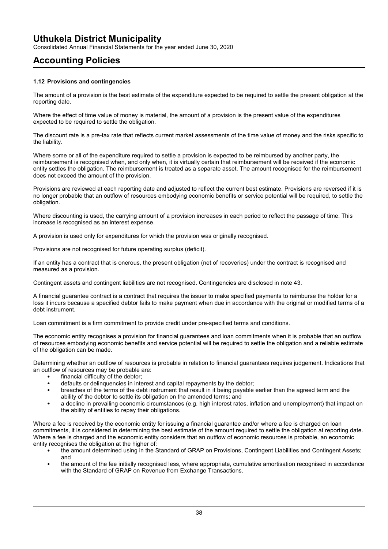Consolidated Annual Financial Statements for the year ended June 30, 2020

# **Accounting Policies**

#### **1.12 Provisions and contingencies**

The amount of a provision is the best estimate of the expenditure expected to be required to settle the present obligation at the reporting date.

Where the effect of time value of money is material, the amount of a provision is the present value of the expenditures expected to be required to settle the obligation.

The discount rate is a pre-tax rate that reflects current market assessments of the time value of money and the risks specific to the liability.

Where some or all of the expenditure required to settle a provision is expected to be reimbursed by another party, the reimbursement is recognised when, and only when, it is virtually certain that reimbursement will be received if the economic entity settles the obligation. The reimbursement is treated as a separate asset. The amount recognised for the reimbursement does not exceed the amount of the provision.

Provisions are reviewed at each reporting date and adjusted to reflect the current best estimate. Provisions are reversed if it is no longer probable that an outflow of resources embodying economic benefits or service potential will be required, to settle the obligation.

Where discounting is used, the carrying amount of a provision increases in each period to reflect the passage of time. This increase is recognised as an interest expense.

A provision is used only for expenditures for which the provision was originally recognised.

Provisions are not recognised for future operating surplus (deficit).

If an entity has a contract that is onerous, the present obligation (net of recoveries) under the contract is recognised and measured as a provision.

Contingent assets and contingent liabilities are not recognised. Contingencies are disclosed in note 43.

A financial guarantee contract is a contract that requires the issuer to make specified payments to reimburse the holder for a loss it incurs because a specified debtor fails to make payment when due in accordance with the original or modified terms of a debt instrument.

Loan commitment is a firm commitment to provide credit under pre-specified terms and conditions.

The economic entity recognises a provision for financial guarantees and loan commitments when it is probable that an outflow of resources embodying economic benefits and service potential will be required to settle the obligation and a reliable estimate of the obligation can be made.

Determining whether an outflow of resources is probable in relation to financial guarantees requires judgement. Indications that an outflow of resources may be probable are:

- financial difficulty of the debtor;
- defaults or delinquencies in interest and capital repayments by the debtor;
- breaches of the terms of the debt instrument that result in it being payable earlier than the agreed term and the ability of the debtor to settle its obligation on the amended terms; and
- a decline in prevailing economic circumstances (e.g. high interest rates, inflation and unemployment) that impact on the ability of entities to repay their obligations.

Where a fee is received by the economic entity for issuing a financial guarantee and/or where a fee is charged on loan commitments, it is considered in determining the best estimate of the amount required to settle the obligation at reporting date. Where a fee is charged and the economic entity considers that an outflow of economic resources is probable, an economic entity recognises the obligation at the higher of:

- the amount determined using in the Standard of GRAP on Provisions, Contingent Liabilities and Contingent Assets; and
- the amount of the fee initially recognised less, where appropriate, cumulative amortisation recognised in accordance with the Standard of GRAP on Revenue from Exchange Transactions.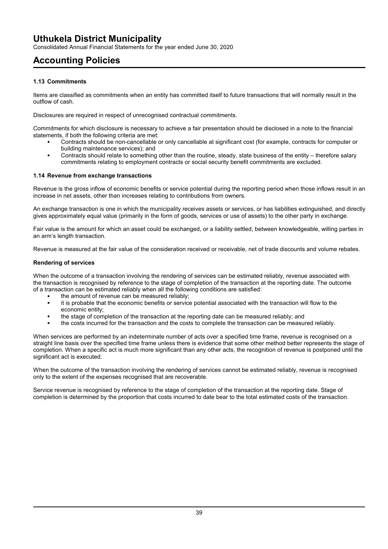Consolidated Annual Financial Statements for the year ended June 30, 2020

# **Accounting Policies**

### **1.13 Commitments**

Items are classified as commitments when an entity has committed itself to future transactions that will normally result in the outflow of cash.

Disclosures are required in respect of unrecognised contractual commitments.

Commitments for which disclosure is necessary to achieve a fair presentation should be disclosed in a note to the financial statements, if both the following criteria are met:

- Contracts should be non-cancellable or only cancellable at significant cost (for example, contracts for computer or building maintenance services); and
- Contracts should relate to something other than the routine, steady, state business of the entity therefore salary commitments relating to employment contracts or social security benefit commitments are excluded.

#### **1.14 Revenue from exchange transactions**

Revenue is the gross inflow of economic benefits or service potential during the reporting period when those inflows result in an increase in net assets, other than increases relating to contributions from owners.

An exchange transaction is one in which the municipality receives assets or services, or has liabilities extinguished, and directly gives approximately equal value (primarily in the form of goods, services or use of assets) to the other party in exchange.

Fair value is the amount for which an asset could be exchanged, or a liability settled, between knowledgeable, willing parties in an arm's length transaction.

Revenue is measured at the fair value of the consideration received or receivable, net of trade discounts and volume rebates.

#### **Rendering of services**

When the outcome of a transaction involving the rendering of services can be estimated reliably, revenue associated with the transaction is recognised by reference to the stage of completion of the transaction at the reporting date. The outcome of a transaction can be estimated reliably when all the following conditions are satisfied:

- the amount of revenue can be measured reliably;
- it is probable that the economic benefits or service potential associated with the transaction will flow to the economic entity;
- the stage of completion of the transaction at the reporting date can be measured reliably; and
- the costs incurred for the transaction and the costs to complete the transaction can be measured reliably.

When services are performed by an indeterminate number of acts over a specified time frame, revenue is recognised on a straight line basis over the specified time frame unless there is evidence that some other method better represents the stage of completion. When a specific act is much more significant than any other acts, the recognition of revenue is postponed until the significant act is executed.

When the outcome of the transaction involving the rendering of services cannot be estimated reliably, revenue is recognised only to the extent of the expenses recognised that are recoverable.

Service revenue is recognised by reference to the stage of completion of the transaction at the reporting date. Stage of completion is determined by the proportion that costs incurred to date bear to the total estimated costs of the transaction.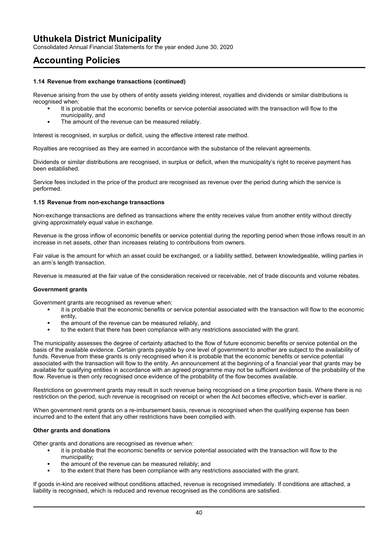Consolidated Annual Financial Statements for the year ended June 30, 2020

## **Accounting Policies**

#### **1.14 Revenue from exchange transactions (continued)**

Revenue arising from the use by others of entity assets yielding interest, royalties and dividends or similar distributions is recognised when:

- It is probable that the economic benefits or service potential associated with the transaction will flow to the municipality, and
- The amount of the revenue can be measured reliably.

Interest is recognised, in surplus or deficit, using the effective interest rate method.

Royalties are recognised as they are earned in accordance with the substance of the relevant agreements.

Dividends or similar distributions are recognised, in surplus or deficit, when the municipality's right to receive payment has been established.

Service fees included in the price of the product are recognised as revenue over the period during which the service is performed.

#### **1.15 Revenue from non-exchange transactions**

Non-exchange transactions are defined as transactions where the entity receives value from another entity without directly giving approximately equal value in exchange.

Revenue is the gross inflow of economic benefits or service potential during the reporting period when those inflows result in an increase in net assets, other than increases relating to contributions from owners.

Fair value is the amount for which an asset could be exchanged, or a liability settled, between knowledgeable, willing parties in an arm's length transaction.

Revenue is measured at the fair value of the consideration received or receivable, net of trade discounts and volume rebates.

#### **Government grants**

Government grants are recognised as revenue when:

- it is probable that the economic benefits or service potential associated with the transaction will flow to the economic entity,
- the amount of the revenue can be measured reliably, and
- to the extent that there has been compliance with any restrictions associated with the grant.

The municipality assesses the degree of certainty attached to the flow of future economic benefits or service potential on the basis of the available evidence. Certain grants payable by one level of government to another are subject to the availability of funds. Revenue from these grants is only recognised when it is probable that the economic benefits or service potential associated with the transaction will flow to the entity. An announcement at the beginning of a financial year that grants may be available for qualifying entities in accordance with an agreed programme may not be sufficient evidence of the probability of the flow. Revenue is then only recognised once evidence of the probability of the flow becomes available.

Restrictions on government grants may result in such revenue being recognised on a time proportion basis. Where there is no restriction on the period, such revenue is recognised on receipt or when the Act becomes effective, which-ever is earlier.

When government remit grants on a re-imbursement basis, revenue is recognised when the qualifying expense has been incurred and to the extent that any other restrictions have been complied with.

#### **Other grants and donations**

Other grants and donations are recognised as revenue when:

- it is probable that the economic benefits or service potential associated with the transaction will flow to the municipality;
- the amount of the revenue can be measured reliably; and
- to the extent that there has been compliance with any restrictions associated with the grant.

If goods in-kind are received without conditions attached, revenue is recognised immediately. If conditions are attached, a liability is recognised, which is reduced and revenue recognised as the conditions are satisfied.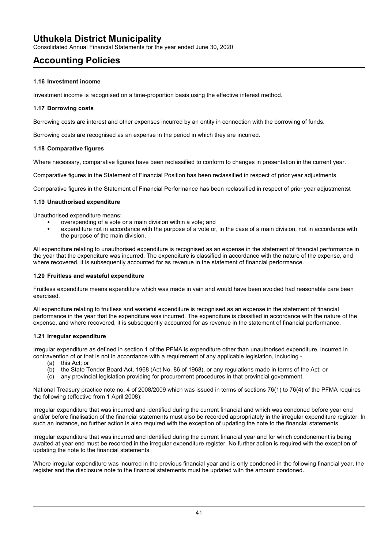Consolidated Annual Financial Statements for the year ended June 30, 2020

# **Accounting Policies**

### **1.16 Investment income**

Investment income is recognised on a time-proportion basis using the effective interest method.

### **1.17 Borrowing costs**

Borrowing costs are interest and other expenses incurred by an entity in connection with the borrowing of funds.

Borrowing costs are recognised as an expense in the period in which they are incurred.

#### **1.18 Comparative figures**

Where necessary, comparative figures have been reclassified to conform to changes in presentation in the current year.

Comparative figures in the Statement of Financial Position has been reclassified in respect of prior year adjustments

Comparative figures in the Statement of Financial Performance has been reclassified in respect of prior year adjustmentst

#### **1.19 Unauthorised expenditure**

Unauthorised expenditure means:

- overspending of a vote or a main division within a vote; and
- expenditure not in accordance with the purpose of a vote or, in the case of a main division, not in accordance with the purpose of the main division.

All expenditure relating to unauthorised expenditure is recognised as an expense in the statement of financial performance in the year that the expenditure was incurred. The expenditure is classified in accordance with the nature of the expense, and where recovered, it is subsequently accounted for as revenue in the statement of financial performance.

#### **1.20 Fruitless and wasteful expenditure**

Fruitless expenditure means expenditure which was made in vain and would have been avoided had reasonable care been exercised.

All expenditure relating to fruitless and wasteful expenditure is recognised as an expense in the statement of financial performance in the year that the expenditure was incurred. The expenditure is classified in accordance with the nature of the expense, and where recovered, it is subsequently accounted for as revenue in the statement of financial performance.

#### **1.21 Irregular expenditure**

Irregular expenditure as defined in section 1 of the PFMA is expenditure other than unauthorised expenditure, incurred in contravention of or that is not in accordance with a requirement of any applicable legislation, including -

- (a) this Act; or
- (b) the State Tender Board Act, 1968 (Act No. 86 of 1968), or any regulations made in terms of the Act; or
- (c) any provincial legislation providing for procurement procedures in that provincial government.

National Treasury practice note no. 4 of 2008/2009 which was issued in terms of sections 76(1) to 76(4) of the PFMA requires the following (effective from 1 April 2008):

Irregular expenditure that was incurred and identified during the current financial and which was condoned before year end and/or before finalisation of the financial statements must also be recorded appropriately in the irregular expenditure register. In such an instance, no further action is also required with the exception of updating the note to the financial statements.

Irregular expenditure that was incurred and identified during the current financial year and for which condonement is being awaited at year end must be recorded in the irregular expenditure register. No further action is required with the exception of updating the note to the financial statements.

Where irregular expenditure was incurred in the previous financial year and is only condoned in the following financial year, the register and the disclosure note to the financial statements must be updated with the amount condoned.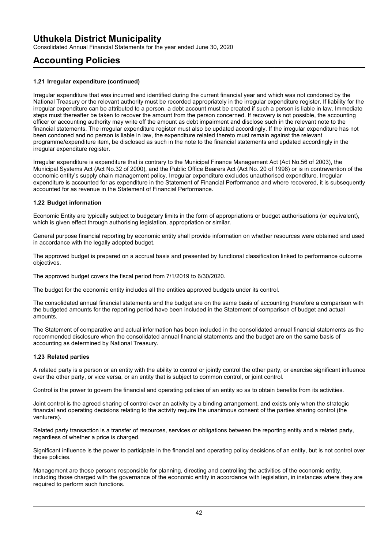Consolidated Annual Financial Statements for the year ended June 30, 2020

## **Accounting Policies**

### **1.21 Irregular expenditure (continued)**

Irregular expenditure that was incurred and identified during the current financial year and which was not condoned by the National Treasury or the relevant authority must be recorded appropriately in the irregular expenditure register. If liability for the irregular expenditure can be attributed to a person, a debt account must be created if such a person is liable in law. Immediate steps must thereafter be taken to recover the amount from the person concerned. If recovery is not possible, the accounting officer or accounting authority may write off the amount as debt impairment and disclose such in the relevant note to the financial statements. The irregular expenditure register must also be updated accordingly. If the irregular expenditure has not been condoned and no person is liable in law, the expenditure related thereto must remain against the relevant programme/expenditure item, be disclosed as such in the note to the financial statements and updated accordingly in the irregular expenditure register.

Irregular expenditure is expenditure that is contrary to the Municipal Finance Management Act (Act No.56 of 2003), the Municipal Systems Act (Act No.32 of 2000), and the Public Office Bearers Act (Act No. 20 of 1998) or is in contravention of the economic entity's supply chain management policy. Irregular expenditure excludes unauthorised expenditure. Irregular expenditure is accounted for as expenditure in the Statement of Financial Performance and where recovered, it is subsequently accounted for as revenue in the Statement of Financial Performance.

#### **1.22 Budget information**

Economic Entity are typically subject to budgetary limits in the form of appropriations or budget authorisations (or equivalent), which is given effect through authorising legislation, appropriation or similar.

General purpose financial reporting by economic entity shall provide information on whether resources were obtained and used in accordance with the legally adopted budget.

The approved budget is prepared on a accrual basis and presented by functional classification linked to performance outcome objectives.

The approved budget covers the fiscal period from 7/1/2019 to 6/30/2020.

The budget for the economic entity includes all the entities approved budgets under its control.

The consolidated annual financial statements and the budget are on the same basis of accounting therefore a comparison with the budgeted amounts for the reporting period have been included in the Statement of comparison of budget and actual amounts.

The Statement of comparative and actual information has been included in the consolidated annual financial statements as the recommended disclosure when the consolidated annual financial statements and the budget are on the same basis of accounting as determined by National Treasury.

#### **1.23 Related parties**

A related party is a person or an entity with the ability to control or jointly control the other party, or exercise significant influence over the other party, or vice versa, or an entity that is subject to common control, or joint control.

Control is the power to govern the financial and operating policies of an entity so as to obtain benefits from its activities.

Joint control is the agreed sharing of control over an activity by a binding arrangement, and exists only when the strategic financial and operating decisions relating to the activity require the unanimous consent of the parties sharing control (the venturers).

Related party transaction is a transfer of resources, services or obligations between the reporting entity and a related party, regardless of whether a price is charged.

Significant influence is the power to participate in the financial and operating policy decisions of an entity, but is not control over those policies.

Management are those persons responsible for planning, directing and controlling the activities of the economic entity, including those charged with the governance of the economic entity in accordance with legislation, in instances where they are required to perform such functions.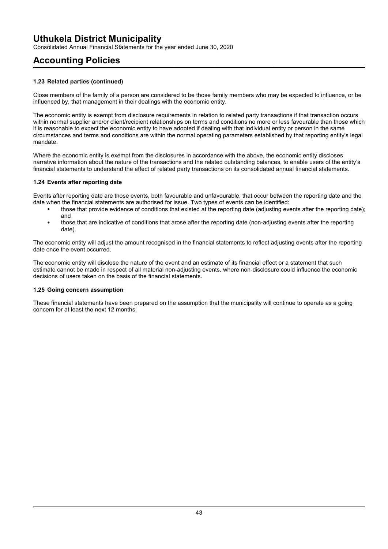Consolidated Annual Financial Statements for the year ended June 30, 2020

# **Accounting Policies**

### **1.23 Related parties (continued)**

Close members of the family of a person are considered to be those family members who may be expected to influence, or be influenced by, that management in their dealings with the economic entity.

The economic entity is exempt from disclosure requirements in relation to related party transactions if that transaction occurs within normal supplier and/or client/recipient relationships on terms and conditions no more or less favourable than those which it is reasonable to expect the economic entity to have adopted if dealing with that individual entity or person in the same circumstances and terms and conditions are within the normal operating parameters established by that reporting entity's legal mandate.

Where the economic entity is exempt from the disclosures in accordance with the above, the economic entity discloses narrative information about the nature of the transactions and the related outstanding balances, to enable users of the entity's financial statements to understand the effect of related party transactions on its consolidated annual financial statements.

#### **1.24 Events after reporting date**

Events after reporting date are those events, both favourable and unfavourable, that occur between the reporting date and the date when the financial statements are authorised for issue. Two types of events can be identified:

- those that provide evidence of conditions that existed at the reporting date (adjusting events after the reporting date); and
- those that are indicative of conditions that arose after the reporting date (non-adjusting events after the reporting date).

The economic entity will adjust the amount recognised in the financial statements to reflect adjusting events after the reporting date once the event occurred.

The economic entity will disclose the nature of the event and an estimate of its financial effect or a statement that such estimate cannot be made in respect of all material non-adjusting events, where non-disclosure could influence the economic decisions of users taken on the basis of the financial statements.

### **1.25 Going concern assumption**

These financial statements have been prepared on the assumption that the municipality will continue to operate as a going concern for at least the next 12 months.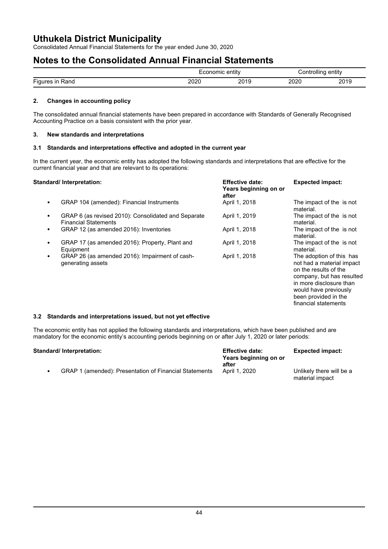Consolidated Annual Financial Statements for the year ended June 30, 2020

## **Notes to the Consolidated Annual Financial Statements**

|                                     |      | entity<br>mır. | <br>. .<br>entity<br>.ollina |      |  |
|-------------------------------------|------|----------------|------------------------------|------|--|
| $- \cdot$<br>≺and<br><b>Figures</b> | 2020 | nnar           | 2020<br>___                  | 2019 |  |

### **2. Changes in accounting policy**

The consolidated annual financial statements have been prepared in accordance with Standards of Generally Recognised Accounting Practice on a basis consistent with the prior year.

### **3. New standards and interpretations**

#### **3.1 Standards and interpretations effective and adopted in the current year**

In the current year, the economic entity has adopted the following standards and interpretations that are effective for the current financial year and that are relevant to its operations:

| Standard/Interpretation: |  |
|--------------------------|--|
|--------------------------|--|

|   | andard/ Interpretation:                                                            | <b>Effective date:</b><br>Years beginning on or<br>after | <b>Expected impact:</b>                                                                                                                                                                                         |
|---|------------------------------------------------------------------------------------|----------------------------------------------------------|-----------------------------------------------------------------------------------------------------------------------------------------------------------------------------------------------------------------|
| ٠ | GRAP 104 (amended): Financial Instruments                                          | April 1, 2018                                            | The impact of the is not<br>material.                                                                                                                                                                           |
| ٠ | GRAP 6 (as revised 2010): Consolidated and Separate<br><b>Financial Statements</b> | April 1, 2019                                            | The impact of the is not<br>material.                                                                                                                                                                           |
| ٠ | GRAP 12 (as amended 2016): Inventories                                             | April 1, 2018                                            | The impact of the is not<br>material.                                                                                                                                                                           |
| ٠ | GRAP 17 (as amended 2016): Property, Plant and<br>Equipment                        | April 1, 2018                                            | The impact of the is not<br>material.                                                                                                                                                                           |
| ٠ | GRAP 26 (as amended 2016): Impairment of cash-<br>generating assets                | April 1, 2018                                            | The adoption of this has<br>not had a material impact<br>on the results of the<br>company, but has resulted<br>in more disclosure than<br>would have previously<br>been provided in the<br>financial statements |

#### **3.2 Standards and interpretations issued, but not yet effective**

The economic entity has not applied the following standards and interpretations, which have been published and are mandatory for the economic entity's accounting periods beginning on or after July 1, 2020 or later periods:

| <b>Standard/Interpretation:</b>                        | <b>Effective date:</b><br>Years beginning on or<br>after | <b>Expected impact:</b>                     |
|--------------------------------------------------------|----------------------------------------------------------|---------------------------------------------|
| GRAP 1 (amended): Presentation of Financial Statements | April 1, 2020                                            | Unlikely there will be a<br>material impact |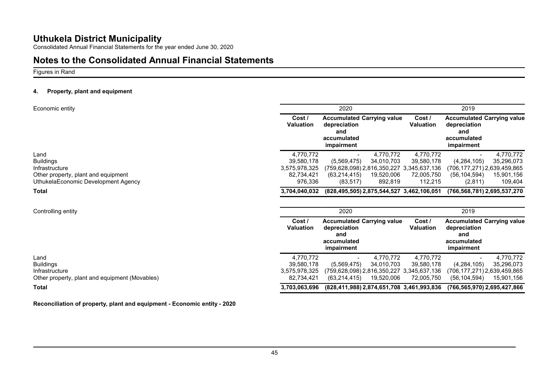Consolidated Annual Financial Statements for the year ended June 30, 2020

## **Notes to the Consolidated Annual Financial Statements**

Figures in Rand

### **4. Property, plant and equipment**

| Economic entity                                                                                                          | 2020                                                              |                                                                                                                                                 |                                                  | 2019                                                                                                                                |  |  |
|--------------------------------------------------------------------------------------------------------------------------|-------------------------------------------------------------------|-------------------------------------------------------------------------------------------------------------------------------------------------|--------------------------------------------------|-------------------------------------------------------------------------------------------------------------------------------------|--|--|
|                                                                                                                          | Cost /<br><b>Valuation</b>                                        | <b>Accumulated Carrying value</b><br>depreciation<br>and<br>accumulated<br>impairment                                                           | Cost /<br>Valuation                              | <b>Accumulated Carrying value</b><br>depreciation<br>and<br>accumulated<br>impairment                                               |  |  |
| Land<br><b>Buildings</b><br>Infrastructure<br>Other property, plant and equipment<br>UthukelaEconomic Development Agency | 4,770,772<br>39,580,178<br>3,575,978,325<br>82,734,421<br>976,336 | 4,770,772<br>(5,569,475)<br>34,010,703<br>(759,628,098) 2,816,350,227 3,345,637,136<br>(63, 214, 415)<br>19,520,006<br>892,819<br>(83, 517)     | 4,770,772<br>39,580,178<br>72,005,750<br>112,215 | 4,770,772<br>(4, 284, 105)<br>35,296,073<br>(706, 177, 271) 2, 639, 459, 865<br>(56, 104, 594)<br>15,901,156<br>109,404<br>(2, 811) |  |  |
| <b>Total</b>                                                                                                             | 3,704,040,032                                                     | (828,495,505) 2,875,544,527 3,462,106,051                                                                                                       |                                                  | (766,568,781) 2,695,537,270                                                                                                         |  |  |
| Controlling entity                                                                                                       |                                                                   | 2020                                                                                                                                            |                                                  | 2019                                                                                                                                |  |  |
|                                                                                                                          | Cost /<br><b>Valuation</b>                                        | <b>Accumulated Carrying value</b><br>depreciation<br>and<br>accumulated<br>impairment                                                           | Cost /<br><b>Valuation</b>                       | <b>Accumulated Carrying value</b><br>depreciation<br>and<br>accumulated<br>impairment                                               |  |  |
| Land<br><b>Buildings</b><br>Infrastructure<br>Other property, plant and equipment (Movables)                             | 4.770.772<br>39,580,178<br>3,575,978,325<br>82,734,421            | 4,770,772<br>$\overline{\phantom{a}}$<br>(5,569,475)<br>34,010,703<br>(759,628,098) 2,816,350,227 3,345,637,136<br>(63, 214, 415)<br>19,520,006 | 4,770,772<br>39,580,178<br>72,005,750            | 4,770,772<br>(4, 284, 105)<br>35,296,073<br>(706,177,271) 2,639,459,865<br>(56, 104, 594)<br>15,901,156                             |  |  |
| <b>Total</b>                                                                                                             | 3,703,063,696                                                     | (828,411,988) 2,874,651,708 3,461,993,836                                                                                                       |                                                  | (766,565,970) 2,695,427,866                                                                                                         |  |  |

**Reconciliation of property, plant and equipment - Economic entity - 2020**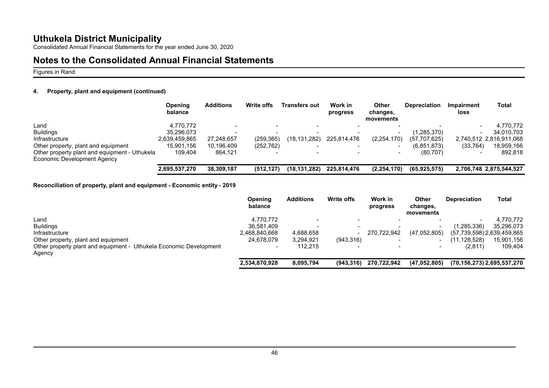Consolidated Annual Financial Statements for the year ended June 30, 2020

### **Notes to the Consolidated Annual Financial Statements**

Figures in Rand

### **4. Property, plant and equipment (continued)**

|                                               | Opening<br>balance | <b>Additions</b> | <b>Write offs</b> | Transfers out  | Work in<br>progress | <b>Other</b><br>changes,<br>movements | <b>Depreciation</b> | Impairment<br>loss | Total                   |
|-----------------------------------------------|--------------------|------------------|-------------------|----------------|---------------------|---------------------------------------|---------------------|--------------------|-------------------------|
| Land                                          | 4.770.772          |                  |                   |                |                     |                                       |                     |                    | 4.770.772               |
| <b>Buildings</b>                              | 35,296,073         |                  |                   |                |                     |                                       | (1,285,370)         |                    | 34,010,703              |
| Infrastructure                                | 2.639.459.865      | 27.248.657       | (259, 365)        | (18, 131, 282) | 225.814.476         | (2,254,170)                           | (57, 707, 625)      |                    | 2,740,512 2,816,911,068 |
| Other property, plant and equipment           | 15,901,156         | 10,196,409       | (252, 762)        |                | -                   |                                       | (6,851,873)         | (33, 764)          | 18,959,166              |
| Other property plant and equipment - Uthukela | 109,404            | 864,121          |                   |                |                     |                                       | (80, 707)           |                    | 892,818                 |
| <b>Economic Development Agency</b>            |                    |                  |                   |                |                     |                                       |                     |                    |                         |
|                                               | 2,695,537,270      | 38,309,187       | (512, 127)        | (18, 131, 282) | 225.814.476         | (2, 254, 170)                         | (65, 925, 575)      |                    | 2,706,748 2,875,544,527 |

**Reconciliation of property, plant and equipment - Economic entity - 2019**

|                                                                              | Opening<br>balance | <b>Additions</b> | <b>Write offs</b> | Work in<br>progress | Other<br>changes,<br>movements | <b>Depreciation</b>        | Total      |
|------------------------------------------------------------------------------|--------------------|------------------|-------------------|---------------------|--------------------------------|----------------------------|------------|
| Land                                                                         | 4.770.772          | $\blacksquare$   |                   |                     |                                | $\qquad \qquad$            | 4.770.772  |
| <b>Buildings</b>                                                             | 36.581.409         |                  |                   |                     |                                | (1.285.336)                | 35.296.073 |
| Infrastructure                                                               | 2.468.840.668      | 4.688.658        |                   | 270.722.942         | (47,052,805)                   | (57,739,598) 2,639,459,865 |            |
| Other property, plant and equipment                                          | 24.678.079         | 3.294.921        | (943, 316)        |                     |                                | (11, 128, 528)             | 15,901,156 |
| Other property plant and equipment - Uthukela Economic Development<br>Agency |                    | 112.215          | -                 |                     |                                | (2,811)                    | 109,404    |
|                                                                              | 2,534,870,928      | 8.095.794        | (943, 316)        | 270.722.942         | (47,052,805)                   | (70,156,273) 2,695,537,270 |            |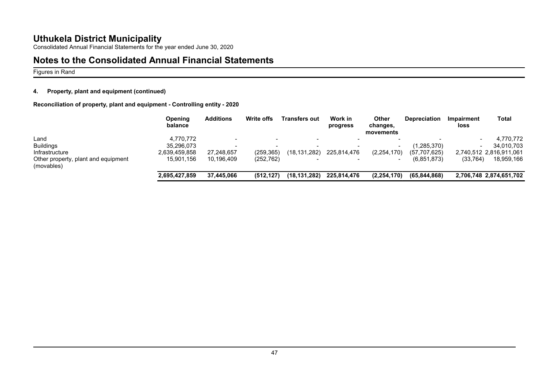Consolidated Annual Financial Statements for the year ended June 30, 2020

### **Notes to the Consolidated Annual Financial Statements**

Figures in Rand

### **4. Property, plant and equipment (continued)**

**Reconciliation of property, plant and equipment - Controlling entity - 2020**

|                                                   | Opening<br>balance | <b>Additions</b> | <b>Write offs</b> | Transfers out  | Work in<br>progress | Other<br>changes,<br>movements | <b>Depreciation</b> | Impairment<br>loss | Total                   |
|---------------------------------------------------|--------------------|------------------|-------------------|----------------|---------------------|--------------------------------|---------------------|--------------------|-------------------------|
| Land                                              | 4.770.772          |                  |                   |                |                     |                                |                     |                    | 4.770.772               |
| <b>Buildings</b>                                  | 35.296.073         |                  |                   |                |                     |                                | (1,285,370)         |                    | 34.010.703              |
| Infrastructure                                    | 2,639,459,858      | 27.248.657       | (259, 365)        | (18, 131, 282) | 225,814,476         | (2,254,170)                    | (57, 707, 625)      |                    | 2,740,512 2,816,911,061 |
| Other property, plant and equipment<br>(movables) | 15,901,156         | 10,196,409       | (252, 762)        | $\sim$         |                     |                                | (6,851,873)         | (33, 764)          | 18,959,166              |
|                                                   | 2,695,427,859      | 37.445.066       | (512, 127)        | (18, 131, 282) | 225,814,476         | (2, 254, 170)                  | (65, 844, 868)      |                    | 2,706,748 2,874,651,702 |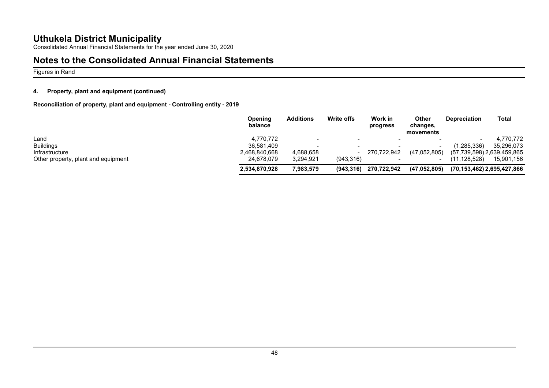Consolidated Annual Financial Statements for the year ended June 30, 2020

## **Notes to the Consolidated Annual Financial Statements**

Figures in Rand

### **4. Property, plant and equipment (continued)**

**Reconciliation of property, plant and equipment - Controlling entity - 2019**

|                                     | Opening<br>balance | <b>Additions</b>         | <b>Write offs</b>        | Work in<br>progress | Other<br>changes,<br>movements | <b>Depreciation</b>        | <b>Total</b> |
|-------------------------------------|--------------------|--------------------------|--------------------------|---------------------|--------------------------------|----------------------------|--------------|
| ∟and                                | 4.770.772          | -                        | $\overline{\phantom{a}}$ |                     |                                | $\sim$                     | 4.770.772    |
| <b>Buildings</b>                    | 36,581,409         | $\overline{\phantom{0}}$ | $\overline{\phantom{a}}$ |                     |                                | (1, 285, 336)              | 35,296,073   |
| Infrastructure                      | 2,468,840,668      | 4.688.658                |                          | 270,722,942         | (47,052,805)                   | (57,739,598) 2,639,459,865 |              |
| Other property, plant and equipment | 24.678.079         | 3,294,921                | (943, 316)               |                     |                                | (11, 128, 528)             | 15,901,156   |
|                                     | 2,534,870,928      | 7,983,579                | (943, 316)               | 270.722.942         | (47,052,805)                   | (70,153,462) 2,695,427,866 |              |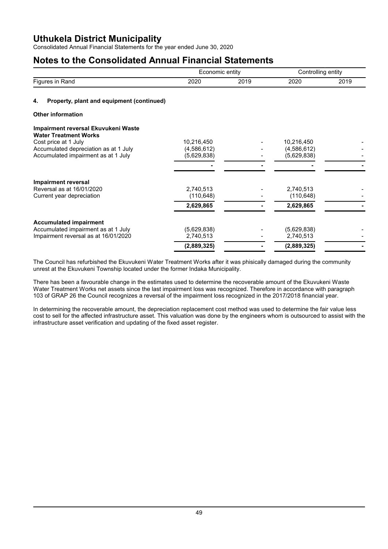Consolidated Annual Financial Statements for the year ended June 30, 2020

## **Notes to the Consolidated Annual Financial Statements**

|                                                                     | Economic entity |      | Controlling entity |      |
|---------------------------------------------------------------------|-----------------|------|--------------------|------|
| Figures in Rand                                                     | 2020            | 2019 | 2020               | 2019 |
| Property, plant and equipment (continued)<br>4.                     |                 |      |                    |      |
| <b>Other information</b>                                            |                 |      |                    |      |
| Impairment reversal Ekuvukeni Waste<br><b>Water Treatment Works</b> |                 |      |                    |      |
| Cost price at 1 July                                                | 10,216,450      |      | 10,216,450         |      |
| Accumulated depreciation as at 1 July                               | (4, 586, 612)   |      | (4,586,612)        |      |
| Accumulated impairment as at 1 July                                 | (5,629,838)     |      | (5,629,838)        |      |
|                                                                     |                 |      |                    |      |
| <b>Impairment reversal</b>                                          |                 |      |                    |      |
| Reversal as at 16/01/2020                                           | 2,740,513       |      | 2,740,513          |      |
| Current year depreciation                                           | (110, 648)      |      | (110, 648)         |      |
|                                                                     | 2,629,865       |      | 2,629,865          |      |
| <b>Accumulated impairment</b>                                       |                 |      |                    |      |
| Accumulated impairment as at 1 July                                 | (5,629,838)     |      | (5,629,838)        |      |
| Impairment reversal as at 16/01/2020                                | 2,740,513       |      | 2,740,513          |      |
|                                                                     | (2,889,325)     |      | (2,889,325)        |      |

The Council has refurbished the Ekuvukeni Water Treatment Works after it was phisically damaged during the community unrest at the Ekuvukeni Township located under the former Indaka Municipality.

There has been a favourable change in the estimates used to determine the recoverable amount of the Ekuvukeni Waste Water Treatment Works net assets since the last impairment loss was recognized. Therefore in accordance with paragraph 103 of GRAP 26 the Council recognizes a reversal of the impairment loss recognized in the 2017/2018 financial year.

In determining the recoverable amount, the depreciation replacement cost method was used to determine the fair value less cost to sell for the affected infrastructure asset. This valuation was done by the engineers whom is outsourced to assist with the infrastructure asset verification and updating of the fixed asset register.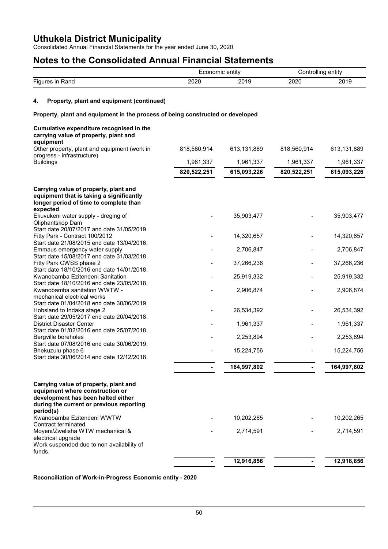Consolidated Annual Financial Statements for the year ended June 30, 2020

## **Notes to the Consolidated Annual Financial Statements**

|                                                                                                                                                                                                       | Economic entity |             | Controlling entity |             |  |
|-------------------------------------------------------------------------------------------------------------------------------------------------------------------------------------------------------|-----------------|-------------|--------------------|-------------|--|
| Figures in Rand                                                                                                                                                                                       | 2020            | 2019        | 2020               | 2019        |  |
|                                                                                                                                                                                                       |                 |             |                    |             |  |
| Property, plant and equipment (continued)<br>4.                                                                                                                                                       |                 |             |                    |             |  |
| Property, plant and equipment in the process of being constructed or developed                                                                                                                        |                 |             |                    |             |  |
| Cumulative expenditure recognised in the<br>carrying value of property, plant and                                                                                                                     |                 |             |                    |             |  |
| equipment<br>Other property, plant and equipment (work in<br>progress - infrastructure)                                                                                                               | 818,560,914     | 613,131,889 | 818,560,914        | 613,131,889 |  |
| <b>Buildings</b>                                                                                                                                                                                      | 1,961,337       | 1,961,337   | 1,961,337          | 1,961,337   |  |
|                                                                                                                                                                                                       | 820,522,251     | 615,093,226 | 820,522,251        | 615,093,226 |  |
| Carrying value of property, plant and<br>equipment that is taking a significantly<br>longer period of time to complete than<br>expected                                                               |                 |             |                    |             |  |
| Ekuvukeni water supply - dreging of<br>Oliphantskop Dam                                                                                                                                               |                 | 35,903,477  |                    | 35,903,477  |  |
| Start date 20/07/2017 and date 31/05/2019.<br>Fitty Park - Contract 100/2012<br>Start date 21/08/2015 end date 13/04/2016.                                                                            |                 | 14,320,657  |                    | 14,320,657  |  |
| Emmaus emergency water supply                                                                                                                                                                         |                 | 2,706,847   |                    | 2,706,847   |  |
| Start date 15/08/2017 end date 31/03/2018.<br>Fitty Park CWSS phase 2                                                                                                                                 |                 | 37,266,236  |                    | 37,266,236  |  |
| Start date 18/10/2016 end date 14/01/2018.<br>Kwanobamba Ezitendeni Sanitation<br>Start date 18/10/2016 end date 23/05/2018.                                                                          |                 | 25,919,332  |                    | 25,919,332  |  |
| Kwanobamba sanitation WWTW -<br>mechanical electrical works                                                                                                                                           |                 | 2,906,874   |                    | 2,906,874   |  |
| Start date 01/04/2018 end date 30/06/2019.<br>Hobsland to Indaka stage 2<br>Start date 29/05/2017 end date 20/04/2018.                                                                                |                 | 26,534,392  |                    | 26,534,392  |  |
| <b>District Disaster Center</b>                                                                                                                                                                       |                 | 1,961,337   |                    | 1,961,337   |  |
| Start date 01/02/2016 end date 25/07/2018.<br>Bergville boreholes<br>Start date 07/08/2016 end date 30/06/2019.                                                                                       |                 | 2,253,894   |                    | 2,253,894   |  |
| Bhekuzulu phase 6<br>Start date 30/06/2014 end date 12/12/2018                                                                                                                                        |                 | 15,224,756  |                    | 15,224,756  |  |
|                                                                                                                                                                                                       |                 | 164,997,802 |                    | 164,997,802 |  |
| Carrying value of property, plant and<br>equipment where construction or<br>development has been halted either<br>during the current or previous reporting<br>period(s)<br>Kwanobamba Ezitendeni WWTW |                 | 10,202,265  |                    | 10,202,265  |  |
| Contract terminated.                                                                                                                                                                                  |                 |             |                    |             |  |
| Moyeni/Zwelisha WTW mechanical &<br>electrical upgrade<br>Work suspended due to non availability of<br>funds.                                                                                         |                 | 2,714,591   |                    | 2,714,591   |  |
|                                                                                                                                                                                                       |                 | 12,916,856  |                    | 12,916,856  |  |

**Reconciliation of Work-in-Progress Economic entity - 2020**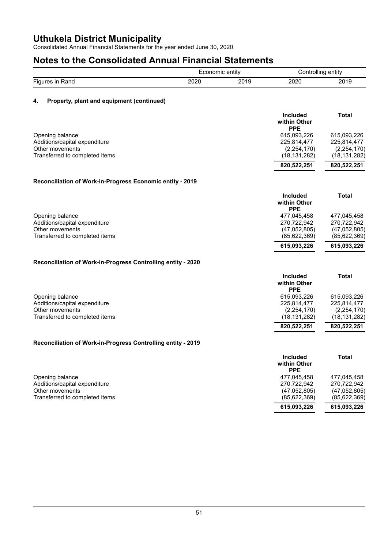Consolidated Annual Financial Statements for the year ended June 30, 2020

# **Notes to the Consolidated Annual Financial Statements**

|                                                              |      | Economic entity | Controlling entity                            |                              |
|--------------------------------------------------------------|------|-----------------|-----------------------------------------------|------------------------------|
| Figures in Rand                                              | 2020 | 2019            | 2020                                          | 2019                         |
|                                                              |      |                 |                                               |                              |
| Property, plant and equipment (continued)<br>4.              |      |                 |                                               |                              |
|                                                              |      |                 | <b>Included</b><br>within Other<br><b>PPE</b> | <b>Total</b>                 |
| Opening balance                                              |      |                 | 615,093,226                                   | 615,093,226                  |
| Additions/capital expenditure<br>Other movements             |      |                 | 225,814,477<br>(2, 254, 170)                  | 225,814,477<br>(2, 254, 170) |
| Transferred to completed items                               |      |                 | (18, 131, 282)                                | (18, 131, 282)               |
|                                                              |      |                 | 820,522,251                                   | 820,522,251                  |
| Reconciliation of Work-in-Progress Economic entity - 2019    |      |                 |                                               |                              |
|                                                              |      |                 | <b>Included</b><br>within Other<br><b>PPE</b> | <b>Total</b>                 |
| Opening balance                                              |      |                 | 477,045,458                                   | 477,045,458                  |
| Additions/capital expenditure<br>Other movements             |      |                 | 270,722,942<br>(47,052,805)                   | 270,722,942<br>(47,052,805)  |
| Transferred to completed items                               |      |                 | (85, 622, 369)                                | (85, 622, 369)               |
|                                                              |      |                 | 615,093,226                                   | 615,093,226                  |
| Reconciliation of Work-in-Progress Controlling entity - 2020 |      |                 |                                               |                              |
|                                                              |      |                 | <b>Included</b><br>within Other<br><b>PPE</b> | Total                        |
| Opening balance                                              |      |                 | 615,093,226                                   | 615,093,226                  |
| Additions/capital expenditure<br>Other movements             |      |                 | 225,814,477<br>(2, 254, 170)                  | 225,814,477<br>(2,254,170)   |
| Transferred to completed items                               |      |                 | (18, 131, 282)                                | (18, 131, 282)               |
|                                                              |      |                 | 820,522,251                                   | 820,522,251                  |
| Reconciliation of Work-in-Progress Controlling entity - 2019 |      |                 |                                               |                              |
|                                                              |      |                 | <b>Included</b><br>within Other<br><b>PPE</b> | Total                        |
| Opening balance                                              |      |                 | 477,045,458                                   | 477,045,458                  |
| Additions/capital expenditure<br>Other movements             |      |                 | 270,722,942<br>(47,052,805)                   | 270,722,942<br>(47,052,805)  |
| Transferred to completed items                               |      |                 | (85, 622, 369)                                | (85, 622, 369)               |
|                                                              |      |                 | 615,093,226                                   | 615,093,226                  |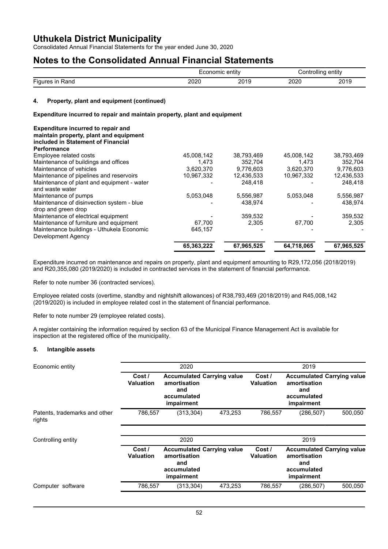Consolidated Annual Financial Statements for the year ended June 30, 2020

### **Notes to the Consolidated Annual Financial Statements**

|                                                                                                                                          |            | Economic entity |            | Controlling entity |
|------------------------------------------------------------------------------------------------------------------------------------------|------------|-----------------|------------|--------------------|
| Figures in Rand                                                                                                                          | 2020       | 2019            | 2020       | 2019               |
| Property, plant and equipment (continued)<br>4.                                                                                          |            |                 |            |                    |
| Expenditure incurred to repair and maintain property, plant and equipment                                                                |            |                 |            |                    |
| <b>Expenditure incurred to repair and</b><br>maintain property, plant and equipment<br>included in Statement of Financial<br>Performance |            |                 |            |                    |
| Employee related costs                                                                                                                   | 45,008,142 | 38,793,469      | 45,008,142 | 38,793,469         |
| Maintenance of buildings and offices                                                                                                     | 1,473      | 352,704         | 1.473      | 352,704            |
| Maintenance of vehicles                                                                                                                  | 3,620,370  | 9,776,603       | 3,620,370  | 9,776,603          |
| Maintenance of pipelines and reservoirs                                                                                                  | 10,967,332 | 12,436,533      | 10,967,332 | 12,436,533         |
| Maintenance of plant and equipment - water<br>and waste water                                                                            |            | 248,418         |            | 248,418            |
| Maintenance of pumps                                                                                                                     | 5,053,048  | 5,556,987       | 5,053,048  | 5,556,987          |
| Maintenance of disinvection system - blue                                                                                                |            | 438,974         |            | 438,974            |
| drop and green drop                                                                                                                      |            |                 |            |                    |
| Maintenance of electrical equipment                                                                                                      |            | 359,532         |            | 359,532            |
| Maintenance of furniture and equipment                                                                                                   | 67,700     | 2,305           | 67,700     | 2,305              |
| Maintenance buildings - Uthukela Economic<br>Development Agency                                                                          | 645,157    |                 |            |                    |
|                                                                                                                                          | 65,363,222 | 67,965,525      | 64,718,065 | 67,965,525         |

Expenditure incurred on maintenance and repairs on property, plant and equipment amounting to R29,172,056 (2018/2019) and R20,355,080 (2019/2020) is included in contracted services in the statement of financial performance.

Refer to note number 36 (contracted services).

Employee related costs (overtime, standby and nightshift allowances) of R38,793,469 (2018/2019) and R45,008,142 (2019/2020) is included in employee related cost in the statement of financial performance.

Refer to note number 29 (employee related costs).

A register containing the information required by section 63 of the Municipal Finance Management Act is available for inspection at the registered office of the municipality.

#### **5. Intangible assets**

| Economic entity                         |                            | 2020                                                                                  |         |                            | 2019                                             |                                   |
|-----------------------------------------|----------------------------|---------------------------------------------------------------------------------------|---------|----------------------------|--------------------------------------------------|-----------------------------------|
|                                         | Cost /<br><b>Valuation</b> | <b>Accumulated Carrying value</b><br>amortisation<br>and<br>accumulated<br>impairment |         | Cost /<br><b>Valuation</b> | amortisation<br>and<br>accumulated<br>impairment | <b>Accumulated Carrying value</b> |
| Patents, trademarks and other<br>rights | 786,557                    | (313, 304)                                                                            | 473,253 | 786.557                    | (286, 507)                                       | 500,050                           |
| Controlling entity                      |                            | 2020                                                                                  |         |                            | 2019                                             |                                   |
|                                         | Cost /<br>Valuation        | <b>Accumulated Carrying value</b><br>amortisation<br>and<br>accumulated<br>impairment |         | Cost /<br><b>Valuation</b> | amortisation<br>and<br>accumulated<br>impairment | <b>Accumulated Carrying value</b> |
| Computer software                       | 786,557                    | (313, 304)                                                                            | 473,253 | 786,557                    | (286, 507)                                       | 500,050                           |
|                                         |                            |                                                                                       |         |                            |                                                  |                                   |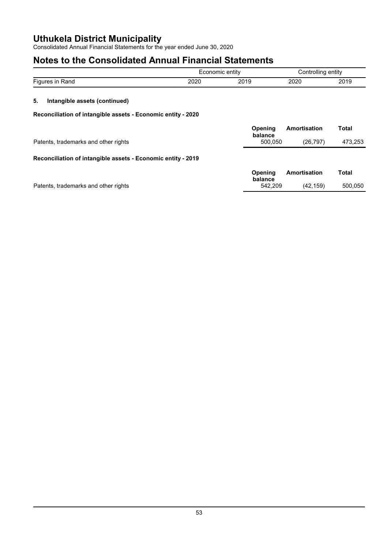Consolidated Annual Financial Statements for the year ended June 30, 2020

# **Notes to the Consolidated Annual Financial Statements**

|                                                              | Economic entity |      |                    | Controlling entity |              |
|--------------------------------------------------------------|-----------------|------|--------------------|--------------------|--------------|
| Figures in Rand                                              | 2020            | 2019 |                    | 2020               | 2019         |
| 5.<br>Intangible assets (continued)                          |                 |      |                    |                    |              |
| Reconciliation of intangible assets - Economic entity - 2020 |                 |      |                    |                    |              |
|                                                              |                 |      | Opening<br>balance | Amortisation       | <b>Total</b> |
| Patents, trademarks and other rights                         |                 |      | 500.050            | (26, 797)          | 473,253      |
| Reconciliation of intangible assets - Economic entity - 2019 |                 |      |                    |                    |              |
|                                                              |                 |      | Opening<br>balance | Amortisation       | Total        |
| Patents, trademarks and other rights                         |                 |      | 542,209            | (42, 159)          | 500.050      |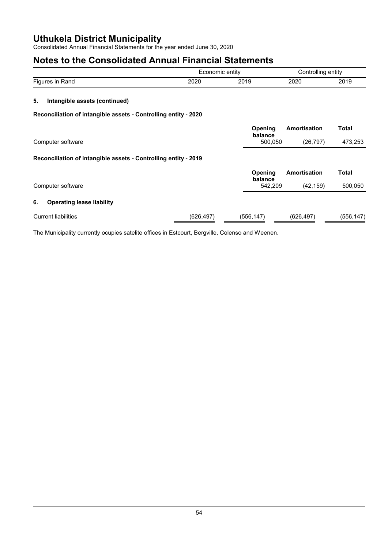Consolidated Annual Financial Statements for the year ended June 30, 2020

# **Notes to the Consolidated Annual Financial Statements**

|                                                                 | Economic entity |                    | Controlling entity |              |
|-----------------------------------------------------------------|-----------------|--------------------|--------------------|--------------|
| Figures in Rand                                                 | 2020            | 2019               | 2020               | 2019         |
| 5.<br>Intangible assets (continued)                             |                 |                    |                    |              |
| Reconciliation of intangible assets - Controlling entity - 2020 |                 |                    |                    |              |
|                                                                 |                 | Opening<br>balance | Amortisation       | <b>Total</b> |
| Computer software                                               |                 | 500,050            | (26, 797)          | 473,253      |
| Reconciliation of intangible assets - Controlling entity - 2019 |                 |                    |                    |              |
|                                                                 |                 | Opening<br>balance | Amortisation       | <b>Total</b> |
| Computer software                                               |                 | 542,209            | (42, 159)          | 500,050      |
| <b>Operating lease liability</b><br>6.                          |                 |                    |                    |              |
| <b>Current liabilities</b>                                      | (626, 497)      | (556, 147)         | (626,497)          | (556, 147)   |

The Municipality currently ocupies satelite offices in Estcourt, Bergville, Colenso and Weenen.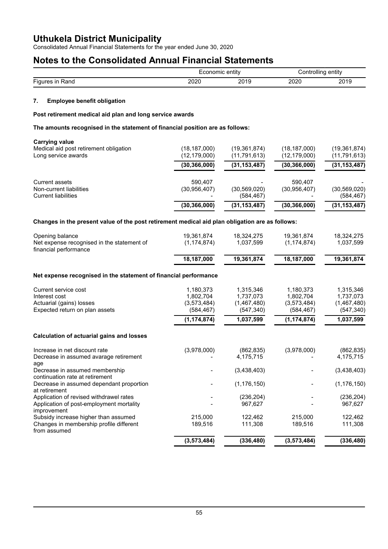Consolidated Annual Financial Statements for the year ended June 30, 2020

## **Notes to the Consolidated Annual Financial Statements**

|                                           | ור   | entit∖<br>വല    |              | .<br>entity<br>ont<br>rollina |  |
|-------------------------------------------|------|-----------------|--------------|-------------------------------|--|
| $- \cdot$<br>Rand<br><b>Figures</b><br>ır | 2020 | 2011<br>∠∪<br>. | วกวก<br>ັບ∠ປ | 2019                          |  |

### **7. Employee benefit obligation**

### **Post retirement medical aid plan and long service awards**

### **The amounts recognised in the statement of financial position are as follows:**

| <b>Carrying value</b>                  |              |                |                |                |
|----------------------------------------|--------------|----------------|----------------|----------------|
| Medical aid post retirement obligation | (18,187,000) | (19,361,874)   | (18, 187, 000) | (19, 361, 874) |
| Long service awards                    | (12,179,000) | (11, 791, 613) | (12, 179, 000) | (11, 791, 613) |
|                                        | (30,366,000) | (31, 153, 487) | (30, 366, 000) | (31, 153, 487) |
| <b>Current assets</b>                  | 590.407      |                | 590,407        |                |
| Non-current liabilities                | (30,956,407) | (30, 569, 020) | (30, 956, 407) | (30, 569, 020) |
| <b>Current liabilities</b>             |              | (584, 467)     |                | (584, 467)     |
|                                        | (30,366,000) | (31, 153, 487) | (30, 366, 000) | (31, 153, 487) |

### **Changes in the present value of the post retirement medical aid plan obligation are as follows:**

| Opening balance<br>Net expense recognised in the statement of<br>financial performance              | 19.361.874<br>(1, 174, 874)                         | 18.324.275<br>1,037,599                             | 19.361.874<br>(1, 174, 874)                         | 18.324.275<br>1,037,599                             |
|-----------------------------------------------------------------------------------------------------|-----------------------------------------------------|-----------------------------------------------------|-----------------------------------------------------|-----------------------------------------------------|
|                                                                                                     | 18,187,000                                          | 19,361,874                                          | 18,187,000                                          | 19,361,874                                          |
| Net expense recognised in the statement of financial performance                                    |                                                     |                                                     |                                                     |                                                     |
| Current service cost<br>Interest cost<br>Actuarial (gains) losses<br>Expected return on plan assets | 1,180,373<br>1,802,704<br>(3,573,484)<br>(584, 467) | 1,315,346<br>1,737,073<br>(1,467,480)<br>(547, 340) | 1,180,373<br>1,802,704<br>(3,573,484)<br>(584, 467) | 1,315,346<br>1,737,073<br>(1,467,480)<br>(547, 340) |
|                                                                                                     | (1, 174, 874)                                       | 1,037,599                                           | (1, 174, 874)                                       | 1,037,599                                           |
| <b>Calculation of actuarial gains and losses</b>                                                    |                                                     |                                                     |                                                     |                                                     |
| Increase in net discount rate<br>Decrease in assumed avarage retirement<br>age                      | (3,978,000)                                         | (862, 835)<br>4,175,715                             | (3,978,000)                                         | (862, 835)<br>4,175,715                             |
| Decrease in assumed membership<br>continuation rate at retirement                                   |                                                     | (3,438,403)                                         |                                                     | (3,438,403)                                         |
| Decrease in assumed dependant proportion<br>at retirement                                           |                                                     | (1, 176, 150)                                       |                                                     | (1, 176, 150)                                       |
| Application of revised withdrawel rates<br>Application of post-employment mortality<br>improvement  |                                                     | (236, 204)<br>967.627                               |                                                     | (236, 204)<br>967,627                               |
| Subsidy increase higher than assumed<br>Changes in membership profile different<br>from assumed     | 215,000<br>189,516                                  | 122,462<br>111,308                                  | 215,000<br>189,516                                  | 122,462<br>111,308                                  |
|                                                                                                     | (3, 573, 484)                                       | (336, 480)                                          | (3, 573, 484)                                       | (336, 480)                                          |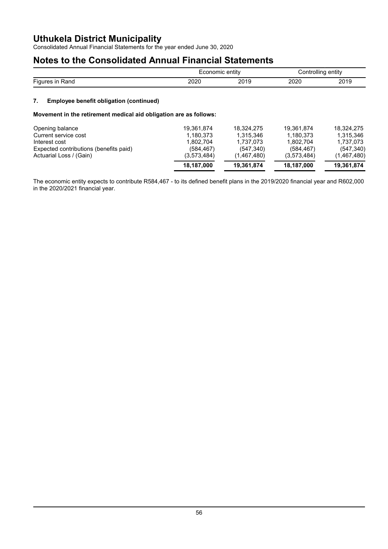Consolidated Annual Financial Statements for the year ended June 30, 2020

# **Notes to the Consolidated Annual Financial Statements**

|                                                                   | Economic entity |             | Controlling entity |             |
|-------------------------------------------------------------------|-----------------|-------------|--------------------|-------------|
| Figures in Rand                                                   | 2020            | 2019        | 2020               | 2019        |
| 7.<br>Employee benefit obligation (continued)                     |                 |             |                    |             |
| Movement in the retirement medical aid obligation are as follows: |                 |             |                    |             |
| Opening balance                                                   | 19.361.874      | 18.324.275  | 19,361,874         | 18.324.275  |
| Current service cost                                              | 1,180,373       | 1.315.346   | 1,180,373          | 1,315,346   |
| Interest cost                                                     | 1.802.704       | 1.737.073   | 1.802.704          | 1.737.073   |
| Expected contributions (benefits paid)                            | (584,467)       | (547, 340)  | (584, 467)         | (547, 340)  |
| Actuarial Loss / (Gain)                                           | (3,573,484)     | (1,467,480) | (3,573,484)        | (1,467,480) |
|                                                                   | 18,187,000      | 19,361,874  | 18,187,000         | 19,361,874  |

The economic entity expects to contribute R584,467 - to its defined benefit plans in the 2019/2020 financial year and R602,000 in the 2020/2021 financial year.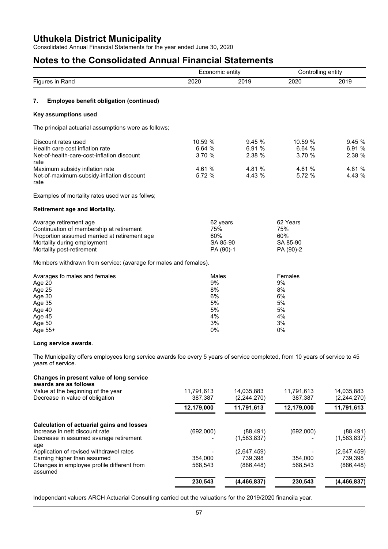Consolidated Annual Financial Statements for the year ended June 30, 2020

## **Notes to the Consolidated Annual Financial Statements**

|                                                                                                                                                                                |                  | Economic entity                                       |                                                         | Controlling entity |  |
|--------------------------------------------------------------------------------------------------------------------------------------------------------------------------------|------------------|-------------------------------------------------------|---------------------------------------------------------|--------------------|--|
| Figures in Rand                                                                                                                                                                | 2020             | 2019                                                  | 2020                                                    | 2019               |  |
| 7.<br><b>Employee benefit obligation (continued)</b>                                                                                                                           |                  |                                                       |                                                         |                    |  |
| Key assumptions used                                                                                                                                                           |                  |                                                       |                                                         |                    |  |
| The principal actuarial assumptions were as follows;                                                                                                                           |                  |                                                       |                                                         |                    |  |
| Discount rates used                                                                                                                                                            | 10.59 %          | 9.45%                                                 | 10.59 %                                                 | 9.45%              |  |
| Health care cost inflation rate<br>Net-of-health-care-cost-inflation discount<br>rate                                                                                          | 6.64 %<br>3.70 % | 6.91 %<br>2.38 %                                      | 6.64 %<br>3.70 %                                        | 6.91 %<br>2.38 %   |  |
| Maximum subsidy inflation rate<br>Net-of-maximum-subsidy-inflation discount<br>rate                                                                                            | 4.61 %<br>5.72 % | 4.81 %<br>4.43 %                                      | 4.61 %<br>5.72 %                                        | 4.81 %<br>4.43 %   |  |
| Examples of mortality rates used wer as follws;                                                                                                                                |                  |                                                       |                                                         |                    |  |
| <b>Retirement age and Mortality.</b>                                                                                                                                           |                  |                                                       |                                                         |                    |  |
| Avarage retirement age<br>Continuation of membership at retirement<br>Proportion assumed married at retirement age<br>Mortality during employment<br>Mortality post-retirement |                  | 62 years<br>75%<br>60%<br>SA 85-90<br>PA (90)-1       | 62 Years<br>75%<br>60%<br>SA 85-90<br>PA (90)-2         |                    |  |
| Members withdrawn from service: (avarage for males and females).                                                                                                               |                  |                                                       |                                                         |                    |  |
| Avarages fo males and females<br>Age 20<br>Age 25<br>Age 30<br>Age 35<br>Age 40<br>Age 45<br>Age 50<br>Age 55+                                                                 |                  | Males<br>9%<br>8%<br>6%<br>5%<br>5%<br>4%<br>3%<br>0% | Females<br>9%<br>8%<br>6%<br>5%<br>5%<br>4%<br>3%<br>0% |                    |  |
| Long service awards.                                                                                                                                                           |                  |                                                       |                                                         |                    |  |
| The Municipality offers employees long service awards foe every 5 years of service completed, from 10 years of service to 45<br>years of service.                              |                  |                                                       |                                                         |                    |  |

### **Changes in present value of long service**

| awards are as follows                            |            |               |            |             |
|--------------------------------------------------|------------|---------------|------------|-------------|
| Value at the beginning of the year               | 11.791.613 | 14,035,883    | 11,791,613 | 14,035,883  |
| Decrease in value of obligation                  | 387,387    | (2,244,270)   | 387,387    | (2,244,270) |
|                                                  | 12,179,000 | 11,791,613    | 12,179,000 | 11,791,613  |
| <b>Calculation of actuarial gains and losses</b> |            |               |            |             |
| Increase in nett discount rate                   | (692,000)  | (88, 491)     | (692,000)  | (88,491)    |
| Decrease in assumed avarage retirement           |            | (1,583,837)   |            | (1,583,837) |
| age                                              |            |               |            |             |
| Application of revised withdrawel rates          |            | (2,647,459)   |            | (2,647,459) |
| Earning higher than assumed                      | 354.000    | 739.398       | 354.000    | 739.398     |
| Changes in employee profile different from       | 568,543    | (886,448)     | 568,543    | (886, 448)  |
| assumed                                          |            |               |            |             |
|                                                  | 230,543    | (4, 466, 837) | 230,543    | (4,466,837) |
|                                                  |            |               |            |             |

Independant valuers ARCH Actuarial Consulting carried out the valuations for the 2019/2020 financila year.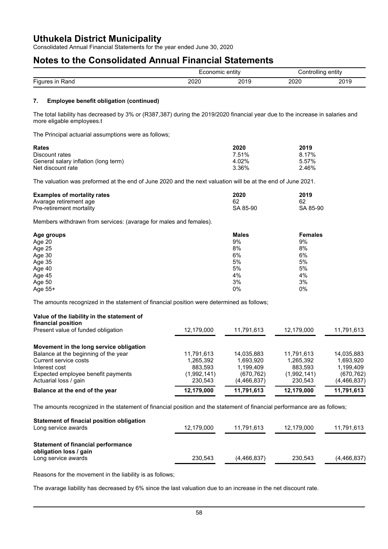Consolidated Annual Financial Statements for the year ended June 30, 2020

### **Notes to the Consolidated Annual Financial Statements**

|                            | entity<br>m  |     | entitv<br>.nr<br>.ollinc |      |
|----------------------------|--------------|-----|--------------------------|------|
| $- \cdot$<br>≺ano<br>FIQUI | วกวเ<br>-vzv | n r | זרחר                     | 2019 |

#### **7. Employee benefit obligation (continued)**

The total liability has decreased by 3% or (R387,387) during the 2019/2020 financial year due to the increase in salaries and more eligable employees.t

The Principal actuarial assumptions were as follows;

| <b>Rates</b>                         | 2020  | 2019  |
|--------------------------------------|-------|-------|
| Discount rates                       | 7.51% | 8.17% |
| General salary inflation (long term) | 4.02% | 5.57% |
| Net discount rate                    | 3.36% | 2.46% |

The valuation was preformed at the end of June 2020 and the next valuation will be at the end of June 2021.

| <b>Examples of mortality rates</b> | 2020     | 2019     |
|------------------------------------|----------|----------|
| Avarage retirement age             | 62       |          |
| Pre-retirement mortality           | SA 85-90 | SA 85-90 |

Members withdrawn from services: (avarage for males and females).

| Age groups | <b>Males</b> | <b>Females</b> |
|------------|--------------|----------------|
| Age 20     | 9%           | 9%             |
| Age 25     | 8%           | 8%             |
| Age 30     | 6%           | 6%             |
| Age 35     | 5%           | 5%             |
| Age 40     | 5%           | 5%             |
| Age 45     | 4%           | 4%             |
| Age 50     | 3%           | 3%             |
| Age 55+    | 0%           | 0%             |

The amounts recognized in the statement of financial position were determined as follows;

### **Value of the liability in the statement of financial position** Present value of funded obligation 12,179,000 11,791,613 12,179,000 11,791,613 **Movement in the long service obligation** Balance at the beginning of the year 11,791,613 14,035,883 11,791,613 14,035,883 Current service costs 1,265,392 1,693,920 1,265,392 1,693,920<br>Interest cost 883.593 1.199.409 883.593 1.199.409 Interest cost 883,593 1,199,409 883,593 1,199,409 Expected employee benefit payments (1,992,141) (670,762) (670,762) (1,992,141) (670,762)<br>Actuarial loss / gain (4,466,837) (4,466,837) (4,466,837) (4,466,837) Actuarial loss / gain 230,543 (4,466,837) 230,543 (4,466,837) **Balance at the end of the year 12,179,000 11,791,613 12,179,000 11,791,613**

The amounts recognized in the statement of financial position and the statement of financial performance are as follows;

| Statement of finacial position obligation<br>Long service awards    | 12.179.000 | 11.791.613  | 12.179.000 | 11,791,613    |
|---------------------------------------------------------------------|------------|-------------|------------|---------------|
| <b>Statement of financial performance</b><br>obligation loss / gain |            |             |            |               |
| Long service awards                                                 | 230.543    | (4,466,837) | 230.543    | (4, 466, 837) |

Reasons for the movement in the liability is as follows;

The avarage liability has decreased by 6% since the last valuation due to an increase in the net discount rate.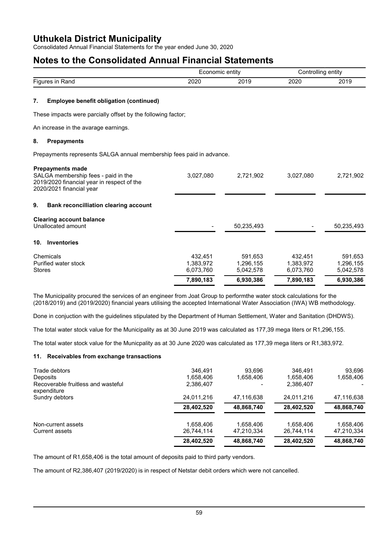Consolidated Annual Financial Statements for the year ended June 30, 2020

## **Notes to the Consolidated Annual Financial Statements**

|                                                                                                                                          |                                   | Economic entity                   |                                   | Controlling entity                |  |
|------------------------------------------------------------------------------------------------------------------------------------------|-----------------------------------|-----------------------------------|-----------------------------------|-----------------------------------|--|
| Figures in Rand                                                                                                                          | 2020                              | 2019                              | 2020                              | 2019                              |  |
| <b>Employee benefit obligation (continued)</b><br>7.                                                                                     |                                   |                                   |                                   |                                   |  |
| These impacts were parcially offset by the following factor;                                                                             |                                   |                                   |                                   |                                   |  |
| An increase in the avarage earnings.                                                                                                     |                                   |                                   |                                   |                                   |  |
| <b>Prepayments</b><br>8.                                                                                                                 |                                   |                                   |                                   |                                   |  |
| Prepayments represents SALGA annual membership fees paid in advance.                                                                     |                                   |                                   |                                   |                                   |  |
| <b>Prepayments made</b><br>SALGA membership fees - paid in the<br>2019/2020 financial year in respect of the<br>2020/2021 financial year | 3,027,080                         | 2,721,902                         | 3,027,080                         | 2,721,902                         |  |
| <b>Bank reconcilliation clearing account</b><br>9.                                                                                       |                                   |                                   |                                   |                                   |  |
| <b>Clearing account balance</b><br>Unallocated amount                                                                                    |                                   | 50,235,493                        |                                   | 50,235,493                        |  |
| <b>Inventories</b><br>10.                                                                                                                |                                   |                                   |                                   |                                   |  |
| Chemicals<br>Purified water stock<br><b>Stores</b>                                                                                       | 432.451<br>1,383,972<br>6,073,760 | 591.653<br>1,296,155<br>5,042,578 | 432.451<br>1,383,972<br>6,073,760 | 591.653<br>1,296,155<br>5,042,578 |  |
|                                                                                                                                          | 7,890,183                         | 6,930,386                         | 7,890,183                         | 6,930,386                         |  |

The Municipality procured the services of an engineer from Joat Group to performthe water stock calculations for the (2018/2019) and (2019/2020) financial years utilising the accepted International Water Association (IWA) WB methodology.

Done in conjuction with the guidelines stipulated by the Department of Human Settlement, Water and Sanitation (DHDWS).

The total water stock value for the Municipality as at 30 June 2019 was calculated as 177,39 mega liters or R1,296,155.

The total water stock value for the Municpality as at 30 June 2020 was calculated as 177,39 mega liters or R1,383,972.

#### **11. Receivables from exchange transactions**

| Trade debtors<br>Deposits<br>Recoverable fruitless and wasteful | 346.491<br>1,658,406<br>2,386,407 | 93.696<br>1,658,406 | 346.491<br>1,658,406<br>2,386,407 | 93,696<br>1,658,406 |
|-----------------------------------------------------------------|-----------------------------------|---------------------|-----------------------------------|---------------------|
| expenditure                                                     |                                   |                     |                                   |                     |
| Sundry debtors                                                  | 24.011.216                        | 47.116.638          | 24.011.216                        | 47,116,638          |
|                                                                 | 28,402,520                        | 48,868,740          | 28,402,520                        | 48,868,740          |
| Non-current assets                                              | 1,658,406                         | 1,658,406           | 1,658,406                         | 1,658,406           |
| Current assets                                                  | 26,744,114                        | 47,210,334          | 26,744,114                        | 47,210,334          |
|                                                                 | 28,402,520                        | 48,868,740          | 28,402,520                        | 48,868,740          |

The amount of R1,658,406 is the total amount of deposits paid to third party vendors.

The amount of R2,386,407 (2019/2020) is in respect of Netstar debit orders which were not cancelled.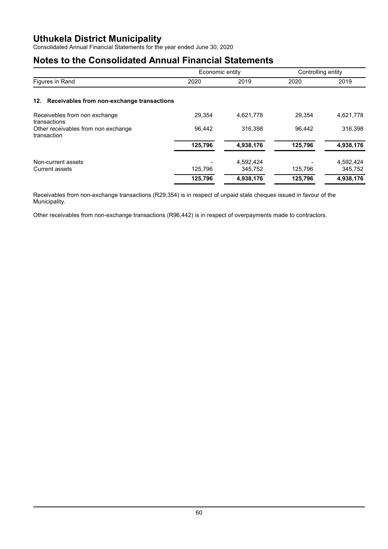Consolidated Annual Financial Statements for the year ended June 30, 2020

## **Notes to the Consolidated Annual Financial Statements**

|                                                    | Economic entity |                      | Controlling entity |                      |
|----------------------------------------------------|-----------------|----------------------|--------------------|----------------------|
| Figures in Rand                                    | 2020            | 2019                 | 2020               | 2019                 |
| Receivables from non-exchange transactions<br>12.  |                 |                      |                    |                      |
| Receivebles from non exchange<br>transactions      | 29.354          | 4,621,778            | 29.354             | 4,621,778            |
| Other receivables from non exchange<br>transaction | 96.442          | 316.398              | 96.442             | 316,398              |
|                                                    | 125,796         | 4,938,176            | 125,796            | 4,938,176            |
| Non-current assets<br>Current assets               | 125,796         | 4,592,424<br>345,752 | 125,796            | 4,592,424<br>345,752 |
|                                                    | 125,796         | 4,938,176            | 125,796            | 4,938,176            |

Receivables from non-exchange transactions (R29,354) is in respect of unpaid stale cheques issued in favour of the Municipality.

Other receivables from non-exchange transactions (R96,442) is in respect of overpayments made to contractors.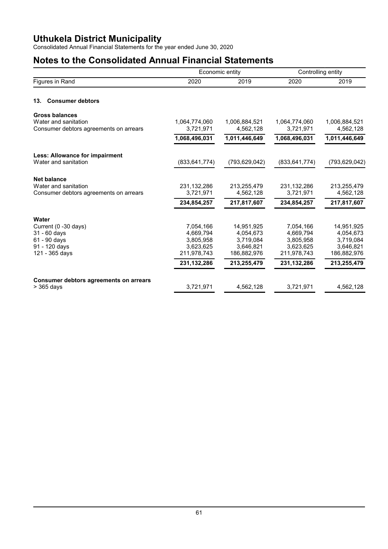Consolidated Annual Financial Statements for the year ended June 30, 2020

# **Notes to the Consolidated Annual Financial Statements**

|                                                                |                            | Economic entity            |                            | Controlling entity         |  |
|----------------------------------------------------------------|----------------------------|----------------------------|----------------------------|----------------------------|--|
| Figures in Rand                                                | 2020                       | 2019                       | 2020                       | 2019                       |  |
| <b>Consumer debtors</b><br>13.                                 |                            |                            |                            |                            |  |
| <b>Gross balances</b>                                          |                            |                            |                            |                            |  |
| Water and sanitation<br>Consumer debtors agreements on arrears | 1,064,774,060<br>3,721,971 | 1,006,884,521<br>4,562,128 | 1,064,774,060<br>3,721,971 | 1,006,884,521<br>4,562,128 |  |
|                                                                | 1,068,496,031              | 1,011,446,649              | 1,068,496,031              | 1,011,446,649              |  |
| <b>Less: Allowance for impairment</b>                          |                            |                            |                            |                            |  |
| Water and sanitation                                           | (833, 641, 774)            | (793, 629, 042)            | (833, 641, 774)            | (793, 629, 042)            |  |
| <b>Net balance</b>                                             |                            |                            |                            |                            |  |
| Water and sanitation<br>Consumer debtors agreements on arrears | 231, 132, 286<br>3,721,971 | 213,255,479<br>4,562,128   | 231, 132, 286<br>3,721,971 | 213,255,479<br>4,562,128   |  |
|                                                                | 234,854,257                | 217,817,607                | 234,854,257                | 217,817,607                |  |
| Water                                                          |                            |                            |                            |                            |  |
| Current (0 -30 days)                                           | 7,054,166                  | 14,951,925                 | 7,054,166                  | 14,951,925                 |  |
| $31 - 60$ days                                                 | 4,669,794                  | 4,054,673                  | 4,669,794                  | 4,054,673                  |  |
| 61 - 90 days                                                   | 3,805,958                  | 3,719,084                  | 3,805,958                  | 3,719,084                  |  |
| 91 - 120 days                                                  | 3,623,625                  | 3,646,821                  | 3,623,625                  | 3,646,821                  |  |
| 121 - 365 days                                                 | 211,978,743                | 186,882,976                | 211,978,743                | 186,882,976                |  |
|                                                                | 231, 132, 286              | 213,255,479                | 231, 132, 286              | 213,255,479                |  |
| Consumer debtors agreements on arrears                         |                            |                            |                            |                            |  |
| $>$ 365 days                                                   | 3,721,971                  | 4,562,128                  | 3,721,971                  | 4,562,128                  |  |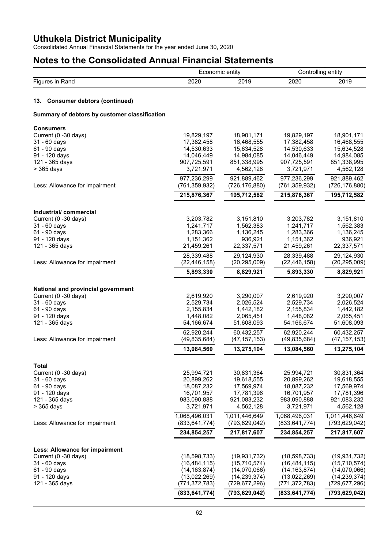Consolidated Annual Financial Statements for the year ended June 30, 2020

# **Notes to the Consolidated Annual Financial Statements**

|                                               |                               | Economic entity                   |                                 | Controlling entity              |  |
|-----------------------------------------------|-------------------------------|-----------------------------------|---------------------------------|---------------------------------|--|
| Figures in Rand                               | 2020                          | 2019                              | 2020                            | 2019                            |  |
| <b>Consumer debtors (continued)</b><br>13.    |                               |                                   |                                 |                                 |  |
| Summary of debtors by customer classification |                               |                                   |                                 |                                 |  |
| <b>Consumers</b>                              |                               |                                   |                                 |                                 |  |
| Current (0 -30 days)                          | 19,829,197                    | 18,901,171                        | 19,829,197                      | 18,901,171                      |  |
| 31 - 60 days                                  | 17,382,458                    | 16,468,555                        | 17,382,458                      | 16,468,555                      |  |
| 61 - 90 days                                  | 14,530,633                    | 15,634,528                        | 14,530,633                      | 15,634,528                      |  |
| 91 - 120 days                                 | 14,046,449                    | 14,984,085                        | 14,046,449                      | 14,984,085                      |  |
| 121 - 365 days                                | 907,725,591                   | 851,338,995                       | 907,725,591                     | 851,338,995                     |  |
| > 365 days                                    | 3,721,971                     | 4,562,128                         | 3,721,971                       | 4,562,128                       |  |
| Less: Allowance for impairment                | 977,236,299<br>(761,359,932)  | 921,889,462<br>(726, 176, 880)    | 977,236,299<br>(761,359,932)    | 921,889,462<br>(726,176,880)    |  |
|                                               | 215,876,367                   | 195,712,582                       | 215,876,367                     | 195,712,582                     |  |
|                                               |                               |                                   |                                 |                                 |  |
| Industrial/commercial                         |                               |                                   |                                 |                                 |  |
| Current (0 -30 days)                          | 3,203,782                     | 3,151,810                         | 3,203,782                       | 3,151,810                       |  |
| 31 - 60 days<br>61 - 90 days                  | 1,241,717<br>1,283,366        | 1,562,383<br>1,136,245            | 1,241,717<br>1,283,366          | 1,562,383<br>1,136,245          |  |
| 91 - 120 days                                 | 1,151,362                     | 936,921                           | 1,151,362                       | 936,921                         |  |
| 121 - 365 days                                | 21,459,261                    | 22,337,571                        | 21,459,261                      | 22,337,571                      |  |
|                                               | 28,339,488                    | 29,124,930                        | 28,339,488                      | 29,124,930                      |  |
| Less: Allowance for impairment                | (22, 446, 158)                | (20, 295, 009)                    | (22, 446, 158)                  | (20, 295, 009)                  |  |
|                                               | 5,893,330                     | 8,829,921                         | 5,893,330                       | 8,829,921                       |  |
| National and provincial government            |                               |                                   |                                 |                                 |  |
| Current (0 -30 days)                          | 2,619,920                     | 3,290,007                         | 2,619,920                       | 3,290,007                       |  |
| 31 - 60 days                                  | 2,529,734                     | 2,026,524                         | 2,529,734                       | 2,026,524                       |  |
| 61 - 90 days                                  | 2,155,834                     | 1,442,182                         | 2,155,834                       | 1,442,182                       |  |
| 91 - 120 days                                 | 1,448,082                     | 2,065,451                         | 1,448,082                       | 2,065,451                       |  |
| 121 - 365 days                                | 54,166,674                    | 51,608,093                        | 54,166,674                      | 51,608,093                      |  |
| Less: Allowance for impairment                | 62,920,244<br>(49, 835, 684)  | 60,432,257<br>(47, 157, 153)      | 62,920,244<br>(49, 835, 684)    | 60,432,257<br>(47, 157, 153)    |  |
|                                               | 13,084,560                    | 13,275,104                        | 13,084,560                      | 13,275,104                      |  |
|                                               |                               |                                   |                                 |                                 |  |
| <b>Total</b>                                  |                               |                                   |                                 |                                 |  |
| Current (0 -30 days)                          | 25,994,721                    | 30,831,364                        | 25,994,721                      | 30,831,364                      |  |
| 31 - 60 days<br>61 - 90 days                  | 20,899,262<br>18,087,232      | 19,618,555<br>17,569,974          | 20,899,262<br>18,087,232        | 19,618,555<br>17,569,974        |  |
| 91 - 120 days                                 | 16,701,957                    | 17,781,396                        | 16,701,957                      | 17,781,396                      |  |
| 121 - 365 days                                | 983,090,888                   | 921,083,232                       | 983,090,888                     | 921,083,232                     |  |
| > 365 days                                    | 3,721,971                     | 4,562,128                         | 3,721,971                       | 4,562,128                       |  |
|                                               | 1,068,496,031                 | 1,011,446,649                     | 1,068,496,031                   | 1,011,446,649                   |  |
| Less: Allowance for impairment                | (833,641,774)                 | (793, 629, 042)                   | (833, 641, 774)                 | (793,629,042)                   |  |
|                                               | 234,854,257                   | 217,817,607                       | 234,854,257                     | 217,817,607                     |  |
| Less: Allowance for impairment                |                               |                                   |                                 |                                 |  |
| Current (0 -30 days)                          | (18, 598, 733)                | (19, 931, 732)                    | (18, 598, 733)                  | (19, 931, 732)                  |  |
| 31 - 60 days                                  | (16, 484, 115)                | (15,710,574)                      | (16, 484, 115)                  | (15,710,574)                    |  |
| 61 - 90 days                                  | (14, 163, 874)                | (14,070,066)                      | (14, 163, 874)                  | (14,070,066)                    |  |
| 91 - 120 days<br>121 - 365 days               | (13,022,269)<br>(771,372,783) | (14, 239, 374)<br>(729, 677, 296) | (13,022,269)<br>(771, 372, 783) | (14, 239, 374)<br>(729,677,296) |  |
|                                               | (833, 641, 774)               | (793, 629, 042)                   | (833,641,774)                   | (793, 629, 042)                 |  |
|                                               |                               |                                   |                                 |                                 |  |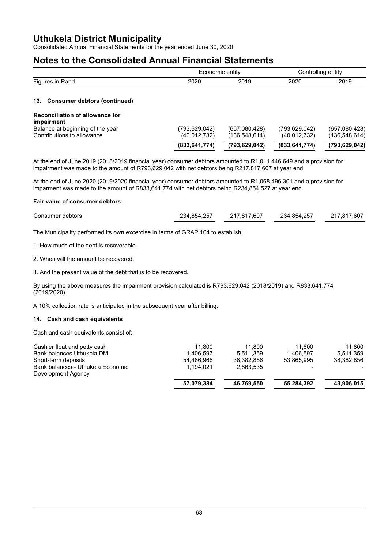Consolidated Annual Financial Statements for the year ended June 30, 2020

## **Notes to the Consolidated Annual Financial Statements**

|                                                                |                                 | Economic entity                  |                                 | Controlling entity             |  |
|----------------------------------------------------------------|---------------------------------|----------------------------------|---------------------------------|--------------------------------|--|
| Figures in Rand                                                | 2020                            | 2019                             | 2020                            | 2019                           |  |
| <b>Consumer debtors (continued)</b><br>13.                     |                                 |                                  |                                 |                                |  |
| Reconciliation of allowance for<br>impairment                  |                                 |                                  |                                 |                                |  |
| Balance at beginning of the year<br>Contributions to allowance | (793, 629, 042)<br>(40.012.732) | (657,080,428)<br>(136, 548, 614) | (793, 629, 042)<br>(40,012,732) | (657,080,428)<br>(136,548,614) |  |
|                                                                | (833, 641, 774)                 | (793, 629, 042)                  | (833, 641, 774)                 | (793, 629, 042)                |  |

At the end of June 2019 (2018/2019 financial year) consumer debtors amounted to R1,011,446,649 and a provision for impairment was made to the amount of R793,629,042 with net debtors being R217,817,607 at year end.

At the end of June 2020 (2019/2020 financial year) consumer debtors amounted to R1,068,496,301 and a provision for imparment was made to the amount of R833,641,774 with net debtors being R234,854,527 at year end.

#### **Fair value of consumer debtors**

| Consumer debtors | 234,854,257 | 217.817.607 | 234,854,257 | 217.817.607 |
|------------------|-------------|-------------|-------------|-------------|
|                  |             |             |             |             |

The Municipality performed its own excercise in terms of GRAP 104 to establish;

1. How much of the debt is recoverable.

2. When will the amount be recovered.

3. And the present value of the debt that is to be recovered.

By using the above measures the impairment provision calculated is R793,629,042 (2018/2019) and R833,641,774 (2019/2020).

A 10% collection rate is anticipated in the subsequent year after billing..

#### **14. Cash and cash equivalents**

Cash and cash equivalents consist of:

| Cashier float and petty cash<br>Bank balances Uthukela DM<br>Short-term deposits | 11.800<br>1.406.597<br>54.466.966 | 11.800<br>5.511.359<br>38.382.856 | 11.800<br>1.406.597<br>53.865.995 | 11.800<br>5.511.359<br>38,382,856 |
|----------------------------------------------------------------------------------|-----------------------------------|-----------------------------------|-----------------------------------|-----------------------------------|
| Bank balances - Uthukela Economic<br>Development Agency                          | 1.194.021                         | 2.863.535                         | $\sim$                            |                                   |
|                                                                                  | 57,079,384                        | 46,769,550                        | 55,284,392                        | 43,906,015                        |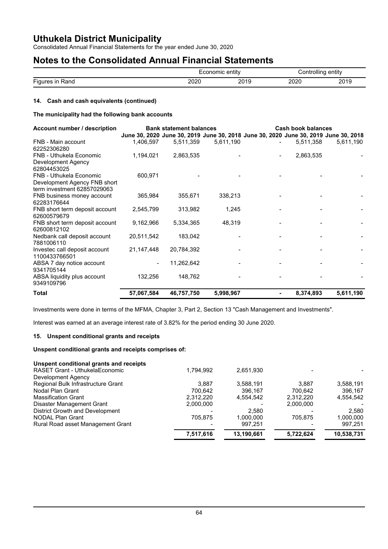Consolidated Annual Financial Statements for the year ended June 30, 2020

# **Notes to the Consolidated Annual Financial Statements**

|                                         |              | entity<br>н    |      | entit\<br>τοιιιης |  |
|-----------------------------------------|--------------|----------------|------|-------------------|--|
| $- \cdot$<br>⊀and<br>Fiaur<br>ır<br>. . | 2020<br>ZUZU | ິ<br>ت ا<br>∠∪ | 2020 | 2019              |  |

#### **14. Cash and cash equivalents (continued)**

#### **The municipality had the following bank accounts**

| Account number / description                                |                | <b>Bank statement balances</b> |           | <b>Cash book balances</b><br>June 30, 2020 June 30, 2019 June 30, 2018 June 30, 2020 June 30, 2019 June 30, 2018 |           |
|-------------------------------------------------------------|----------------|--------------------------------|-----------|------------------------------------------------------------------------------------------------------------------|-----------|
| FNB - Main account                                          | 1,406,597      | 5,511,359                      | 5,611,190 | 5,511,358                                                                                                        | 5,611,190 |
| 62252306280                                                 |                |                                |           |                                                                                                                  |           |
| <b>FNB - Uthukela Economic</b>                              | 1,194,021      | 2,863,535                      |           | 2,863,535                                                                                                        |           |
| Development Agency                                          |                |                                |           |                                                                                                                  |           |
| 62804453025                                                 |                |                                |           |                                                                                                                  |           |
| <b>FNB - Uthukela Economic</b>                              | 600,971        |                                |           |                                                                                                                  |           |
| Development Agency FNB short<br>term investment 62857029063 |                |                                |           |                                                                                                                  |           |
| FNB business money account                                  | 365,984        | 355,671                        | 338,213   |                                                                                                                  |           |
| 62283176644                                                 |                |                                |           |                                                                                                                  |           |
| FNB short term deposit account                              | 2,545,799      | 313,982                        | 1,245     |                                                                                                                  |           |
| 62600579679                                                 |                |                                |           |                                                                                                                  |           |
| FNB short term deposit account                              | 9,162,966      | 5,334,365                      | 48,319    |                                                                                                                  |           |
| 62600812102                                                 |                |                                |           |                                                                                                                  |           |
| Nedbank call deposit account<br>7881006110                  | 20,511,542     | 183,042                        |           |                                                                                                                  |           |
| Investec call deposit account                               | 21, 147, 448   | 20,784,392                     |           |                                                                                                                  |           |
| 1100433766501                                               |                |                                |           |                                                                                                                  |           |
| ABSA 7 day notice account                                   | $\blacksquare$ | 11,262,642                     |           |                                                                                                                  |           |
| 9341705144                                                  |                |                                |           |                                                                                                                  |           |
| ABSA liquidity plus account                                 | 132,256        | 148,762                        |           |                                                                                                                  |           |
| 9349109796                                                  |                |                                |           |                                                                                                                  |           |
| Total                                                       | 57,067,584     | 46,757,750                     | 5,998,967 | 8,374,893                                                                                                        | 5,611,190 |

Investments were done in terms of the MFMA, Chapter 3, Part 2, Section 13 "Cash Management and Investments".

Interest was earned at an average interest rate of 3.82% for the period ending 30 June 2020.

#### **15. Unspent conditional grants and receipts**

#### **Unspent conditional grants and receipts comprises of:**

| Unspent conditional grants and receipts |           |            |           |            |
|-----------------------------------------|-----------|------------|-----------|------------|
| <b>RASET Grant - UthukelaEconomic</b>   | 1,794,992 | 2,651,930  |           |            |
| Development Agency                      |           |            |           |            |
| Regional Bulk Infrastructure Grant      | 3.887     | 3,588,191  | 3.887     | 3,588,191  |
| Nodal Plan Grant                        | 700.642   | 396.167    | 700.642   | 396.167    |
| <b>Massification Grant</b>              | 2,312,220 | 4,554,542  | 2,312,220 | 4,554,542  |
| Disaster Management Grant               | 2.000.000 |            | 2,000,000 |            |
| District Growth and Development         |           | 2.580      |           | 2.580      |
| <b>NODAL Plan Grant</b>                 | 705.875   | 1.000.000  | 705.875   | 1,000,000  |
| Rural Road asset Management Grant       |           | 997.251    |           | 997.251    |
|                                         | 7,517,616 | 13,190,661 | 5,722,624 | 10,538,731 |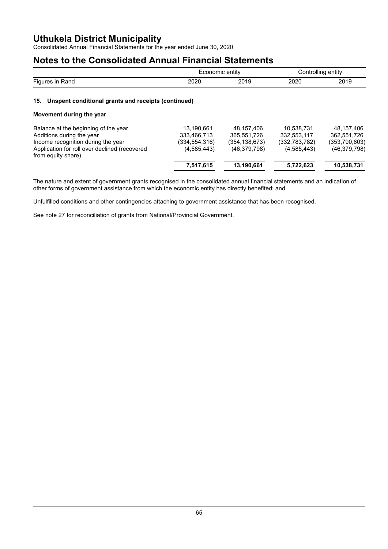Consolidated Annual Financial Statements for the year ended June 30, 2020

## **Notes to the Consolidated Annual Financial Statements**

|                                                                                                                                                                                | Economic entity                                           |                                                                | Controlling entity                                        |                                                                |
|--------------------------------------------------------------------------------------------------------------------------------------------------------------------------------|-----------------------------------------------------------|----------------------------------------------------------------|-----------------------------------------------------------|----------------------------------------------------------------|
| Figures in Rand                                                                                                                                                                | 2020                                                      | 2019                                                           | 2020                                                      | 2019                                                           |
| Unspent conditional grants and receipts (continued)<br>15.                                                                                                                     |                                                           |                                                                |                                                           |                                                                |
| Movement during the year                                                                                                                                                       |                                                           |                                                                |                                                           |                                                                |
| Balance at the beginning of the year<br>Additions during the year<br>Income recognition during the year<br>Application for roll over declined (recovered<br>from equity share) | 13.190.661<br>333.466.713<br>(334,554,316)<br>(4,585,443) | 48,157,406<br>365.551.726<br>(354, 138, 673)<br>(46, 379, 798) | 10,538,731<br>332,553,117<br>(332,783,782)<br>(4,585,443) | 48.157.406<br>362.551.726<br>(353, 790, 603)<br>(46, 379, 798) |
|                                                                                                                                                                                | 7,517,615                                                 | 13,190,661                                                     | 5,722,623                                                 | 10,538,731                                                     |

The nature and extent of government grants recognised in the consolidated annual financial statements and an indication of other forms of government assistance from which the economic entity has directly benefited; and

Unfulfilled conditions and other contingencies attaching to government assistance that has been recognised.

See note 27 for reconciliation of grants from National/Provincial Government.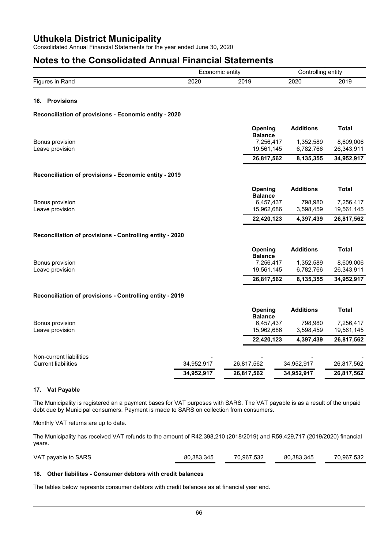Consolidated Annual Financial Statements for the year ended June 30, 2020

## **Notes to the Consolidated Annual Financial Statements**

|     |                                                          | Economic entity |                           | Controlling entity     |                          |
|-----|----------------------------------------------------------|-----------------|---------------------------|------------------------|--------------------------|
|     | Figures in Rand                                          | 2020            | 2019                      | 2020                   | 2019                     |
| 16. | <b>Provisions</b>                                        |                 |                           |                        |                          |
|     | Reconciliation of provisions - Economic entity - 2020    |                 |                           |                        |                          |
|     |                                                          |                 | Opening<br><b>Balance</b> | <b>Additions</b>       | <b>Total</b>             |
|     | Bonus provision<br>Leave provision                       |                 | 7,256,417<br>19,561,145   | 1,352,589<br>6,782,766 | 8,609,006<br>26,343,911  |
|     |                                                          |                 | 26,817,562                | 8,135,355              | 34,952,917               |
|     | Reconciliation of provisions - Economic entity - 2019    |                 |                           |                        |                          |
|     |                                                          |                 | Opening<br><b>Balance</b> | <b>Additions</b>       | <b>Total</b>             |
|     | Bonus provision<br>Leave provision                       |                 | 6,457,437<br>15,962,686   | 798,980<br>3,598,459   | 7,256,417<br>19,561,145  |
|     |                                                          |                 | 22,420,123                | 4,397,439              | 26,817,562               |
|     | Reconciliation of provisions - Controlling entity - 2020 |                 |                           |                        |                          |
|     |                                                          |                 | Opening<br><b>Balance</b> | <b>Additions</b>       | <b>Total</b>             |
|     | Bonus provision<br>Leave provision                       |                 | 7,256,417<br>19,561,145   | 1,352,589<br>6,782,766 | 8,609,006<br>26,343,911  |
|     |                                                          |                 | 26,817,562                | 8,135,355              | 34,952,917               |
|     | Reconciliation of provisions - Controlling entity - 2019 |                 |                           |                        |                          |
|     |                                                          |                 | Opening<br><b>Balance</b> | <b>Additions</b>       | <b>Total</b>             |
|     | Bonus provision                                          |                 | 6,457,437                 | 798,980<br>3,598,459   | 7,256,417                |
|     | Leave provision                                          |                 | 15,962,686<br>22,420,123  | 4,397,439              | 19,561,145<br>26,817,562 |
|     | Non-current liabilities                                  |                 |                           |                        |                          |
|     | <b>Current liabilities</b>                               | 34,952,917      | 26,817,562                | 34,952,917             | 26,817,562               |
|     |                                                          | 34,952,917      | 26,817,562                | 34,952,917             | 26,817,562               |

### **17. Vat Payable**

The Municipality is registered an a payment bases for VAT purposes with SARS. The VAT payable is as a result of the unpaid debt due by Municipal consumers. Payment is made to SARS on collection from consumers.

Monthly VAT returns are up to date.

The Municipality has received VAT refunds to the amount of R42,398,210 (2018/2019) and R59,429,717 (2019/2020) financial years.

VAT payable to SARS 60,383,345 80,383,345 70,967,532 80,383,345 70,967,532

### **18. Other liabilites - Consumer debtors with credit balances**

The tables below represnts consumer debtors with credit balances as at financial year end.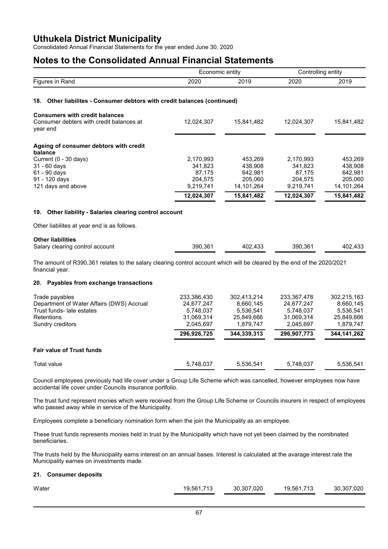Consolidated Annual Financial Statements for the year ended June 30, 2020

### **Notes to the Consolidated Annual Financial Statements**

|                                                                                                                            | Economic entity                                                   | Controlling entity                                               |                                                                     |                                                                  |
|----------------------------------------------------------------------------------------------------------------------------|-------------------------------------------------------------------|------------------------------------------------------------------|---------------------------------------------------------------------|------------------------------------------------------------------|
| Figures in Rand                                                                                                            | 2020                                                              | 2019                                                             | 2020                                                                | 2019                                                             |
| Other liabilites - Consumer debtors with credit balances (continued)<br>18.                                                |                                                                   |                                                                  |                                                                     |                                                                  |
| <b>Consumers with credit balances</b><br>Consumer debters with credit balances at<br>year end                              | 12,024,307                                                        | 15,841,482                                                       | 12,024,307                                                          | 15,841,482                                                       |
| Ageing of consumer debtors with credit<br>balance                                                                          |                                                                   |                                                                  |                                                                     |                                                                  |
| Current (0 - 30 days)<br>31 - 60 days<br>$61 - 90$ days<br>91 - 120 days<br>121 days and above                             | 2,170,993<br>341,823<br>87,175<br>204,575<br>9,219,741            | 453,269<br>438,908<br>642,981<br>205,060<br>14,101,264           | 2,170,993<br>341,823<br>87,175<br>204,575<br>9,219,741              | 453,269<br>438,908<br>642,981<br>205,060<br>14,101,264           |
|                                                                                                                            | 12,024,307                                                        | 15,841,482                                                       | 12,024,307                                                          | 15,841,482                                                       |
| Other liabilites at year end is as follows.<br><b>Other liabilities</b><br>Salary clearing control account                 | 390,361                                                           | 402,433                                                          | 390,361                                                             | 402,433                                                          |
| The amount of R390,361 relates to the salary clearing control account which will be cleared by the end of the 2020/2021    |                                                                   |                                                                  |                                                                     |                                                                  |
| financial year.<br>Payables from exchange transactions<br>20.                                                              |                                                                   |                                                                  |                                                                     |                                                                  |
| Trade payables<br>Department of Water Affairs (DWS) Accrual<br>Trust funds- late estates<br>Retentions<br>Sundry creditors | 233,386,430<br>24,677,247<br>5,748,037<br>31,069,314<br>2,045,697 | 302,413,214<br>8,660,145<br>5,536,541<br>25,849,666<br>1,879,747 | 233, 367, 478<br>24,677,247<br>5,748,037<br>31,069,314<br>2,045,697 | 302,215,163<br>8,660,145<br>5,536,541<br>25,849,666<br>1,879,747 |
|                                                                                                                            | 296,926,725                                                       | 344,339,313                                                      | 296,907,773                                                         | 344, 141, 262                                                    |
| <b>Fair value of Trust funds</b>                                                                                           |                                                                   |                                                                  |                                                                     |                                                                  |
| Total value                                                                                                                | 5,748,037                                                         | 5,536,541                                                        | 5,748,037                                                           | 5,536,541                                                        |

Council employees previously had life cover under a Group Life Scheme which was cancelled, however employees now have accidental life cover under Councils insurance portfolio.

The trust fund represent monies which were received from the Group Life Scheme or Councils insurers in respect of employees who passed away while in service of the Municipality.

Employees complete a beneficiary nomination form when the join the Municipality as an employee.

These trust funds represents monies held in trust by the Municipality which have not yet been claimed by the nomibnated beneficiaries.

The trusts held by the Municipality earns interest on an annual bases. Interest is calculated at the avarage interest rate the Municipality earnes on investments made.

### **21. Consumer deposits**

| Water | 19,561,713 | 30.307.020 | 19,561,713 | 30,307,020 |
|-------|------------|------------|------------|------------|
|       |            |            |            |            |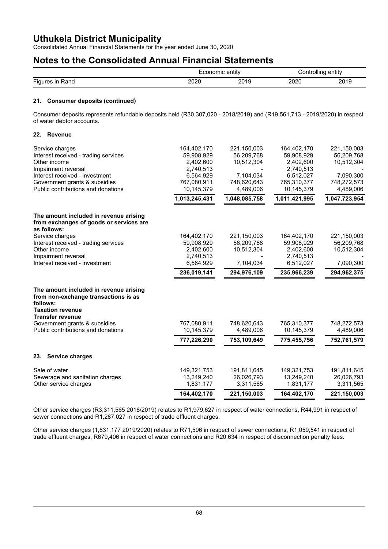Consolidated Annual Financial Statements for the year ended June 30, 2020

### **Notes to the Consolidated Annual Financial Statements**

|                            |                     | $\sim$ $\sim$ $\sim$ $\sim$ $\sim$<br>enuuv |          | entity<br>חוווכ<br>าเ |  |
|----------------------------|---------------------|---------------------------------------------|----------|-----------------------|--|
| $-$<br>⊀and<br>Fialire<br> | ∩מ∩נ<br><b>ZUZU</b> | $\Omega$<br>-- - -                          | חממנ<br> | nnar<br>' ∪∠<br>___   |  |

### **21. Consumer deposits (continued)**

Consumer deposits represents refundable deposits held (R30,307,020 - 2018/2019) and (R19,561,713 - 2019/2020) in respect of water debtor accounts.

### **22. Revenue**

| Service charges<br>Interest received - trading services<br>Other income<br>Impairment reversal                                                   | 164,402,170<br>59,908,929<br>2,402,600<br>2,740,513 | 221,150,003<br>56,209,768<br>10,512,304 | 164.402.170<br>59,908,929<br>2.402.600<br>2,740,513 | 221,150,003<br>56,209,768<br>10,512,304 |
|--------------------------------------------------------------------------------------------------------------------------------------------------|-----------------------------------------------------|-----------------------------------------|-----------------------------------------------------|-----------------------------------------|
| Interest received - investment                                                                                                                   | 6,564,929                                           | 7.104.034                               | 6,512,027                                           | 7,090,300                               |
| Government grants & subsidies                                                                                                                    | 767,080,911                                         | 748,620,643                             | 765,310,377                                         | 748,272,573                             |
| Public contributions and donations                                                                                                               | 10,145,379                                          | 4,489,006                               | 10,145,379                                          | 4,489,006                               |
|                                                                                                                                                  | 1,013,245,431                                       | 1,048,085,758                           | 1,011,421,995                                       | 1,047,723,954                           |
| The amount included in revenue arising<br>from exchanges of goods or services are<br>as follows:                                                 |                                                     |                                         |                                                     |                                         |
| Service charges                                                                                                                                  | 164,402,170                                         | 221,150,003                             | 164,402,170                                         | 221,150,003                             |
| Interest received - trading services                                                                                                             | 59,908,929                                          | 56,209,768                              | 59,908,929                                          | 56,209,768                              |
| Other income                                                                                                                                     | 2,402,600                                           | 10,512,304                              | 2,402,600                                           | 10,512,304                              |
| Impairment reversal                                                                                                                              | 2,740,513                                           |                                         | 2,740,513                                           |                                         |
| Interest received - investment                                                                                                                   | 6,564,929                                           | 7,104,034                               | 6,512,027                                           | 7,090,300                               |
|                                                                                                                                                  | 236,019,141                                         | 294,976,109                             | 235,966,239                                         | 294,962,375                             |
| The amount included in revenue arising<br>from non-exchange transactions is as<br>follows:<br><b>Taxation revenue</b><br><b>Transfer revenue</b> |                                                     |                                         |                                                     |                                         |
| Government grants & subsidies                                                                                                                    | 767,080,911                                         | 748,620,643                             | 765,310,377                                         | 748,272,573                             |
| Public contributions and donations                                                                                                               | 10,145,379                                          | 4,489,006                               | 10,145,379                                          | 4,489,006                               |
|                                                                                                                                                  | 777,226,290                                         | 753,109,649                             | 775,455,756                                         | 752,761,579                             |
| Service charges<br>23.                                                                                                                           |                                                     |                                         |                                                     |                                         |
| Sale of water                                                                                                                                    | 149,321,753                                         | 191,811,645                             | 149,321,753                                         | 191,811,645                             |
| Sewerage and sanitation charges                                                                                                                  | 13,249,240                                          | 26,026,793                              | 13,249,240                                          | 26,026,793                              |
| Other service charges                                                                                                                            | 1,831,177                                           | 3,311,565                               | 1,831,177                                           | 3,311,565                               |
|                                                                                                                                                  | 164,402,170                                         | 221,150,003                             | 164,402,170                                         | 221,150,003                             |
|                                                                                                                                                  |                                                     |                                         |                                                     |                                         |

Other service charges (R3,311,565 2018/2019) relates to R1,979,627 in respect of water connections, R44,991 in respect of sewer connections and R1,287,027 in respect of trade effluent charges.

Other service charges (1,831,177 2019/2020) relates to R71,596 in respect of sewer connections, R1,059,541 in respect of trade effluent charges, R679,406 in respect of water connections and R20,634 in respect of disconnection penalty fees.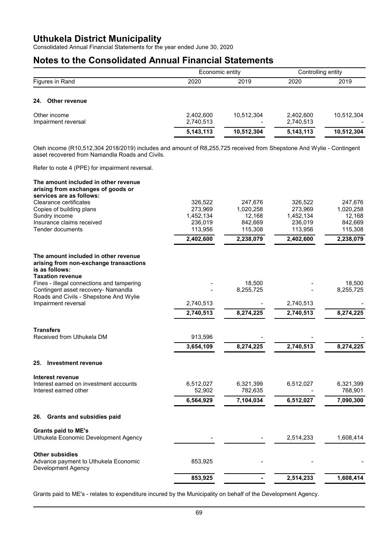Consolidated Annual Financial Statements for the year ended June 30, 2020

## **Notes to the Consolidated Annual Financial Statements**

|                                                                                                                                                                                                                                                           | Economic entity        |                      | Controlling entity     |                      |
|-----------------------------------------------------------------------------------------------------------------------------------------------------------------------------------------------------------------------------------------------------------|------------------------|----------------------|------------------------|----------------------|
| Figures in Rand                                                                                                                                                                                                                                           | 2020                   | 2019                 | 2020                   | 2019                 |
| Other revenue<br>24.                                                                                                                                                                                                                                      |                        |                      |                        |                      |
| Other income<br>Impairment reversal                                                                                                                                                                                                                       | 2,402,600<br>2,740,513 | 10,512,304           | 2,402,600<br>2,740,513 | 10,512,304           |
|                                                                                                                                                                                                                                                           | 5, 143, 113            | 10,512,304           | 5,143,113              | 10,512,304           |
| Oteh income (R10,512,304 2018/2019) includes and amount of R8,255,725 received from Shepstone And Wylie - Contingent<br>asset recovered from Namandla Roads and Civils.                                                                                   |                        |                      |                        |                      |
| Refer to note 4 (PPE) for impairment reversal.                                                                                                                                                                                                            |                        |                      |                        |                      |
| The amount included in other revenue<br>arising from exchanges of goods or<br>services are as follows:                                                                                                                                                    |                        |                      |                        |                      |
| Clearance certificates<br>Copies of building plans                                                                                                                                                                                                        | 326,522<br>273,969     | 247,676<br>1,020,258 | 326,522<br>273,969     | 247,676<br>1,020,258 |
| Sundry income                                                                                                                                                                                                                                             | 1,452,134              | 12,168               | 1,452,134              | 12,168               |
| Insurance claims received                                                                                                                                                                                                                                 | 236,019                | 842,669              | 236,019                | 842,669              |
| <b>Tender documents</b>                                                                                                                                                                                                                                   | 113,956                | 115,308              | 113,956                | 115,308              |
|                                                                                                                                                                                                                                                           | 2,402,600              | 2,238,079            | 2,402,600              | 2,238,079            |
| The amount included in other revenue<br>arising from non-exchange transactions<br>is as follows:<br><b>Taxation revenue</b><br>Fines - illegal connections and tampering<br>Contingent asset recovery- Namandla<br>Roads and Civils - Shepstone And Wylie |                        | 18,500<br>8,255,725  |                        | 18,500<br>8,255,725  |
| Impairment reversal                                                                                                                                                                                                                                       | 2,740,513              |                      | 2,740,513              |                      |
|                                                                                                                                                                                                                                                           | 2,740,513              | 8,274,225            | 2,740,513              | 8,274,225            |
| <b>Transfers</b><br>Received from Uthukela DM                                                                                                                                                                                                             | 913,596                |                      |                        |                      |
|                                                                                                                                                                                                                                                           | 3,654,109              | 8,274,225            | 2,740,513              | 8,274,225            |
| <b>Investment revenue</b><br>25.                                                                                                                                                                                                                          |                        |                      |                        |                      |
| Interest revenue<br>Interest earned on investment accounts<br>Interest earned other                                                                                                                                                                       | 6,512,027<br>52,902    | 6,321,399<br>782,635 | 6,512,027              | 6,321,399<br>768,901 |
|                                                                                                                                                                                                                                                           | 6,564,929              | 7,104,034            | 6,512,027              | 7,090,300            |
| <b>Grants and subsidies paid</b><br>26.                                                                                                                                                                                                                   |                        |                      |                        |                      |
| <b>Grants paid to ME's</b><br>Uthukela Economic Development Agency                                                                                                                                                                                        |                        |                      | 2,514,233              | 1,608,414            |
| <b>Other subsidies</b><br>Advance payment to Uthukela Economic<br><b>Development Agency</b>                                                                                                                                                               | 853,925                |                      |                        |                      |

Grants paid to ME's - relates to expenditure incured by the Municipality on behalf of the Development Agency.

**853,925 - 2,514,233 1,608,414**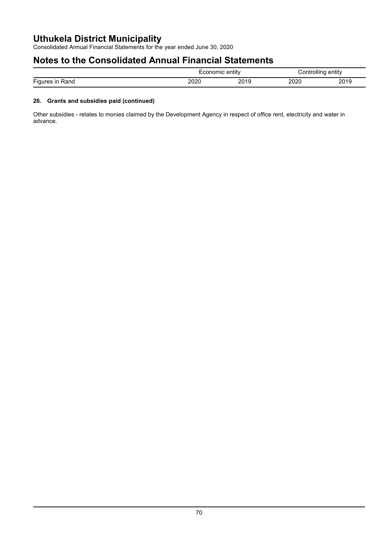Consolidated Annual Financial Statements for the year ended June 30, 2020

## **Notes to the Consolidated Annual Financial Statements**

|                                           |      | <br>entit<br>.aic<br>าย นาย |               | <br>- -<br>entity<br>rollinc |  |
|-------------------------------------------|------|-----------------------------|---------------|------------------------------|--|
| $-$<br>Rand<br>-lr<br><b>Figures</b><br>ີ | 2020 | nn 1 r<br>າະ<br>ZU<br>____  | 2020<br>_____ | 2019<br>____                 |  |

### **26. Grants and subsidies paid (continued)**

Other subsidies - relates to monies claimed by the Development Agency in respect of office rent, electricity and water in advance.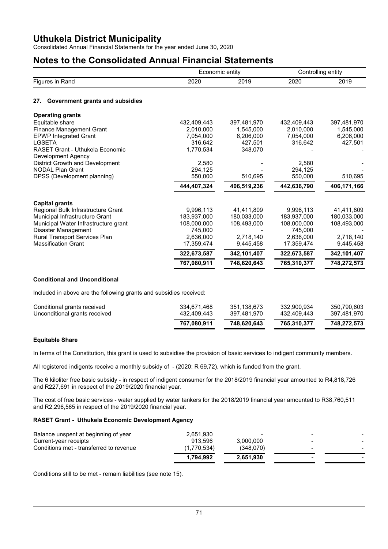Consolidated Annual Financial Statements for the year ended June 30, 2020

# **Notes to the Consolidated Annual Financial Statements**

|                                        | Economic entity |             | Controlling entity |             |
|----------------------------------------|-----------------|-------------|--------------------|-------------|
| Figures in Rand                        | 2020            | 2019        | 2020               | 2019        |
| Government grants and subsidies<br>27. |                 |             |                    |             |
| <b>Operating grants</b>                |                 |             |                    |             |
| Equitable share                        | 432.409.443     | 397,481,970 | 432.409.443        | 397,481,970 |
| <b>Finance Management Grant</b>        | 2,010,000       | 1,545,000   | 2,010,000          | 1,545,000   |
| <b>EPWP Integrated Grant</b>           | 7,054,000       | 6,206,000   | 7,054,000          | 6,206,000   |
| <b>LGSETA</b>                          | 316.642         | 427.501     | 316,642            | 427,501     |
| <b>RASET Grant - Uthukela Economic</b> | 1,770,534       | 348,070     |                    |             |
| Development Agency                     |                 |             |                    |             |
| District Growth and Development        | 2.580           |             | 2.580              |             |
| <b>NODAL Plan Grant</b>                | 294,125         |             | 294,125            |             |
| DPSS (Development planning)            | 550,000         | 510,695     | 550,000            | 510,695     |
|                                        | 444,407,324     | 406,519,236 | 442,636,790        | 406,171,166 |
| <b>Capital grants</b>                  |                 |             |                    |             |
| Regional Bulk Infrastructure Grant     | 9,996,113       | 41.411.809  | 9,996,113          | 41,411,809  |
| Municipal Infrastructure Grant         | 183,937,000     | 180,033,000 | 183,937,000        | 180,033,000 |
| Municipal Water Infrastructure grant   | 108.000.000     | 108,493,000 | 108.000.000        | 108,493,000 |
| Disaster Management                    | 745.000         |             | 745.000            |             |
| <b>Rural Transport Services Plan</b>   | 2,636,000       | 2,718,140   | 2,636,000          | 2,718,140   |
| <b>Massification Grant</b>             | 17,359,474      | 9,445,458   | 17,359,474         | 9,445,458   |
|                                        | 322,673,587     | 342,101,407 | 322,673,587        | 342,101,407 |
|                                        | 767,080,911     | 748,620,643 | 765,310,377        | 748,272,573 |

#### **Conditional and Unconditional**

Included in above are the following grants and subsidies received:

| 767.080.911 | 748.620.643 | 765.310.377 | 748,272,573 |
|-------------|-------------|-------------|-------------|
| 432.409.443 | 397.481.970 | 432.409.443 | 397.481.970 |
| 334.671.468 | 351.138.673 | 332.900.934 | 350.790.603 |
|             |             |             |             |

### **Equitable Share**

In terms of the Constitution, this grant is used to subsidise the provision of basic services to indigent community members.

All registered indigents receive a monthly subsidy of - (2020: R 69,72), which is funded from the grant.

The 6 kiloliter free basic subsidy - in respect of indigent consumer for the 2018/2019 financial year amounted to R4,818,726 and R227,691 in respect of the 2019/2020 financial year.

The cost of free basic services - water supplied by water tankers for the 2018/2019 financial year amounted to R38,760,511 and R2,296,565 in respect of the 2019/2020 financial year.

### **RASET Grant - Uthukela Economic Development Agency**

|                                         | 1.794.992   | 2.651.930 |  |
|-----------------------------------------|-------------|-----------|--|
| Conditions met - transferred to revenue | (1,770,534) | (348.070) |  |
| Current-year receipts                   | 913.596     | 3.000.000 |  |
| Balance unspent at beginning of year    | 2.651.930   |           |  |

Conditions still to be met - remain liabilities (see note 15).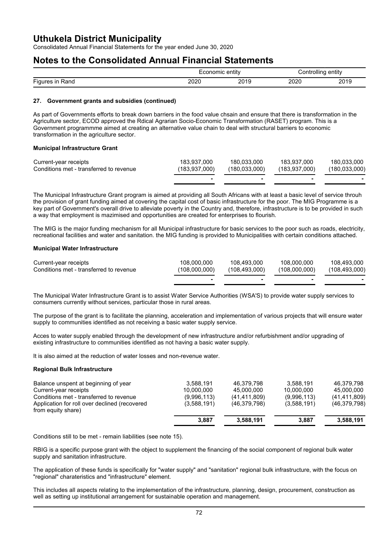Consolidated Annual Financial Statements for the year ended June 30, 2020

### **Notes to the Consolidated Annual Financial Statements**

|                            | - 11         | $\sim$ ntıtı<br>าแเง |                     | ∵entitv<br>τοιιιης |  |
|----------------------------|--------------|----------------------|---------------------|--------------------|--|
| $- \cdot$<br>≀and<br>FIUIL | חר ה<br>ZUZU | ״                    | ור הנ<br><b>LUL</b> | 2010<br>2 U L      |  |

#### **27. Government grants and subsidies (continued)**

As part of Governments efforts to break down barriers in the food value chsain and ensure that there is transformation in the Agriculture sector, ECOD approved the Rdical Agrarian Socio-Economic Transformation (RASET) program. This is a Government programmme aimed at creating an alternative value chain to deal with structural barriers to economic transformation in the agriculture sector.

#### **Municipal Infrastructure Grant**

| Current-year receipts                   | 183.937.000   | 180.033.000   | 183.937.000   | 180.033.000   |
|-----------------------------------------|---------------|---------------|---------------|---------------|
| Conditions met - transferred to revenue | (183.937.000) | (180.033.000) | (183.937.000) | (180.033.000) |
|                                         |               |               |               |               |

The Municipal Infrastructure Grant program is aimed at providing all South Africans with at least a basic level of service throuh the provision of grant funding aimed at covering the capital cost of basic infrastructure for the poor. The MIG Programme is a key part of Government's overall drive to alleviate poverty in the Country and, therefore, infrastructure is to be provided in such a way that employment is mazimised and opportunities are created for enterprises to flourish.

The MIG is the major funding mechanism for all Municipal infrastructure for basic services to the poor such as roads, electricity, recreational facilities and water and sanitation. the MIG funding is provided to Municipalities with certain conditions attached.

#### **Municipal Water Infrastructure**

| Current-year receipts                   | 108.000.000   | 108.493.000   | 108.000.000   | 108.493.000     |
|-----------------------------------------|---------------|---------------|---------------|-----------------|
| Conditions met - transferred to revenue | (108,000,000) | (108.493.000) | (108.000.000) | (108, 493, 000) |
|                                         |               |               |               |                 |

The Municipal Water Infrastructure Grant is to assist Water Service Authorities (WSA'S) to provide water supply services to consumers currently without services, particular those in rural areas.

The purpose of the grant is to facilitate the planning, acceleration and implementation of various projects that will ensure water supply to communities identified as not receiving a basic water supply service.

Acces to water supply enabled through the development of new infrastructure and/or refurbishment and/or upgrading of existing infrastructure to communities identified as not having a basic water supply.

It is also aimed at the reduction of water losses and non-revenue water.

#### **Regional Bulk Infrastructure**

|                                                                                                                                         | 3.887                                    | 3,588,191                                    | 3.887                                    | 3,588,191                                      |
|-----------------------------------------------------------------------------------------------------------------------------------------|------------------------------------------|----------------------------------------------|------------------------------------------|------------------------------------------------|
| Current-year receipts<br>Conditions met - transferred to revenue<br>Application for roll over declined (recovered<br>from equity share) | 10.000.000<br>(9,996,113)<br>(3,588,191) | 45.000.000<br>(41, 411, 809)<br>(46,379,798) | 10.000.000<br>(9,996,113)<br>(3,588,191) | 45.000.000<br>(41, 411, 809)<br>(46, 379, 798) |
| Balance unspent at beginning of year                                                                                                    | 3.588.191                                | 46.379.798                                   | 3.588.191                                | 46.379.798                                     |

Conditions still to be met - remain liabilities (see note 15).

RBIG is a specific purpose grant with the object to supplement the financing of the social component of regional bulk water supply and sanitation infrastructure.

The application of these funds is specifically for "water supply" and "sanitation" regional bulk infrastructure, with the focus on "regional" charateristics and "infrastructure" element.

This includes all aspects relating to the implementation of the infrastructure, planning, design, procurement, construction as well as setting up institutional arrangement for sustainable operation and management.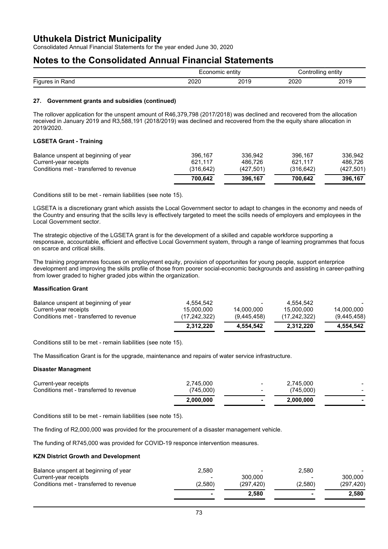Consolidated Annual Financial Statements for the year ended June 30, 2020

### **Notes to the Consolidated Annual Financial Statements**

|                                                        |      | <br>ntit<br>н  |      | .<br>entity<br>ollin |  |
|--------------------------------------------------------|------|----------------|------|----------------------|--|
| $- \cdot$<br>≺ano<br>$\overline{ }$<br>Fiaur<br>ш<br>ີ | 2020 | ິ<br>ت ا<br>∠∪ | 2020 | 2019                 |  |

#### **27. Government grants and subsidies (continued)**

The rollover application for the unspent amount of R46,379,798 (2017/2018) was declined and recovered from the allocation received in January 2019 and R3,588,191 (2018/2019) was declined and recovered from the the equity share allocation in 2019/2020.

#### **LGSETA Grant - Training**

|                                         | 700.642   | 396.167   | 700.642   | 396.167    |
|-----------------------------------------|-----------|-----------|-----------|------------|
| Conditions met - transferred to revenue | (316.642) | (427.501) | (316,642) | (427, 501) |
| Current-year receipts                   | 621.117   | 486.726   | 621.117   | 486.726    |
| Balance unspent at beginning of year    | 396.167   | 336.942   | 396.167   | 336.942    |
|                                         |           |           |           |            |

Conditions still to be met - remain liabilities (see note 15).

LGSETA is a discretionary grant which assists the Local Government sector to adapt to changes in the economy and needs of the Country and ensuring that the scills levy is effectively targeted to meet the scills needs of employers and employees in the Local Government sector.

The strategic objective of the LGSETA grant is for the development of a skilled and capable workforce supporting a responsave, accountable, efficient and effective Local Government syatem, through a range of learning programmes that focus on scarce and critical skills.

The training programmes focuses on employment equity, provision of opportunites for young people, support enterprice development and improving the skills profile of those from poorer social-economic backgrounds and assisting in career-pathing from lower graded to higher graded jobs within the organization.

#### **Massification Grant**

|                                         | 2.312.220    | 4.554.542   | 2.312.220    | 4.554.542   |
|-----------------------------------------|--------------|-------------|--------------|-------------|
| Conditions met - transferred to revenue | (17,242,322) | (9.445.458) | (17.242.322) | (9,445,458) |
| Current-year receipts                   | 15.000.000   | 14.000.000  | 15.000.000   | 14.000.000  |
| Balance unspent at beginning of year    | 4.554.542    | $\sim$      | 4.554.542    |             |

Conditions still to be met - remain liabilities (see note 15).

The Massification Grant is for the upgrade, maintenance and repairs of water service infrastructure.

#### **Disaster Managment**

| Current-year receipts                   | 2.745.000 | $\overline{\phantom{0}}$ | 2,745,000 |  |
|-----------------------------------------|-----------|--------------------------|-----------|--|
| Conditions met - transferred to revenue | (745.000) | $\sim$                   | (745.000) |  |
|                                         | 2.000.000 | ٠                        | 2.000.000 |  |

Conditions still to be met - remain liabilities (see note 15).

The finding of R2,000,000 was provided for the procurement of a disaster management vehicle.

The funding of R745,000 was provided for COVID-19 responce intervention measures.

#### **KZN District Growth and Development**

| Balance unspent at beginning of year    | 2.580   | $\overline{\phantom{0}}$ | 2.580                    |            |
|-----------------------------------------|---------|--------------------------|--------------------------|------------|
| Current-year receipts                   |         | 300.000                  | $\overline{\phantom{a}}$ | 300.000    |
| Conditions met - transferred to revenue | (2,580) | (297.420)                | (2,580)                  | (297, 420) |
|                                         |         | 2.580                    |                          | 2.580      |
|                                         |         |                          |                          |            |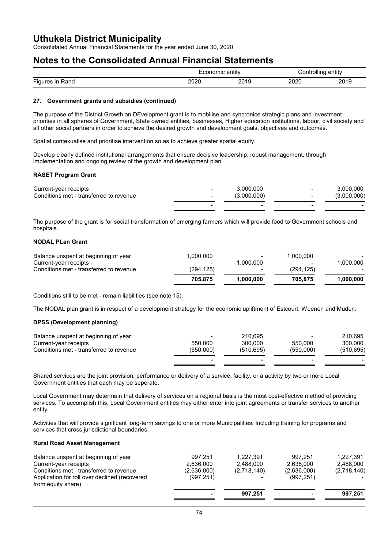Consolidated Annual Financial Statements for the year ended June 30, 2020

### **Notes to the Consolidated Annual Financial Statements**

|                                  | - - - -<br>enut |          | entit\<br>olling |                   |
|----------------------------------|-----------------|----------|------------------|-------------------|
| $- \cdot$<br>⊀anc<br>FIUI<br>. . | วกวเ<br>-uz     | ״<br>$-$ |                  | 2011<br>- - - - - |

#### **27. Government grants and subsidies (continued)**

The purpose of the District Growth an DEvelopment grant is to mobilise and syncronice strategic plans and investment priorities in all spheres of Government, State owned entities, businesses, Higher education institutions, labour, civil society and all other social partners in order to achieve the desired growth and development goals, objectives and outcomes.

Spatial contexualise and prioritise intervention so as to achieve greater spatial equity.

Develop clearly defined institutional arrangements that ensure decisive leadership, robust management, through implementation and ongoing review of the growth and development plan.

#### **RASET Program Grant**

| Current-year receipts                   | $\overline{\phantom{a}}$ | 3.000.000   | $\sim$                   | 3.000.000   |
|-----------------------------------------|--------------------------|-------------|--------------------------|-------------|
| Conditions met - transferred to revenue | $\overline{\phantom{0}}$ | (3,000,000) | $\overline{\phantom{0}}$ | (3,000,000) |
|                                         |                          |             |                          |             |

The purpose of the grant is for social transformation of emerging farmers which will provide food to Government schools and hospitals.

#### **NODAL PLan Grant**

| Current-year receipts                   | -         | 0.000.000       | $\sim$    | .000.000  |
|-----------------------------------------|-----------|-----------------|-----------|-----------|
| Conditions met - transferred to revenue | (294,125) | $\qquad \qquad$ | (294.125) |           |
|                                         | 705.875   | .000.000.       | 705.875   | 1.000.000 |

Conditions still to be met - remain liabilities (see note 15).

The NODAL plan grant is in respect of a development strategy for the economic upliftment of Estcourt, Weenen and Muden.

#### **DPSS (Development planning)**

| Balance unspent at beginning of year    | -         | 210.695   | $\overline{\phantom{0}}$ | 210.695   |
|-----------------------------------------|-----------|-----------|--------------------------|-----------|
| Current-year receipts                   | 550,000   | 300.000   | 550,000                  | 300,000   |
| Conditions met - transferred to revenue | (550.000) | (510.695) | (550.000)                | (510.695) |
|                                         |           |           | -                        |           |

Shared services are the joint provision, performance or delivery of a service, facility, or a activity by two or more Local Government entities that each may be seperate.

Local Government may determain that delivery of services on a regional basis is the most cost-effective method of providing services. To accomplish this, Local Government entities may either enter into joint agreements or transfer services to another entity.

Activities that will provide significant long-term savings to one or more Municipalities. Including training for programs and services that cross jurisdictional boundaries.

#### **Rural Road Asset Management**

|                                                                                                                                         |                                        | 997.251                       | ۰                                      | 997.251                  |
|-----------------------------------------------------------------------------------------------------------------------------------------|----------------------------------------|-------------------------------|----------------------------------------|--------------------------|
| Current-year receipts<br>Conditions met - transferred to revenue<br>Application for roll over declined (recovered<br>from equity share) | 2.636.000<br>(2,636,000)<br>(997, 251) | 2.488.000<br>(2,718,140)<br>- | 2,636,000<br>(2,636,000)<br>(997, 251) | 2.488.000<br>(2,718,140) |
| Balance unspent at beginning of year                                                                                                    | 997.251                                | 1,227,391                     | 997.251                                | 1.227.391                |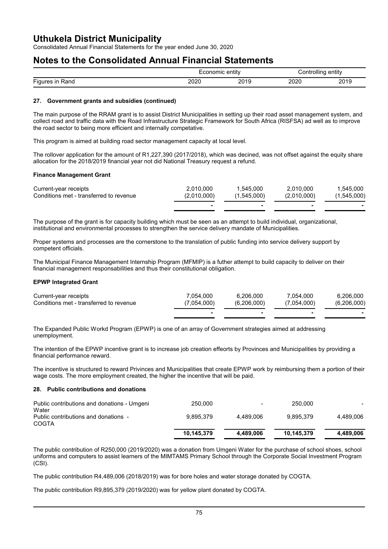Consolidated Annual Financial Statements for the year ended June 30, 2020

### **Notes to the Consolidated Annual Financial Statements**

|                                                        |      | нс<br>านเ      |      | .<br>entity<br>ΟШΙ |  |
|--------------------------------------------------------|------|----------------|------|--------------------|--|
| $- \cdot$<br>≺and<br>$\overline{ }$<br>Fiaur<br>ш<br>ີ | 2020 | 201<br>.<br>∠∪ | 2020 | ว∩1<br>∠∪ ।        |  |

#### **27. Government grants and subsidies (continued)**

The main purpose of the RRAM grant is to assist District Municipalities in setting up their road asset management system, and collect road and traffic data with the Road Infrastructure Strategic Framework for South Africa (RISFSA) ad well as to improve the road sector to being more efficient and internally competative.

This program is aimed at building road sector management capacity at local level.

The rollover application for the amount of R1,227,390 (2017/2018), which was decined, was not offset against the equity share allocation for the 2018/2019 financial year not did National Treasury request a refund.

#### **Finance Management Grant**

| Conditions met - transferred to revenue | (2,010,000) | (1.545.000) | (2,010,000) | (1,545,000) |
|-----------------------------------------|-------------|-------------|-------------|-------------|
| Current-year receipts                   | 2.010.000   | 1.545.000   | 2.010.000   | 1.545.000   |

The purpose of the grant is for capacity building which must be seen as an attempt to build individual, organizational, institutional and environmental processes to strengthen the service delivery mandate of Municipalities.

Proper systems and processes are the cornerstone to the translation of public funding into service delivery support by competent officials.

The Municipal Finance Management Internship Program (MFMIP) is a futher attempt to build capacity to deliver on their financial management responsabilities and thus their constitutional obligation.

#### **EPWP Integrated Grant**

| Current-year receipts                   | 7.054.000   | 6.206.000   | 7.054.000   | 6.206.000   |
|-----------------------------------------|-------------|-------------|-------------|-------------|
| Conditions met - transferred to revenue | (7.054.000) | (6,206,000) | (7.054.000) | (6,206,000) |
|                                         |             |             |             |             |

The Expanded Public Workd Program (EPWP) is one of an array of Government strategies aimed at addressing unemployment.

The intention of the EPWP incentive grant is to increase job creation effeorts by Provinces and Municipalities by providing a financial performance reward.

The incentive is structured to reward Privinces and Municipalities that create EPWP work by reimbursing them a portion of their wage costs. The more employment created, the higher the incentive that will be paid.

#### **28. Public contributions and donations**

|                                                      | 10,145,379 | 4,489,006      | 10.145.379 | 4,489,006 |
|------------------------------------------------------|------------|----------------|------------|-----------|
| Public contributions and donations -<br>COGTA        | 9.895.379  | 4.489.006      | 9.895.379  | 4.489.006 |
| Public contributions and donations - Umgeni<br>Water | 250,000    | $\blacksquare$ | 250,000    |           |

The public contribution of R250,000 (2019/2020) was a donation from Umgeni Water for the purchase of school shoes, school uniforms and computers to assist learners of the MIMTAMS Primary School through the Corporate Social Investment Program (CSI).

The public contribution R4,489,006 (2018/2019) was for bore holes and water storage donated by COGTA.

The public contribution R9,895,379 (2019/2020) was for yellow plant donated by COGTA.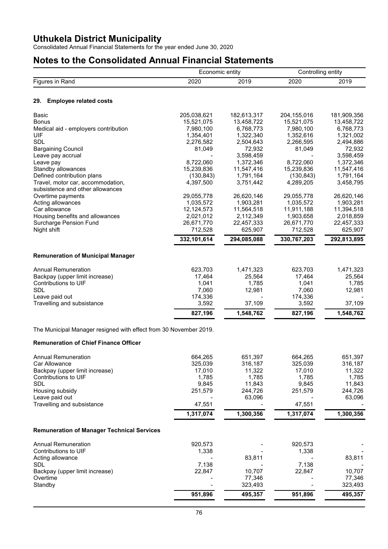Consolidated Annual Financial Statements for the year ended June 30, 2020

# **Notes to the Consolidated Annual Financial Statements**

|                                                                   | Economic entity |             | Controlling entity |             |
|-------------------------------------------------------------------|-----------------|-------------|--------------------|-------------|
| Figures in Rand                                                   | 2020            | 2019        | 2020               | 2019        |
|                                                                   |                 |             |                    |             |
| <b>Employee related costs</b><br>29.                              |                 |             |                    |             |
| Basic                                                             | 205,038,621     | 182,613,317 | 204, 155, 016      | 181,909,356 |
| <b>Bonus</b>                                                      | 15,521,075      | 13,458,722  | 15,521,075         | 13,458,722  |
| Medical aid - employers contribution                              | 7,980,100       | 6,768,773   | 7,980,100          | 6,768,773   |
| UIF                                                               | 1,354,401       | 1,322,340   | 1,352,616          | 1,321,002   |
| SDL                                                               | 2,276,582       | 2,504,643   | 2,266,595          | 2,494,886   |
| <b>Bargaining Council</b>                                         | 81,049          | 72,932      | 81,049             | 72,932      |
| Leave pay accrual                                                 |                 | 3,598,459   |                    | 3,598,459   |
| Leave pay                                                         | 8,722,060       | 1,372,346   | 8,722,060          | 1,372,346   |
| Standby allowances                                                | 15,239,836      | 11,547,416  | 15,239,836         | 11,547,416  |
| Defined contribution plans                                        | (130, 843)      | 1,791,164   | (130, 843)         | 1,791,164   |
| Travel, motor car, accommodation,                                 | 4,397,500       | 3,751,442   | 4,289,205          | 3,458,795   |
| subsistence and other allowances                                  |                 |             |                    |             |
| Overtime payments                                                 | 29,055,778      | 26,620,146  | 29,055,778         | 26,620,146  |
| Acting allowances                                                 | 1,035,572       | 1,903,281   | 1,035,572          | 1,903,281   |
| Car allowance                                                     | 12, 124, 573    | 11,564,518  | 11,911,188         | 11,394,518  |
| Housing benefits and allowances                                   | 2,021,012       | 2,112,349   | 1,903,658          | 2,018,859   |
| Surcharge Pension Fund                                            | 26,671,770      | 22,457,333  | 26,671,770         | 22,457,333  |
| Night shift                                                       | 712,528         | 625,907     | 712,528            | 625,907     |
|                                                                   |                 |             |                    |             |
|                                                                   | 332,101,614     | 294,085,088 | 330,767,203        | 292,813,895 |
| <b>Remuneration of Municipal Manager</b>                          |                 |             |                    |             |
| <b>Annual Remuneration</b>                                        | 623,703         | 1,471,323   | 623,703            | 1,471,323   |
| Backpay (upper limit increase)                                    | 17,464          | 25,564      | 17,464             | 25,564      |
| Contributions to UIF                                              | 1,041           | 1,785       | 1,041              | 1,785       |
| SDL                                                               | 7,060           | 12,981      | 7,060              | 12,981      |
| Leave paid out                                                    | 174,336         |             | 174,336            |             |
| Travelling and subsistance                                        | 3,592           | 37,109      | 3,592              | 37,109      |
|                                                                   | 827,196         | 1,548,762   | 827,196            | 1,548,762   |
|                                                                   |                 |             |                    |             |
| The Municipal Manager resigned with effect from 30 November 2019. |                 |             |                    |             |
| <b>Remuneration of Chief Finance Officer</b>                      |                 |             |                    |             |
| <b>Annual Remuneration</b>                                        | 664,265         | 651,397     | 664,265            | 651,397     |
| Car Allowance                                                     | 325,039         | 316,187     | 325,039            | 316,187     |
| Backpay (upper limit increase)                                    | 17,010          | 11,322      | 17,010             | 11,322      |
| Contributions to UIF                                              | 1,785           | 1,785       | 1,785              | 1,785       |
| SDL                                                               | 9,845           | 11,843      | 9,845              | 11,843      |
| Housing subsidy                                                   | 251,579         | 244,726     | 251,579            | 244,726     |
| Leave paid out                                                    |                 | 63,096      |                    | 63,096      |
| Travelling and subsistance                                        | 47,551          |             | 47,551             |             |
|                                                                   | 1,317,074       | 1,300,356   | 1,317,074          | 1,300,356   |
|                                                                   |                 |             |                    |             |
| <b>Remuneration of Manager Technical Services</b>                 |                 |             |                    |             |
| <b>Annual Remuneration</b>                                        | 920,573         |             | 920,573            |             |
| Contributions to UIF                                              | 1,338           |             | 1,338              |             |
| Acting allowance                                                  |                 | 83,811      |                    | 83,811      |
| <b>SDL</b>                                                        | 7,138           |             | 7,138              |             |
| Backpay (upper limit increase)                                    | 22,847          | 10,707      | 22,847             | 10,707      |
| Overtime                                                          |                 | 77,346      |                    | 77,346      |
| Standby                                                           |                 | 323,493     |                    | 323,493     |
|                                                                   | 951,896         | 495,357     | 951,896            | 495,357     |
|                                                                   |                 |             |                    |             |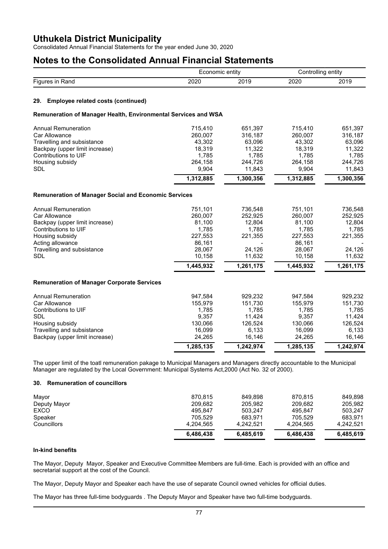Consolidated Annual Financial Statements for the year ended June 30, 2020

### **Notes to the Consolidated Annual Financial Statements**

|                                                                                                                                                                                          | Economic entity                                                                  |                                                                                   | Controlling entity                                                               |                                                                                   |
|------------------------------------------------------------------------------------------------------------------------------------------------------------------------------------------|----------------------------------------------------------------------------------|-----------------------------------------------------------------------------------|----------------------------------------------------------------------------------|-----------------------------------------------------------------------------------|
| Figures in Rand                                                                                                                                                                          | 2020                                                                             | 2019                                                                              | 2020                                                                             | 2019                                                                              |
| Employee related costs (continued)<br>29.                                                                                                                                                |                                                                                  |                                                                                   |                                                                                  |                                                                                   |
| Remuneration of Manager Health, Environmental Services and WSA                                                                                                                           |                                                                                  |                                                                                   |                                                                                  |                                                                                   |
| <b>Annual Remuneration</b><br>Car Allowance<br>Travelling and subsistance<br>Backpay (upper limit increase)<br>Contributions to UIF<br>Housing subsidy<br><b>SDL</b>                     | 715,410<br>260,007<br>43,302<br>18,319<br>1,785<br>264,158<br>9,904<br>1,312,885 | 651,397<br>316,187<br>63.096<br>11,322<br>1,785<br>244,726<br>11,843<br>1,300,356 | 715,410<br>260,007<br>43,302<br>18,319<br>1,785<br>264,158<br>9,904<br>1,312,885 | 651,397<br>316,187<br>63,096<br>11,322<br>1,785<br>244,726<br>11,843<br>1,300,356 |
|                                                                                                                                                                                          |                                                                                  |                                                                                   |                                                                                  |                                                                                   |
| <b>Remuneration of Manager Social and Economic Services</b>                                                                                                                              |                                                                                  |                                                                                   |                                                                                  |                                                                                   |
| <b>Annual Remuneration</b><br>Car Allowance<br>Backpay (upper limit increase)<br>Contributions to UIF<br>Housing subsidy<br>Acting allowance<br>Travelling and subsistance<br><b>SDL</b> | 751,101<br>260,007<br>81,100<br>1,785<br>227,553<br>86,161<br>28,067<br>10,158   | 736,548<br>252,925<br>12,804<br>1,785<br>221,355<br>24,126<br>11.632              | 751,101<br>260,007<br>81,100<br>1,785<br>227,553<br>86,161<br>28,067<br>10,158   | 736,548<br>252,925<br>12,804<br>1,785<br>221,355<br>24,126<br>11,632              |
|                                                                                                                                                                                          | 1,445,932                                                                        | 1,261,175                                                                         | 1,445,932                                                                        | 1,261,175                                                                         |
| <b>Remuneration of Manager Corporate Services</b>                                                                                                                                        |                                                                                  |                                                                                   |                                                                                  |                                                                                   |
| <b>Annual Remuneration</b><br><b>Car Allowance</b><br><b>Contributions to UIF</b><br>SDL<br>Housing subsidy<br>Travelling and subsistance<br>Backpay (upper limit increase)              | 947,584<br>155,979<br>1,785<br>9,357<br>130,066<br>16,099<br>24,265<br>1,285,135 | 929.232<br>151,730<br>1,785<br>11,424<br>126,524<br>6,133<br>16,146<br>1,242,974  | 947.584<br>155,979<br>1,785<br>9,357<br>130,066<br>16,099<br>24,265<br>1,285,135 | 929.232<br>151,730<br>1,785<br>11,424<br>126,524<br>6,133<br>16,146<br>1,242,974  |
|                                                                                                                                                                                          |                                                                                  |                                                                                   |                                                                                  |                                                                                   |

The upper limit of the toatl remuneration pakage to Municipal Managers and Managers directly accountable to the Municipal Manager are regulated by the Local Government: Municipal Systems Act,2000 (Act No. 32 of 2000).

#### **30. Remuneration of councillors**

| Mayor              | 870.815   | 849.898   | 870.815   | 849.898   |
|--------------------|-----------|-----------|-----------|-----------|
| Deputy Mayor       | 209.682   | 205.982   | 209.682   | 205.982   |
| <b>EXCO</b>        | 495.847   | 503.247   | 495.847   | 503.247   |
| Speaker            | 705.529   | 683.971   | 705.529   | 683.971   |
| <b>Councillors</b> | 4.204.565 | 4.242.521 | 4.204.565 | 4.242.521 |
|                    | 6,486,438 | 6,485,619 | 6,486,438 | 6,485,619 |

#### **In-kind benefits**

The Mayor, Deputy Mayor, Speaker and Executive Committee Members are full-time. Each is provided with an office and secretarial support at the cost of the Council.

The Mayor, Deputy Mayor and Speaker each have the use of separate Council owned vehicles for official duties.

The Mayor has three full-time bodyguards . The Deputy Mayor and Speaker have two full-time bodyguards.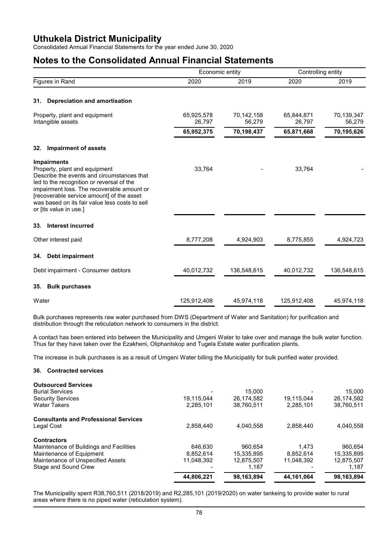Consolidated Annual Financial Statements for the year ended June 30, 2020

## **Notes to the Consolidated Annual Financial Statements**

|                                                                                                                                                                                                                                                                                                                       |                      | Economic entity<br>Controlling entity |                      |                      |
|-----------------------------------------------------------------------------------------------------------------------------------------------------------------------------------------------------------------------------------------------------------------------------------------------------------------------|----------------------|---------------------------------------|----------------------|----------------------|
| Figures in Rand                                                                                                                                                                                                                                                                                                       | 2020                 | 2019                                  | 2020                 | 2019                 |
| <b>Depreciation and amortisation</b><br>31.                                                                                                                                                                                                                                                                           |                      |                                       |                      |                      |
| Property, plant and equipment<br>Intangible assets                                                                                                                                                                                                                                                                    | 65,925,578<br>26,797 | 70,142,158<br>56,279                  | 65,844,871<br>26,797 | 70,139,347<br>56,279 |
|                                                                                                                                                                                                                                                                                                                       | 65,952,375           | 70,198,437                            | 65,871,668           | 70,195,626           |
| <b>Impairment of assets</b><br>32.                                                                                                                                                                                                                                                                                    |                      |                                       |                      |                      |
| <b>Impairments</b><br>Property, plant and equipment<br>Describe the events and circumstances that<br>led to the recognition or reversal of the<br>impairment loss. The recoverable amount or<br>[recoverable service amount] of the asset<br>was based on its fair value less costs to sell<br>or [its value in use.] | 33,764               |                                       | 33,764               |                      |
| Interest incurred<br>33.                                                                                                                                                                                                                                                                                              |                      |                                       |                      |                      |
| Other interest paid                                                                                                                                                                                                                                                                                                   | 8,777,208            | 4,924,903                             | 8,775,855            | 4,924,723            |
| Debt impairment<br>34.                                                                                                                                                                                                                                                                                                |                      |                                       |                      |                      |
| Debt impairment - Consumer debtors                                                                                                                                                                                                                                                                                    | 40,012,732           | 136,548,615                           | 40,012,732           | 136,548,615          |
| <b>Bulk purchases</b><br>35.                                                                                                                                                                                                                                                                                          |                      |                                       |                      |                      |
| Water                                                                                                                                                                                                                                                                                                                 | 125,912,408          | 45,974,118                            | 125,912,408          | 45,974,118           |

Bulk purchases represents raw water purchased from DWS (Department of Water and Sanitation) for purification and distribution through the reticulation network to consumers in the district.

A contact has been entered into between the Municipality and Umgeni Water to take over and manage the bulk water function. Thus far they have taken over the Ezakheni, Oliphantskop and Tugela Estate water purification plants.

The increase in bulk purchases is as a result of Umgeni Water billing the Municipality for bulk purified water provided.

#### **36. Contracted services**

| <b>Outsourced Services</b>                   |            |            |            |            |
|----------------------------------------------|------------|------------|------------|------------|
| <b>Burial Services</b>                       |            | 15.000     |            | 15,000     |
| <b>Security Services</b>                     | 19.115.044 | 26.174.582 | 19.115.044 | 26,174,582 |
| <b>Water Takers</b>                          | 2.285.101  | 38,760,511 | 2,285,101  | 38,760,511 |
| <b>Consultants and Professional Services</b> |            |            |            |            |
| Legal Cost                                   | 2.858.440  | 4.040.558  | 2.858.440  | 4.040.558  |
| <b>Contractors</b>                           |            |            |            |            |
| Maintenance of Buildings and Facilities      | 646.630    | 960.654    | 1.473      | 960.654    |
| Maintenance of Equipment                     | 8.852.614  | 15,335,895 | 8.852.614  | 15,335,895 |
| Maintenance of Unspecified Assets            | 11.048.392 | 12,875,507 | 11.048.392 | 12,875,507 |
| Stage and Sound Crew                         |            | 1,187      |            | 1,187      |
|                                              | 44,806,221 | 98,163,894 | 44,161,064 | 98,163,894 |

The Municipality spent R38,760,511 (2018/2019) and R2,285,101 (2019/2020) on water tankeing to provide water to rural areas where there is no piped water (reticulation system).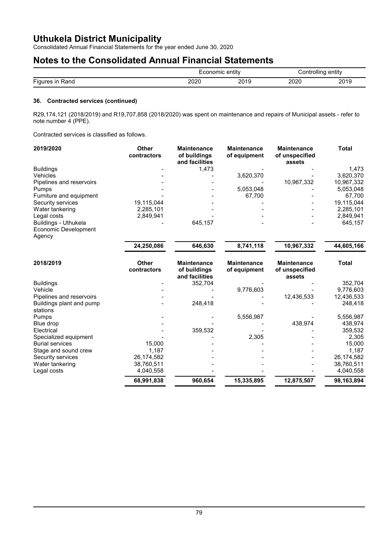Consolidated Annual Financial Statements for the year ended June 30, 2020

### **Notes to the Consolidated Annual Financial Statements**

|                        |               | iomic entitv             |              | .<br>entity<br>rollind |  |
|------------------------|---------------|--------------------------|--------------|------------------------|--|
| $-$<br>Rand<br>Fiaures | 2020<br>_____ | 2010<br>ZV.<br>ن ا<br>__ | 2020<br>____ | 2019                   |  |

#### **36. Contracted services (continued)**

R29,174,121 (2018/2019) and R19,707,858 (2018/2020) was spent on maintenance and repairs of Municipal assets - refer to note number 4 (PPE).

Contracted services is classified as follows.

| 2019/2020                            | Other<br>contractors | <b>Maintenance</b><br>of buildings<br>and facilities | <b>Maintenance</b><br>of equipment | <b>Maintenance</b><br>of unspecified<br>assets | <b>Total</b> |
|--------------------------------------|----------------------|------------------------------------------------------|------------------------------------|------------------------------------------------|--------------|
| <b>Buildings</b>                     |                      | 1,473                                                |                                    |                                                | 1,473        |
| Vehicles                             |                      |                                                      | 3,620,370                          |                                                | 3,620,370    |
| Pipelines and reservoirs             |                      |                                                      |                                    | 10,967,332                                     | 10,967,332   |
| Pumps                                |                      |                                                      | 5,053,048                          |                                                | 5,053,048    |
| Furniture and equipment              |                      |                                                      | 67,700                             |                                                | 67,700       |
| Security services                    | 19,115,044           |                                                      |                                    |                                                | 19,115,044   |
| Water tankering                      | 2,285,101            |                                                      |                                    |                                                | 2,285,101    |
| Legal costs                          | 2,849,941            |                                                      |                                    |                                                | 2,849,941    |
| <b>Buildings - Uthukela</b>          |                      | 645,157                                              |                                    |                                                | 645,157      |
| Economic Development<br>Agency       |                      |                                                      |                                    |                                                |              |
|                                      | 24,250,086           | 646,630                                              | 8,741,118                          | 10,967,332                                     | 44,605,166   |
| 2018/2019                            | Other<br>contractors | <b>Maintenance</b><br>of buildings                   | <b>Maintenance</b><br>of equipment | <b>Maintenance</b><br>of unspecified           | <b>Total</b> |
|                                      |                      | and facilities                                       |                                    | assets                                         |              |
| <b>Buildings</b>                     |                      | 352,704                                              |                                    |                                                | 352,704      |
| Vehicle                              |                      |                                                      | 9,776,603                          |                                                | 9,776,603    |
| Pipelines and reservoirs             |                      |                                                      |                                    | 12,436,533                                     | 12,436,533   |
| Buildings plant and pump<br>stations |                      | 248,418                                              |                                    |                                                | 248,418      |
| Pumps                                |                      |                                                      | 5,556,987                          |                                                | 5,556,987    |
| Blue drop                            |                      |                                                      |                                    | 438,974                                        | 438,974      |
| Electrical                           |                      | 359,532                                              |                                    |                                                | 359,532      |
| Specialized equipment                |                      |                                                      | 2,305                              |                                                | 2,305        |
| <b>Burial services</b>               | 15,000               |                                                      |                                    |                                                | 15,000       |
| Stage and sound crew                 | 1,187                |                                                      |                                    |                                                | 1,187        |
| Security services                    | 26,174,582           |                                                      |                                    |                                                | 26,174,582   |
| Water tankering                      | 38,760,511           |                                                      |                                    |                                                | 38,760,511   |
| Legal costs                          | 4,040,558            |                                                      |                                    |                                                | 4,040,558    |
|                                      | 68,991,838           | 960,654                                              | 15,335,895                         | 12,875,507                                     | 98,163,894   |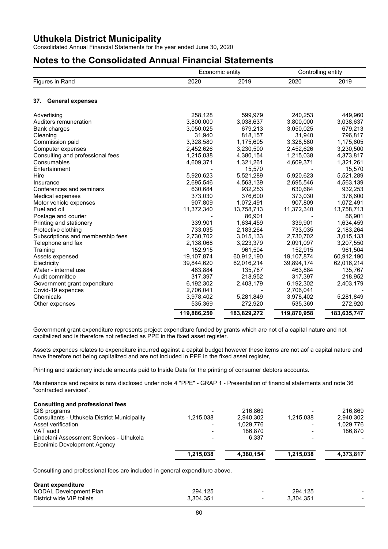Consolidated Annual Financial Statements for the year ended June 30, 2020

## **Notes to the Consolidated Annual Financial Statements**

|                                   | Economic entity |             | Controlling entity |             |
|-----------------------------------|-----------------|-------------|--------------------|-------------|
| Figures in Rand                   | 2020            | 2019        | 2020               | 2019        |
| <b>General expenses</b><br>37.    |                 |             |                    |             |
| Advertising                       | 258,128         | 599,979     | 240,253            | 449,960     |
| Auditors remuneration             | 3.800.000       | 3,038,637   | 3,800,000          | 3,038,637   |
| Bank charges                      | 3,050,025       | 679,213     | 3,050,025          | 679,213     |
| Cleaning                          | 31.940          | 818,157     | 31,940             | 796,817     |
| Commission paid                   | 3,328,580       | 1,175,605   | 3,328,580          | 1,175,605   |
| Computer expenses                 | 2,452,626       | 3,230,500   | 2,452,626          | 3,230,500   |
| Consulting and professional fees  | 1,215,038       | 4,380,154   | 1,215,038          | 4,373,817   |
| Consumables                       | 4,609,371       | 1,321,261   | 4,609,371          | 1,321,261   |
| Entertainment                     |                 | 15,570      |                    | 15,570      |
| Hire                              | 5,920,623       | 5,521,289   | 5,920,623          | 5,521,289   |
| Insurance                         | 2,695,546       | 4,563,139   | 2,695,546          | 4,563,139   |
| Conferences and seminars          | 630,684         | 932,253     | 630,684            | 932,253     |
| Medical expenses                  | 373,030         | 376,600     | 373,030            | 376,600     |
| Motor vehicle expenses            | 907,809         | 1,072,491   | 907,809            | 1,072,491   |
| Fuel and oil                      | 11,372,340      | 13,758,713  | 11,372,340         | 13,758,713  |
| Postage and courier               |                 | 86,901      |                    | 86,901      |
| Printing and stationery           | 339,901         | 1,634,459   | 339,901            | 1,634,459   |
| Protective clothing               | 733,035         | 2,183,264   | 733,035            | 2,183,264   |
| Subscriptions and membership fees | 2,730,702       | 3,015,133   | 2,730,702          | 3,015,133   |
| Telephone and fax                 | 2,138,068       | 3,223,379   | 2,091,097          | 3,207,550   |
| Training                          | 152,915         | 961,504     | 152,915            | 961,504     |
| Assets expensed                   | 19,107,874      | 60,912,190  | 19,107,874         | 60,912,190  |
| Electricity                       | 39,844,620      | 62,016,214  | 39,894,174         | 62,016,214  |
| Water - internal use              | 463,884         | 135,767     | 463,884            | 135,767     |
| Audit committee                   | 317,397         | 218,952     | 317,397            | 218,952     |
| Government grant expenditure      | 6,192,302       | 2,403,179   | 6,192,302          | 2,403,179   |
| Covid-19 expences                 | 2,706,041       |             | 2,706,041          |             |
| Chemicals                         | 3,978,402       | 5,281,849   | 3,978,402          | 5,281,849   |
| Other expenses                    | 535,369         | 272,920     | 535,369            | 272,920     |
|                                   | 119,886,250     | 183,829,272 | 119,870,958        | 183,635,747 |

Government grant expenditure represents project expenditure funded by grants which are not of a capital nature and not capitalized and is therefore not reflected as PPE in the fixed asset register.

Assets expences relates to expenditure incurred against a capital budget however these items are not aof a capital nature and have therefore not being capitalized and are not included in PPE in the fixed asset register,

Printing and stationery include amounts paid to Inside Data for the printing of consumer debtors accounts.

Maintenance and repairs is now disclosed under note 4 "PPE" - GRAP 1 - Presentation of financial statements and note 36 "contracted services".

#### **Consulting and professional fees**

|                                              | 1,215,038                | 4,380,154 | 1,215,038 | 4,373,817                |
|----------------------------------------------|--------------------------|-----------|-----------|--------------------------|
| Econimic Development Agency                  |                          |           |           |                          |
| Lindelani Assessment Services - Uthukela     | $\overline{\phantom{a}}$ | 6.337     |           | $\overline{\phantom{a}}$ |
| VAT audit                                    | $\,$                     | 186.870   |           | 186.870                  |
| Asset verification                           | $\overline{\phantom{a}}$ | 1.029.776 | -         | 1.029.776                |
| Consultants - Uthukela District Municipality | 1,215,038                | 2,940,302 | 1,215,038 | 2,940,302                |
| GIS programs                                 | $\,$                     | 216.869   |           | 216.869                  |

Consulting and professional fees are included in general expenditure above.

| <b>Grant expenditure</b>  |           |                          |           |  |
|---------------------------|-----------|--------------------------|-----------|--|
| NODAL Development Plan    | 294.125   | $\overline{\phantom{0}}$ | 294.125   |  |
| District wide VIP toilets | 3.304.351 | $\sim$                   | 3.304.351 |  |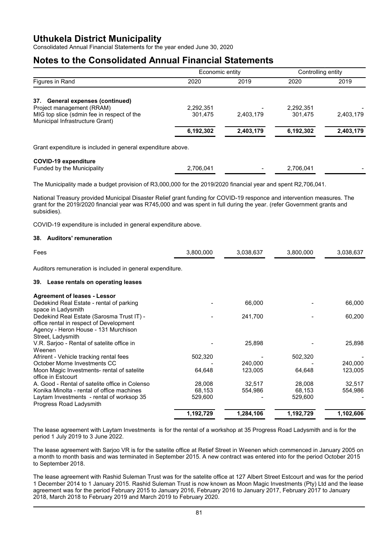Consolidated Annual Financial Statements for the year ended June 30, 2020

### **Notes to the Consolidated Annual Financial Statements**

| Economic entity      |           | Controlling entity   |           |
|----------------------|-----------|----------------------|-----------|
| 2020                 | 2019      | 2020                 | 2019      |
| 2,292,351<br>301.475 | 2,403,179 | 2,292,351<br>301.475 | 2,403,179 |
| 6,192,302            | 2,403,179 | 6,192,302            | 2,403,179 |
|                      |           |                      |           |

**COVID-19 expenditure**

| <b>COVID-19 EXPERIGNME</b> |           |                 |           |  |
|----------------------------|-----------|-----------------|-----------|--|
| Funded by the Municipality | 2.706.041 | $\qquad \qquad$ | 2.706.041 |  |
|                            |           |                 |           |  |

The Municipality made a budget provision of R3,000,000 for the 2019/2020 financial year and spent R2,706,041.

National Treasury provided Municipal Disaster Relief grant funding for COVID-19 responce and intervention measures. The grant for the 2019/2020 financial year was R745,000 and was spent in full during the year. (refer Government grants and subsidies).

COVID-19 expenditure is included in general expenditure above.

#### **38. Auditors' remuneration**

| Fees                                                                                                                                              | 3,800,000 | 3,038,637 | 3,800,000 | 3,038,637 |
|---------------------------------------------------------------------------------------------------------------------------------------------------|-----------|-----------|-----------|-----------|
| Auditors remuneration is included in general expenditure.                                                                                         |           |           |           |           |
| 39. Lease rentals on operating leases                                                                                                             |           |           |           |           |
| <b>Agreement of leases - Lessor</b>                                                                                                               |           |           |           |           |
| Dedekind Real Estate - rental of parking<br>space in Ladysmith                                                                                    |           | 66,000    |           | 66,000    |
| Dedekind Real Estate (Sarosma Trust IT) -<br>office rental in respect of Development<br>Agency - Heron House - 131 Murchison<br>Street, Ladysmith |           | 241,700   |           | 60,200    |
| V.R. Sarjoo - Rental of satelite office in<br>Weenen                                                                                              |           | 25,898    |           | 25,898    |
| Afrirent - Vehicle tracking rental fees                                                                                                           | 502,320   |           | 502,320   |           |
| October Morne Investments CC                                                                                                                      |           | 240,000   |           | 240,000   |
| Moon Magic Investments- rental of satelite<br>office in Estcourt                                                                                  | 64,648    | 123,005   | 64,648    | 123,005   |
| A. Good - Rental of satelite office in Colenso                                                                                                    | 28,008    | 32,517    | 28,008    | 32,517    |
| Konika Minolta - rental of office machines                                                                                                        | 68,153    | 554,986   | 68,153    | 554,986   |
| Laytam Investments - rental of worksop 35<br>Progress Road Ladysmith                                                                              | 529,600   |           | 529,600   |           |
|                                                                                                                                                   | 1,192,729 | 1,284,106 | 1,192,729 | 1,102,606 |

The lease agreement with Laytam Investments is for the rental of a workshop at 35 Progress Road Ladysmith and is for the period 1 July 2019 to 3 June 2022.

The lease agreement with Sarjoo VR is for the satelite office at Retief Street in Weenen which commenced in January 2005 on a month to month basis and was terminated in September 2015. A new contract was entered into for the period October 2015 to September 2018.

The lease agreement with Rashid Suleman Trust was for the satelite office at 127 Albert Street Estcourt and was for the period 1 December 2014 to 1 January 2015. Rashid Suleman Trust is now known as Moon Magic Investments (Pty) Ltd and the lease agreement was for the period February 2015 to January 2016, February 2016 to January 2017, February 2017 to January 2018, March 2018 to February 2019 and March 2019 to February 2020.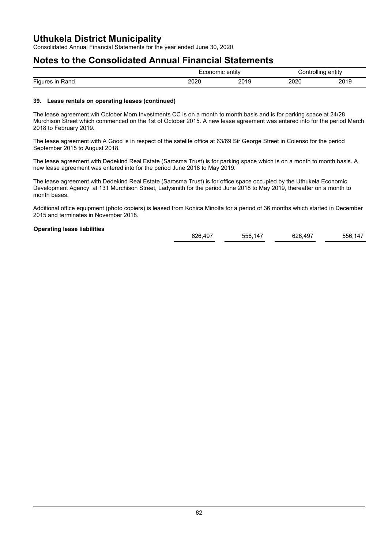Consolidated Annual Financial Statements for the year ended June 30, 2020

### **Notes to the Consolidated Annual Financial Statements**

|                                        |      | $\sim$ ntity<br>нс<br>nu |      | .<br>entity<br>ollinc |  |
|----------------------------------------|------|--------------------------|------|-----------------------|--|
| $- \cdot$<br>Rand<br>-In<br>Fidur<br>ີ | 2020 | 2011<br>ن ا<br>∠∪        | 2020 | 201<br>2015           |  |

#### **39. Lease rentals on operating leases (continued)**

The lease agreement wih October Morn Investments CC is on a month to month basis and is for parking space at 24/28 Murchison Street which commenced on the 1st of October 2015. A new lease agreement was entered into for the period March 2018 to February 2019.

The lease agreement with A Good is in respect of the satelite office at 63/69 Sir George Street in Colenso for the period September 2015 to August 2018.

The lease agreement with Dedekind Real Estate (Sarosma Trust) is for parking space which is on a month to month basis. A new lease agreement was entered into for the period June 2018 to May 2019.

The lease agreement with Dedekind Real Estate (Sarosma Trust) is for office space occupied by the Uthukela Economic Development Agency at 131 Murchison Street, Ladysmith for the period June 2018 to May 2019, thereafter on a month to month bases.

Additional office equipment (photo copiers) is leased from Konica Minolta for a period of 36 months which started in December 2015 and terminates in November 2018.

#### **Operating lease liabilities**

626,497 556,147 626,497 556,147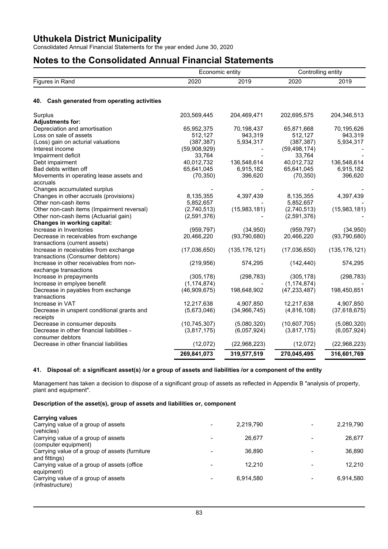Consolidated Annual Financial Statements for the year ended June 30, 2020

## **Notes to the Consolidated Annual Financial Statements**

|                                                 | Economic entity |                 | Controlling entity |                 |
|-------------------------------------------------|-----------------|-----------------|--------------------|-----------------|
| Figures in Rand                                 | 2020            | 2019            | 2020               | 2019            |
| Cash generated from operating activities<br>40. |                 |                 |                    |                 |
| Surplus                                         | 203,569,445     | 204,469,471     | 202,695,575        | 204,346,513     |
| <b>Adjustments for:</b>                         |                 |                 |                    |                 |
| Depreciation and amortisation                   | 65,952,375      | 70,198,437      | 65,871,668         | 70,195,626      |
| Loss on sale of assets                          | 512,127         | 943,319         | 512,127            | 943,319         |
| (Loss) gain on acturial valuations              | (387, 387)      | 5,934,317       | (387, 387)         | 5,934,317       |
| Interest income                                 | (59,908,929)    |                 | (59, 498, 174)     |                 |
| Impairment deficit                              | 33,764          |                 | 33,764             |                 |
| Debt impairment                                 | 40,012,732      | 136,548,614     | 40,012,732         | 136,548,614     |
| Bad debts written off                           | 65,641,045      | 6,915,182       | 65,641,045         | 6,915,182       |
| Movements in operating lease assets and         | (70, 350)       | 396,620         | (70, 350)          | 396,620         |
| accruals                                        |                 |                 |                    |                 |
| Changes accumulated surplus                     |                 |                 |                    |                 |
| Changes in other accruals (provisions)          | 8,135,355       | 4,397,439       | 8,135,355          | 4,397,439       |
| Other non-cash items                            | 5,852,657       |                 | 5,852,657          |                 |
| Other non-cash items (Impairment reversal)      | (2,740,513)     | (15,983,181)    | (2,740,513)        | (15,983,181)    |
| Other non-cash items (Actuarial gain)           | (2,591,376)     |                 | (2,591,376)        |                 |
| Changes in working capital:                     |                 |                 |                    |                 |
| Increase in Inventories                         | (959, 797)      | (34, 950)       | (959, 797)         | (34, 950)       |
| Decrease in receivables from exchange           | 20,466,220      | (93,790,680)    | 20,466,220         | (93,790,680)    |
| transactions (current assets)                   |                 |                 |                    |                 |
| Increase in receivables from exchange           | (17,036,650)    | (135, 176, 121) | (17,036,650)       | (135, 176, 121) |
| transactions (Consumer debtors)                 |                 |                 |                    |                 |
| Increase in other receivables from non-         | (219, 956)      | 574,295         | (142, 440)         | 574,295         |
| exchange transactions                           |                 |                 |                    |                 |
| Increase in prepayments                         | (305, 178)      | (298, 783)      | (305, 178)         | (298, 783)      |
| Increase in emplyee benefit                     | (1, 174, 874)   |                 | (1, 174, 874)      |                 |
| Decrease in payables from exchange              | (46,909,675)    | 198,648,902     | (47, 233, 487)     | 198,450,851     |
| transactions                                    |                 |                 |                    |                 |
| Increase in VAT                                 | 12,217,638      | 4,907,850       | 12,217,638         | 4,907,850       |
| Decrease in unspent conditional grants and      | (5,673,046)     | (34,966,745)    | (4,816,108)        | (37,618,675)    |
| receipts                                        |                 |                 |                    |                 |
| Decrease in consumer deposits                   | (10, 745, 307)  | (5,080,320)     | (10,607,705)       | (5,080,320)     |
| Decrease in other financial liabilities -       | (3,817,175)     | (6,057,924)     | (3,817,175)        | (6,057,924)     |
| consumer debtors                                |                 |                 |                    |                 |
| Decrease in other financial liabilities         | (12,072)        | (22,968,223)    | (12,072)           | (22,968,223)    |
|                                                 | 269,841,073     | 319,577,519     | 270,045,495        | 316,601,769     |

#### **41. Disposal of: a significant asset(s) /or a group of assets and liabilities /or a component of the entity**

Management has taken a decision to dispose of a significant group of assets as reflected in Appendix B "analysis of property, plant and equipment".

#### **Description of the asset(s), group of assets and liabilities or, component**

| <b>Carrying values</b>                         |      |           |           |
|------------------------------------------------|------|-----------|-----------|
| Carrying value of a group of assets            | $\,$ | 2.219.790 | 2,219,790 |
| (vehicles)                                     |      |           |           |
| Carrying value of a group of assets            | $\,$ | 26.677    | 26.677    |
| (computer equipment)                           |      |           |           |
| Carrying value of a group of assets (furniture |      | 36.890    | 36.890    |
| and fittings)                                  |      |           |           |
| Carrying value of a group of assets (office    | $\,$ | 12.210    | 12.210    |
| equipment)                                     |      |           |           |
| Carrying value of a group of assets            | $\,$ | 6.914.580 | 6.914.580 |
| (infrastructure)                               |      |           |           |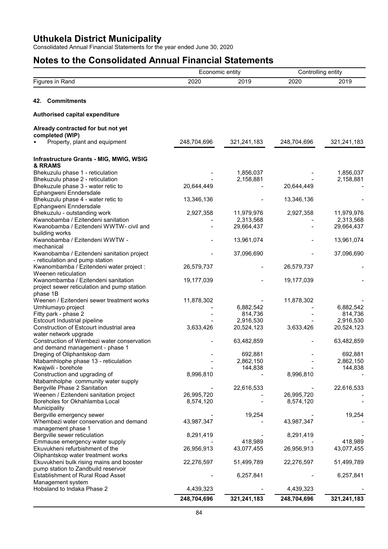Consolidated Annual Financial Statements for the year ended June 30, 2020

# **Notes to the Consolidated Annual Financial Statements**

|                                                                               |                         | Economic entity |                         | Controlling entity |  |
|-------------------------------------------------------------------------------|-------------------------|-----------------|-------------------------|--------------------|--|
| Figures in Rand                                                               | 2020                    | 2019            | 2020                    | 2019               |  |
| <b>Commitments</b><br>42.                                                     |                         |                 |                         |                    |  |
| Authorised capital expenditure                                                |                         |                 |                         |                    |  |
|                                                                               |                         |                 |                         |                    |  |
| Already contracted for but not yet<br>completed (WIP)                         |                         |                 |                         |                    |  |
| Property, plant and equipment                                                 | 248,704,696             | 321,241,183     | 248,704,696             | 321,241,183        |  |
| Infrastructure Grants - MIG, MWIG, WSIG                                       |                         |                 |                         |                    |  |
| & RRAMS                                                                       |                         |                 |                         |                    |  |
| Bhekuzulu phase 1 - reticulation                                              |                         | 1,856,037       |                         | 1,856,037          |  |
| Bhekuzulu phase 2 - reticulation<br>Bhekuzule phase 3 - water retic to        | 20,644,449              | 2,158,881       | 20,644,449              | 2,158,881          |  |
| Ephangweni Enndersdale                                                        |                         |                 |                         |                    |  |
| Bhekuzulu phase 4 - water retic to                                            | 13,346,136              |                 | 13,346,136              |                    |  |
| Ephangweni Enndersdale                                                        |                         |                 |                         |                    |  |
| Bhekuzulu - outstanding work                                                  | 2,927,358               | 11,979,976      | 2,927,358               | 11,979,976         |  |
| Kwanobamba / Ezitendeni sanitation                                            |                         | 2,313,568       |                         | 2,313,568          |  |
| Kwanobamba / Ezitendeni WWTW- civil and                                       |                         | 29,664,437      |                         | 29,664,437         |  |
| building works<br>Kwanobamba / Ezitendeni WWTW -                              |                         | 13,961,074      |                         | 13,961,074         |  |
| mechanical                                                                    |                         |                 |                         |                    |  |
| Kwanobamba / Ezitendeni sanitation project<br>- reticulation and pump station |                         | 37,096,690      |                         | 37,096,690         |  |
| Kwanombamba / Ezitendeni water project :                                      | 26,579,737              |                 | 26,579,737              |                    |  |
| Weenen reticulation<br>Kwanombamba / Ezitendeni sanitation                    | 19,177,039              |                 | 19,177,039              |                    |  |
| project sewer reticulation and pump station                                   |                         |                 |                         |                    |  |
| phase 1B                                                                      |                         |                 |                         |                    |  |
| Weenen / Ezitendeni sewer treatment works                                     | 11,878,302              |                 | 11,878,302              |                    |  |
| Umhlumayo project                                                             |                         | 6,882,542       |                         | 6,882,542          |  |
| Fitty park - phase 2                                                          |                         | 814,736         |                         | 814,736            |  |
| Estcourt Industrial pipeline                                                  |                         | 2,916,530       |                         | 2,916,530          |  |
| Construction of Estcourt industrial area<br>water network upgrade             | 3,633,426               | 20,524,123      | 3,633,426               | 20,524,123         |  |
| Construction of Wembezi water conservation                                    |                         | 63,482,859      |                         | 63,482,859         |  |
| and demand management - phase 1                                               |                         |                 |                         |                    |  |
| Dreging of Oliphantskop dam                                                   |                         | 692,881         |                         | 692,881            |  |
| Ntabamhlophe phase 13 - reticulation                                          |                         | 2,862,150       |                         | 2,862,150          |  |
| Kwajwili - borehole                                                           |                         | 144,838         |                         | 144,838            |  |
| Construction and upgrading of                                                 | 8,996,810               |                 | 8,996,810               |                    |  |
| Ntabamholphe community water supply                                           |                         |                 |                         |                    |  |
| Bergville Phase 2 Sanitation                                                  |                         | 22,616,533      |                         | 22,616,533         |  |
| Weenen / Ezitendeni sanitation project<br>Boreholes for Okhahlamba Local      | 26,995,720<br>8,574,120 |                 | 26,995,720<br>8,574,120 |                    |  |
| Municipality                                                                  |                         |                 |                         |                    |  |
| Bergville emergency sewer                                                     |                         | 19,254          |                         | 19,254             |  |
| Whembezi water conservation and demand                                        | 43,987,347              |                 | 43,987,347              |                    |  |
| management phase 1                                                            |                         |                 |                         |                    |  |
| Bergville sewer reticulation                                                  | 8,291,419               |                 | 8,291,419               |                    |  |
| Emmause emergency water supply                                                |                         | 418,989         |                         | 418,989            |  |
| Ekuvukheni refurbishment of the<br>Oliphantskop water treatment works         | 26,956,913              | 43,077,455      | 26,956,913              | 43,077,455         |  |
| Ekuvukheni bulk rising mains and booster                                      | 22,276,597              | 51,499,789      | 22,276,597              | 51,499,789         |  |
| pump station to Zandbuild reservoir                                           |                         |                 |                         |                    |  |
| <b>Establishment of Rural Road Asset</b>                                      |                         | 6,257,841       |                         | 6,257,841          |  |
| Management system                                                             |                         |                 |                         |                    |  |
| Hobsland to Indaka Phase 2                                                    | 4,439,323               |                 | 4,439,323               |                    |  |
|                                                                               | 248,704,696             | 321,241,183     | 248,704,696             | 321,241,183        |  |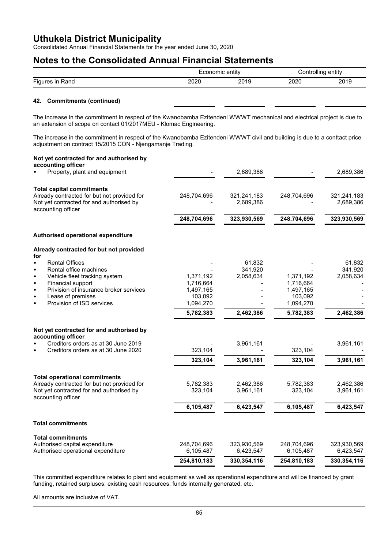Consolidated Annual Financial Statements for the year ended June 30, 2020

### **Notes to the Consolidated Annual Financial Statements**

|                                        |      | <br>mic entity |              | entity<br>.ollin∈ |  |  |
|----------------------------------------|------|----------------|--------------|-------------------|--|--|
| $-$<br>Rand<br>Fiaur<br>ın<br>res<br>c | 2020 | 2019           | 2020<br>____ | 2019              |  |  |
|                                        |      |                |              |                   |  |  |

#### **42. Commitments (continued)**

The increase in the commitment in respect of the Kwanobamba Ezitendeni WWWT mechanical and electrical project is due to an extension of scope on contact 01/2017MEU - Klomac Engineering.

The increase in the commitment in respect of the Kwanobamba Ezitendeni WWWT civil and building is due to a conttact price adjustment on contract 15/2015 CON - Njengamanje Trading.

| Not yet contracted for and authorised by<br>accounting officer<br>Property, plant and equipment                                                                                                                                                                                              |                                                                          | 2,689,386                                   |                                                                          | 2,689,386                                   |
|----------------------------------------------------------------------------------------------------------------------------------------------------------------------------------------------------------------------------------------------------------------------------------------------|--------------------------------------------------------------------------|---------------------------------------------|--------------------------------------------------------------------------|---------------------------------------------|
|                                                                                                                                                                                                                                                                                              |                                                                          |                                             |                                                                          |                                             |
| <b>Total capital commitments</b><br>Already contracted for but not provided for<br>Not yet contracted for and authorised by<br>accounting officer                                                                                                                                            | 248,704,696                                                              | 321,241,183<br>2,689,386                    | 248,704,696                                                              | 321,241,183<br>2,689,386                    |
|                                                                                                                                                                                                                                                                                              | 248,704,696                                                              | 323,930,569                                 | 248,704,696                                                              | 323,930,569                                 |
| Authorised operational expenditure                                                                                                                                                                                                                                                           |                                                                          |                                             |                                                                          |                                             |
| Already contracted for but not provided<br>for                                                                                                                                                                                                                                               |                                                                          |                                             |                                                                          |                                             |
| <b>Rental Offices</b><br>$\bullet$<br>Rental office machines<br>$\bullet$<br>Vehicle fleet tracking system<br>$\bullet$<br>Financial support<br>$\bullet$<br>Privision of insurance broker services<br>$\bullet$<br>Lease of premises<br>$\bullet$<br>Provision of ISD services<br>$\bullet$ | 1,371,192<br>1,716,664<br>1,497,165<br>103,092<br>1,094,270<br>5,782,383 | 61,832<br>341,920<br>2,058,634<br>2,462,386 | 1,371,192<br>1,716,664<br>1,497,165<br>103,092<br>1,094,270<br>5,782,383 | 61,832<br>341,920<br>2,058,634<br>2,462,386 |
| Not yet contracted for and authorised by                                                                                                                                                                                                                                                     |                                                                          |                                             |                                                                          |                                             |
| accounting officer<br>Creditors orders as at 30 June 2019<br>Creditors orders as at 30 June 2020<br>$\bullet$                                                                                                                                                                                | 323,104                                                                  | 3,961,161                                   | 323,104                                                                  | 3,961,161                                   |
|                                                                                                                                                                                                                                                                                              | 323,104                                                                  | 3,961,161                                   | 323,104                                                                  | 3,961,161                                   |
| <b>Total operational commitments</b><br>Already contracted for but not provided for<br>Not yet contracted for and authorised by<br>accounting officer                                                                                                                                        | 5,782,383<br>323,104<br>6,105,487                                        | 2,462,386<br>3,961,161<br>6,423,547         | 5,782,383<br>323,104<br>6,105,487                                        | 2,462,386<br>3,961,161<br>6,423,547         |
|                                                                                                                                                                                                                                                                                              |                                                                          |                                             |                                                                          |                                             |
| <b>Total commitments</b>                                                                                                                                                                                                                                                                     |                                                                          |                                             |                                                                          |                                             |
| <b>Total commitments</b><br>Authorised capital expenditure<br>Authorised operational expenditure                                                                                                                                                                                             | 248,704,696<br>6,105,487                                                 | 323,930,569<br>6,423,547                    | 248,704,696<br>6,105,487                                                 | 323,930,569<br>6,423,547                    |
|                                                                                                                                                                                                                                                                                              | 254,810,183                                                              | 330,354,116                                 | 254,810,183                                                              | 330,354,116                                 |

This committed expenditure relates to plant and equipment as well as operational expenditure and will be financed by grant funding, retained surpluses, existing cash resources, funds internally generated, etc.

All amounts are inclusive of VAT.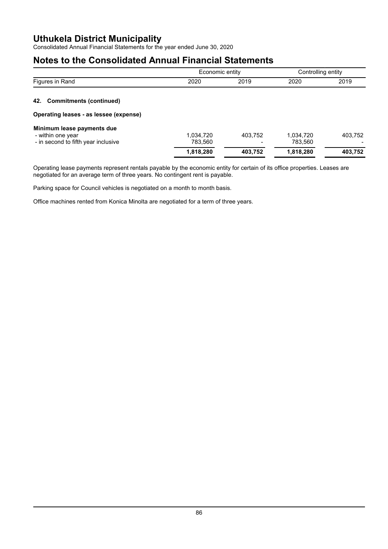Consolidated Annual Financial Statements for the year ended June 30, 2020

## **Notes to the Consolidated Annual Financial Statements**

| Figures in Rand                                          | Economic entity      |         | Controlling entity   |         |
|----------------------------------------------------------|----------------------|---------|----------------------|---------|
|                                                          | 2020                 | 2019    | 2020                 | 2019    |
| <b>Commitments (continued)</b><br>42.                    |                      |         |                      |         |
| Operating leases - as lessee (expense)                   |                      |         |                      |         |
| Minimum lease payments due                               |                      |         |                      |         |
| - within one year<br>- in second to fifth year inclusive | 1,034,720<br>783,560 | 403,752 | 1,034,720<br>783,560 | 403.752 |
|                                                          | 1,818,280            | 403,752 | 1,818,280            | 403,752 |
|                                                          |                      |         |                      |         |

Operating lease payments represent rentals payable by the economic entity for certain of its office properties. Leases are negotiated for an average term of three years. No contingent rent is payable.

Parking space for Council vehicles is negotiated on a month to month basis.

Office machines rented from Konica Minolta are negotiated for a term of three years.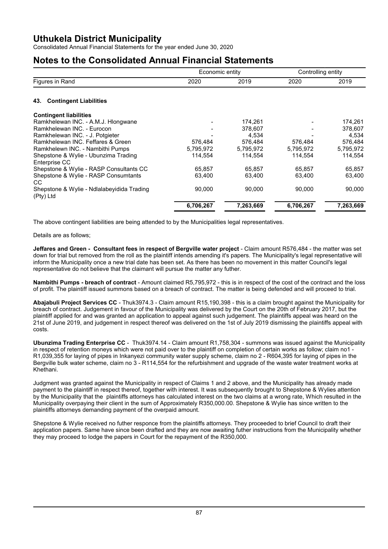Consolidated Annual Financial Statements for the year ended June 30, 2020

## **Notes to the Consolidated Annual Financial Statements**

|                                                         | Economic entity |           | Controlling entity |           |
|---------------------------------------------------------|-----------------|-----------|--------------------|-----------|
| Figures in Rand                                         | 2020            | 2019      | 2020               | 2019      |
| <b>Contingent Liabilities</b><br>43.                    |                 |           |                    |           |
| <b>Contingent liabilities</b>                           |                 |           |                    |           |
| Ramkhelewan INC. - A.M.J. Hlongwane                     |                 | 174,261   |                    | 174,261   |
| Ramkhelewan INC. - Eurocon                              |                 | 378,607   |                    | 378,607   |
| Ramkhelewan INC. - J. Potgieter                         |                 | 4,534     |                    | 4,534     |
| Ramkhelewan INC. Feffares & Green                       | 576,484         | 576.484   | 576,484            | 576,484   |
| Ramkhelewn INC. - Nambithi Pumps                        | 5,795,972       | 5,795,972 | 5,795,972          | 5,795,972 |
| Shepstone & Wylie - Ubunzima Trading<br>Enterprise CC   | 114,554         | 114.554   | 114.554            | 114,554   |
| Shepstone & Wylie - RASP Consultants CC                 | 65,857          | 65,857    | 65,857             | 65,857    |
| Shepstone & Wylie - RASP Consumtants<br>CC.             | 63,400          | 63,400    | 63,400             | 63,400    |
| Shepstone & Wylie - Ndlalabeyidida Trading<br>(Pty) Ltd | 90,000          | 90,000    | 90,000             | 90,000    |
|                                                         | 6,706,267       | 7,263,669 | 6,706,267          | 7,263,669 |

The above contingent liabilities are being attended to by the Municipalities legal representatives.

Details are as follows;

**Jeffares and Green - Consultant fees in respect of Bergville water project** - Claim amount R576,484 - the matter was set down for trial but removed from the roll as the plaintiff intends amending it's papers. The Municipality's legal representative will inform the Municipality once a new trial date has been set. As there has been no movement in this matter Council's legal representative do not believe that the claimant will pursue the matter any futher.

**Nambithi Pumps - breach of contract** - Amount claimed R5,795,972 - this is in respect of the cost of the contract and the loss of profit. The plaintiff issued summons based on a breach of contract. The matter is being defended and will proceed to trial.

**Abajabuli Project Services CC** - Thuk3974.3 - Claim amount R15,190,398 - this is a claim brought against the Municipality for breach of contract. Judgement in favour of the Municipality was delivered by the Court on the 20th of February 2017, but the plaintiff applied for and was granted an application to appeal against such judgement. The plaintiffs appeal was heard on the 21st of June 2019, and judgement in respect thereof was delivered on the 1st of July 2019 dismissing the plaintiffs appeal with costs.

**Ubunzima Trading Enterprise CC** - Thuk3974.14 - Claim amount R1,758,304 - summons was issued against the Municipality in respect of retention moneys which were not paid over to the plaintiff on completion of certain works as follow; claim no1 - R1,039,355 for laying of pipes in Inkanyezi community water supply scheme, claim no 2 - R604,395 for laying of pipes in the Bergville bulk water scheme, claim no 3 - R114,554 for the refurbishment and upgrade of the waste water treatment works at Khethani.

Judgment was granted against the Municipality in respect of Claims 1 and 2 above, and the Municipality has already made payment to the plaintiff in respect thereof, together with interest. It was subsequently brought to Shepstone & Wylies attention by the Municipality that the plaintiffs attorneys has calculated interest on the two claims at a wrong rate, Which resulted in the Municipality overpaying their client in the sum of Approximately R350,000.00. Shepstone & Wylie has since written to the plaintiffs attorneys demanding payment of the overpaid amount.

Shepstone & Wylie received no futher responce from the plaintiffs attorneys. They proceeded to brief Council to draft their application papers. Same have since been drafted and they are now awaiting futher instructions from the Municipality whether they may proceed to lodge the papers in Court for the repayment of the R350,000.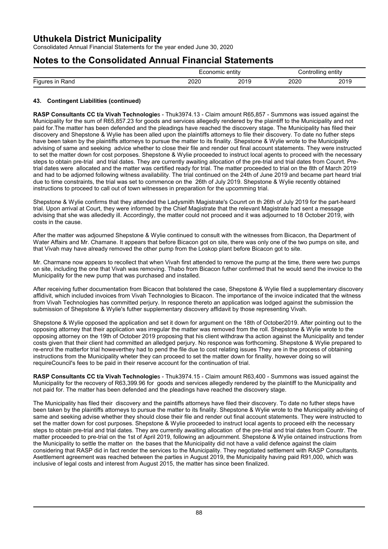Consolidated Annual Financial Statements for the year ended June 30, 2020

## **Notes to the Consolidated Annual Financial Statements**

|                                      | <br>ntır<br>110ء |                                     | <br>.<br>entity<br>ыıіг |             |
|--------------------------------------|------------------|-------------------------------------|-------------------------|-------------|
| $- \cdot$<br>≺and<br>FIUI<br>ır<br>c | 2020             | 0010<br>טוי<br>ZU.<br>$\sim$ $\sim$ | 2020                    | 201<br>ZU I |

#### **43. Contingent Liabilities (continued)**

**RASP Consultants CC t/a Vivah Technologie**s - Thuk3974.13 - Claim amount R65,857 - Summons was issued against the Municipality for the sum of R65,857.23 for goods and services allegedly rendered by the plaintiff to the Municipality and not paid for.The matter has been defended and the pleadings have reached the discovery stage. The Municipality has filed their discovery and Shepstone & Wylie has been alled upon the plaintiffs attorneys to file their discovery. To date no futher steps have been taken by the plaintiffs attorneys to pursue the matter to its finality. Shepstone & Wylie wrote to the Municipality advising of same and seeking advice whether to close their file and render out final account statements. They were instructed to set the matter down for cost porposes. Shepstone & Wylie proceeded to instruct local agents to proceed with the necessary steps to obtain pre-trial and trial dates. They are currently awaiting allocation of the pre-trial and trial dates from Counrt. Pretrial dates were allocated and the matter was certified ready for trial. The matter proceeded to trial on the 8th of March 2019 and had to be adjorned following witness availability. The trial continued on the 24th of June 2019 and became part heard trial due to time constraints, the trial was set to commence on the 26th of July 2019. Shepstone & Wylie recently obtained instructions to proceed to call out of town witnesses in preparation for the upcomming trial.

Shepstone & Wylie confirms that they attended the Ladysmith Magistrate's Counrt on th 26th of July 2019 for the part-heard trial. Upon arrival at Court, they were informed by the Chief Magistrate that the relevant Magistrate had sent a message advising that she was allededly ill. Accordingly, the matter could not proceed and it was adjourned to 18 October 2019, with costs in the cause.

After the matter was adjourned Shepstone & Wylie continued to consult with the witnesses from Bicacon, tha Department of Water Affairs and Mr. Chamane. It appears that before Bicacon got on site, there was only one of the two pumps on site, and that Vivah may have already removed the other pump from the Loskop plant before Bicacon got to site.

Mr. Charmane now appears to recollect that when Vivah first attended to remove the pump at the time, there were two pumps on site, including the one that Vivah was removing. Thabo from Bicacon futher confirmed that he would send the invoice to the Municipality for the new pump that was purchased and installed.

After receiving futher documentation from Bicacon that bolstered the case, Shepstone & Wylie filed a supplementary discovery affidivit, which included invoices from Vivah Technologies to Bicacon. The importance of the invoice indicated that the witness from Vivah Technologies has committed perjury. In responce thereto an application was lodged against the submission the submission of Shepstone & Wylie's futher supplementary discovery affidavit by those representing Vivah.

Shepstone & Wylie opposed the application and set it down for argument on the 18th of October2019. After pointing out to the opposing attorney that their application was irregular the matter was removed from the roll. Shepstone & Wylie wrote to the opposing attorney on the 19th of October 2019 proposing that his client withdraw tha action against the Municipality and tender costs given that their client had committed an alledged perjury. No responce was forthcoming. Shepstone & Wylie prepared to re-enrol the matterfor trial howeverthey had to pend the file due to cost relating issues They are in the process of obtaining instructions from the Municipality wheter they can proceed to set the matter down for finality, however doing so will requireCouncil's fees to be paid in their reserve account for the continuation of trial.

**RASP Consultants CC t/a Vivah Technologie**s - Thuk3974.15 - Claim amount R63,400 - Summons was issued against the Municipality for the recovery of R63,399.96 for goods and services allegedly rendered by the plaintiff to the Municipality and not paid for. The matter has been defended and the pleadings have reached the discovery stage.

The Municipality has filed their discovery and the paintiffs attorneys have filed their discovery. To date no futher steps have been taken by the plaintiffs attorneys to pursue the matter to its finality. Shepstone & Wylie wrote to the Municipality advising of same and seeking advise whether they should close their file and render out final account statements. They were instructed to set the matter down for cost purposes. Shepstone & Wylie proceeded to instruct local agents to proceed eith the necessary steps to obtain pre-trial and trial dates. They are currently awaiting allocation of the pre-trial and trial dates from Countr. The matter proceeded to pre-trial on the 1st of April 2019, following an adjournment. Shepstone & Wylie ontained instructions from the Municipality to settle the matter on the bases that the Municipality did not have a valid defence against the claim considering that RASP did in fact render the services to the Municipality. They negotiated settlement with RASP Consultants. Asettlement agreement was reached between the parties in August 2019, the Municipality having paid R91,000, which was inclusive of legal costs and interest from August 2015, the matter has since been finalized.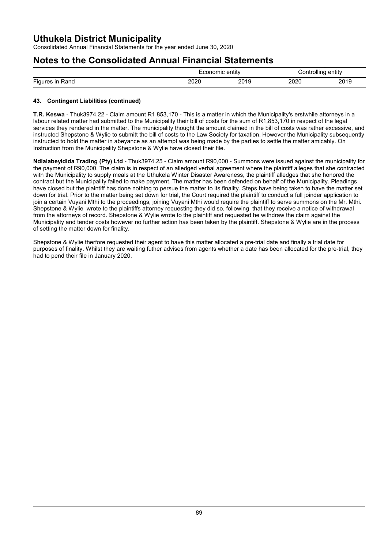Consolidated Annual Financial Statements for the year ended June 30, 2020

## **Notes to the Consolidated Annual Financial Statements**

|                                | нь   |                  | .<br>entity |               |  |
|--------------------------------|------|------------------|-------------|---------------|--|
| $- \cdot$<br>⊀ano<br>⊦ιαι<br>ີ | 2020 | ດດ1<br>ت ا<br>∠∪ | 2020        | 201<br>20 I G |  |

#### **43. Contingent Liabilities (continued)**

**T.R. Keswa** - Thuk3974.22 - Claim amount R1,853,170 - This is a matter in which the Municipality's erstwhile attorneys in a labour related matter had submitted to the Municipality their bill of costs for the sum of R1,853,170 in respect of the legal services they rendered in the matter. The municipality thought the amount claimed in the bill of costs was rather excessive, and instructed Shepstone & Wylie to submitt the bill of costs to the Law Society for taxation. However the Municipality subsequently instructed to hold the matter in abeyance as an attempt was being made by the parties to settle the matter amicably. On Instruction from the Municipality Shepstone & Wylie have closed their file.

**Ndlalabeyidida Trading (Pty) Ltd** - Thuk3974.25 - Claim amount R90,000 - Summons were issued against the municipality for the payment of R90,000. The claim is in respect of an alledged verbal agreement where the plaintiff alleges that she contracted with the Municipality to supply meals at the Uthukela Winter Disaster Awareness, the plaintiff alledges that she honored the contract but the Municipality failed to make payment. The matter has been defended on behalf of the Municipality. Pleadings have closed but the plaintiff has done nothing to persue the matter to its finality. Steps have being taken to have the matter set down for trial. Prior to the matter being set down for trial, the Court required the plaintiff to conduct a full joinder application to join a certain Vuyani Mthi to the proceedings, joining Vuyani Mthi would require the plaintiff to serve summons on the Mr. Mthi. Shepstone & Wylie wrote to the plaintiffs attorney requesting they did so, following that they receive a notice of withdrawal from the attorneys of record. Shepstone & Wylie wrote to the plaintiff and requested he withdraw the claim against the Municipality and tender costs however no further action has been taken by the plaintiff. Shepstone & Wylie are in the process of setting the matter down for finality.

Shepstone & Wylie therfore requested their agent to have this matter allocated a pre-trial date and finally a trial date for purposes of finality. Whilst they are waiting futher advises from agents whether a date has been allocated for the pre-trial, they had to pend their file in January 2020.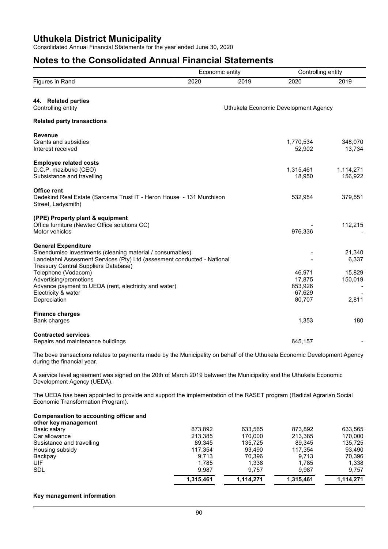Consolidated Annual Financial Statements for the year ended June 30, 2020

# **Notes to the Consolidated Annual Financial Statements**

|                                                                                                                          | Economic entity   |                   | Controlling entity                   |                   |
|--------------------------------------------------------------------------------------------------------------------------|-------------------|-------------------|--------------------------------------|-------------------|
| Figures in Rand                                                                                                          | 2020              | 2019              | 2020                                 | 2019              |
|                                                                                                                          |                   |                   |                                      |                   |
| 44. Related parties                                                                                                      |                   |                   |                                      |                   |
| Controlling entity                                                                                                       |                   |                   | Uthukela Economic Development Agency |                   |
| <b>Related party transactions</b>                                                                                        |                   |                   |                                      |                   |
| <b>Revenue</b>                                                                                                           |                   |                   |                                      |                   |
| Grants and subsidies                                                                                                     |                   |                   | 1,770,534                            | 348,070           |
| Interest received                                                                                                        |                   |                   | 52,902                               | 13,734            |
| <b>Employee related costs</b>                                                                                            |                   |                   |                                      |                   |
| D.C.P. mazibuko (CEO)                                                                                                    |                   |                   | 1,315,461                            | 1,114,271         |
| Subsistance and travelling                                                                                               |                   |                   | 18,950                               | 156,922           |
| <b>Office rent</b>                                                                                                       |                   |                   |                                      |                   |
| Dedekind Real Estate (Sarosma Trust IT - Heron House - 131 Murchison                                                     |                   |                   | 532,954                              | 379,551           |
| Street, Ladysmith)                                                                                                       |                   |                   |                                      |                   |
| (PPE) Property plant & equipment                                                                                         |                   |                   |                                      |                   |
| Office furniture (Newtec Office solutions CC)                                                                            |                   |                   |                                      | 112,215           |
| Motor vehicles                                                                                                           |                   |                   | 976,336                              |                   |
| <b>General Expenditure</b>                                                                                               |                   |                   |                                      |                   |
| Sinendumiso Investments (cleaning material / consumables)                                                                |                   |                   |                                      | 21,340            |
| Landelahni Assesment Services (Pty) Ltd (assesment conducted - National<br>Treasury Central Suppliers Database)          |                   |                   |                                      | 6,337             |
| Telephone (Vodacom)                                                                                                      |                   |                   | 46,971                               | 15,829            |
| Advertising/promotions                                                                                                   |                   |                   | 17,875                               | 150,019           |
| Advance payment to UEDA (rent, electricity and water)<br>Electricity & water                                             |                   |                   | 853,926<br>67,629                    |                   |
| Depreciation                                                                                                             |                   |                   | 80,707                               | 2,811             |
|                                                                                                                          |                   |                   |                                      |                   |
| <b>Finance charges</b><br><b>Bank charges</b>                                                                            |                   |                   | 1,353                                | 180               |
|                                                                                                                          |                   |                   |                                      |                   |
| <b>Contracted services</b>                                                                                               |                   |                   |                                      |                   |
| Repairs and maintenance buildings                                                                                        |                   |                   | 645,157                              |                   |
| The bove transactions relates to payments made by the Municipality on behalf of the Uthukela Economic Development Agency |                   |                   |                                      |                   |
| during the financial year.                                                                                               |                   |                   |                                      |                   |
| A service level agreement was signed on the 20th of March 2019 between the Municipality and the Uthukela Economic        |                   |                   |                                      |                   |
| Development Agency (UEDA).                                                                                               |                   |                   |                                      |                   |
| The UEDA has been appointed to provide and support the implementation of the RASET program (Radical Agrarian Social      |                   |                   |                                      |                   |
| Economic Transformation Program).                                                                                        |                   |                   |                                      |                   |
| <b>Compensation to accounting officer and</b>                                                                            |                   |                   |                                      |                   |
| other key management                                                                                                     |                   |                   |                                      |                   |
| Basic salary                                                                                                             | 873,892           | 633,565           | 873,892                              | 633,565           |
| Car allowance                                                                                                            | 213,385           | 170,000           | 213,385                              | 170,000           |
| Susistance and travelling<br>Housing subsidy                                                                             | 89,345<br>117,354 | 135,725<br>93,490 | 89,345<br>117,354                    | 135,725<br>93,490 |
| Backpay                                                                                                                  | 9,713             | 70,396            | 9,713                                | 70,396            |
| UIF                                                                                                                      | 1,785             | 1,338             | 1,785                                | 1,338             |
| <b>SDL</b>                                                                                                               | 9,987             | 9,757             | 9,987                                | 9,757             |
|                                                                                                                          | 1,315,461         | 1,114,271         | 1,315,461                            | 1,114,271         |

#### **Key management information**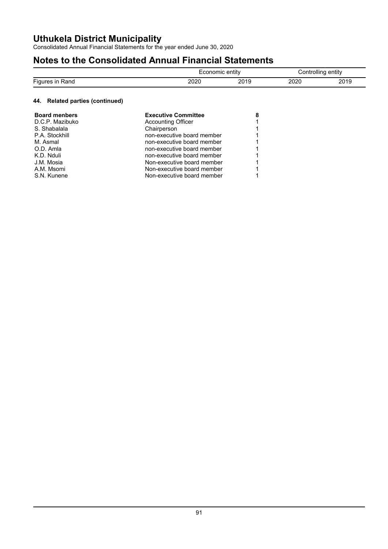Consolidated Annual Financial Statements for the year ended June 30, 2020

# **Notes to the Consolidated Annual Financial Statements**

|                                           | Economic entity            |      | Controlling entity |      |
|-------------------------------------------|----------------------------|------|--------------------|------|
| Figures in Rand                           | 2020                       | 2019 | 2020               | 2019 |
| <b>Related parties (continued)</b><br>44. |                            |      |                    |      |
| <b>Board menbers</b>                      | <b>Executive Committee</b> |      |                    |      |
| D.C.P. Mazibuko                           | <b>Accounting Officer</b>  |      |                    |      |
| S. Shabalala                              | Chairperson                |      |                    |      |
| P.A. Stockhill                            | non-executive board member |      |                    |      |
| M. Asmal                                  | non-executive board member |      |                    |      |
| O.D. Amla                                 | non-executive board member |      |                    |      |
| K.D. Nduli                                | non-executive board member |      |                    |      |
| J.M. Mosia                                | Non-executive board member |      |                    |      |
| A.M. Msomi                                | Non-executive board member |      |                    |      |
| S.N. Kunene                               | Non-executive board member |      |                    |      |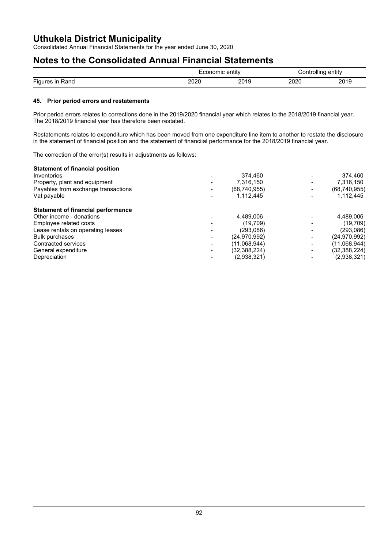Consolidated Annual Financial Statements for the year ended June 30, 2020

# **Notes to the Consolidated Annual Financial Statements**

|                       |      | entity      |      | .<br>entity<br>roilinc |  |
|-----------------------|------|-------------|------|------------------------|--|
| $-$<br>≺and<br>Liqure | 2020 | 201.<br>20. | 2020 | 2019                   |  |

#### **45. Prior period errors and restatements**

Prior period errors relates to corrections done in the 2019/2020 financial year which relates to the 2018/2019 financial year. The 2018/2019 financial year has therefore been restated.

Restatements relates to expenditure which has been moved from one expenditure line item to another to restate the disclosure in the statement of financial position and the statement of financiial performance for the 2018/2019 financial year.

The correction of the error(s) results in adjustments as follows:

| <b>Statement of financial position</b>    |                |                          |                |
|-------------------------------------------|----------------|--------------------------|----------------|
| Inventories                               | 374.460        |                          | 374.460        |
| Property, plant and equipment             | 7,316,150      | $\overline{\phantom{a}}$ | 7,316,150      |
| Payables from exchange transactions       | (68, 740, 955) | $\overline{\phantom{0}}$ | (68, 740, 955) |
| Vat payable                               | 1,112,445      |                          | 1,112,445      |
| <b>Statement of financial performance</b> |                |                          |                |
| Other income - donations                  | 4,489,006      |                          | 4,489,006      |
| Employee related costs                    | (19,709)       |                          | (19,709)       |
| Lease rentals on operating leases         | (293,086)      |                          | (293,086)      |
| <b>Bulk purchases</b>                     | (24,970,992)   | $\overline{\phantom{a}}$ | (24, 970, 992) |
| Contracted services                       | (11.068.944)   | $\overline{\phantom{a}}$ | (11,068,944)   |
| General expenditure                       | (32,388,224)   |                          | (32,388,224)   |
| Depreciation                              | (2,938,321)    |                          | (2,938,321)    |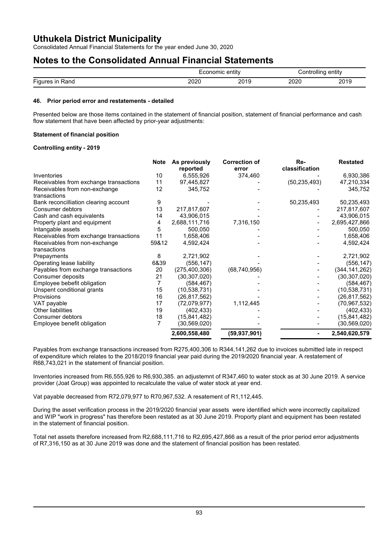Consolidated Annual Financial Statements for the year ended June 30, 2020

## **Notes to the Consolidated Annual Financial Statements**

|                                           |      | .<br>entity<br>חוה. |      | <br>entity<br>rollina |  |
|-------------------------------------------|------|---------------------|------|-----------------------|--|
| $- \cdot$<br>Rand<br>ın<br><b>Figures</b> | 2020 | nnar<br>। এ<br>∠∪   | 2020 | 2019                  |  |

#### **46. Prior period error and restatements - detailed**

Presented below are those items contained in the statement of financial position, statement of financial performance and cash flow statement that have been affected by prior-year adjustments:

#### **Statement of financial position**

#### **Controlling entity - 2019**

|                                               | <b>Note</b> | As previously<br>reported | <b>Correction of</b><br>error | Re-<br>classification | <b>Restated</b> |
|-----------------------------------------------|-------------|---------------------------|-------------------------------|-----------------------|-----------------|
| Inventories                                   | 10          | 6,555,926                 | 374,460                       |                       | 6,930,386       |
| Receivables from exchange transactions        | 11          | 97,445,827                |                               | (50, 235, 493)        | 47,210,334      |
| Receivables from non-exchange<br>transactions | 12          | 345,752                   |                               |                       | 345,752         |
| Bank reconcilliation clearing account         | 9           |                           |                               | 50,235,493            | 50,235,493      |
| Consumer debtors                              | 13          | 217,817,607               |                               |                       | 217,817,607     |
| Cash and cash equivalents                     | 14          | 43,906,015                |                               |                       | 43,906,015      |
| Property plant and equipment                  | 4           | 2,688,111,716             | 7,316,150                     |                       | 2,695,427,866   |
| Intangable assets                             | 5           | 500,050                   |                               |                       | 500,050         |
| Receivables from exchange transactions        | 11          | 1,658,406                 |                               |                       | 1,658,406       |
| Receivables from non-exchange                 | 59&12       | 4,592,424                 |                               |                       | 4,592,424       |
| transactions                                  |             |                           |                               |                       |                 |
| Prepayments                                   | 8           | 2,721,902                 |                               |                       | 2,721,902       |
| Operating lease liability                     | 6&39        | (556, 147)                |                               |                       | (556, 147)      |
| Payables from exchange transactions           | 20          | (275, 400, 306)           | (68, 740, 956)                |                       | (344, 141, 262) |
| Consumer deposits                             | 21          | (30, 307, 020)            |                               |                       | (30, 307, 020)  |
| Employee bebefit obligation                   |             | (584, 467)                |                               |                       | (584, 467)      |
| Unspent conditional grants                    | 15          | (10,538,731)              |                               |                       | (10, 538, 731)  |
| <b>Provisions</b>                             | 16          | (26, 817, 562)            |                               |                       | (26, 817, 562)  |
| VAT payable                                   | 17          | (72,079,977)              | 1,112,445                     |                       | (70, 967, 532)  |
| Other liabilities                             | 19          | (402, 433)                |                               |                       | (402, 433)      |
| Consumer debtors                              | 18          | (15, 841, 482)            |                               |                       | (15, 841, 482)  |
| Employee benefit obligation                   |             | (30, 569, 020)            |                               |                       | (30, 569, 020)  |
|                                               |             | 2,600,558,480             | (59, 937, 901)                |                       | 2,540,620,579   |

Payables from exchange transactions increased from R275,400,306 to R344,141,262 due to invoices submitted late in respect of expenditure which relates to the 2018/2019 financial year paid during the 2019/2020 financial year. A restatement of R68,743,021 in the statement of financial position.

Inventories increased from R6,555,926 to R6,930,385. an adjustemnt of R347,460 to water stock as at 30 June 2019. A service provider (Joat Group) was appointed to recalculate the value of water stock at year end.

Vat payable decreased from R72,079,977 to R70,967,532. A resatement of R1,112,445.

During the asset verification process in the 2019/2020 financial year assets were identified which were incorrectly capitalized and WIP "work in progress" has therefore been restated as at 30 June 2019. Proporty plant and equipment has been restated in the statement of financial position.

Total net assets therefore increased from R2,688,111,716 to R2,695,427,866 as a result of the prior period error adjustments of R7,316,150 as at 30 June 2019 was done and the statement of financial position has been restated.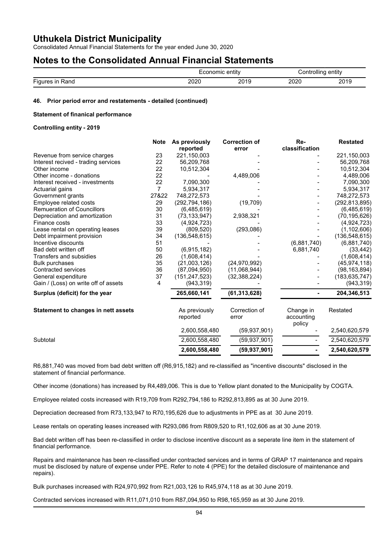Consolidated Annual Financial Statements for the year ended June 30, 2020

### **Notes to the Consolidated Annual Financial Statements**

|                                             |      | entity<br>тнс        |              | .<br>entity<br>∴or•∵<br>ntrollina |  |
|---------------------------------------------|------|----------------------|--------------|-----------------------------------|--|
| $- \cdot$<br>Rand<br>, Ir<br>Figures<br>. . | 2020 | 201<br>— V<br>$\sim$ | วกวก<br>____ | 2019                              |  |

#### **46. Prior period error and restatements - detailed (continued)**

#### **Statement of finanical performance**

#### **Controlling entity - 2019**

|                                      | <b>Note</b>    | As previously   | <b>Correction of</b> | Re-                  | <b>Restated</b> |
|--------------------------------------|----------------|-----------------|----------------------|----------------------|-----------------|
|                                      |                | reported        | error                | classification       |                 |
| Revenue from service charges         | 23             | 221,150,003     |                      |                      | 221,150,003     |
| Interest recived - trading services  | 22             | 56,209,768      |                      |                      | 56,209,768      |
| Other income                         | 22             | 10,512,304      |                      |                      | 10,512,304      |
| Other income - donations             | 22             |                 | 4,489,006            |                      | 4,489,006       |
| Interest received - investments      | 22             | 7,090,300       |                      |                      | 7,090,300       |
| Actuarial gains                      | $\overline{7}$ | 5,934,317       |                      |                      | 5,934,317       |
| Government grants                    | 27&22          | 748,272,573     |                      |                      | 748,272,573     |
| Employee related costs               | 29             | (292, 794, 186) | (19, 709)            |                      | (292, 813, 895) |
| <b>Remueration of Councillors</b>    | 30             | (6,485,619)     |                      |                      | (6,485,619)     |
| Depreciation and amortization        | 31             | (73, 133, 947)  | 2,938,321            |                      | (70, 195, 626)  |
| Finance costs                        | 33             | (4,924,723)     |                      |                      | (4,924,723)     |
| Lease rental on operating leases     | 39             | (809, 520)      | (293,086)            |                      | (1, 102, 606)   |
| Debt impairment provision            | 34             | (136, 548, 615) |                      |                      | (136, 548, 615) |
| Incentive discounts                  | 51             |                 |                      | (6,881,740)          | (6,881,740)     |
| Bad debt written off                 | 50             | (6,915,182)     |                      | 6,881,740            | (33, 442)       |
| Transfers and subsidies              | 26             | (1,608,414)     |                      |                      | (1,608,414)     |
| <b>Bulk purchases</b>                | 35             | (21,003,126)    | (24, 970, 992)       |                      | (45,974,118)    |
| Contracted services                  | 36             | (87,094,950)    | (11,068,944)         |                      | (98, 163, 894)  |
| General expenditure                  | 37             | (151, 247, 523) | (32, 388, 224)       |                      | (183, 635, 747) |
| Gain / (Loss) on write off of assets | 4              | (943, 319)      |                      |                      | (943, 319)      |
| Surplus (deficit) for the year       |                | 265,660,141     | (61, 313, 628)       |                      | 204,346,513     |
| Statement to changes in nett assets  |                | As previously   | Correction of        | Change in            | Restated        |
|                                      |                | reported        | error                | accounting<br>policy |                 |
|                                      |                | 2,600,558,480   | (59, 937, 901)       |                      | 2,540,620,579   |
| Subtotal                             |                | 2,600,558,480   | (59, 937, 901)       |                      | 2,540,620,579   |
|                                      |                | 2,600,558,480   | (59, 937, 901)       |                      | 2,540,620,579   |

R6,881,740 was moved from bad debt written off (R6,915,182) and re-classified as "incentive discounts" disclosed in the statement of financial performance.

Other income (donations) has increased by R4,489,006. This is due to Yellow plant donated to the Municipality by COGTA.

Employee related costs increased with R19,709 from R292,794,186 to R292,813,895 as at 30 June 2019.

Depreciation decreased from R73,133,947 to R70,195,626 due to adjustments in PPE as at 30 June 2019.

Lease rentals on operating leases increased with R293,086 from R809,520 to R1,102,606 as at 30 June 2019.

Bad debt written off has been re-classified in order to disclose incentive discount as a seperate line item in the statement of financial performance.

Repairs and maintenance has been re-classified under contracted services and in terms of GRAP 17 maintenance and repairs must be disclosed by nature of expense under PPE. Refer to note 4 (PPE) for the detailed disclosure of maintenance and repairs).

Bulk purchases increased with R24,970,992 from R21,003,126 to R45,974,118 as at 30 June 2019.

Contracted services increased with R11,071,010 from R87,094,950 to R98,165,959 as at 30 June 2019.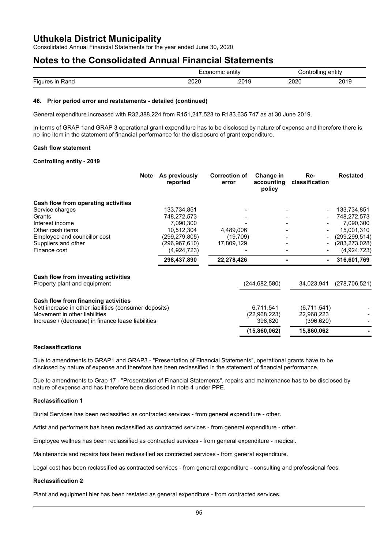Consolidated Annual Financial Statements for the year ended June 30, 2020

### **Notes to the Consolidated Annual Financial Statements**

|                                                       |          | entity          | <br>۰r | entity<br>ollir |  |  |
|-------------------------------------------------------|----------|-----------------|--------|-----------------|--|--|
| $- \cdot$<br>⊰and<br>$\overline{ }$<br>Fial<br>Ш<br>ີ | מ∩ר<br>w | n,<br>. .<br>-- | วกวก   | 2019            |  |  |

#### **46. Prior period error and restatements - detailed (continued)**

General expenditure increased with R32,388,224 from R151,247,523 to R183,635,747 as at 30 June 2019.

In terms of GRAP 1and GRAP 3 operational grant expenditure has to be disclosed by nature of expense and therefore there is no line item in the statement of financial performance for the disclosure of grant expenditure.

#### **Cash flow statement**

#### **Controlling entity - 2019**

|                                                                     | Note | As previously<br>reported | <b>Correction of</b><br>error | Change in<br>accounting<br>policy | Re-<br>classification | <b>Restated</b> |
|---------------------------------------------------------------------|------|---------------------------|-------------------------------|-----------------------------------|-----------------------|-----------------|
| Cash flow from operating activities                                 |      |                           |                               |                                   |                       |                 |
| Service charges                                                     |      | 133,734,851               |                               |                                   |                       | 133,734,851     |
| Grants                                                              |      | 748,272,573               |                               |                                   |                       | 748,272,573     |
| Interest income                                                     |      | 7,090,300                 |                               |                                   |                       | 7,090,300       |
| Other cash items                                                    |      | 10,512,304                | 4,489,006                     |                                   |                       | 15,001,310      |
| Employee and councillor cost                                        |      | (299,279,805)             | (19,709)                      |                                   |                       | (299, 299, 514) |
| Suppliers and other                                                 |      | (296,967,610)             | 17,809,129                    |                                   |                       | (283, 273, 028) |
| Finance cost                                                        |      | (4,924,723)               |                               |                                   |                       | (4,924,723)     |
|                                                                     |      | 298,437,890               | 22,278,426                    |                                   |                       | 316,601,769     |
| Cash flow from investing activities<br>Property plant and equipment |      |                           |                               | (244,682,580)                     | 34,023,941            | (278, 706, 521) |
| Cash flow from financing activities                                 |      |                           |                               |                                   |                       |                 |
| Nett increase in other liabilities (consumer deposits)              |      |                           |                               | 6,711,541                         | (6,711,541)           |                 |
| Movement in other liabilities                                       |      |                           |                               | (22,968,223)                      | 22,968,223            |                 |
| Increase / (decrease) in finance lease liabilities                  |      |                           |                               | 396,620                           | (396, 620)            |                 |
|                                                                     |      |                           |                               | (15,860,062)                      | 15,860,062            |                 |

#### **Reclassifications**

Due to amendments to GRAP1 and GRAP3 - "Presentation of Financial Statements", operational grants have to be disclosed by nature of expense and therefore has been reclassified in the statement of financial performance.

Due to amendments to Grap 17 - "Presentation of Financial Statements", repairs and maintenance has to be disclosed by nature of expense and has therefore been disclosed in note 4 under PPE.

#### **Reclassification 1**

Burial Services has been reclassified as contracted services - from general expenditure - other.

Artist and performers has been reclassified as contracted services - from general expenditure - other.

Employee wellnes has been reclassified as contracted services - from general expenditure - medical.

Maintenance and repairs has been reclassified as contracted services - from general expenditure.

Legal cost has been reclassified as contracted services - from general expenditure - consulting and professional fees.

#### **Reclassification 2**

Plant and equipment hier has been restated as general expenditure - from contracted services.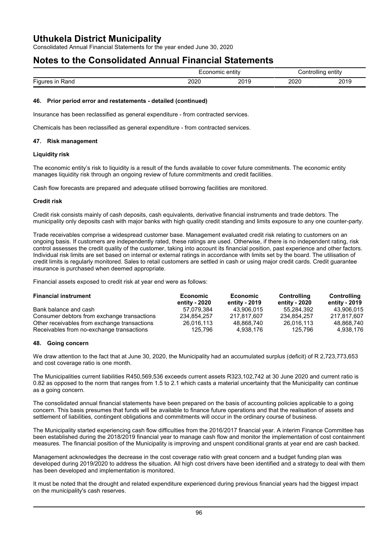Consolidated Annual Financial Statements for the year ended June 30, 2020

### **Notes to the Consolidated Annual Financial Statements**

|                                                | וטווט: | .<br>entity<br>mic |              | .<br>Controlling<br>entity<br>the contract of the contract of the contract of the contract of the contract of |  |  |
|------------------------------------------------|--------|--------------------|--------------|---------------------------------------------------------------------------------------------------------------|--|--|
| $- \cdot$<br>Rand<br><b>Figures</b><br>ျဂ<br>ີ | 2020   | nn 10<br>2013      | 2020<br>____ | 2019                                                                                                          |  |  |

#### **46. Prior period error and restatements - detailed (continued)**

Insurance has been reclassified as general expenditure - from contracted services.

Chemicals has been reclassified as general expenditure - from contracted services.

#### **47. Risk management**

#### **Liquidity risk**

The economic entity's risk to liquidity is a result of the funds available to cover future commitments. The economic entity manages liquidity risk through an ongoing review of future commitments and credit facilities.

Cash flow forecasts are prepared and adequate utilised borrowing facilities are monitored.

#### **Credit risk**

Credit risk consists mainly of cash deposits, cash equivalents, derivative financial instruments and trade debtors. The municipality only deposits cash with major banks with high quality credit standing and limits exposure to any one counter-party.

Trade receivables comprise a widespread customer base. Management evaluated credit risk relating to customers on an ongoing basis. If customers are independently rated, these ratings are used. Otherwise, if there is no independent rating, risk control assesses the credit quality of the customer, taking into account its financial position, past experience and other factors. Individual risk limits are set based on internal or external ratings in accordance with limits set by the board. The utilisation of credit limits is regularly monitored. Sales to retail customers are settled in cash or using major credit cards. Credit guarantee insurance is purchased when deemed appropriate.

Financial assets exposed to credit risk at year end were as follows:

| <b>Financial instrument</b>                  | <b>Economic</b><br>entity - 2020 | <b>Economic</b><br>entity - 2019 | <b>Controlling</b><br>entity - 2020 | <b>Controlling</b><br>entity - 2019 |
|----------------------------------------------|----------------------------------|----------------------------------|-------------------------------------|-------------------------------------|
| Bank balance and cash                        | 57.079.384                       | 43.906.015                       | 55.284.392                          | 43.906.015                          |
| Consumer debtors from exchange transactions  | 234.854.257                      | 217.817.607                      | 234.854.257                         | 217.817.607                         |
| Other receivables from exchange transactions | 26.016.113                       | 48.868.740                       | 26.016.113                          | 48.868.740                          |
| Receivables from no-exchange transactions    | 125.796                          | 4,938,176                        | 125.796                             | 4,938,176                           |

#### **48. Going concern**

We draw attention to the fact that at June 30, 2020, the Municipality had an accumulated surplus (deficit) of R 2,723,773,653 and cost coverage ratio is one month.

The Municipalities current liabilities R450,569,536 exceeds current assets R323,102,742 at 30 June 2020 and current ratio is 0.82 as opposed to the norm that ranges from 1.5 to 2.1 which casts a material uncertainty that the Municipality can continue as a going concern.

The consolidated annual financial statements have been prepared on the basis of accounting policies applicable to a going concern. This basis presumes that funds will be available to finance future operations and that the realisation of assets and settlement of liabilities, contingent obligations and commitments will occur in the ordinary course of business.

The Municipality started experiencing cash flow difficulties from the 2016/2017 financial year. A interim Finance Committee has been established during the 2018/2019 financial year to manage cash flow and monitor the implementation of cost containment measures. The financial position of the Municipality is improving and unspent conditional grants at year end are cash backed.

Management acknowledges the decrease in the cost coverage ratio with great concern and a budget funding plan was developed during 2019/2020 to address the situation. All high cost drivers have been identified and a strategy to deal with them has been developed and implementation is monitored.

It must be noted that the drought and related expenditure experienced during previous financial years had the biggest impact on the municipality's cash reserves.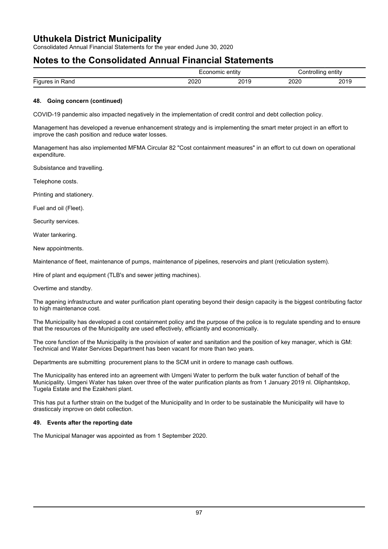Consolidated Annual Financial Statements for the year ended June 30, 2020

### **Notes to the Consolidated Annual Financial Statements**

|                                  | 11۲،<br>лшг |                     |      | entity<br>ollinc |  |  |
|----------------------------------|-------------|---------------------|------|------------------|--|--|
| $- \cdot$<br>≺and<br>FIUIL<br>ır | 2020        | nn 10<br>' 15<br>∠∪ | 2020 | 2019             |  |  |

#### **48. Going concern (continued)**

COVID-19 pandemic also impacted negatively in the implementation of credit control and debt collection policy.

Management has developed a revenue enhancement strategy and is implementing the smart meter project in an effort to improve the cash position and reduce water losses.

Management has also implemented MFMA Circular 82 "Cost containment measures" in an effort to cut down on operational expenditure.

Subsistance and travelling.

Telephone costs.

Printing and stationery.

Fuel and oil (Fleet).

Security services.

Water tankering.

New appointments.

Maintenance of fleet, maintenance of pumps, maintenance of pipelines, reservoirs and plant (reticulation system).

Hire of plant and equipment (TLB's and sewer jetting machines).

Overtime and standby.

The agening infrastructure and water purification plant operating beyond their design capacity is the biggest contributing factor to high maintenance cost.

The Municipality has developed a cost containment policy and the purpose of the police is to regulate spending and to ensure that the resources of the Municipality are used effectively, efficiantly and economically.

The core function of the Municipality is the provision of water and sanitation and the position of key manager, which is GM: Technical and Water Services Department has been vacant for more than two years.

Departments are submitting procurement plans to the SCM unit in ordere to manage cash outflows.

The Municipality has entered into an agreement with Umgeni Water to perform the bulk water function of behalf of the Municipality. Umgeni Water has taken over three of the water purification plants as from 1 January 2019 nl. Oliphantskop, Tugela Estate and the Ezakheni plant.

This has put a further strain on the budget of the Municipality and In order to be sustainable the Municipality will have to drasticcaly improve on debt collection.

#### **49. Events after the reporting date**

The Municipal Manager was appointed as from 1 September 2020.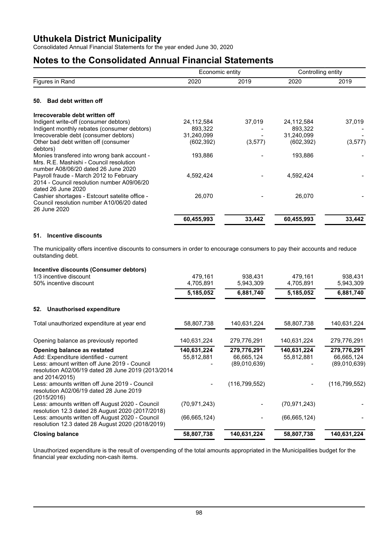Consolidated Annual Financial Statements for the year ended June 30, 2020

# **Notes to the Consolidated Annual Financial Statements**

|                                                                                                                               | Economic entity |          | Controlling entity |          |
|-------------------------------------------------------------------------------------------------------------------------------|-----------------|----------|--------------------|----------|
| Figures in Rand                                                                                                               | 2020            | 2019     | 2020               | 2019     |
| <b>Bad debt written off</b><br>50.                                                                                            |                 |          |                    |          |
| Irrecoverable debt written off                                                                                                |                 |          |                    |          |
| Indigent write-off (consumer debtors)                                                                                         | 24,112,584      | 37,019   | 24,112,584         | 37,019   |
| Indigent monthly rebates (consumer debtors)                                                                                   | 893,322         |          | 893,322            |          |
| Irrecoverable debt (consumer debtors)                                                                                         | 31,240,099      |          | 31,240,099         |          |
| Other bad debt written off (consumer<br>debtors)                                                                              | (602, 392)      | (3, 577) | (602, 392)         | (3, 577) |
| Monies transfered into wrong bank account -<br>Mrs. R.E. Mashishi - Council resolution<br>number A08/06/20 dated 26 June 2020 | 193,886         |          | 193,886            |          |
| Payroll fraude - March 2012 to February<br>2014 - Council resolution number A09/06/20<br>dated 26 June 2020                   | 4,592,424       |          | 4,592,424          |          |
| Cashier shortages - Estcourt satelite office -<br>Council resolution number A10/06/20 dated<br>26 June 2020                   | 26,070          |          | 26,070             |          |
|                                                                                                                               | 60,455,993      | 33,442   | 60,455,993         | 33,442   |

#### **51. Incentive discounts**

The municipality offers incentive discounts to consumers in order to encourage consumers to pay their accounts and reduce outstanding debt.

| Incentive discounts (Consumer debtors)                                                                                |                |                 |                |                 |
|-----------------------------------------------------------------------------------------------------------------------|----------------|-----------------|----------------|-----------------|
| 1/3 incentive discount                                                                                                | 479,161        | 938,431         | 479,161        | 938,431         |
| 50% incentive discount                                                                                                | 4,705,891      | 5,943,309       | 4,705,891      | 5,943,309       |
|                                                                                                                       | 5,185,052      | 6,881,740       | 5,185,052      | 6,881,740       |
| <b>Unauthorised expenditure</b><br>52.                                                                                |                |                 |                |                 |
| Total unauthorized expenditure at year end                                                                            | 58,807,738     | 140,631,224     | 58,807,738     | 140,631,224     |
| Opening balance as previously reported                                                                                | 140,631,224    | 279,776,291     | 140,631,224    | 279,776,291     |
| Opening balance as restated                                                                                           | 140,631,224    | 279,776,291     | 140,631,224    | 279,776,291     |
| Add: Expenditure identified - current                                                                                 | 55,812,881     | 66,665,124      | 55,812,881     | 66,665,124      |
| Less: amount written off June 2019 - Council<br>resolution A02/06/19 dated 28 June 2019 (2013/2014)<br>and 2014/2015) |                | (89,010,639)    |                | (89,010,639)    |
| Less: amounts written off June 2019 - Council<br>resolution A02/06/19 dated 28 June 2019<br>(2015/2016)               |                | (116, 799, 552) |                | (116, 799, 552) |
| Less: amounts written off August 2020 - Council<br>resolution 12.3 dated 28 August 2020 (2017/2018)                   | (70, 971, 243) |                 | (70, 971, 243) |                 |
| Less: amounts written off August 2020 - Council<br>resolution 12.3 dated 28 August 2020 (2018/2019)                   | (66, 665, 124) |                 | (66, 665, 124) |                 |
| <b>Closing balance</b>                                                                                                | 58,807,738     | 140,631,224     | 58,807,738     | 140,631,224     |

Unauthorized expenditure is the result of overspending of the total amounts appropriated in the Municipalities budget for the financial year excluding non-cash items.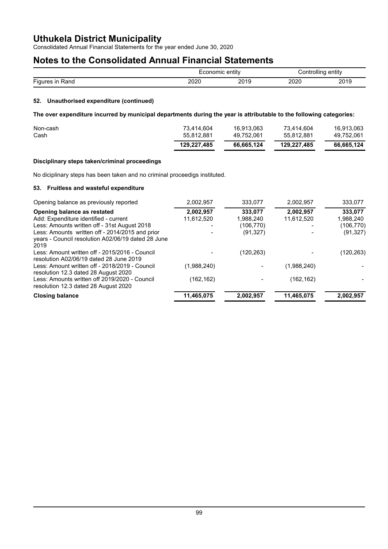Consolidated Annual Financial Statements for the year ended June 30, 2020

## **Notes to the Consolidated Annual Financial Statements**

|                                            |      | <br>entity<br>ш            | วทเ.                | entity<br>ollinc |  |  |
|--------------------------------------------|------|----------------------------|---------------------|------------------|--|--|
| $- \cdot$<br>Rand<br>-ir<br><b>Figures</b> | 2020 | <u>_</u><br>ت ا<br>$ \sim$ | ממר<br>$-52$<br>___ | 2019             |  |  |

#### **52. Unauthorised expenditure (continued)**

#### **The over expenditure incurred by municipal departments during the year is attributable to the following categories:**

| Cash<br>55.812.881<br>55.812.881<br>49.752.061     | 49.752.061 |
|----------------------------------------------------|------------|
|                                                    |            |
| 16.913.063<br>73.414.604<br>73.414.604<br>Non-cash | 16.913.063 |

#### **Disciplinary steps taken/criminal proceedings**

No diciplinary steps has been taken and no criminal proceedigs instituted.

#### **53. Fruitless and wasteful expenditure**

| Opening balance as previously reported                                                    | 2,002,957   | 333.077   | 2,002,957   | 333,077    |
|-------------------------------------------------------------------------------------------|-------------|-----------|-------------|------------|
| Opening balance as restated                                                               | 2,002,957   | 333.077   | 2,002,957   | 333.077    |
| Add: Expenditure identified - current                                                     | 11.612.520  | 1,988,240 | 11.612.520  | 1,988,240  |
| Less: Amounts written off - 31st August 2018                                              |             | (106,770) |             | (106, 770) |
| Less: Amounts written off - 2014/2015 and prior                                           |             | (91, 327) |             | (91, 327)  |
| years - Council resolution A02/06/19 dated 28 June<br>2019                                |             |           |             |            |
| Less: Amount written off - 2015/2016 - Council<br>resolution A02/06/19 dated 28 June 2019 |             | (120,263) |             | (120, 263) |
| Less: Amount written off - 2018/2019 - Council<br>resolution 12.3 dated 28 August 2020    | (1,988,240) |           | (1,988,240) |            |
| Less: Amounts written off 2019/2020 - Council<br>resolution 12.3 dated 28 August 2020     | (162,162)   |           | (162, 162)  |            |
| <b>Closing balance</b>                                                                    | 11,465,075  | 2,002,957 | 11,465,075  | 2,002,957  |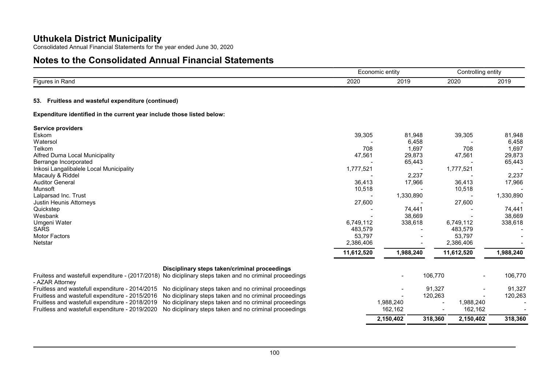Consolidated Annual Financial Statements for the year ended June 30, 2020

### **Notes to the Consolidated Annual Financial Statements**

|                                                                        |                                                                                                         |                      | Economic entity |                 |                      | Controlling entity |  |
|------------------------------------------------------------------------|---------------------------------------------------------------------------------------------------------|----------------------|-----------------|-----------------|----------------------|--------------------|--|
| Figures in Rand                                                        |                                                                                                         | 2020                 | 2019            |                 | 2020                 | 2019               |  |
| Fruitless and wasteful expenditure (continued)<br>53.                  |                                                                                                         |                      |                 |                 |                      |                    |  |
| Expenditure identified in the current year include those listed below: |                                                                                                         |                      |                 |                 |                      |                    |  |
| <b>Service providers</b>                                               |                                                                                                         |                      |                 |                 |                      |                    |  |
| Eskom                                                                  |                                                                                                         | 39,305               |                 | 81,948          | 39,305               | 81,948             |  |
| Watersol                                                               |                                                                                                         |                      |                 | 6,458           |                      | 6,458              |  |
| Telkom                                                                 |                                                                                                         | 708<br>47,561        |                 | 1,697<br>29,873 | 708<br>47,561        | 1,697<br>29,873    |  |
| Alfred Duma Local Municipality<br>Berrange Incorporated                |                                                                                                         |                      |                 | 65,443          |                      | 65,443             |  |
| Inkosi Langalibalele Local Municipality                                |                                                                                                         | 1,777,521            |                 |                 | 1,777,521            |                    |  |
| Macauly & Riddel                                                       |                                                                                                         |                      |                 | 2,237           |                      | 2,237              |  |
| <b>Auditor General</b>                                                 |                                                                                                         | 36,413               |                 | 17,966          | 36,413               | 17,966             |  |
| Munsoft                                                                |                                                                                                         | 10,518               |                 |                 | 10,518               |                    |  |
| Lalparsad Inc. Trust                                                   |                                                                                                         |                      | 1,330,890       |                 |                      | 1,330,890          |  |
| Justin Heunis Attorneys                                                |                                                                                                         | 27,600               |                 |                 | 27,600               |                    |  |
| Quickstep                                                              |                                                                                                         |                      |                 | 74,441          |                      | 74,441             |  |
| Wesbank                                                                |                                                                                                         |                      |                 | 38,669          |                      | 38,669             |  |
| Umgeni Water<br><b>SARS</b>                                            |                                                                                                         | 6,749,112<br>483,579 | 338,618         |                 | 6,749,112<br>483,579 | 338,618            |  |
| <b>Motor Factors</b>                                                   |                                                                                                         | 53,797               |                 |                 | 53,797               |                    |  |
| <b>Netstar</b>                                                         |                                                                                                         | 2,386,406            |                 |                 | 2,386,406            |                    |  |
|                                                                        |                                                                                                         | 11,612,520           | 1,988,240       |                 | 11,612,520           | 1,988,240          |  |
|                                                                        | Disciplinary steps taken/criminal proceedings                                                           |                      |                 |                 |                      |                    |  |
| - AZAR Attorney                                                        | Fruitess and wastefull expenditure - (2017/2018) No diciplinary steps taken and no criminal proceedings |                      |                 | 106,770         |                      | 106,770            |  |
| Fruitless and wastefull expenditure - 2014/2015                        | No diciplinary steps taken and no criminal proceedings                                                  |                      |                 | 91,327          |                      | 91,327             |  |
| Fruitless and wastefull expenditure - 2015/2016                        | No diciplinary steps taken and no criminal proceedings                                                  |                      |                 | 120,263         |                      | 120,263            |  |
| Fruitless and wastefull expenditure - 2018/2019                        | No diciplinary steps taken and no criminal proceedings                                                  |                      | 1,988,240       |                 | 1,988,240            |                    |  |
| Fruitless and wastefull expenditure - 2019/2020                        | No diciplinary steps taken and no criminal proceedings                                                  |                      | 162,162         |                 | 162,162              |                    |  |
|                                                                        |                                                                                                         |                      | 2,150,402       | 318,360         | 2,150,402            | 318,360            |  |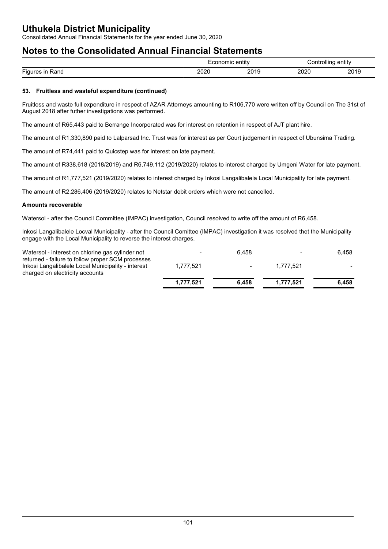Consolidated Annual Financial Statements for the year ended June 30, 2020

# **Notes to the Consolidated Annual Financial Statements**

|                                     | entity<br>ш |      | entity<br>rollinc<br>. . |      |
|-------------------------------------|-------------|------|--------------------------|------|
| $- \cdot$<br>Ranu<br><b>Figures</b> | 2020        | 2019 | זרחנ                     | 2019 |

#### **53. Fruitless and wasteful expenditure (continued)**

Fruitless and waste full expenditure in respect of AZAR Attorneys amounting to R106,770 were written off by Council on The 31st of August 2018 after futher investigations was performed.

The amount of R65,443 paid to Berrange Incorporated was for interest on retention in respect of AJT plant hire.

The amount of R1,330,890 paid to Lalparsad Inc. Trust was for interest as per Court judgement in respect of Ubunsima Trading.

The amount of R74,441 paid to Quicstep was for interest on late payment.

The amount of R338,618 (2018/2019) and R6,749,112 (2019/2020) relates to interest charged by Umgeni Water for late payment.

The amount of R1,777,521 (2019/2020) relates to interest charged by Inkosi Langalibalela Local Municipality for late payment.

The amount of R2,286,406 (2019/2020) relates to Netstar debit orders which were not cancelled.

#### **Amounts recoverable**

Watersol - after the Council Committee (IMPAC) investigation, Council resolved to write off the amount of R6,458.

Inkosi Langalibalele Locval Municipality - after the Council Comittee (IMPAC) investigation it was resolved thet the Municipality engage with the Local Municipality to reverse the interest charges.

| Watersol - interest on chlorine gas cylinder not<br>returned - failure to follow proper SCM processes | $\blacksquare$ | 6.458          | $\blacksquare$ | 6.458 |
|-------------------------------------------------------------------------------------------------------|----------------|----------------|----------------|-------|
| Inkosi Langalibalele Local Municipality - interest<br>charged on electricity accounts                 | 1.777.521      | $\blacksquare$ | 1.777.521      |       |
|                                                                                                       | 1.777.521      | 6.458          | 1.777.521      | 6.458 |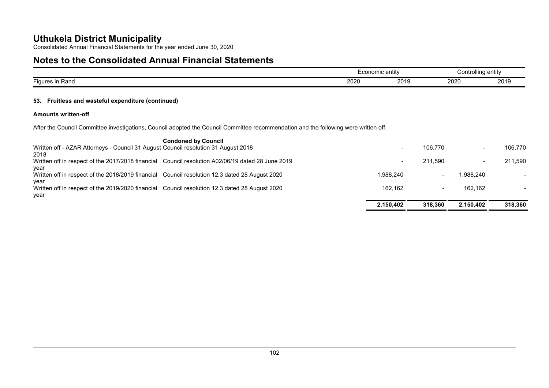Consolidated Annual Financial Statements for the year ended June 30, 2020

## **Notes to the Consolidated Annual Financial Statements**

|                                                                                                                                      | Economic entity |                          |                          | Controlling entity       |         |
|--------------------------------------------------------------------------------------------------------------------------------------|-----------------|--------------------------|--------------------------|--------------------------|---------|
| Figures in Rand                                                                                                                      | 2020            | 2019                     |                          | 2020                     | 2019    |
| Fruitless and wasteful expenditure (continued)<br>53.                                                                                |                 |                          |                          |                          |         |
| <b>Amounts written-off</b>                                                                                                           |                 |                          |                          |                          |         |
| After the Council Committee investigations, Council adopted the Council Committee recommendation and the following were written off. |                 |                          |                          |                          |         |
| <b>Condoned by Council</b>                                                                                                           |                 |                          |                          |                          |         |
| Written off - AZAR Attorneys - Council 31 August Council resolution 31 August 2018<br>2018                                           |                 | $\overline{\phantom{a}}$ | 106,770                  | $\blacksquare$           | 106,770 |
| Written off in respect of the 2017/2018 financial Council resolution A02/06/19 dated 28 June 2019<br>year                            |                 | $\overline{\phantom{a}}$ | 211.590                  | $\overline{\phantom{a}}$ | 211.590 |
| Written off in respect of the 2018/2019 financial Council resolution 12.3 dated 28 August 2020<br>year                               |                 | 1,988,240                | $\blacksquare$           | 1,988,240                |         |
| Written off in respect of the 2019/2020 financial Council resolution 12.3 dated 28 August 2020                                       |                 | 162.162                  | $\overline{\phantom{a}}$ | 162,162                  |         |

**2,150,402 318,360 2,150,402 318,360**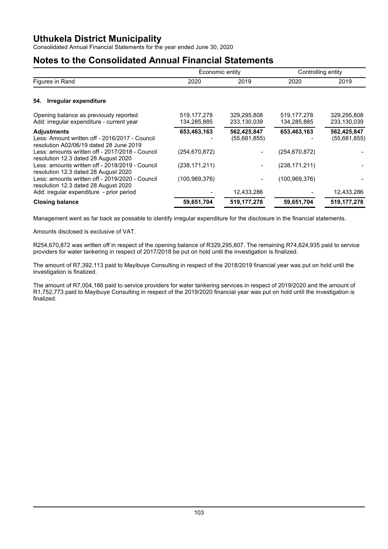Consolidated Annual Financial Statements for the year ended June 30, 2020

# **Notes to the Consolidated Annual Financial Statements**

|                                                                                                          | Economic entity            |                             | Controlling entity         |                             |
|----------------------------------------------------------------------------------------------------------|----------------------------|-----------------------------|----------------------------|-----------------------------|
| Figures in Rand                                                                                          | 2020                       | 2019                        | 2020                       | 2019                        |
| Irregular expenditure<br>54.                                                                             |                            |                             |                            |                             |
| Opening balance as previously reported<br>Add: irregular expenditure - current year                      | 519,177,278<br>134,285,885 | 329,295,808<br>233,130,039  | 519,177,278<br>134,285,885 | 329,295,808<br>233,130,039  |
| Adjustments<br>Less: Amount written off - 2016/2017 - Council<br>resolution A02/06/19 dated 28 June 2019 | 653,463,163                | 562,425,847<br>(55,681,855) | 653,463,163                | 562,425,847<br>(55,681,855) |
| Less: amounts written off - 2017/2018 - Council<br>resolution 12.3 dated 28 August 2020                  | (254,670,872)              |                             | (254, 670, 872)            |                             |
| Less: amounts written off - 2018/2019 - Council<br>resolution 12.3 dated 28 August 2020                  | (238, 171, 211)            |                             | (238, 171, 211)            |                             |
| Less: amounts written off - 2019/2020 - Council<br>resolution 12.3 dated 28 August 2020                  | (100,969,376)              |                             | (100, 969, 376)            |                             |
| Add: iregular expenditure - prior period                                                                 |                            | 12,433,286                  |                            | 12,433,286                  |
| <b>Closing balance</b>                                                                                   | 59,651,704                 | 519, 177, 278               | 59,651,704                 | 519, 177, 278               |

Management went as far back as possable to identify irregular expenditure for the disclosure in the financial statements.

Amounts disclosed is exclusive of VAT.

R254,670,872 was written off in respect of the opening balance of R329,295,807. The remaining R74,624,935 paid to service providers for water tankering in respect of 2017/2018 be put on hold until the investigation is finalized.

The amount of R7,392,113 paid to Mayibuye Consulting in respect of the 2018/2019 financial year was put on hold until the investigation is finalized.

The amount of R7,004,166 paid to service providers for water tankering services in respect of 2019/2020 and the amount of R1,752,773 paid to Mayibuye Consulting in respect of the 2019/2020 financial year was put on hold until the investigation is finalized.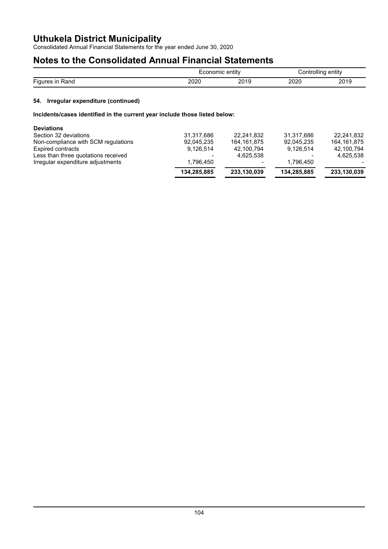Consolidated Annual Financial Statements for the year ended June 30, 2020

# **Notes to the Consolidated Annual Financial Statements**

|             |             | Controlling entity                                                                            |             |
|-------------|-------------|-----------------------------------------------------------------------------------------------|-------------|
| 2020        | 2019        | 2020                                                                                          | 2019        |
|             |             |                                                                                               |             |
|             |             |                                                                                               |             |
|             |             |                                                                                               |             |
| 31.317.686  | 22,241,832  | 31,317,686                                                                                    | 22.241.832  |
| 92,045,235  | 164.161.875 | 92,045,235                                                                                    | 164.161.875 |
| 9.126.514   | 42,100,794  | 9.126.514                                                                                     | 42,100,794  |
|             | 4.625.538   |                                                                                               | 4.625.538   |
| 1,796,450   |             | 1,796,450                                                                                     |             |
| 134,285,885 | 233,130,039 | 134,285,885                                                                                   | 233,130,039 |
|             |             | Economic entity<br>Incidents/cases identified in the current year include those listed below: |             |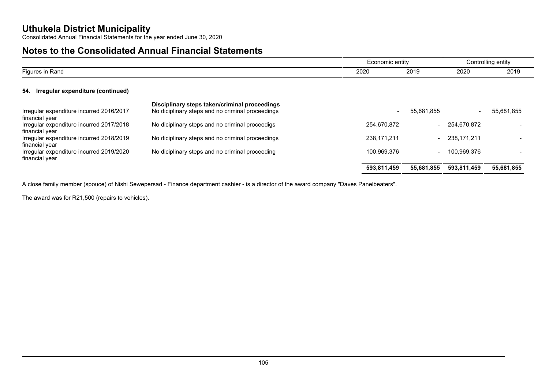Consolidated Annual Financial Statements for the year ended June 30, 2020

# **Notes to the Consolidated Annual Financial Statements**

|                                                            |                                                                                                   | Economic entity          |                          |                          | Controlling entity |
|------------------------------------------------------------|---------------------------------------------------------------------------------------------------|--------------------------|--------------------------|--------------------------|--------------------|
| Figures in Rand                                            |                                                                                                   | 2020                     | 2019                     | 2020                     | 2019               |
| Irregular expenditure (continued)<br>54.                   |                                                                                                   |                          |                          |                          |                    |
| Irregular expenditure incurred 2016/2017<br>financial year | Disciplinary steps taken/criminal proceedings<br>No diciplinary steps and no criminal proceedings | $\overline{\phantom{a}}$ | 55,681,855               | $\overline{\phantom{a}}$ | 55,681,855         |
| Irregular expenditure incurred 2017/2018<br>financial year | No diciplinary steps and no criminal proceedigs                                                   | 254.670.872              | $\blacksquare$           | 254.670.872              |                    |
| Irregular expenditure incurred 2018/2019<br>financial year | No diciplinary steps and no criminal proceedings                                                  | 238,171,211              | $\,$                     | 238.171.211              |                    |
| Irregular expenditure incurred 2019/2020<br>financial year | No diciplinary steps and no criminal proceeding                                                   | 100,969,376              | $\overline{\phantom{a}}$ | 100,969,376              |                    |
|                                                            |                                                                                                   | 593,811,459              | 55,681,855               | 593,811,459              | 55,681,855         |

A close family member (spouce) of Nishi Sewepersad - Finance department cashier - is a director of the award company "Daves Panelbeaters".

The award was for R21,500 (repairs to vehicles).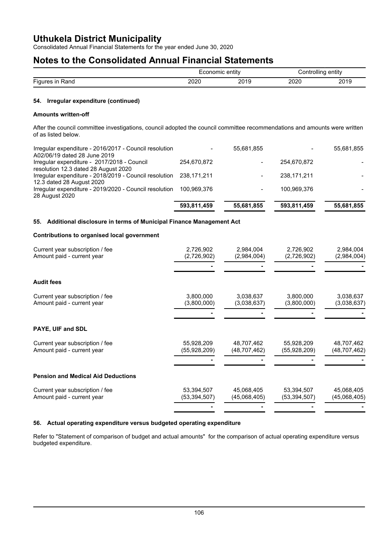Consolidated Annual Financial Statements for the year ended June 30, 2020

## **Notes to the Consolidated Annual Financial Statements**

|                                     | entit\<br>homic |            | ontrolling entityٽ |             |  |
|-------------------------------------|-----------------|------------|--------------------|-------------|--|
| $- \cdot$<br>Rand<br>Figures.<br>ın | 2020            | 0010<br>∠∪ | ነጋቦ<br>ንሰ<br>____  | 2010<br>ZUR |  |

#### **54. Irregular expenditure (continued)**

#### **Amounts written-off**

After the council committee investigations, council adopted the council committee recommendations and amounts were written of as listed below.

|                                                                                                 | 593,811,459 | 55,681,855 | 593,811,459 | 55,681,855 |
|-------------------------------------------------------------------------------------------------|-------------|------------|-------------|------------|
| 28 August 2020                                                                                  |             |            |             |            |
| 12.3 dated 28 August 2020<br>Irregular expenditure - 2019/2020 - Council resolution 100,969,376 |             |            | 100.969.376 |            |
| Irregular expenditure - 2018/2019 - Council resolution 238,171,211                              |             |            | 238.171.211 |            |
| Irregular expenditure - 2017/2018 - Council<br>resolution 12.3 dated 28 August 2020             | 254,670,872 |            | 254,670,872 |            |
| Irregular expenditure - 2016/2017 - Council resolution<br>A02/06/19 dated 28 June 2019          |             | 55,681,855 |             | 55,681,855 |

#### **55. Additional disclosure in terms of Municipal Finance Management Act**

#### **Contributions to organised local government**

| Current year subscription / fee<br>Amount paid - current year | 2,726,902<br>(2,726,902)     | 2,984,004<br>(2,984,004)   | 2,726,902<br>(2,726,902)     | 2,984,004<br>(2,984,004)     |
|---------------------------------------------------------------|------------------------------|----------------------------|------------------------------|------------------------------|
|                                                               |                              |                            |                              |                              |
| <b>Audit fees</b>                                             |                              |                            |                              |                              |
| Current year subscription / fee<br>Amount paid - current year | 3,800,000<br>(3,800,000)     | 3,038,637<br>(3,038,637)   | 3,800,000<br>(3,800,000)     | 3,038,637<br>(3,038,637)     |
|                                                               |                              |                            |                              |                              |
| <b>PAYE, UIF and SDL</b>                                      |                              |                            |                              |                              |
| Current year subscription / fee<br>Amount paid - current year | 55,928,209<br>(55,928,209)   | 48,707,462<br>(48,707,462) | 55,928,209<br>(55, 928, 209) | 48,707,462<br>(48, 707, 462) |
| <b>Pension and Medical Aid Deductions</b>                     |                              |                            |                              |                              |
| Current year subscription / fee<br>Amount paid - current year | 53,394,507<br>(53, 394, 507) | 45,068,405<br>(45,068,405) | 53,394,507<br>(53, 394, 507) | 45,068,405<br>(45,068,405)   |
|                                                               |                              |                            |                              |                              |

#### **56. Actual operating expenditure versus budgeted operating expenditure**

Refer to "Statement of comparison of budget and actual amounts" for the comparison of actual operating expenditure versus budgeted expenditure.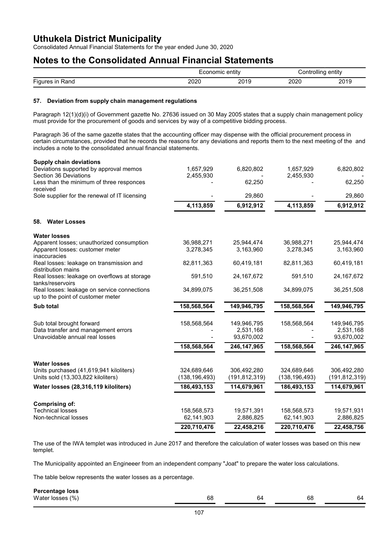Consolidated Annual Financial Statements for the year ended June 30, 2020

### **Notes to the Consolidated Annual Financial Statements**

|                                                         | .<br>ulliv-  |    | entity<br>ollir |      |
|---------------------------------------------------------|--------------|----|-----------------|------|
| $- \cdot$<br>⊀anc<br>FIUI<br>$\overline{ }$<br>ш<br>. . | מ המ<br>- 92 | n, | חרחנ<br>___     | 2019 |

#### **57. Deviation from supply chain management regulations**

Paragraph 12(1)(d)(i) of Government gazette No. 27636 issued on 30 May 2005 states that a supply chain management policy must provide for the procurement of goods and services by way of a competitive bidding process.

Paragraph 36 of the same gazette states that the accounting officer may dispense with the official procurement process in certain circumstances, provided that he records the reasons for any deviations and reports them to the next meeting of the and includes a note to the consolidated annual financial statements.

| <b>Supply chain deviations</b>                                                   |                 |                 |                 |                 |
|----------------------------------------------------------------------------------|-----------------|-----------------|-----------------|-----------------|
| Deviations supported by approval memos                                           | 1,657,929       | 6,820,802       | 1,657,929       | 6,820,802       |
| Section 36 Deviations                                                            | 2,455,930       |                 | 2,455,930       |                 |
| Less than the minimum of three responces                                         |                 | 62,250          |                 | 62,250          |
| received                                                                         |                 |                 |                 |                 |
| Sole supplier for the renewal of IT licensing                                    |                 | 29,860          |                 | 29,860          |
|                                                                                  | 4,113,859       | 6,912,912       | 4,113,859       | 6,912,912       |
| <b>Water Losses</b><br>58.                                                       |                 |                 |                 |                 |
| <b>Water losses</b>                                                              |                 |                 |                 |                 |
| Apparent losses; unauthorized consumption                                        | 36,988,271      | 25,944,474      | 36,988,271      | 25,944,474      |
| Apparent losses: customer meter                                                  | 3,278,345       | 3,163,960       | 3,278,345       | 3,163,960       |
| inaccuracies                                                                     |                 |                 |                 |                 |
| Real losses: leakage on transmission and<br>distribution mains                   | 82,811,363      | 60,419,181      | 82,811,363      | 60,419,181      |
| Real losses: leakage on overflows at storage<br>tanks/reservoirs                 | 591,510         | 24, 167, 672    | 591,510         | 24, 167, 672    |
| Real losses: leakage on service connections<br>up to the point of customer meter | 34,899,075      | 36,251,508      | 34,899,075      | 36,251,508      |
| Sub total                                                                        | 158,568,564     | 149,946,795     | 158,568,564     | 149,946,795     |
| Sub total brought forward                                                        | 158,568,564     | 149,946,795     | 158,568,564     | 149,946,795     |
| Data transfer and management errors                                              |                 | 2,531,168       |                 | 2,531,168       |
| Unavoidable annual real losses                                                   |                 | 93,670,002      |                 | 93,670,002      |
|                                                                                  | 158,568,564     | 246, 147, 965   | 158,568,564     | 246, 147, 965   |
| <b>Water losses</b>                                                              |                 |                 |                 |                 |
| Units purchased (41,619,941 kiloliters)                                          | 324,689,646     | 306,492,280     | 324,689,646     | 306,492,280     |
| Units sold (13,303,822 kiloliters)                                               | (138, 196, 493) | (191, 812, 319) | (138, 196, 493) | (191, 812, 319) |
| Water losses (28,316,119 kiloliters)                                             | 186,493,153     | 114,679,961     | 186,493,153     | 114,679,961     |
| <b>Comprising of:</b>                                                            |                 |                 |                 |                 |
| <b>Technical losses</b>                                                          | 158,568,573     | 19,571,391      | 158,568,573     | 19,571,931      |
| Non-technical losses                                                             | 62,141,903      | 2,886,825       | 62,141,903      | 2,886,825       |
|                                                                                  | 220,710,476     | 22,458,216      | 220,710,476     | 22,458,756      |

The use of the IWA templet was introduced in June 2017 and therefore the calculation of water losses was based on this new templet.

The Municipality appointed an Engineeer from an independent company "Joat" to prepare the water loss calculations.

The table below represents the water losses as a percentage.

| <b>Percentage loss</b> |         |    |    |    |
|------------------------|---------|----|----|----|
| Water losses (%)       | ົ<br>ხč | b٤ | 68 | 64 |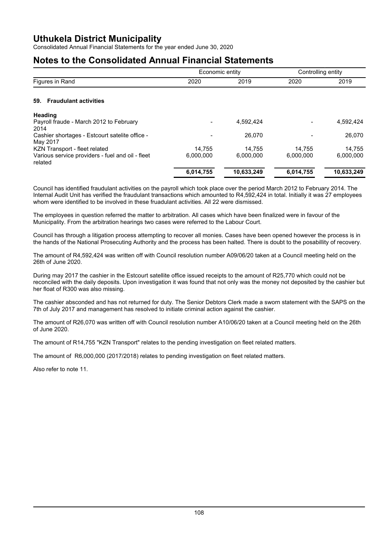#### **Uthukela District Municipality**

Consolidated Annual Financial Statements for the year ended June 30, 2020

#### **Notes to the Consolidated Annual Financial Statements**

|                                                             | Economic entity |            | Controlling entity |            |
|-------------------------------------------------------------|-----------------|------------|--------------------|------------|
| Figures in Rand                                             | 2020            | 2019       | 2020               | 2019       |
| <b>Fraudulant activities</b><br>59.                         |                 |            |                    |            |
| Heading                                                     |                 |            |                    |            |
| Payroll fraude - March 2012 to February<br>2014             |                 | 4,592,424  |                    | 4,592,424  |
| Cashier shortages - Estcourt satelite office -<br>May 2017  |                 | 26.070     |                    | 26,070     |
| KZN Transport - fleet related                               | 14.755          | 14,755     | 14.755             | 14,755     |
| Various service providers - fuel and oil - fleet<br>related | 6.000.000       | 6,000,000  | 6,000,000          | 6.000.000  |
|                                                             | 6,014,755       | 10,633,249 | 6,014,755          | 10,633,249 |

Council has identified fraudulant activities on the payroll which took place over the period March 2012 to February 2014. The Internal Audit Unit has verified the fraudulant transactions which amounted to R4,592,424 in total. Initially it was 27 employees whom were identified to be involved in these fruadulant activities. All 22 were dismissed.

The employees in question referred the matter to arbitration. All cases which have been finalized were in favour of the Municipality. From the arbitration hearings two cases were referred to the Labour Court.

Council has through a litigation process attempting to recover all monies. Cases have been opened however the process is in the hands of the National Prosecuting Authority and the process has been halted. There is doubt to the posabillity of recovery.

The amount of R4,592,424 was written off with Council resolution number A09/06/20 taken at a Council meeting held on the 26th of June 2020.

During may 2017 the cashier in the Estcourt satellite office issued receipts to the amount of R25,770 which could not be reconciled with the daily deposits. Upon investigation it was found that not only was the money not deposited by the cashier but her float of R300 was also missing.

The cashier absconded and has not returned for duty. The Senior Debtors Clerk made a sworn statement with the SAPS on the 7th of July 2017 and management has resolved to initiate criminal action against the cashier.

The amount of R26,070 was written off with Council resolution number A10/06/20 taken at a Council meeting held on the 26th of June 2020.

The amount of R14,755 "KZN Transport" relates to the pending investigation on fleet related matters.

The amount of R6,000,000 (2017/2018) relates to pending investigation on fleet related matters.

Also refer to note 11.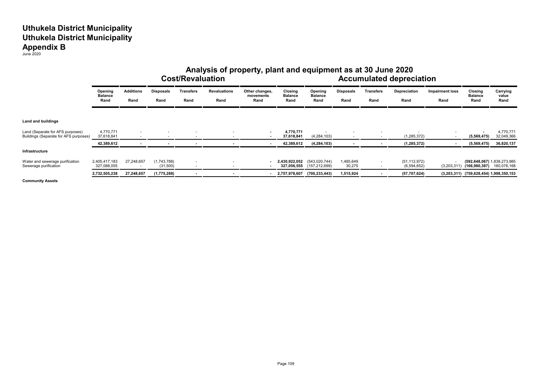|                                                                           |                                   |                          |                          | <b>Cost/Revaluation</b>                              |                             |                                     |                                   | Analysis of property, plant and equipment as at 30 June 2020<br><b>Accumulated depreciation</b> |                          |                                                      |                                 |                                |                                              |                           |
|---------------------------------------------------------------------------|-----------------------------------|--------------------------|--------------------------|------------------------------------------------------|-----------------------------|-------------------------------------|-----------------------------------|-------------------------------------------------------------------------------------------------|--------------------------|------------------------------------------------------|---------------------------------|--------------------------------|----------------------------------------------|---------------------------|
|                                                                           | Opening<br><b>Balance</b><br>Rand | <b>Additions</b><br>Rand | <b>Disposals</b><br>Rand | Transfers<br>Rand                                    | <b>Revaluations</b><br>Rand | Other changes,<br>movements<br>Rand | Closing<br><b>Balance</b><br>Rand | Opening<br><b>Balance</b><br>Rand                                                               | Disposals<br>Rand        | <b>Transfers</b><br>Rand                             | Depreciation<br>Rand            | <b>Impairment loss</b><br>Rand | Closing<br><b>Balance</b><br>Rand            | Carrying<br>value<br>Rand |
| Land and buildings                                                        |                                   |                          |                          |                                                      |                             |                                     |                                   |                                                                                                 |                          |                                                      |                                 |                                |                                              |                           |
| Land (Separate for AFS purposes)<br>Buildings (Separate for AFS purposes) | 4,770,771<br>37,618,841           | $\sim$<br>$\sim$         | $\overline{\phantom{a}}$ | $\overline{a}$                                       |                             |                                     | 4,770,771<br>37,618,841           | (4, 284, 103)                                                                                   | $\overline{\phantom{a}}$ |                                                      | (1, 285, 372)                   |                                | (5,569,475)                                  | 4,770,771<br>32,049,366   |
|                                                                           | 42,389,612                        | $\blacksquare$           |                          |                                                      |                             |                                     | 42,389,612                        | (4, 284, 103)                                                                                   | $\blacksquare$           |                                                      | (1, 285, 372)                   |                                | (5,569,475)                                  | 36,820,137                |
| Infrastructure                                                            |                                   |                          |                          |                                                      |                             |                                     |                                   |                                                                                                 |                          |                                                      |                                 |                                |                                              |                           |
| Water and sewerage purification<br>Sewerage purification                  | 2,405,417,183<br>327,088,055      | 27,248,657<br>$\sim$     | (1,743,788)<br>(31,500)  | $\overline{\phantom{a}}$<br>$\overline{\phantom{a}}$ |                             |                                     | 2,430,922,052<br>327,056,555      | (543,020,744)<br>(157, 212, 699)                                                                | 1,485,649<br>30,275      | $\overline{\phantom{a}}$<br>$\overline{\phantom{a}}$ | (51, 112, 972)<br>(6, 594, 652) | (3,203,311)                    | (592,648,067) 1,838,273,985<br>(166,980,387) | 160,076,168               |
|                                                                           | 2,732,505,238                     | 27,248,657               | (1,775,288)              |                                                      |                             |                                     | 2,757,978,607                     | (700, 233, 443)                                                                                 | 1,515,924                |                                                      | (57, 707, 624)                  |                                | $(3,203,311)$ $(759,628,454)$ 1,998,350,153  |                           |

**Community Assets**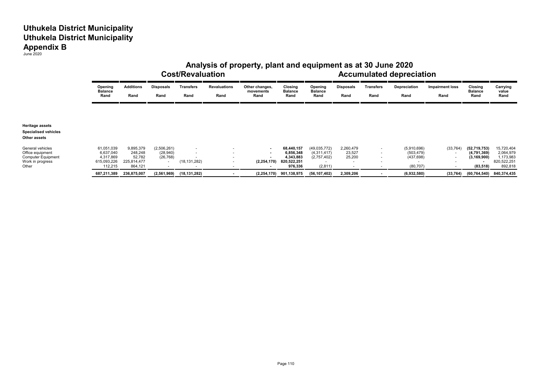| Opening<br><b>Balance</b><br>Rand                             | <b>Additions</b><br>Rand       | <b>Disposals</b><br>Rand | Transfers<br>Rand | <b>Revaluations</b><br>Rand | Other changes,<br>movements | Closing                             | Opening                     | Disposals                          |                                                      |                           |                                       |                                   |                                     |
|---------------------------------------------------------------|--------------------------------|--------------------------|-------------------|-----------------------------|-----------------------------|-------------------------------------|-----------------------------|------------------------------------|------------------------------------------------------|---------------------------|---------------------------------------|-----------------------------------|-------------------------------------|
|                                                               |                                |                          |                   |                             | Rand                        | <b>Balance</b><br>Rand              | <b>Balance</b><br>Rand      | Rand                               | Transfers<br>Rand                                    | Depreciation<br>Rand      | <b>Impairment loss</b><br>Rand        | Closing<br><b>Balance</b><br>Rand | Carrying<br>value<br>Rand           |
|                                                               |                                |                          |                   |                             |                             |                                     |                             |                                    |                                                      |                           |                                       |                                   |                                     |
|                                                               |                                |                          |                   |                             |                             |                                     |                             |                                    |                                                      |                           |                                       |                                   |                                     |
| 61,051,039<br>6,637,040                                       | 9,895,379<br>248,248<br>52,782 | (2,506,261)<br>(28, 940) | $\sim$            | $\overline{\phantom{a}}$    | $\sim$                      | 68,440,157<br>6,856,348             | (49,035,772)<br>(4,311,417) | 2,260,479<br>23,527                | $\overline{\phantom{a}}$<br>$\overline{\phantom{a}}$ | (5,910,696)<br>(503, 479) | (33, 764)<br>$\overline{\phantom{a}}$ | (52, 719, 753)<br>(4,791,369)     | 15,720,404<br>2,064,979             |
| 4,317,869<br>615,093,226<br>225,814,477<br>112.215<br>864.121 |                                | (26, 768)<br>$\sim$      | (18, 131, 282)    | ۰<br>۰                      | (2, 254, 170)               | 4,343,883<br>820,522,251<br>976.336 | (2,757,402)<br>(2.811)      | 25,200<br>$\overline{\phantom{a}}$ | $\overline{\phantom{a}}$<br>$\overline{\phantom{a}}$ | (437, 698)<br>(80.707)    | $\overline{\phantom{a}}$              | (3, 169, 900)<br>(83.518)         | 1,173,983<br>820,522,251<br>892.818 |

#### **Heritage assets**

**Specialised vehicles**

#### **Other assets**

| vvun 111 progres |  |  |
|------------------|--|--|
| Other            |  |  |
|                  |  |  |

|                    | 687.211.389 | 236.875.007 | (2,561,969) | (18,131,282)   | (2, 254, 170) | 901,138,975 | (56, 107, 402) | 2,309,206 | (6,932,580) | (33, 764) | (60,764,540)  | 840,374,435 |
|--------------------|-------------|-------------|-------------|----------------|---------------|-------------|----------------|-----------|-------------|-----------|---------------|-------------|
| Other              | 112,215     | 864.121     |             |                |               | 976.336     | (2.811)        |           | (80.707)    |           | (83, 518)     | 892.818     |
| Work in progress   | 615,093,226 | 225.814.477 |             | (18, 131, 282) | (2, 254, 170) | 820,522,251 |                |           |             |           |               | 820,522,251 |
| Computer Equipment | 4,317,869   | 52,782      | (26, 768)   |                |               | 4,343,883   | (2,757,402)    | 25,200    | (437, 698)  |           | (3, 169, 900) | 1,173,983   |
| Office equipment   | 6,637,040   | 248,248     | (28, 940)   |                |               | 6,856,348   | (4,311,417)    | 23,527    | (503, 479)  |           | (4,791,369    | 2,064,979   |
| General vehicles   | 61,051,039  | 9,895,375   | (2.506.261) |                |               | 68.440.157  | (49,035,772)   | 2,260,479 | (5,910,696) | (33, 764) | (52,719,753)  | 15,720,404  |
| ouve avveu         |             |             |             |                |               |             |                |           |             |           |               |             |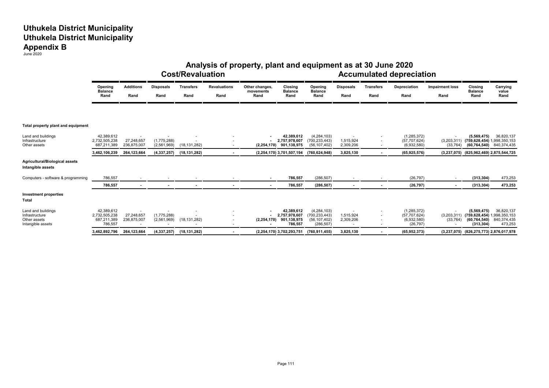|                                                                           |                                                       |                           |                            | <b>Cost/Revaluation</b>  |                             |                                     | Analysis of property, plant and equipment as at 30 June 2020<br><b>Accumulated depreciation</b> |                                                                  |                          |                               |                                                           |                                |                                         |                                                                                  |
|---------------------------------------------------------------------------|-------------------------------------------------------|---------------------------|----------------------------|--------------------------|-----------------------------|-------------------------------------|-------------------------------------------------------------------------------------------------|------------------------------------------------------------------|--------------------------|-------------------------------|-----------------------------------------------------------|--------------------------------|-----------------------------------------|----------------------------------------------------------------------------------|
|                                                                           | Opening<br><b>Balance</b><br>Rand                     | <b>Additions</b><br>Rand  | <b>Disposals</b><br>Rand   | <b>Transfers</b><br>Rand | <b>Revaluations</b><br>Rand | Other changes,<br>movements<br>Rand | Closing<br><b>Balance</b><br>Rand                                                               | Opening<br><b>Balance</b><br>Rand                                | <b>Disposals</b><br>Rand | <b>Transfers</b><br>Rand      | Depreciation<br>Rand                                      | <b>Impairment loss</b><br>Rand | Closing<br><b>Balance</b><br>Rand       | Carrying<br>value<br>Rand                                                        |
| Total property plant and equipment                                        |                                                       |                           |                            |                          |                             |                                     |                                                                                                 |                                                                  |                          |                               |                                                           |                                |                                         |                                                                                  |
| Land and buildings<br>Infrastructure<br>Other assets                      | 42,389,612<br>2,732,505,238<br>687,211,389            | 27,248,657<br>236,875,007 | (1,775,288)<br>(2,561,969) | (18, 131, 282)           |                             | (2, 254, 170)                       | 42,389,612<br>2,757,978,607<br>901,138,975                                                      | (4, 284, 103)<br>(700, 233, 443)<br>(56, 107, 402)               | 1,515,924<br>2,309,206   | $\sim$                        | (1, 285, 372)<br>(57, 707, 624)<br>(6,932,580)            | (3,203,311)<br>(33, 764)       | (5,569,475)                             | 36,820,137<br>(759,628,454) 1,998,350,153<br>$(60, 764, 540)$ 840, 374, 435      |
|                                                                           | 3,462,106,239                                         | 264,123,664               | (4, 337, 257)              | (18, 131, 282)           |                             |                                     | (2,254,170) 3,701,507,194                                                                       | (760, 624, 948)                                                  | 3,825,130                | $\blacksquare$                | (65, 925, 576)                                            | (3, 237, 075)                  |                                         | (825,962,469) 2,875,544,725                                                      |
| <b>Agricultural/Biological assets</b><br>Intangible assets                |                                                       |                           |                            |                          |                             |                                     |                                                                                                 |                                                                  |                          |                               |                                                           |                                |                                         |                                                                                  |
| Computers - software & programming                                        | 786,557                                               |                           |                            |                          |                             | $\blacksquare$                      | 786,557                                                                                         | (286, 507)                                                       |                          |                               | (26, 797)                                                 | $\sim$                         | (313, 304)                              | 473,253                                                                          |
|                                                                           | 786,557                                               | $\sim$                    |                            |                          |                             |                                     | 786,557                                                                                         | (286, 507)                                                       |                          |                               | (26, 797)                                                 |                                | (313, 304)                              | 473,253                                                                          |
| <b>Investment properties</b><br>Total                                     |                                                       |                           |                            |                          |                             |                                     |                                                                                                 |                                                                  |                          |                               |                                                           |                                |                                         |                                                                                  |
| Land and buildings<br>Infrastructure<br>Other assets<br>Intangible assets | 42,389,612<br>2,732,505,238<br>687,211,389<br>786,557 | 27,248,657<br>236,875,007 | (1,775,288)<br>(2,561,969) | (18, 131, 282)           |                             | (2, 254, 170)                       | 42,389,612<br>2,757,978,607<br>901,138,975<br>786.557                                           | (4, 284, 103)<br>(700, 233, 443)<br>(56, 107, 402)<br>(286, 507) | 1,515,924<br>2,309,206   | $\overline{\phantom{a}}$<br>۰ | (1, 285, 372)<br>(57,707,624)<br>(6,932,580)<br>(26, 797) | (3,203,311)<br>(33, 764)       | (5.569.475)<br>(313, 304)               | 36,820,137<br>(759,628,454) 1,998,350,153<br>(60,764,540) 840,374,435<br>473,253 |
|                                                                           | 3,462,892,796                                         | 264,123,664               | (4,337,257)                | (18,131,282)             |                             |                                     | (2,254,170) 3,702,293,751                                                                       | (760,911,455)                                                    | 3,825,130                | $\blacksquare$                | (65, 952, 373)                                            |                                | (3,237,075) (826,275,773) 2,876,017,978 |                                                                                  |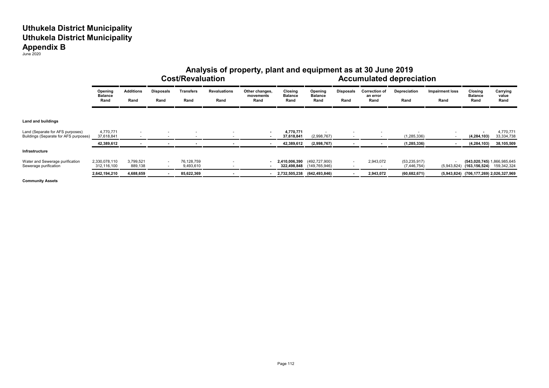|                                                                           |                                   |                          |                          | <b>Cost/Revaluation</b>  | Analysis of property, plant and equipment as at 30 June 2019 |                                     |                                   |                                   |                   |                                   | <b>Accumulated depreciation</b> |                                |                                              |                           |
|---------------------------------------------------------------------------|-----------------------------------|--------------------------|--------------------------|--------------------------|--------------------------------------------------------------|-------------------------------------|-----------------------------------|-----------------------------------|-------------------|-----------------------------------|---------------------------------|--------------------------------|----------------------------------------------|---------------------------|
|                                                                           | Opening<br><b>Balance</b><br>Rand | <b>Additions</b><br>Rand | <b>Disposals</b><br>Rand | <b>Transfers</b><br>Rand | <b>Revaluations</b><br>Rand                                  | Other changes,<br>movements<br>Rand | Closing<br><b>Balance</b><br>Rand | Opening<br><b>Balance</b><br>Rand | Disposals<br>Rand | Correction of<br>an error<br>Rand | Depreciation<br>Rand            | <b>Impairment loss</b><br>Rand | Closing<br><b>Balance</b><br>Rand            | Carrying<br>value<br>Rand |
| Land and buildings                                                        |                                   |                          |                          |                          |                                                              |                                     |                                   |                                   |                   |                                   |                                 |                                |                                              |                           |
| Land (Separate for AFS purposes)<br>Buildings (Separate for AFS purposes) | 4,770,771<br>37,618,841           |                          |                          |                          |                                                              | $\sim$<br>$\sim$                    | 4,770,771<br>37,618,841           | (2,998,767)                       | ۰.                | $\overline{a}$                    | (1, 285, 336)                   |                                | (4, 284, 103)                                | 4,770,771<br>33,334,738   |
|                                                                           | 42,389,612                        |                          |                          |                          |                                                              | $\blacksquare$                      | 42,389,612                        | (2,998,767)                       |                   | $\blacksquare$                    | (1, 285, 336)                   |                                | (4, 284, 103)                                | 38,105,509                |
| Infrastructure                                                            |                                   |                          |                          |                          |                                                              |                                     |                                   |                                   |                   |                                   |                                 |                                |                                              |                           |
| Water and Sewerage purification<br>Sewerage purification                  | 2,330,078,110<br>312,116,100      | 3,799,521<br>889,138     |                          | 76,128,759<br>9,493,610  |                                                              | ۰<br>$\sim$                         | 2,410,006,390 (492,727,900)       | 322,498,848 (149,765,946)         |                   | 2,943,072                         | (53, 235, 917)<br>(7, 446, 754) | (5,943,824)                    | (543,020,745) 1,866,985,645<br>(163,156,524) | 159,342,324               |
|                                                                           | 2,642,194,210                     | 4,688,659                |                          | 85,622,369               |                                                              |                                     | 2,732,505,238 (642,493,846)       |                                   |                   | 2,943,072                         | (60, 682, 671)                  |                                | (5,943,824) (706,177,269) 2,026,327,969      |                           |
|                                                                           |                                   |                          |                          |                          |                                                              |                                     |                                   |                                   |                   |                                   |                                 |                                |                                              |                           |

**Community Assets**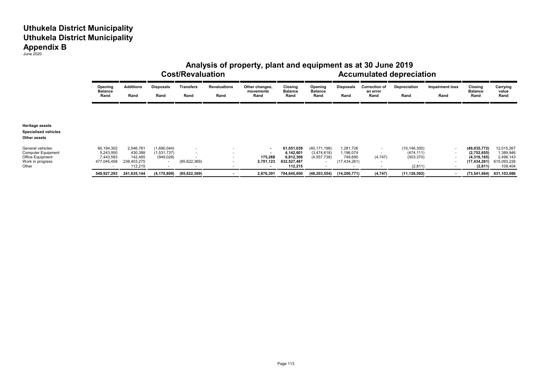|                                                                                                |                                                     |                                                           |                                          | <b>Cost/Revaluation</b>                                      |                      |                                                          | Analysis of property, plant and equipment as at 30 June 2019<br><b>Accumulated depreciation</b> |                                              |                                                     |                                          |                                                        |                                                      |                                                                            |                                                                |
|------------------------------------------------------------------------------------------------|-----------------------------------------------------|-----------------------------------------------------------|------------------------------------------|--------------------------------------------------------------|----------------------|----------------------------------------------------------|-------------------------------------------------------------------------------------------------|----------------------------------------------|-----------------------------------------------------|------------------------------------------|--------------------------------------------------------|------------------------------------------------------|----------------------------------------------------------------------------|----------------------------------------------------------------|
|                                                                                                | Opening<br><b>Balance</b><br>Rand                   | <b>Additions</b><br>Rand                                  | Disposals<br>Rand                        | <b>Transfers</b><br>Rand                                     | Revaluations<br>Rand | Other changes,<br>movements<br>Rand                      | Closing<br><b>Balance</b><br>Rand                                                               | Opening<br><b>Balance</b><br>Rand            | <b>Disposals</b><br>Rand                            | <b>Correction of</b><br>an error<br>Rand | Depreciation<br>Rand                                   | <b>Impairment loss</b><br>Rand                       | Closing<br><b>Balance</b><br>Rand                                          | Carrying<br>value<br>Rand                                      |
| <b>Heritage assets</b><br><b>Specialised vehicles</b><br>Other assets                          |                                                     |                                                           |                                          |                                                              |                      |                                                          |                                                                                                 |                                              |                                                     |                                          |                                                        |                                                      |                                                                            |                                                                |
| General vehicles<br><b>Computer Equipment</b><br>Office Equipment<br>Work in progress<br>Other | 60,194,302<br>5,243,950<br>7,443,583<br>477,045,458 | 2,546,781<br>430,388<br>142,485<br>238,403,275<br>112,215 | (1,690,044)<br>(1,531,737)<br>(949, 028) | $\overline{a}$<br>$\overline{\phantom{a}}$<br>(85, 622, 369) |                      | $\blacksquare$<br>$\blacksquare$<br>175,268<br>2,701,123 | 61,051,039<br>4,142,601<br>6,812,308<br>632,527,487<br>112,215                                  | (40, 171, 198)<br>(3,474,618)<br>(4,557,738) | 1,281,726<br>1,196,074<br>749,690<br>(17, 434, 261) | (4, 747)                                 | (10, 146, 300)<br>(474, 111)<br>(503, 370)<br>(2, 811) | $\overline{\phantom{a}}$<br>$\overline{\phantom{a}}$ | (49, 035, 772)<br>(2,752,655)<br>(4,316,165)<br>(17, 434, 261)<br>(2, 811) | 12,015,267<br>1,389,946<br>2,496,143<br>615,093,226<br>109,404 |
|                                                                                                | 549,927,293                                         | 241,635,144                                               | (4, 170, 809)                            | (85,622,369)                                                 |                      | 2,876,391                                                | 704,645,650                                                                                     | (48, 203, 554)                               | (14,206,771)                                        | (4,747)                                  | (11, 126, 592)                                         |                                                      |                                                                            | (73,541,664) 631,103,986                                       |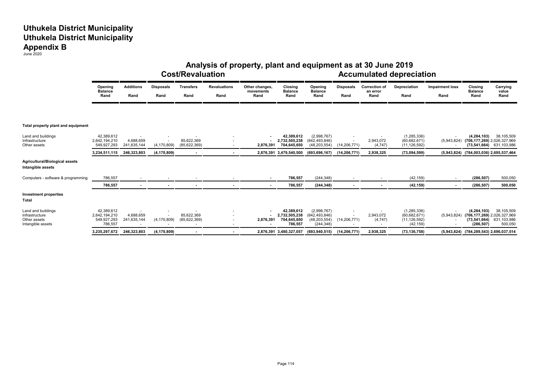|                                                                           |                                                       |                          |                          | <b>Cost/Revaluation</b>      |                             |                                     | Analysis of property, plant and equipment as at 30 June 2019<br><b>Accumulated depreciation</b> |                                                                |                          |                                          |                                                                |                                |                                               |                                                                                 |
|---------------------------------------------------------------------------|-------------------------------------------------------|--------------------------|--------------------------|------------------------------|-----------------------------|-------------------------------------|-------------------------------------------------------------------------------------------------|----------------------------------------------------------------|--------------------------|------------------------------------------|----------------------------------------------------------------|--------------------------------|-----------------------------------------------|---------------------------------------------------------------------------------|
|                                                                           | Opening<br><b>Balance</b><br>Rand                     | <b>Additions</b><br>Rand | <b>Disposals</b><br>Rand | <b>Transfers</b><br>Rand     | <b>Revaluations</b><br>Rand | Other changes,<br>movements<br>Rand | Closing<br><b>Balance</b><br>Rand                                                               | Opening<br><b>Balance</b><br>Rand                              | <b>Disposals</b><br>Rand | <b>Correction of</b><br>an error<br>Rand | Depreciation<br>Rand                                           | <b>Impairment loss</b><br>Rand | Closing<br><b>Balance</b><br>Rand             | Carrying<br>value<br>Rand                                                       |
| Total property plant and equipment                                        |                                                       |                          |                          |                              |                             |                                     |                                                                                                 |                                                                |                          |                                          |                                                                |                                |                                               |                                                                                 |
| Land and buildings<br>Infrastructure<br>Other assets                      | 42,389,612<br>2.642.194.210<br>549,927,293            | 4.688.659<br>241,635,144 | (4, 170, 809)            | 85.622.369<br>(85,622,369)   |                             | 2,876,391                           | 42,389,612<br>2.732.505.238<br>704,645,650                                                      | (2,998,767)<br>(642, 493, 846)<br>(48, 203, 554)               | (14, 206, 771)           | 2,943,072<br>(4, 747)                    | (1, 285, 336)<br>(60, 682, 671)<br>(11, 126, 592)              | (5,943,824)                    | (4, 284, 103)                                 | 38,105,509<br>(706,177,269) 2,026,327,969<br>(73,541,664) 631,103,986           |
|                                                                           | 3,234,511,115                                         | 246,323,803              | (4, 170, 809)            |                              |                             |                                     | 2,876,391 3,479,540,500                                                                         | (693, 696, 167)                                                | (14, 206, 771)           | 2,938,325                                | (73,094,599)                                                   | (5.943.824)                    |                                               | (784,003,036) 2,695,537,464                                                     |
| Agricultural/Biological assets<br>Intangible assets                       |                                                       |                          |                          |                              |                             |                                     |                                                                                                 |                                                                |                          |                                          |                                                                |                                |                                               |                                                                                 |
| Computers - software & programming                                        | 786,557                                               |                          |                          |                              |                             |                                     | 786,557                                                                                         | (244, 348)                                                     |                          |                                          | (42, 159)                                                      | $\overline{\phantom{a}}$       | (286, 507)                                    | 500,050                                                                         |
|                                                                           | 786,557                                               | $\blacksquare$           |                          |                              |                             |                                     | 786,557                                                                                         | (244, 348)                                                     | $\sim$                   |                                          | (42, 159)                                                      |                                | (286, 507)                                    | 500,050                                                                         |
| <b>Investment properties</b><br>Total                                     |                                                       |                          |                          |                              |                             |                                     |                                                                                                 |                                                                |                          |                                          |                                                                |                                |                                               |                                                                                 |
| Land and buildings<br>Infrastructure<br>Other assets<br>Intangible assets | 42,389,612<br>2,642,194,210<br>549,927,293<br>786,557 | 4,688,659<br>241,635,144 | (4, 170, 809)            | 85.622.369<br>(85, 622, 369) |                             | 2,876,391                           | 42,389,612<br>2,732,505,238<br>704,645,650<br>786.557                                           | (2,998,767)<br>(642, 493, 846)<br>(48, 203, 554)<br>(244, 348) | (14, 206, 771)           | 2,943,072<br>(4,747)                     | (1, 285, 336)<br>(60, 682, 671)<br>(11, 126, 592)<br>(42, 159) |                                | (4, 284, 103)<br>(73, 541, 664)<br>(286, 507) | 38,105,509<br>(5,943,824) (706,177,269) 2,026,327,969<br>631,103,986<br>500,050 |
|                                                                           | 3,235,297,672                                         | 246,323,803              | (4, 170, 809)            |                              |                             |                                     | 2,876,391 3,480,327,057                                                                         | (693, 940, 515)                                                | (14, 206, 771)           | 2,938,325                                | (73, 136, 758)                                                 |                                |                                               | (5,943,824) (784,289,543) 2,696,037,514                                         |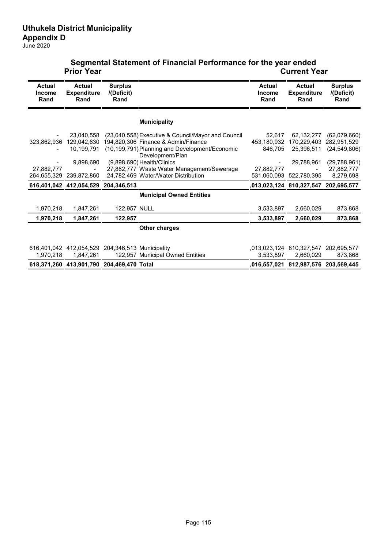| Segmental Statement of Financial Performance for the year ended |                     |
|-----------------------------------------------------------------|---------------------|
| <b>Prior Year</b>                                               | <b>Current Year</b> |

| <b>Actual</b><br><b>Income</b><br>Rand | <b>Actual</b><br><b>Expenditure</b><br>Rand      | <b>Surplus</b><br>I(Deficit)<br>Rand |                                                                    | <b>Actual</b><br><b>Income</b><br>Rand | <b>Actual</b><br><b>Expenditure</b><br>Rand | <b>Surplus</b><br>/(Deficit)<br>Rand |
|----------------------------------------|--------------------------------------------------|--------------------------------------|--------------------------------------------------------------------|----------------------------------------|---------------------------------------------|--------------------------------------|
|                                        |                                                  |                                      | <b>Municipality</b>                                                |                                        |                                             |                                      |
|                                        | 23.040.558                                       |                                      | (23,040,558) Executive & Council/Mayor and Council                 | 52.617                                 | 62.132.277                                  | (62,079,660)                         |
|                                        | 323,862,936 129,042,630                          |                                      | 194,820,306 Finance & Admin/Finance                                | 453,180,932                            | 170,229,403                                 | 282,951,529                          |
|                                        | 10,199,791                                       |                                      | (10,199,791) Planning and Development/Economic<br>Development/Plan | 846.705                                | 25,396,511                                  | (24, 549, 806)                       |
|                                        | 9,898,690                                        |                                      | $(9,898,690)$ Health/Clinics                                       |                                        | 29,788,961                                  | (29,788,961)                         |
| 27,882,777                             |                                                  |                                      | 27,882,777 Waste Water Management/Sewerage                         | 27,882,777                             |                                             | 27,882,777                           |
| 264,655,329                            | 239,872,860                                      |                                      | 24,782,469 Water/Water Distribution                                | 531,060,093                            | 522,780,395                                 | 8,279,698                            |
| 616.401.042                            | 412.054.529                                      | 204.346.513                          |                                                                    |                                        | ,013,023,124 810,327,547                    | 202,695,577                          |
|                                        |                                                  |                                      | <b>Municipal Owned Entities</b>                                    |                                        |                                             |                                      |
| 1,970,218                              | 1,847,261                                        | 122,957 NULL                         |                                                                    | 3,533,897                              | 2,660,029                                   | 873,868                              |
| 1,970,218                              | 1,847,261                                        | 122,957                              |                                                                    | 3,533,897                              | 2,660,029                                   | 873,868                              |
|                                        |                                                  |                                      | <b>Other charges</b>                                               |                                        |                                             |                                      |
|                                        | 616,401,042 412,054,529 204,346,513 Municipality |                                      |                                                                    |                                        | ,013,023,124 810,327,547                    | 202,695,577                          |
| 1,970,218                              | 1,847,261                                        |                                      | 122,957 Municipal Owned Entities                                   | 3,533,897                              | 2.660.029                                   | 873,868                              |
|                                        | 618,371,260 413,901,790 204,469,470 Total        |                                      |                                                                    |                                        | .016,557,021 812,987,576 203,569,445        |                                      |